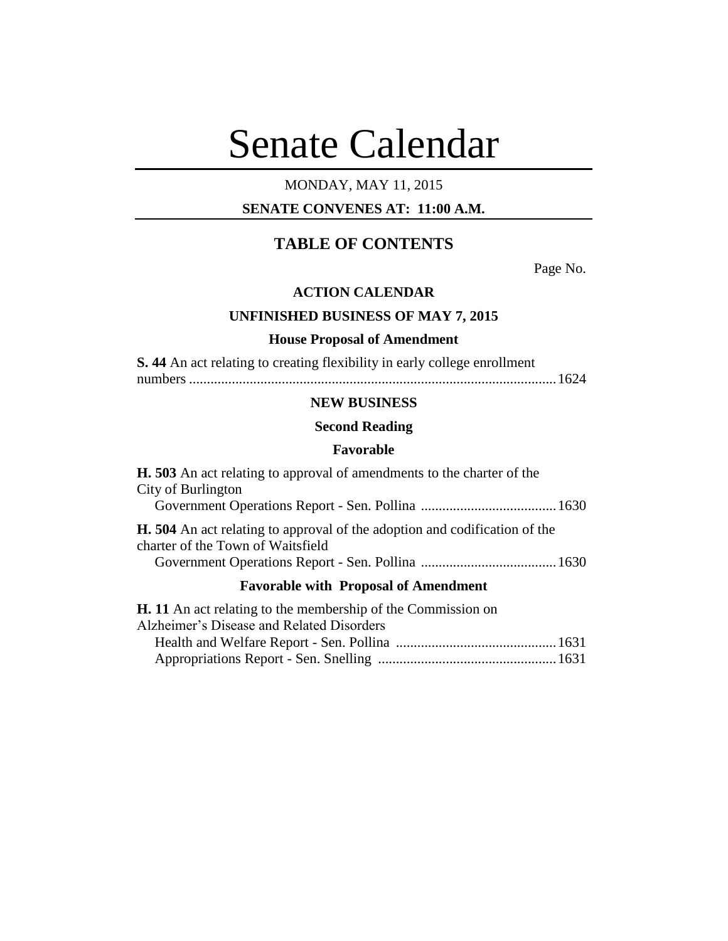# Senate Calendar

# MONDAY, MAY 11, 2015

## **SENATE CONVENES AT: 11:00 A.M.**

# **TABLE OF CONTENTS**

Page No.

#### **ACTION CALENDAR**

#### **UNFINISHED BUSINESS OF MAY 7, 2015**

#### **House Proposal of Amendment**

**S. 44** An act relating to creating flexibility in early college enrollment

numbers .......................................................................................................1624

## **NEW BUSINESS**

## **Second Reading**

#### **Favorable**

| <b>H.</b> 503 An act relating to approval of amendments to the charter of the                                                                       |  |  |
|-----------------------------------------------------------------------------------------------------------------------------------------------------|--|--|
| City of Burlington                                                                                                                                  |  |  |
|                                                                                                                                                     |  |  |
| <b>H.</b> 504 An act relating to approval of the adoption and codification of the<br>charter of the Town of Waitsfield                              |  |  |
|                                                                                                                                                     |  |  |
| <b>Favorable with Proposal of Amendment</b>                                                                                                         |  |  |
| <b>H.</b> 11 An act relating to the membership of the Commission on<br>$\lambda$ 11' $\lambda$ $\lambda$ ' $\lambda$ ' $\lambda$ 1D $\lambda$ 1D' 1 |  |  |

| Alzheimer's Disease and Related Disorders |  |
|-------------------------------------------|--|
|                                           |  |
|                                           |  |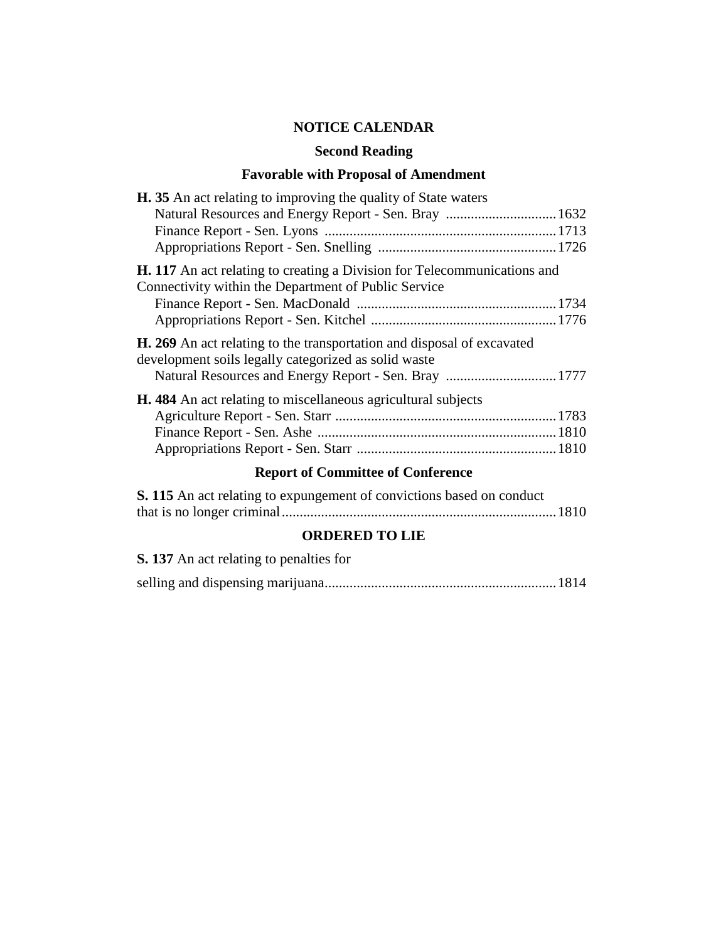# **NOTICE CALENDAR**

## **Second Reading**

# **Favorable with Proposal of Amendment**

| <b>H.</b> 35 An act relating to improving the quality of State waters                                                                                                                                                                                                                                                              |
|------------------------------------------------------------------------------------------------------------------------------------------------------------------------------------------------------------------------------------------------------------------------------------------------------------------------------------|
|                                                                                                                                                                                                                                                                                                                                    |
|                                                                                                                                                                                                                                                                                                                                    |
|                                                                                                                                                                                                                                                                                                                                    |
| <b>H.</b> 117 An act relating to creating a Division for Telecommunications and<br>Connectivity within the Department of Public Service                                                                                                                                                                                            |
|                                                                                                                                                                                                                                                                                                                                    |
|                                                                                                                                                                                                                                                                                                                                    |
| <b>H. 269</b> An act relating to the transportation and disposal of excavated<br>development soils legally categorized as solid waste                                                                                                                                                                                              |
|                                                                                                                                                                                                                                                                                                                                    |
| H. 484 An act relating to miscellaneous agricultural subjects                                                                                                                                                                                                                                                                      |
|                                                                                                                                                                                                                                                                                                                                    |
|                                                                                                                                                                                                                                                                                                                                    |
|                                                                                                                                                                                                                                                                                                                                    |
| $\mathbf{D}$ $\mathbf{A}$ $\mathbf{A}$ $\mathbf{A}$ $\mathbf{A}$ $\mathbf{A}$ $\mathbf{A}$ $\mathbf{A}$ $\mathbf{A}$ $\mathbf{A}$ $\mathbf{A}$ $\mathbf{A}$ $\mathbf{A}$ $\mathbf{A}$ $\mathbf{A}$ $\mathbf{A}$ $\mathbf{A}$ $\mathbf{A}$ $\mathbf{A}$ $\mathbf{A}$ $\mathbf{A}$ $\mathbf{A}$ $\mathbf{A}$ $\mathbf{A}$ $\mathbf{$ |

## **Report of Committee of Conference**

| S. 115 An act relating to expungement of convictions based on conduct |  |
|-----------------------------------------------------------------------|--|
|                                                                       |  |

## **ORDERED TO LIE**

| <b>S. 137</b> An act relating to penalties for |  |
|------------------------------------------------|--|
|                                                |  |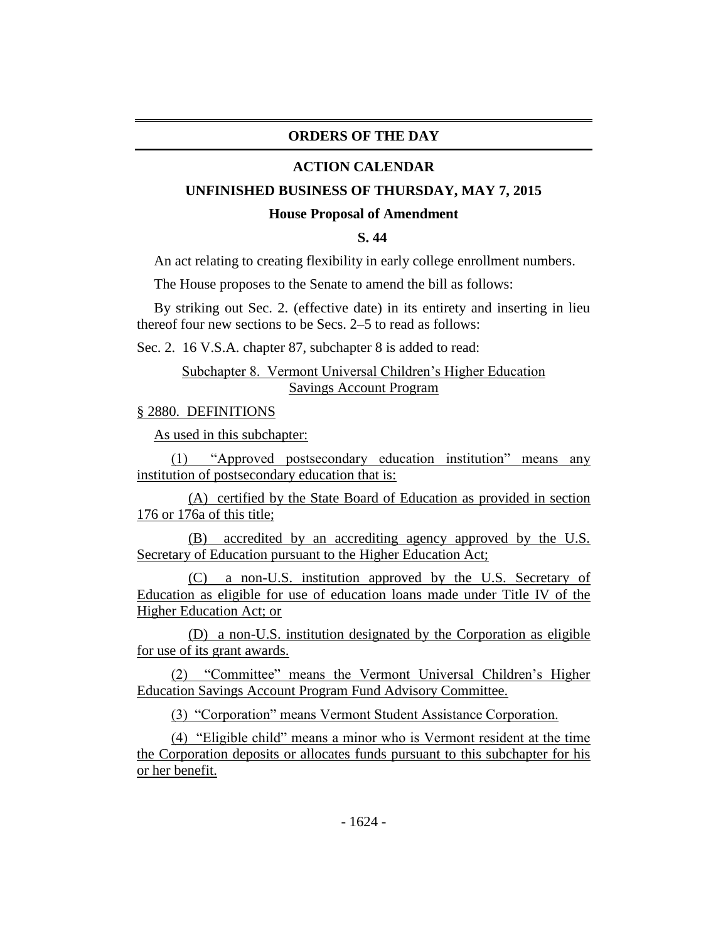## **ORDERS OF THE DAY**

#### **ACTION CALENDAR**

#### **UNFINISHED BUSINESS OF THURSDAY, MAY 7, 2015**

#### **House Proposal of Amendment**

#### **S. 44**

An act relating to creating flexibility in early college enrollment numbers.

The House proposes to the Senate to amend the bill as follows:

By striking out Sec. 2. (effective date) in its entirety and inserting in lieu thereof four new sections to be Secs. 2–5 to read as follows:

Sec. 2. 16 V.S.A. chapter 87, subchapter 8 is added to read:

#### Subchapter 8. Vermont Universal Children's Higher Education Savings Account Program

#### § 2880. DEFINITIONS

As used in this subchapter:

(1) "Approved postsecondary education institution" means any institution of postsecondary education that is:

(A) certified by the State Board of Education as provided in section 176 or 176a of this title;

(B) accredited by an accrediting agency approved by the U.S. Secretary of Education pursuant to the Higher Education Act;

(C) a non-U.S. institution approved by the U.S. Secretary of Education as eligible for use of education loans made under Title IV of the Higher Education Act; or

(D) a non-U.S. institution designated by the Corporation as eligible for use of its grant awards.

(2) "Committee" means the Vermont Universal Children's Higher Education Savings Account Program Fund Advisory Committee.

(3) "Corporation" means Vermont Student Assistance Corporation.

(4) "Eligible child" means a minor who is Vermont resident at the time the Corporation deposits or allocates funds pursuant to this subchapter for his or her benefit.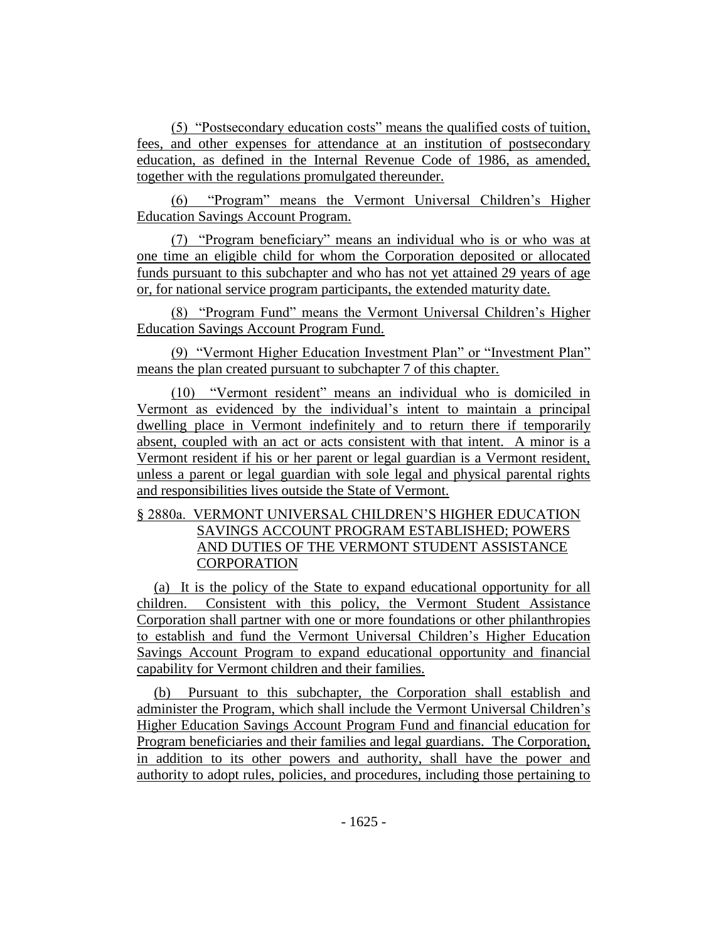(5) "Postsecondary education costs" means the qualified costs of tuition, fees, and other expenses for attendance at an institution of postsecondary education, as defined in the Internal Revenue Code of 1986, as amended, together with the regulations promulgated thereunder.

(6) "Program" means the Vermont Universal Children's Higher Education Savings Account Program.

(7) "Program beneficiary" means an individual who is or who was at one time an eligible child for whom the Corporation deposited or allocated funds pursuant to this subchapter and who has not yet attained 29 years of age or, for national service program participants, the extended maturity date.

(8) "Program Fund" means the Vermont Universal Children's Higher Education Savings Account Program Fund.

(9) "Vermont Higher Education Investment Plan" or "Investment Plan" means the plan created pursuant to subchapter 7 of this chapter.

(10) "Vermont resident" means an individual who is domiciled in Vermont as evidenced by the individual's intent to maintain a principal dwelling place in Vermont indefinitely and to return there if temporarily absent, coupled with an act or acts consistent with that intent. A minor is a Vermont resident if his or her parent or legal guardian is a Vermont resident, unless a parent or legal guardian with sole legal and physical parental rights and responsibilities lives outside the State of Vermont.

## § 2880a. VERMONT UNIVERSAL CHILDREN'S HIGHER EDUCATION SAVINGS ACCOUNT PROGRAM ESTABLISHED; POWERS AND DUTIES OF THE VERMONT STUDENT ASSISTANCE **CORPORATION**

(a) It is the policy of the State to expand educational opportunity for all children. Consistent with this policy, the Vermont Student Assistance Corporation shall partner with one or more foundations or other philanthropies to establish and fund the Vermont Universal Children's Higher Education Savings Account Program to expand educational opportunity and financial capability for Vermont children and their families.

(b) Pursuant to this subchapter, the Corporation shall establish and administer the Program, which shall include the Vermont Universal Children's Higher Education Savings Account Program Fund and financial education for Program beneficiaries and their families and legal guardians. The Corporation, in addition to its other powers and authority, shall have the power and authority to adopt rules, policies, and procedures, including those pertaining to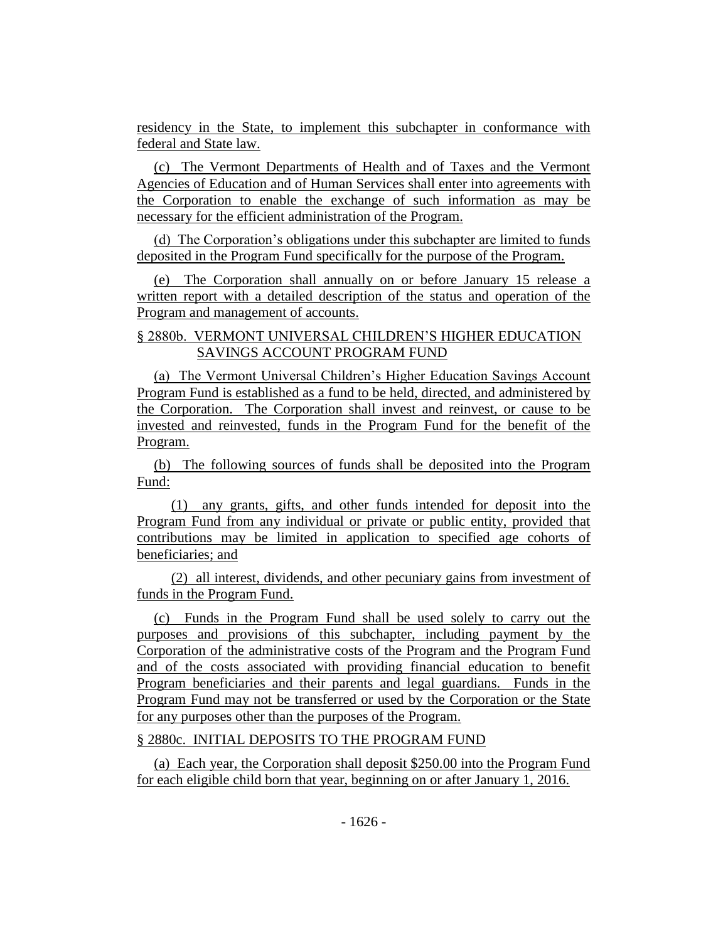residency in the State, to implement this subchapter in conformance with federal and State law.

(c) The Vermont Departments of Health and of Taxes and the Vermont Agencies of Education and of Human Services shall enter into agreements with the Corporation to enable the exchange of such information as may be necessary for the efficient administration of the Program.

(d) The Corporation's obligations under this subchapter are limited to funds deposited in the Program Fund specifically for the purpose of the Program.

(e) The Corporation shall annually on or before January 15 release a written report with a detailed description of the status and operation of the Program and management of accounts.

## § 2880b. VERMONT UNIVERSAL CHILDREN'S HIGHER EDUCATION SAVINGS ACCOUNT PROGRAM FUND

(a) The Vermont Universal Children's Higher Education Savings Account Program Fund is established as a fund to be held, directed, and administered by the Corporation. The Corporation shall invest and reinvest, or cause to be invested and reinvested, funds in the Program Fund for the benefit of the Program.

(b) The following sources of funds shall be deposited into the Program Fund:

(1) any grants, gifts, and other funds intended for deposit into the Program Fund from any individual or private or public entity, provided that contributions may be limited in application to specified age cohorts of beneficiaries; and

(2) all interest, dividends, and other pecuniary gains from investment of funds in the Program Fund.

(c) Funds in the Program Fund shall be used solely to carry out the purposes and provisions of this subchapter, including payment by the Corporation of the administrative costs of the Program and the Program Fund and of the costs associated with providing financial education to benefit Program beneficiaries and their parents and legal guardians. Funds in the Program Fund may not be transferred or used by the Corporation or the State for any purposes other than the purposes of the Program.

## § 2880c. INITIAL DEPOSITS TO THE PROGRAM FUND

(a) Each year, the Corporation shall deposit \$250.00 into the Program Fund for each eligible child born that year, beginning on or after January 1, 2016.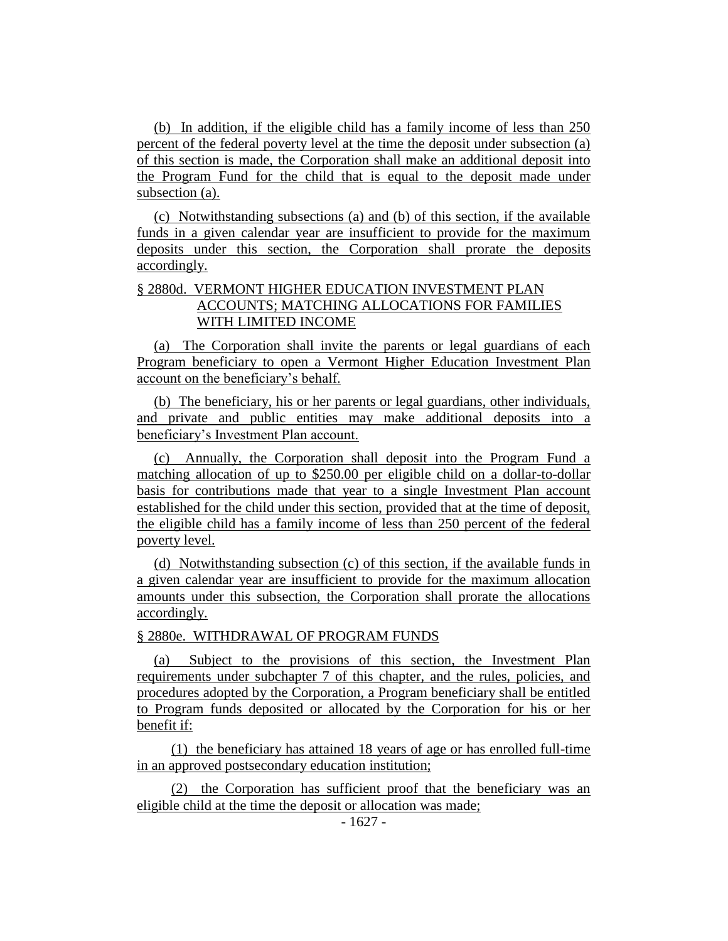(b) In addition, if the eligible child has a family income of less than 250 percent of the federal poverty level at the time the deposit under subsection (a) of this section is made, the Corporation shall make an additional deposit into the Program Fund for the child that is equal to the deposit made under subsection (a).

(c) Notwithstanding subsections (a) and (b) of this section, if the available funds in a given calendar year are insufficient to provide for the maximum deposits under this section, the Corporation shall prorate the deposits accordingly.

## § 2880d. VERMONT HIGHER EDUCATION INVESTMENT PLAN ACCOUNTS; MATCHING ALLOCATIONS FOR FAMILIES WITH LIMITED INCOME

(a) The Corporation shall invite the parents or legal guardians of each Program beneficiary to open a Vermont Higher Education Investment Plan account on the beneficiary's behalf.

(b) The beneficiary, his or her parents or legal guardians, other individuals, and private and public entities may make additional deposits into a beneficiary's Investment Plan account.

(c) Annually, the Corporation shall deposit into the Program Fund a matching allocation of up to \$250.00 per eligible child on a dollar-to-dollar basis for contributions made that year to a single Investment Plan account established for the child under this section, provided that at the time of deposit, the eligible child has a family income of less than 250 percent of the federal poverty level.

(d) Notwithstanding subsection (c) of this section, if the available funds in a given calendar year are insufficient to provide for the maximum allocation amounts under this subsection, the Corporation shall prorate the allocations accordingly.

#### § 2880e. WITHDRAWAL OF PROGRAM FUNDS

(a) Subject to the provisions of this section, the Investment Plan requirements under subchapter 7 of this chapter, and the rules, policies, and procedures adopted by the Corporation, a Program beneficiary shall be entitled to Program funds deposited or allocated by the Corporation for his or her benefit if:

(1) the beneficiary has attained 18 years of age or has enrolled full-time in an approved postsecondary education institution;

(2) the Corporation has sufficient proof that the beneficiary was an eligible child at the time the deposit or allocation was made;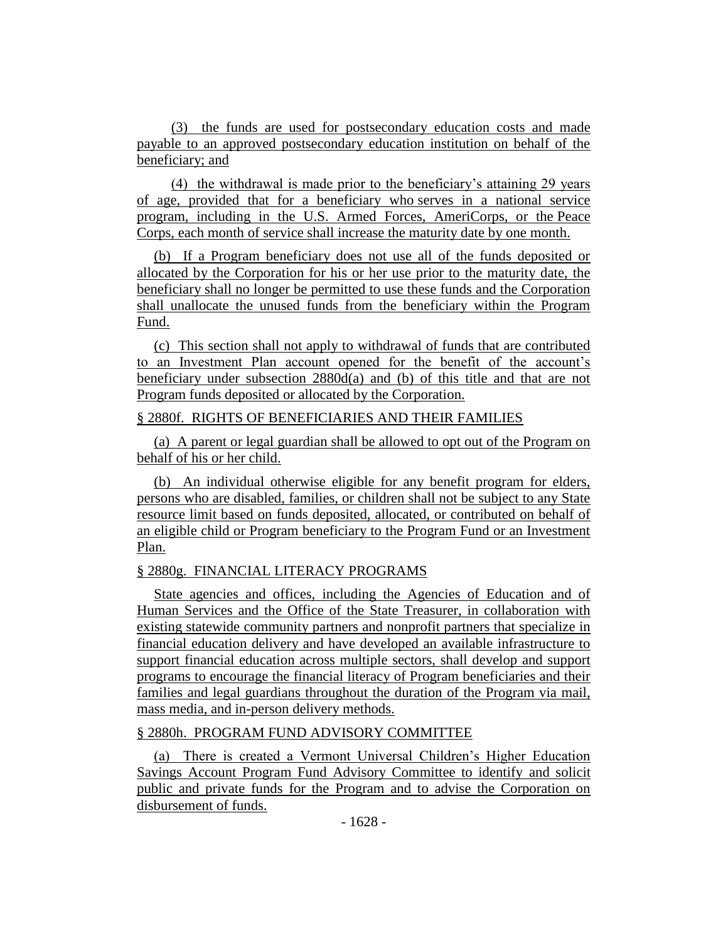(3) the funds are used for postsecondary education costs and made payable to an approved postsecondary education institution on behalf of the beneficiary; and

(4) the withdrawal is made prior to the beneficiary's attaining 29 years of age, provided that for a beneficiary who serves in a national service program, including in the U.S. Armed Forces, AmeriCorps, or the Peace Corps, each month of service shall increase the maturity date by one month.

(b) If a Program beneficiary does not use all of the funds deposited or allocated by the Corporation for his or her use prior to the maturity date, the beneficiary shall no longer be permitted to use these funds and the Corporation shall unallocate the unused funds from the beneficiary within the Program Fund.

(c) This section shall not apply to withdrawal of funds that are contributed to an Investment Plan account opened for the benefit of the account's beneficiary under subsection  $2880d(a)$  and (b) of this title and that are not Program funds deposited or allocated by the Corporation.

#### § 2880f. RIGHTS OF BENEFICIARIES AND THEIR FAMILIES

(a) A parent or legal guardian shall be allowed to opt out of the Program on behalf of his or her child.

(b) An individual otherwise eligible for any benefit program for elders, persons who are disabled, families, or children shall not be subject to any State resource limit based on funds deposited, allocated, or contributed on behalf of an eligible child or Program beneficiary to the Program Fund or an Investment Plan.

## § 2880g. FINANCIAL LITERACY PROGRAMS

State agencies and offices, including the Agencies of Education and of Human Services and the Office of the State Treasurer, in collaboration with existing statewide community partners and nonprofit partners that specialize in financial education delivery and have developed an available infrastructure to support financial education across multiple sectors, shall develop and support programs to encourage the financial literacy of Program beneficiaries and their families and legal guardians throughout the duration of the Program via mail, mass media, and in-person delivery methods.

## § 2880h. PROGRAM FUND ADVISORY COMMITTEE

(a) There is created a Vermont Universal Children's Higher Education Savings Account Program Fund Advisory Committee to identify and solicit public and private funds for the Program and to advise the Corporation on disbursement of funds.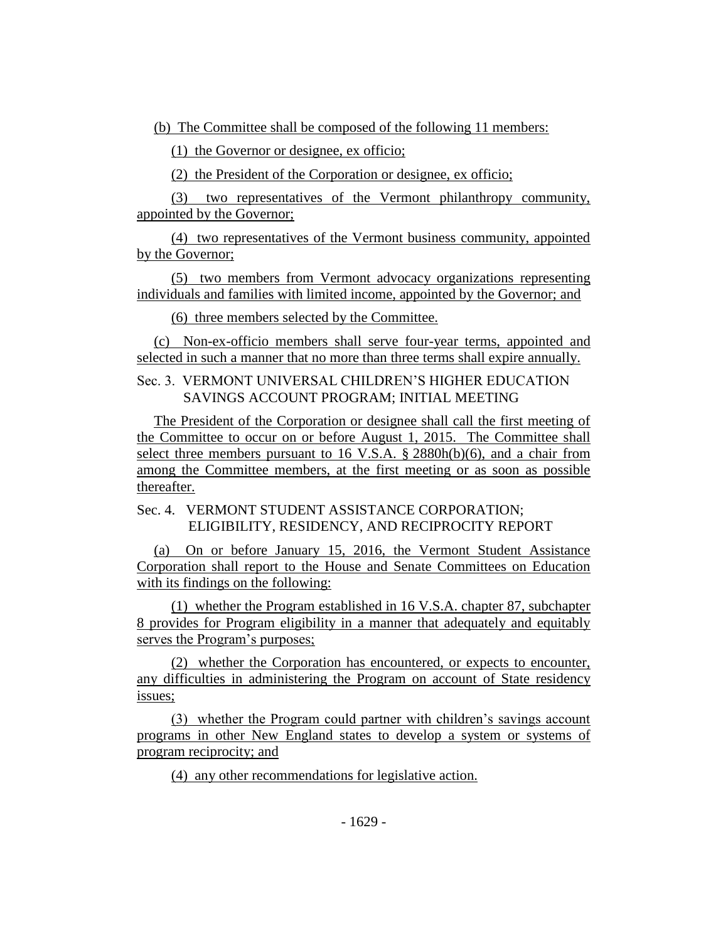(b) The Committee shall be composed of the following 11 members:

(1) the Governor or designee, ex officio;

(2) the President of the Corporation or designee, ex officio;

(3) two representatives of the Vermont philanthropy community, appointed by the Governor;

(4) two representatives of the Vermont business community, appointed by the Governor;

(5) two members from Vermont advocacy organizations representing individuals and families with limited income, appointed by the Governor; and

(6) three members selected by the Committee.

(c) Non-ex-officio members shall serve four-year terms, appointed and selected in such a manner that no more than three terms shall expire annually.

Sec. 3. VERMONT UNIVERSAL CHILDREN'S HIGHER EDUCATION SAVINGS ACCOUNT PROGRAM; INITIAL MEETING

The President of the Corporation or designee shall call the first meeting of the Committee to occur on or before August 1, 2015. The Committee shall select three members pursuant to 16 V.S.A. § 2880h(b)(6), and a chair from among the Committee members, at the first meeting or as soon as possible thereafter.

Sec. 4. VERMONT STUDENT ASSISTANCE CORPORATION; ELIGIBILITY, RESIDENCY, AND RECIPROCITY REPORT

(a) On or before January 15, 2016, the Vermont Student Assistance Corporation shall report to the House and Senate Committees on Education with its findings on the following:

(1) whether the Program established in 16 V.S.A. chapter 87, subchapter 8 provides for Program eligibility in a manner that adequately and equitably serves the Program's purposes;

(2) whether the Corporation has encountered, or expects to encounter, any difficulties in administering the Program on account of State residency issues;

(3) whether the Program could partner with children's savings account programs in other New England states to develop a system or systems of program reciprocity; and

(4) any other recommendations for legislative action.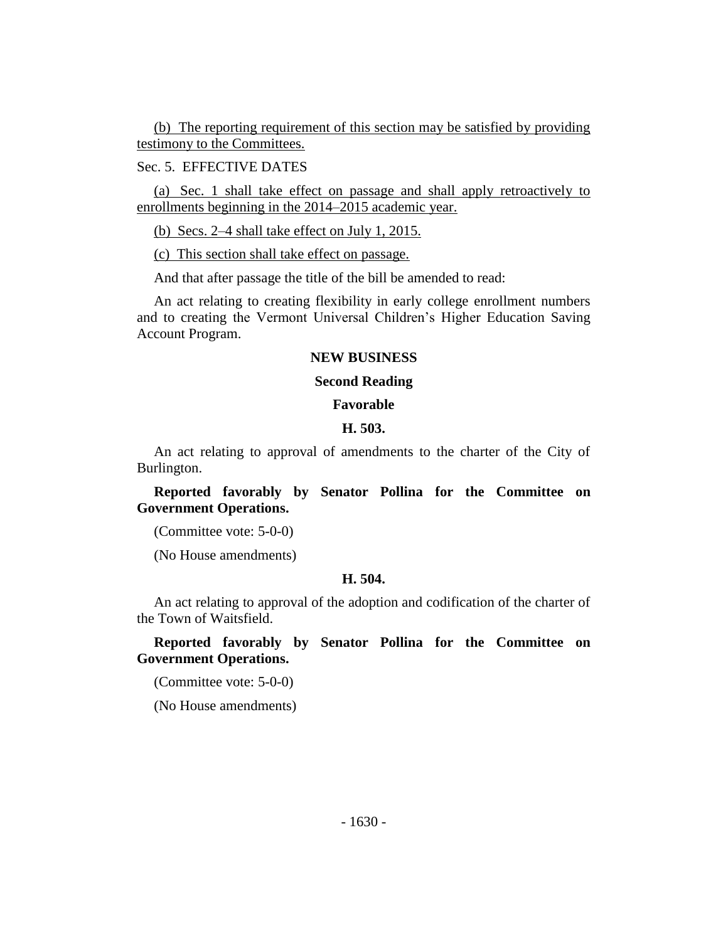(b) The reporting requirement of this section may be satisfied by providing testimony to the Committees.

Sec. 5. EFFECTIVE DATES

(a) Sec. 1 shall take effect on passage and shall apply retroactively to enrollments beginning in the 2014–2015 academic year.

(b) Secs. 2–4 shall take effect on July 1, 2015.

(c) This section shall take effect on passage.

And that after passage the title of the bill be amended to read:

An act relating to creating flexibility in early college enrollment numbers and to creating the Vermont Universal Children's Higher Education Saving Account Program.

## **NEW BUSINESS**

#### **Second Reading**

#### **Favorable**

#### **H. 503.**

An act relating to approval of amendments to the charter of the City of Burlington.

**Reported favorably by Senator Pollina for the Committee on Government Operations.**

(Committee vote: 5-0-0)

(No House amendments)

#### **H. 504.**

An act relating to approval of the adoption and codification of the charter of the Town of Waitsfield.

**Reported favorably by Senator Pollina for the Committee on Government Operations.**

(Committee vote: 5-0-0)

(No House amendments)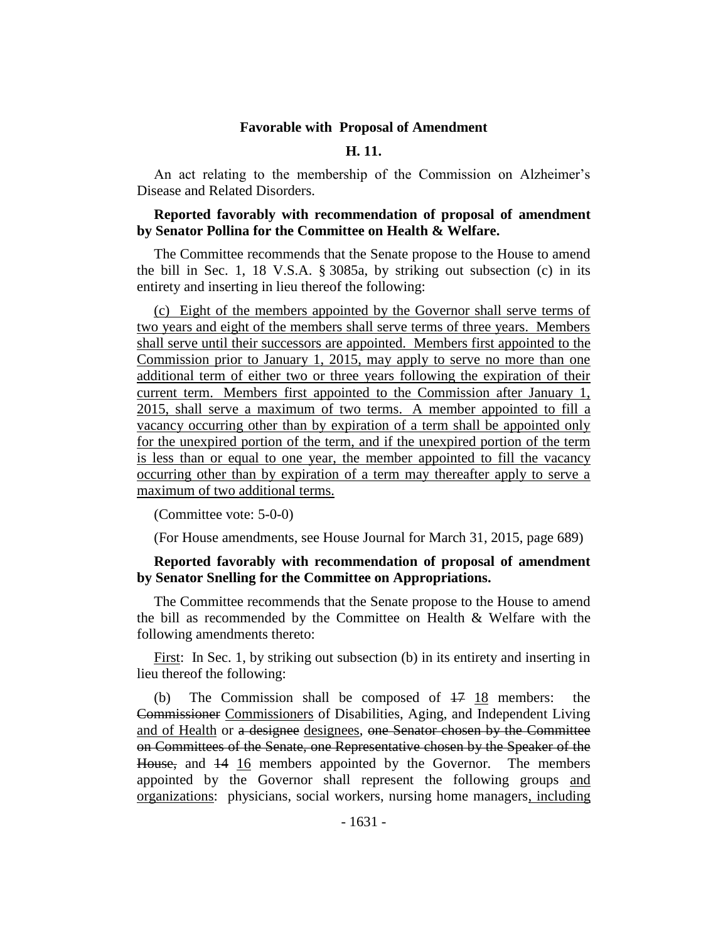#### **Favorable with Proposal of Amendment**

## **H. 11.**

An act relating to the membership of the Commission on Alzheimer's Disease and Related Disorders.

#### **Reported favorably with recommendation of proposal of amendment by Senator Pollina for the Committee on Health & Welfare.**

The Committee recommends that the Senate propose to the House to amend the bill in Sec. 1, 18 V.S.A. § 3085a, by striking out subsection (c) in its entirety and inserting in lieu thereof the following:

(c) Eight of the members appointed by the Governor shall serve terms of two years and eight of the members shall serve terms of three years. Members shall serve until their successors are appointed. Members first appointed to the Commission prior to January 1, 2015, may apply to serve no more than one additional term of either two or three years following the expiration of their current term. Members first appointed to the Commission after January 1, 2015, shall serve a maximum of two terms. A member appointed to fill a vacancy occurring other than by expiration of a term shall be appointed only for the unexpired portion of the term, and if the unexpired portion of the term is less than or equal to one year, the member appointed to fill the vacancy occurring other than by expiration of a term may thereafter apply to serve a maximum of two additional terms.

(Committee vote: 5-0-0)

(For House amendments, see House Journal for March 31, 2015, page 689)

#### **Reported favorably with recommendation of proposal of amendment by Senator Snelling for the Committee on Appropriations.**

The Committee recommends that the Senate propose to the House to amend the bill as recommended by the Committee on Health & Welfare with the following amendments thereto:

First: In Sec. 1, by striking out subsection (b) in its entirety and inserting in lieu thereof the following:

(b) The Commission shall be composed of 17 18 members: the Commissioner Commissioners of Disabilities, Aging, and Independent Living and of Health or a designee designees, one Senator chosen by the Committee on Committees of the Senate, one Representative chosen by the Speaker of the House, and  $14 \overline{16}$  members appointed by the Governor. The members appointed by the Governor shall represent the following groups and organizations: physicians, social workers, nursing home managers, including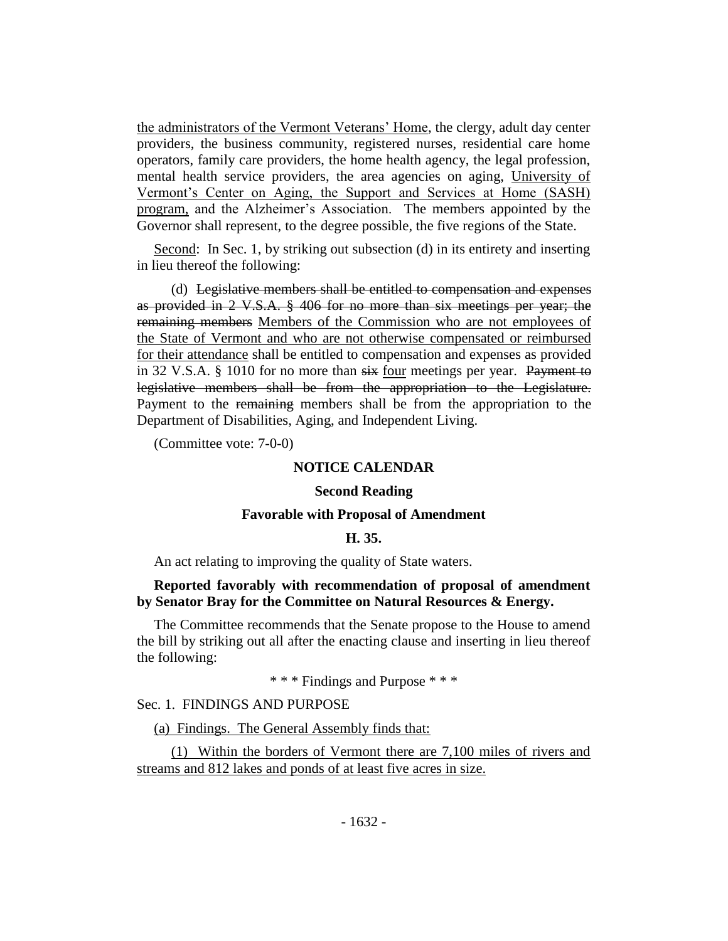the administrators of the Vermont Veterans' Home, the clergy, adult day center providers, the business community, registered nurses, residential care home operators, family care providers, the home health agency, the legal profession, mental health service providers, the area agencies on aging, University of Vermont's Center on Aging, the Support and Services at Home (SASH) program, and the Alzheimer's Association. The members appointed by the Governor shall represent, to the degree possible, the five regions of the State.

Second: In Sec. 1, by striking out subsection (d) in its entirety and inserting in lieu thereof the following:

(d) Legislative members shall be entitled to compensation and expenses as provided in 2 V.S.A. § 406 for no more than six meetings per year; the remaining members Members of the Commission who are not employees of the State of Vermont and who are not otherwise compensated or reimbursed for their attendance shall be entitled to compensation and expenses as provided in 32 V.S.A. § 1010 for no more than six four meetings per year. Payment to legislative members shall be from the appropriation to the Legislature. Payment to the remaining members shall be from the appropriation to the Department of Disabilities, Aging, and Independent Living.

(Committee vote: 7-0-0)

#### **NOTICE CALENDAR**

#### **Second Reading**

#### **Favorable with Proposal of Amendment**

#### **H. 35.**

An act relating to improving the quality of State waters.

#### **Reported favorably with recommendation of proposal of amendment by Senator Bray for the Committee on Natural Resources & Energy.**

The Committee recommends that the Senate propose to the House to amend the bill by striking out all after the enacting clause and inserting in lieu thereof the following:

\* \* \* Findings and Purpose \* \* \*

Sec. 1. FINDINGS AND PURPOSE

(a) Findings. The General Assembly finds that:

(1) Within the borders of Vermont there are 7,100 miles of rivers and streams and 812 lakes and ponds of at least five acres in size.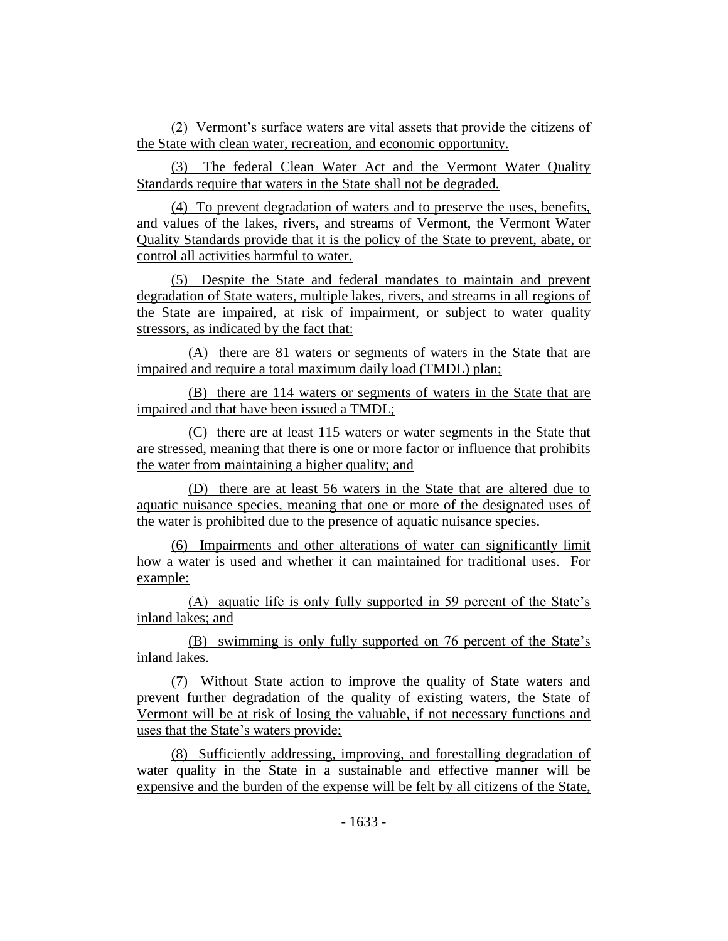(2) Vermont's surface waters are vital assets that provide the citizens of the State with clean water, recreation, and economic opportunity.

(3) The federal Clean Water Act and the Vermont Water Quality Standards require that waters in the State shall not be degraded.

(4) To prevent degradation of waters and to preserve the uses, benefits, and values of the lakes, rivers, and streams of Vermont, the Vermont Water Quality Standards provide that it is the policy of the State to prevent, abate, or control all activities harmful to water.

(5) Despite the State and federal mandates to maintain and prevent degradation of State waters, multiple lakes, rivers, and streams in all regions of the State are impaired, at risk of impairment, or subject to water quality stressors, as indicated by the fact that:

(A) there are 81 waters or segments of waters in the State that are impaired and require a total maximum daily load (TMDL) plan;

(B) there are 114 waters or segments of waters in the State that are impaired and that have been issued a TMDL;

(C) there are at least 115 waters or water segments in the State that are stressed, meaning that there is one or more factor or influence that prohibits the water from maintaining a higher quality; and

(D) there are at least 56 waters in the State that are altered due to aquatic nuisance species, meaning that one or more of the designated uses of the water is prohibited due to the presence of aquatic nuisance species.

(6) Impairments and other alterations of water can significantly limit how a water is used and whether it can maintained for traditional uses. For example:

(A) aquatic life is only fully supported in 59 percent of the State's inland lakes; and

(B) swimming is only fully supported on 76 percent of the State's inland lakes.

(7) Without State action to improve the quality of State waters and prevent further degradation of the quality of existing waters, the State of Vermont will be at risk of losing the valuable, if not necessary functions and uses that the State's waters provide;

(8) Sufficiently addressing, improving, and forestalling degradation of water quality in the State in a sustainable and effective manner will be expensive and the burden of the expense will be felt by all citizens of the State,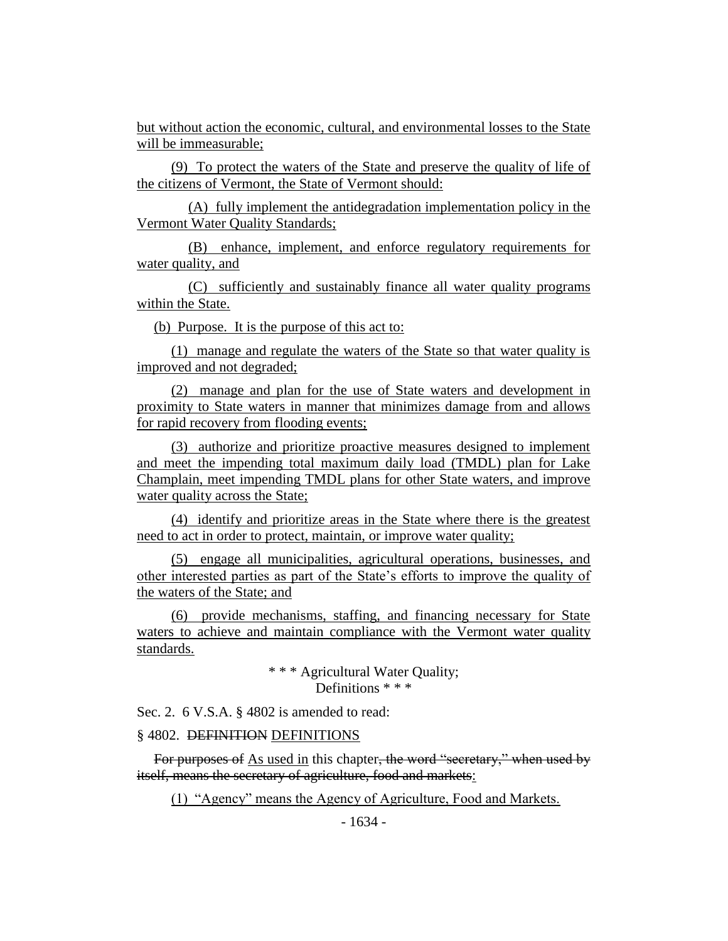but without action the economic, cultural, and environmental losses to the State will be immeasurable;

(9) To protect the waters of the State and preserve the quality of life of the citizens of Vermont, the State of Vermont should:

(A) fully implement the antidegradation implementation policy in the Vermont Water Quality Standards;

(B) enhance, implement, and enforce regulatory requirements for water quality, and

(C) sufficiently and sustainably finance all water quality programs within the State.

(b) Purpose. It is the purpose of this act to:

(1) manage and regulate the waters of the State so that water quality is improved and not degraded;

(2) manage and plan for the use of State waters and development in proximity to State waters in manner that minimizes damage from and allows for rapid recovery from flooding events;

(3) authorize and prioritize proactive measures designed to implement and meet the impending total maximum daily load (TMDL) plan for Lake Champlain, meet impending TMDL plans for other State waters, and improve water quality across the State;

(4) identify and prioritize areas in the State where there is the greatest need to act in order to protect, maintain, or improve water quality;

(5) engage all municipalities, agricultural operations, businesses, and other interested parties as part of the State's efforts to improve the quality of the waters of the State; and

(6) provide mechanisms, staffing, and financing necessary for State waters to achieve and maintain compliance with the Vermont water quality standards.

> \* \* \* Agricultural Water Quality; Definitions \* \* \*

Sec. 2. 6 V.S.A. § 4802 is amended to read:

#### § 4802. DEFINITION DEFINITIONS

For purposes of As used in this chapter, the word "secretary," when used by itself, means the secretary of agriculture, food and markets:

(1) "Agency" means the Agency of Agriculture, Food and Markets.

- 1634 -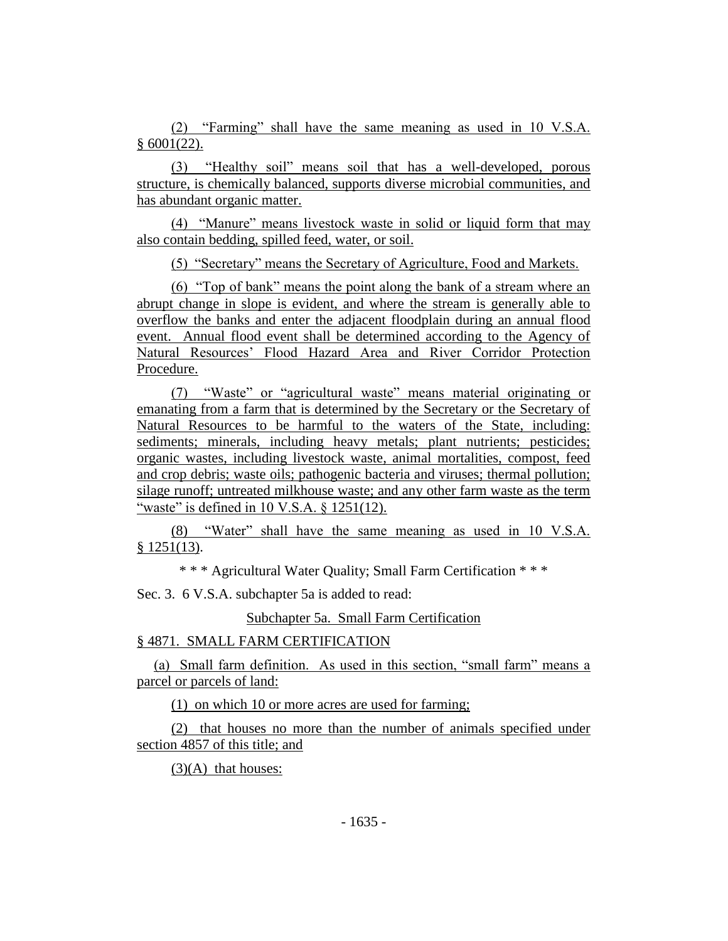(2) "Farming" shall have the same meaning as used in 10 V.S.A.  $§ 6001(22).$ 

(3) "Healthy soil" means soil that has a well-developed, porous structure, is chemically balanced, supports diverse microbial communities, and has abundant organic matter.

(4) "Manure" means livestock waste in solid or liquid form that may also contain bedding, spilled feed, water, or soil.

(5) "Secretary" means the Secretary of Agriculture, Food and Markets.

(6) "Top of bank" means the point along the bank of a stream where an abrupt change in slope is evident, and where the stream is generally able to overflow the banks and enter the adjacent floodplain during an annual flood event. Annual flood event shall be determined according to the Agency of Natural Resources' Flood Hazard Area and River Corridor Protection Procedure.

(7) "Waste" or "agricultural waste" means material originating or emanating from a farm that is determined by the Secretary or the Secretary of Natural Resources to be harmful to the waters of the State, including: sediments; minerals, including heavy metals; plant nutrients; pesticides; organic wastes, including livestock waste, animal mortalities, compost, feed and crop debris; waste oils; pathogenic bacteria and viruses; thermal pollution; silage runoff; untreated milkhouse waste; and any other farm waste as the term "waste" is defined in 10 V.S.A. § 1251(12).

(8) "Water" shall have the same meaning as used in 10 V.S.A. § 1251(13).

\* \* \* Agricultural Water Quality; Small Farm Certification \* \* \*

Sec. 3. 6 V.S.A. subchapter 5a is added to read:

Subchapter 5a. Small Farm Certification

## § 4871. SMALL FARM CERTIFICATION

(a) Small farm definition. As used in this section, "small farm" means a parcel or parcels of land:

(1) on which 10 or more acres are used for farming;

(2) that houses no more than the number of animals specified under section 4857 of this title; and

 $(3)(A)$  that houses: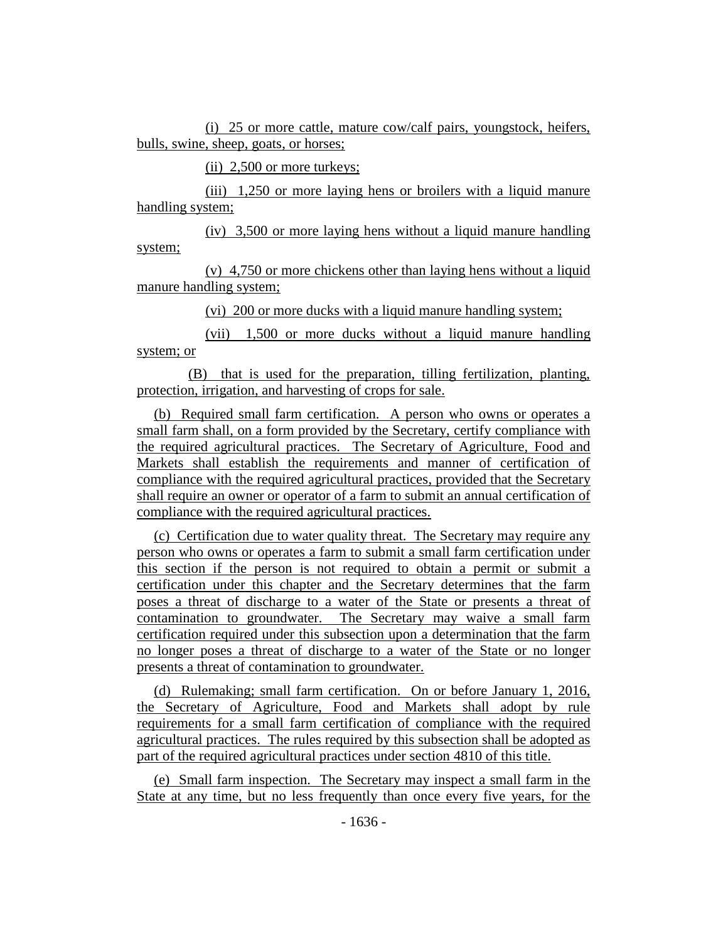(i) 25 or more cattle, mature cow/calf pairs, youngstock, heifers, bulls, swine, sheep, goats, or horses;

(ii) 2,500 or more turkeys;

(iii) 1,250 or more laying hens or broilers with a liquid manure handling system;

(iv) 3,500 or more laying hens without a liquid manure handling system;

(v) 4,750 or more chickens other than laying hens without a liquid manure handling system;

(vi) 200 or more ducks with a liquid manure handling system;

(vii) 1,500 or more ducks without a liquid manure handling system; or

(B) that is used for the preparation, tilling fertilization, planting, protection, irrigation, and harvesting of crops for sale.

(b) Required small farm certification. A person who owns or operates a small farm shall, on a form provided by the Secretary, certify compliance with the required agricultural practices. The Secretary of Agriculture, Food and Markets shall establish the requirements and manner of certification of compliance with the required agricultural practices, provided that the Secretary shall require an owner or operator of a farm to submit an annual certification of compliance with the required agricultural practices.

(c) Certification due to water quality threat. The Secretary may require any person who owns or operates a farm to submit a small farm certification under this section if the person is not required to obtain a permit or submit a certification under this chapter and the Secretary determines that the farm poses a threat of discharge to a water of the State or presents a threat of contamination to groundwater. The Secretary may waive a small farm certification required under this subsection upon a determination that the farm no longer poses a threat of discharge to a water of the State or no longer presents a threat of contamination to groundwater.

(d) Rulemaking; small farm certification. On or before January 1, 2016, the Secretary of Agriculture, Food and Markets shall adopt by rule requirements for a small farm certification of compliance with the required agricultural practices. The rules required by this subsection shall be adopted as part of the required agricultural practices under section 4810 of this title.

(e) Small farm inspection. The Secretary may inspect a small farm in the State at any time, but no less frequently than once every five years, for the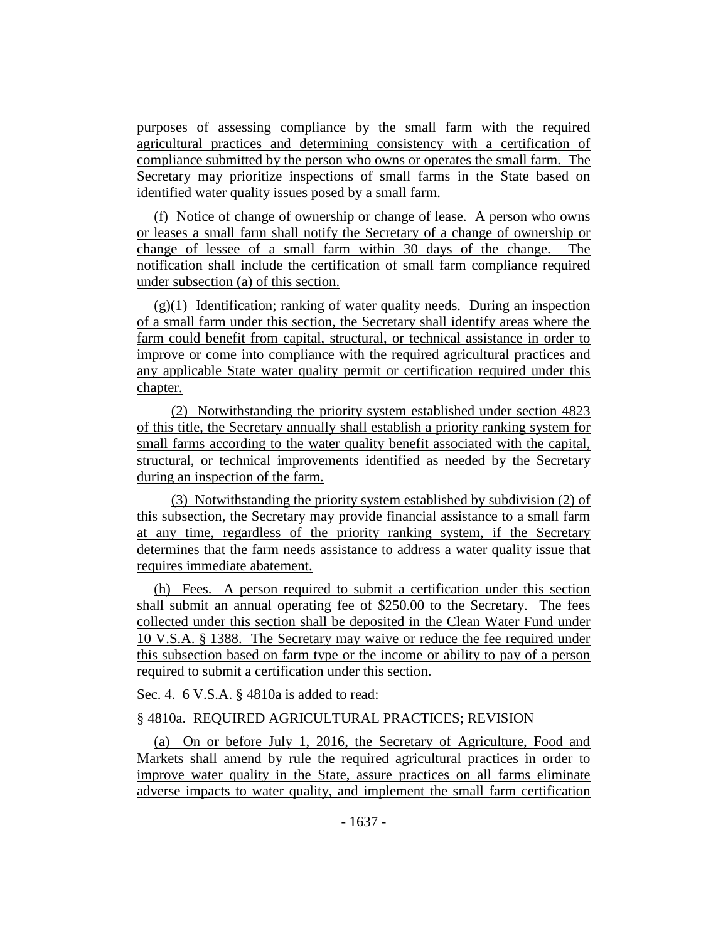purposes of assessing compliance by the small farm with the required agricultural practices and determining consistency with a certification of compliance submitted by the person who owns or operates the small farm. The Secretary may prioritize inspections of small farms in the State based on identified water quality issues posed by a small farm.

(f) Notice of change of ownership or change of lease. A person who owns or leases a small farm shall notify the Secretary of a change of ownership or change of lessee of a small farm within 30 days of the change. The notification shall include the certification of small farm compliance required under subsection (a) of this section.

 $(g)(1)$  Identification; ranking of water quality needs. During an inspection of a small farm under this section, the Secretary shall identify areas where the farm could benefit from capital, structural, or technical assistance in order to improve or come into compliance with the required agricultural practices and any applicable State water quality permit or certification required under this chapter.

(2) Notwithstanding the priority system established under section 4823 of this title, the Secretary annually shall establish a priority ranking system for small farms according to the water quality benefit associated with the capital, structural, or technical improvements identified as needed by the Secretary during an inspection of the farm.

(3) Notwithstanding the priority system established by subdivision (2) of this subsection, the Secretary may provide financial assistance to a small farm at any time, regardless of the priority ranking system, if the Secretary determines that the farm needs assistance to address a water quality issue that requires immediate abatement.

(h) Fees. A person required to submit a certification under this section shall submit an annual operating fee of \$250.00 to the Secretary. The fees collected under this section shall be deposited in the Clean Water Fund under 10 V.S.A. § 1388. The Secretary may waive or reduce the fee required under this subsection based on farm type or the income or ability to pay of a person required to submit a certification under this section.

Sec. 4. 6 V.S.A. § 4810a is added to read:

## § 4810a. REQUIRED AGRICULTURAL PRACTICES; REVISION

(a) On or before July 1, 2016, the Secretary of Agriculture, Food and Markets shall amend by rule the required agricultural practices in order to improve water quality in the State, assure practices on all farms eliminate adverse impacts to water quality, and implement the small farm certification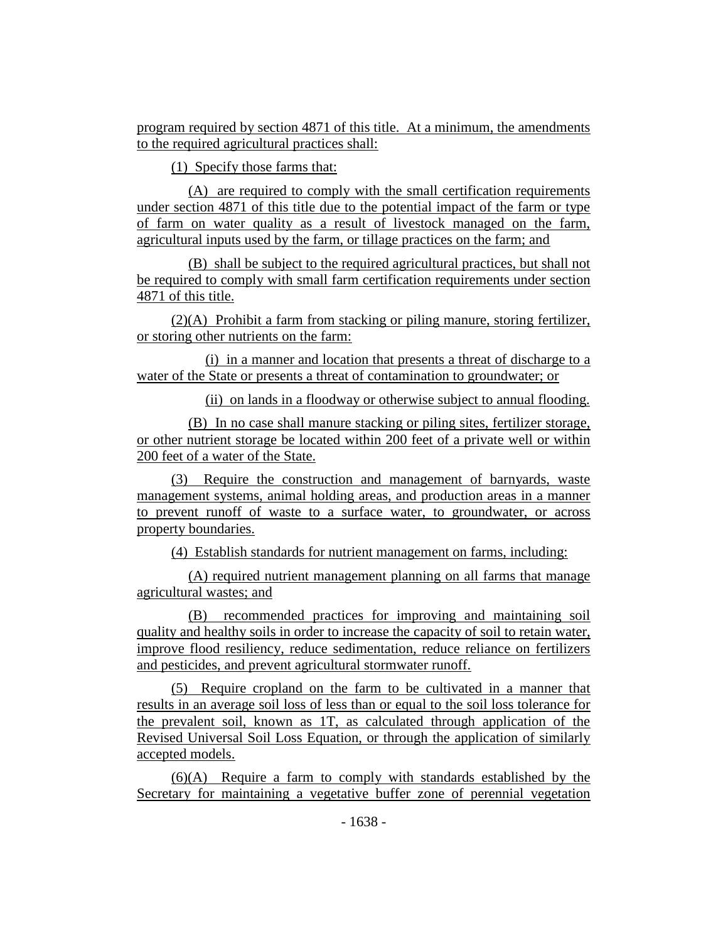program required by section 4871 of this title. At a minimum, the amendments to the required agricultural practices shall:

(1) Specify those farms that:

(A) are required to comply with the small certification requirements under section 4871 of this title due to the potential impact of the farm or type of farm on water quality as a result of livestock managed on the farm, agricultural inputs used by the farm, or tillage practices on the farm; and

(B) shall be subject to the required agricultural practices, but shall not be required to comply with small farm certification requirements under section 4871 of this title.

(2)(A) Prohibit a farm from stacking or piling manure, storing fertilizer, or storing other nutrients on the farm:

(i) in a manner and location that presents a threat of discharge to a water of the State or presents a threat of contamination to groundwater; or

(ii) on lands in a floodway or otherwise subject to annual flooding.

(B) In no case shall manure stacking or piling sites, fertilizer storage, or other nutrient storage be located within 200 feet of a private well or within 200 feet of a water of the State.

(3) Require the construction and management of barnyards, waste management systems, animal holding areas, and production areas in a manner to prevent runoff of waste to a surface water, to groundwater, or across property boundaries.

(4) Establish standards for nutrient management on farms, including:

(A) required nutrient management planning on all farms that manage agricultural wastes; and

(B) recommended practices for improving and maintaining soil quality and healthy soils in order to increase the capacity of soil to retain water, improve flood resiliency, reduce sedimentation, reduce reliance on fertilizers and pesticides, and prevent agricultural stormwater runoff.

(5) Require cropland on the farm to be cultivated in a manner that results in an average soil loss of less than or equal to the soil loss tolerance for the prevalent soil, known as 1T, as calculated through application of the Revised Universal Soil Loss Equation, or through the application of similarly accepted models.

(6)(A) Require a farm to comply with standards established by the Secretary for maintaining a vegetative buffer zone of perennial vegetation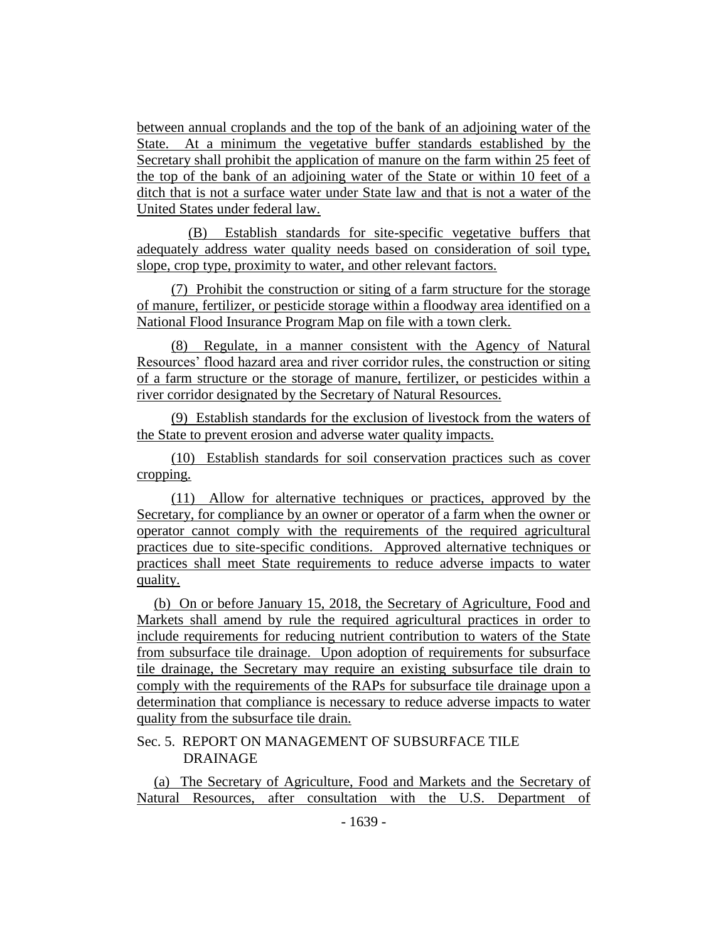between annual croplands and the top of the bank of an adjoining water of the State. At a minimum the vegetative buffer standards established by the Secretary shall prohibit the application of manure on the farm within 25 feet of the top of the bank of an adjoining water of the State or within 10 feet of a ditch that is not a surface water under State law and that is not a water of the United States under federal law.

(B) Establish standards for site-specific vegetative buffers that adequately address water quality needs based on consideration of soil type, slope, crop type, proximity to water, and other relevant factors.

(7) Prohibit the construction or siting of a farm structure for the storage of manure, fertilizer, or pesticide storage within a floodway area identified on a National Flood Insurance Program Map on file with a town clerk.

(8) Regulate, in a manner consistent with the Agency of Natural Resources' flood hazard area and river corridor rules, the construction or siting of a farm structure or the storage of manure, fertilizer, or pesticides within a river corridor designated by the Secretary of Natural Resources.

(9) Establish standards for the exclusion of livestock from the waters of the State to prevent erosion and adverse water quality impacts.

(10) Establish standards for soil conservation practices such as cover cropping.

(11) Allow for alternative techniques or practices, approved by the Secretary, for compliance by an owner or operator of a farm when the owner or operator cannot comply with the requirements of the required agricultural practices due to site-specific conditions. Approved alternative techniques or practices shall meet State requirements to reduce adverse impacts to water quality.

(b) On or before January 15, 2018, the Secretary of Agriculture, Food and Markets shall amend by rule the required agricultural practices in order to include requirements for reducing nutrient contribution to waters of the State from subsurface tile drainage. Upon adoption of requirements for subsurface tile drainage, the Secretary may require an existing subsurface tile drain to comply with the requirements of the RAPs for subsurface tile drainage upon a determination that compliance is necessary to reduce adverse impacts to water quality from the subsurface tile drain.

## Sec. 5. REPORT ON MANAGEMENT OF SUBSURFACE TILE DRAINAGE

(a) The Secretary of Agriculture, Food and Markets and the Secretary of Natural Resources, after consultation with the U.S. Department of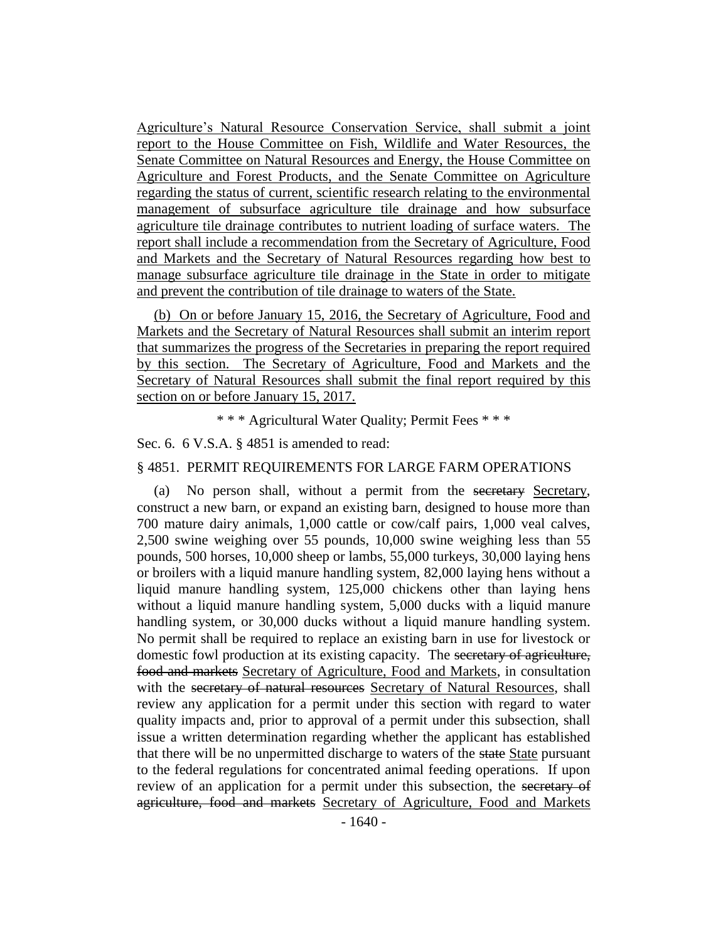Agriculture's Natural Resource Conservation Service, shall submit a joint report to the House Committee on Fish, Wildlife and Water Resources, the Senate Committee on Natural Resources and Energy, the House Committee on Agriculture and Forest Products, and the Senate Committee on Agriculture regarding the status of current, scientific research relating to the environmental management of subsurface agriculture tile drainage and how subsurface agriculture tile drainage contributes to nutrient loading of surface waters. The report shall include a recommendation from the Secretary of Agriculture, Food and Markets and the Secretary of Natural Resources regarding how best to manage subsurface agriculture tile drainage in the State in order to mitigate and prevent the contribution of tile drainage to waters of the State.

(b) On or before January 15, 2016, the Secretary of Agriculture, Food and Markets and the Secretary of Natural Resources shall submit an interim report that summarizes the progress of the Secretaries in preparing the report required by this section. The Secretary of Agriculture, Food and Markets and the Secretary of Natural Resources shall submit the final report required by this section on or before January 15, 2017.

\* \* \* Agricultural Water Quality; Permit Fees \* \* \*

Sec. 6. 6 V.S.A. § 4851 is amended to read:

#### § 4851. PERMIT REQUIREMENTS FOR LARGE FARM OPERATIONS

(a) No person shall, without a permit from the secretary Secretary, construct a new barn, or expand an existing barn, designed to house more than 700 mature dairy animals, 1,000 cattle or cow/calf pairs, 1,000 veal calves, 2,500 swine weighing over 55 pounds, 10,000 swine weighing less than 55 pounds, 500 horses, 10,000 sheep or lambs, 55,000 turkeys, 30,000 laying hens or broilers with a liquid manure handling system, 82,000 laying hens without a liquid manure handling system, 125,000 chickens other than laying hens without a liquid manure handling system, 5,000 ducks with a liquid manure handling system, or 30,000 ducks without a liquid manure handling system. No permit shall be required to replace an existing barn in use for livestock or domestic fowl production at its existing capacity. The secretary of agriculture, food and markets Secretary of Agriculture, Food and Markets, in consultation with the secretary of natural resources Secretary of Natural Resources, shall review any application for a permit under this section with regard to water quality impacts and, prior to approval of a permit under this subsection, shall issue a written determination regarding whether the applicant has established that there will be no unpermitted discharge to waters of the state State pursuant to the federal regulations for concentrated animal feeding operations. If upon review of an application for a permit under this subsection, the secretary of agriculture, food and markets Secretary of Agriculture, Food and Markets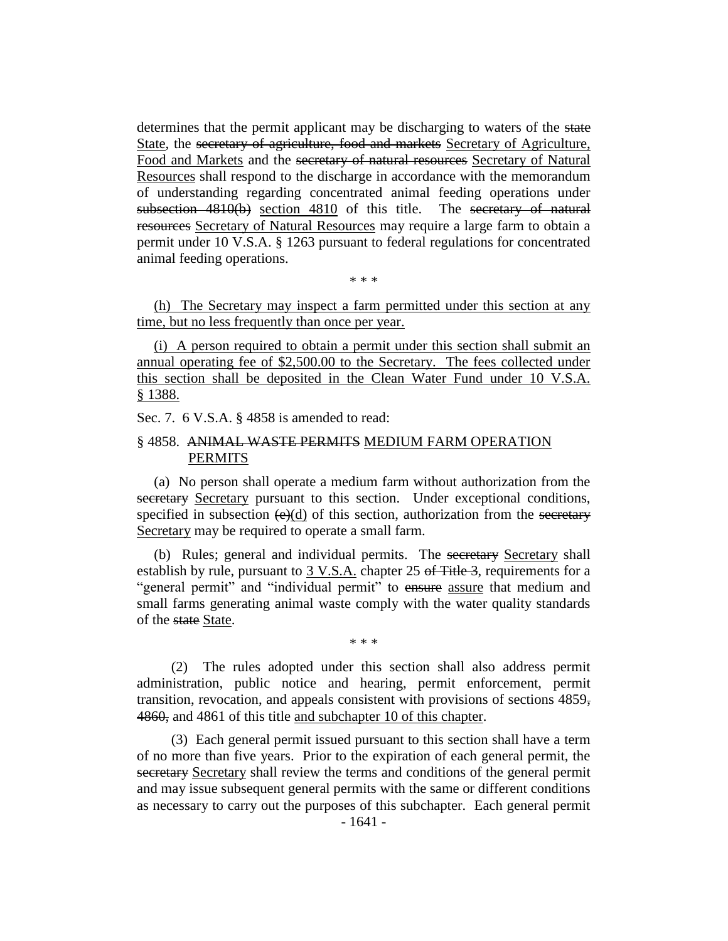determines that the permit applicant may be discharging to waters of the state State, the secretary of agriculture, food and markets Secretary of Agriculture, Food and Markets and the secretary of natural resources Secretary of Natural Resources shall respond to the discharge in accordance with the memorandum of understanding regarding concentrated animal feeding operations under subsection 4810(b) section 4810 of this title. The secretary of natural resources Secretary of Natural Resources may require a large farm to obtain a permit under 10 V.S.A. § 1263 pursuant to federal regulations for concentrated animal feeding operations.

\* \* \*

(h) The Secretary may inspect a farm permitted under this section at any time, but no less frequently than once per year.

(i) A person required to obtain a permit under this section shall submit an annual operating fee of \$2,500.00 to the Secretary. The fees collected under this section shall be deposited in the Clean Water Fund under 10 V.S.A. § 1388.

Sec. 7. 6 V.S.A. § 4858 is amended to read:

## § 4858. ANIMAL WASTE PERMITS MEDIUM FARM OPERATION PERMITS

(a) No person shall operate a medium farm without authorization from the secretary Secretary pursuant to this section. Under exceptional conditions, specified in subsection  $(e)(d)$  of this section, authorization from the secretary Secretary may be required to operate a small farm.

(b) Rules; general and individual permits. The secretary Secretary shall establish by rule, pursuant to 3 V.S.A. chapter 25 of Title 3, requirements for a "general permit" and "individual permit" to ensure assure that medium and small farms generating animal waste comply with the water quality standards of the state State.

\* \* \*

(2) The rules adopted under this section shall also address permit administration, public notice and hearing, permit enforcement, permit transition, revocation, and appeals consistent with provisions of sections 4859, 4860, and 4861 of this title and subchapter 10 of this chapter.

(3) Each general permit issued pursuant to this section shall have a term of no more than five years. Prior to the expiration of each general permit, the secretary Secretary shall review the terms and conditions of the general permit and may issue subsequent general permits with the same or different conditions as necessary to carry out the purposes of this subchapter. Each general permit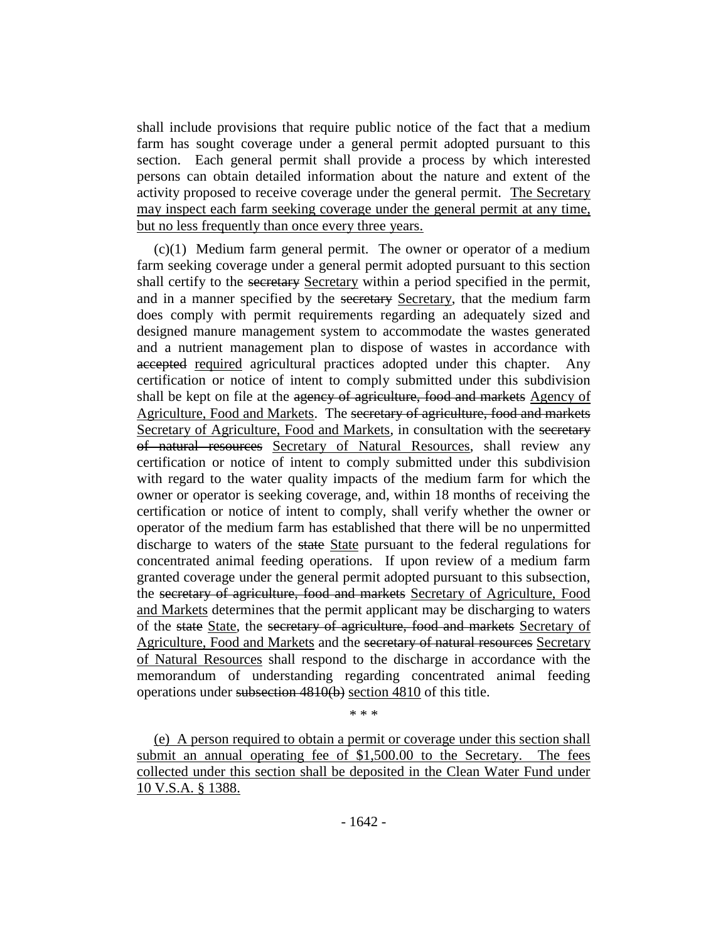shall include provisions that require public notice of the fact that a medium farm has sought coverage under a general permit adopted pursuant to this section. Each general permit shall provide a process by which interested persons can obtain detailed information about the nature and extent of the activity proposed to receive coverage under the general permit. The Secretary may inspect each farm seeking coverage under the general permit at any time, but no less frequently than once every three years.

(c)(1) Medium farm general permit. The owner or operator of a medium farm seeking coverage under a general permit adopted pursuant to this section shall certify to the secretary Secretary within a period specified in the permit, and in a manner specified by the secretary Secretary, that the medium farm does comply with permit requirements regarding an adequately sized and designed manure management system to accommodate the wastes generated and a nutrient management plan to dispose of wastes in accordance with accepted required agricultural practices adopted under this chapter. Any certification or notice of intent to comply submitted under this subdivision shall be kept on file at the agency of agriculture, food and markets Agency of Agriculture, Food and Markets. The secretary of agriculture, food and markets Secretary of Agriculture, Food and Markets, in consultation with the secretary of natural resources Secretary of Natural Resources, shall review any certification or notice of intent to comply submitted under this subdivision with regard to the water quality impacts of the medium farm for which the owner or operator is seeking coverage, and, within 18 months of receiving the certification or notice of intent to comply, shall verify whether the owner or operator of the medium farm has established that there will be no unpermitted discharge to waters of the state State pursuant to the federal regulations for concentrated animal feeding operations. If upon review of a medium farm granted coverage under the general permit adopted pursuant to this subsection, the secretary of agriculture, food and markets Secretary of Agriculture, Food and Markets determines that the permit applicant may be discharging to waters of the state State, the secretary of agriculture, food and markets Secretary of Agriculture, Food and Markets and the secretary of natural resources Secretary of Natural Resources shall respond to the discharge in accordance with the memorandum of understanding regarding concentrated animal feeding operations under subsection 4810(b) section 4810 of this title.

\* \* \*

(e) A person required to obtain a permit or coverage under this section shall submit an annual operating fee of \$1,500.00 to the Secretary. The fees collected under this section shall be deposited in the Clean Water Fund under 10 V.S.A. § 1388.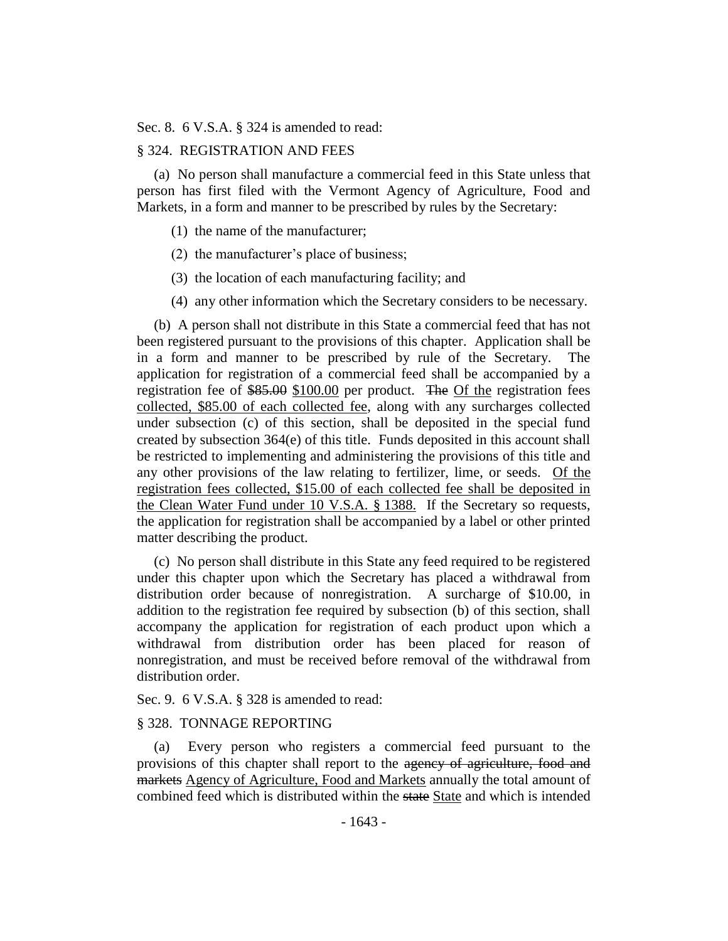Sec. 8. 6 V.S.A. § 324 is amended to read:

#### § 324. REGISTRATION AND FEES

(a) No person shall manufacture a commercial feed in this State unless that person has first filed with the Vermont Agency of Agriculture, Food and Markets, in a form and manner to be prescribed by rules by the Secretary:

- (1) the name of the manufacturer;
- (2) the manufacturer's place of business;
- (3) the location of each manufacturing facility; and
- (4) any other information which the Secretary considers to be necessary.

(b) A person shall not distribute in this State a commercial feed that has not been registered pursuant to the provisions of this chapter. Application shall be in a form and manner to be prescribed by rule of the Secretary. The application for registration of a commercial feed shall be accompanied by a registration fee of \$85.00 \$100.00 per product. The Of the registration fees collected, \$85.00 of each collected fee, along with any surcharges collected under subsection (c) of this section, shall be deposited in the special fund created by subsection 364(e) of this title. Funds deposited in this account shall be restricted to implementing and administering the provisions of this title and any other provisions of the law relating to fertilizer, lime, or seeds. Of the registration fees collected, \$15.00 of each collected fee shall be deposited in the Clean Water Fund under 10 V.S.A. § 1388. If the Secretary so requests, the application for registration shall be accompanied by a label or other printed matter describing the product.

(c) No person shall distribute in this State any feed required to be registered under this chapter upon which the Secretary has placed a withdrawal from distribution order because of nonregistration. A surcharge of \$10.00, in addition to the registration fee required by subsection (b) of this section, shall accompany the application for registration of each product upon which a withdrawal from distribution order has been placed for reason of nonregistration, and must be received before removal of the withdrawal from distribution order.

Sec. 9. 6 V.S.A. § 328 is amended to read:

#### § 328. TONNAGE REPORTING

(a) Every person who registers a commercial feed pursuant to the provisions of this chapter shall report to the agency of agriculture, food and markets Agency of Agriculture, Food and Markets annually the total amount of combined feed which is distributed within the state State and which is intended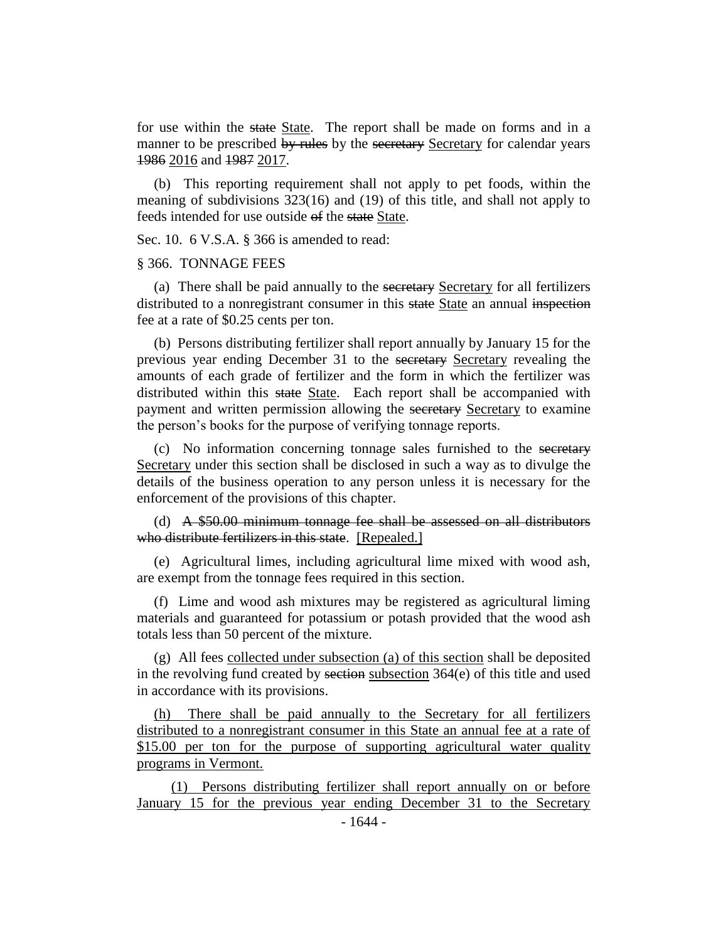for use within the state State. The report shall be made on forms and in a manner to be prescribed by rules by the secretary Secretary for calendar years 1986 2016 and 1987 2017.

(b) This reporting requirement shall not apply to pet foods, within the meaning of subdivisions 323(16) and (19) of this title, and shall not apply to feeds intended for use outside of the state State.

Sec. 10. 6 V.S.A. § 366 is amended to read:

#### § 366. TONNAGE FEES

(a) There shall be paid annually to the secretary Secretary for all fertilizers distributed to a nonregistrant consumer in this state State an annual inspection fee at a rate of \$0.25 cents per ton.

(b) Persons distributing fertilizer shall report annually by January 15 for the previous year ending December 31 to the secretary Secretary revealing the amounts of each grade of fertilizer and the form in which the fertilizer was distributed within this state State. Each report shall be accompanied with payment and written permission allowing the secretary Secretary to examine the person's books for the purpose of verifying tonnage reports.

(c) No information concerning tonnage sales furnished to the secretary Secretary under this section shall be disclosed in such a way as to divulge the details of the business operation to any person unless it is necessary for the enforcement of the provisions of this chapter.

(d) A \$50.00 minimum tonnage fee shall be assessed on all distributors who distribute fertilizers in this state. [Repealed.]

(e) Agricultural limes, including agricultural lime mixed with wood ash, are exempt from the tonnage fees required in this section.

(f) Lime and wood ash mixtures may be registered as agricultural liming materials and guaranteed for potassium or potash provided that the wood ash totals less than 50 percent of the mixture.

(g) All fees collected under subsection (a) of this section shall be deposited in the revolving fund created by section subsection 364(e) of this title and used in accordance with its provisions.

(h) There shall be paid annually to the Secretary for all fertilizers distributed to a nonregistrant consumer in this State an annual fee at a rate of \$15.00 per ton for the purpose of supporting agricultural water quality programs in Vermont.

(1) Persons distributing fertilizer shall report annually on or before January 15 for the previous year ending December 31 to the Secretary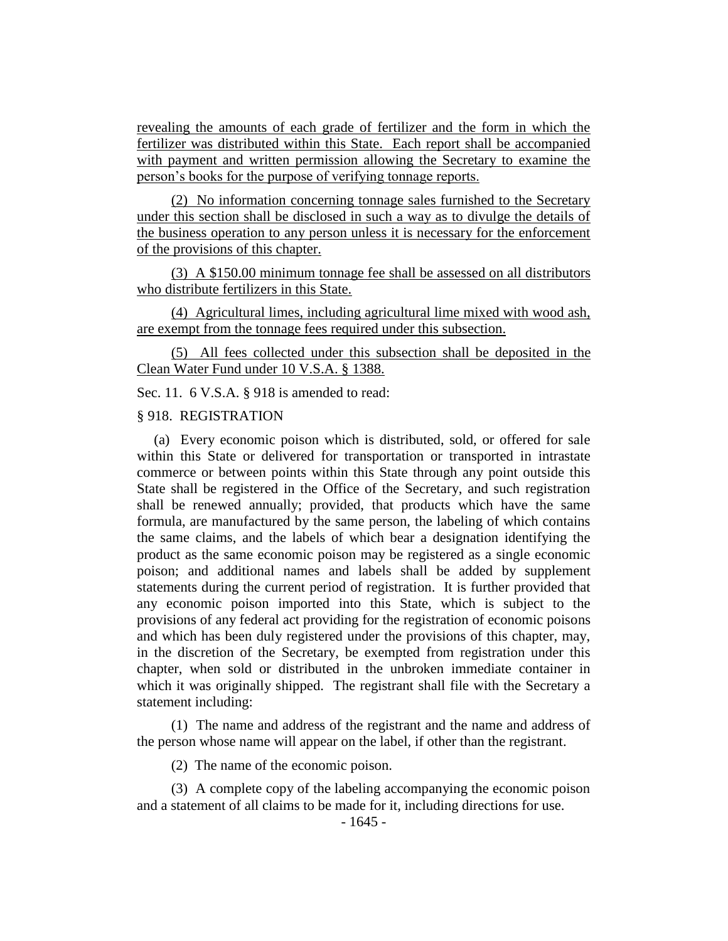revealing the amounts of each grade of fertilizer and the form in which the fertilizer was distributed within this State. Each report shall be accompanied with payment and written permission allowing the Secretary to examine the person's books for the purpose of verifying tonnage reports.

(2) No information concerning tonnage sales furnished to the Secretary under this section shall be disclosed in such a way as to divulge the details of the business operation to any person unless it is necessary for the enforcement of the provisions of this chapter.

(3) A \$150.00 minimum tonnage fee shall be assessed on all distributors who distribute fertilizers in this State.

(4) Agricultural limes, including agricultural lime mixed with wood ash, are exempt from the tonnage fees required under this subsection.

(5) All fees collected under this subsection shall be deposited in the Clean Water Fund under 10 V.S.A. § 1388.

Sec. 11. 6 V.S.A. § 918 is amended to read:

#### § 918. REGISTRATION

(a) Every economic poison which is distributed, sold, or offered for sale within this State or delivered for transportation or transported in intrastate commerce or between points within this State through any point outside this State shall be registered in the Office of the Secretary, and such registration shall be renewed annually; provided, that products which have the same formula, are manufactured by the same person, the labeling of which contains the same claims, and the labels of which bear a designation identifying the product as the same economic poison may be registered as a single economic poison; and additional names and labels shall be added by supplement statements during the current period of registration. It is further provided that any economic poison imported into this State, which is subject to the provisions of any federal act providing for the registration of economic poisons and which has been duly registered under the provisions of this chapter, may, in the discretion of the Secretary, be exempted from registration under this chapter, when sold or distributed in the unbroken immediate container in which it was originally shipped. The registrant shall file with the Secretary a statement including:

(1) The name and address of the registrant and the name and address of the person whose name will appear on the label, if other than the registrant.

(2) The name of the economic poison.

(3) A complete copy of the labeling accompanying the economic poison and a statement of all claims to be made for it, including directions for use.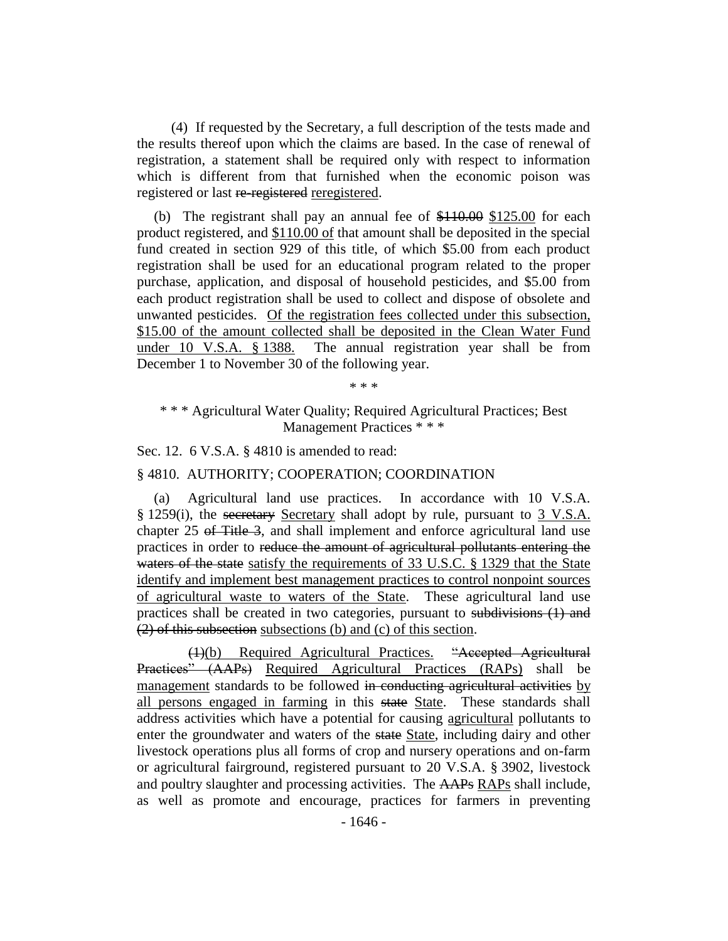(4) If requested by the Secretary, a full description of the tests made and the results thereof upon which the claims are based. In the case of renewal of registration, a statement shall be required only with respect to information which is different from that furnished when the economic poison was registered or last re-registered reregistered.

(b) The registrant shall pay an annual fee of  $$110.00$  \$125.00 for each product registered, and \$110.00 of that amount shall be deposited in the special fund created in section 929 of this title, of which \$5.00 from each product registration shall be used for an educational program related to the proper purchase, application, and disposal of household pesticides, and \$5.00 from each product registration shall be used to collect and dispose of obsolete and unwanted pesticides. Of the registration fees collected under this subsection, \$15.00 of the amount collected shall be deposited in the Clean Water Fund under 10 V.S.A. § 1388. The annual registration year shall be from December 1 to November 30 of the following year.

\* \* \*

\* \* \* Agricultural Water Quality; Required Agricultural Practices; Best Management Practices \* \* \*

Sec. 12. 6 V.S.A. § 4810 is amended to read:

§ 4810. AUTHORITY; COOPERATION; COORDINATION

(a) Agricultural land use practices. In accordance with 10 V.S.A. § 1259(i), the secretary Secretary shall adopt by rule, pursuant to 3 V.S.A. chapter 25 of Title 3, and shall implement and enforce agricultural land use practices in order to reduce the amount of agricultural pollutants entering the waters of the state satisfy the requirements of 33 U.S.C. § 1329 that the State identify and implement best management practices to control nonpoint sources of agricultural waste to waters of the State. These agricultural land use practices shall be created in two categories, pursuant to subdivisions (1) and (2) of this subsection subsections (b) and (c) of this section.

(1)(b) Required Agricultural Practices. "Accepted Agricultural Practices" (AAPs) Required Agricultural Practices (RAPs) shall be management standards to be followed in conducting agricultural activities by all persons engaged in farming in this state State. These standards shall address activities which have a potential for causing agricultural pollutants to enter the groundwater and waters of the state State, including dairy and other livestock operations plus all forms of crop and nursery operations and on-farm or agricultural fairground, registered pursuant to 20 V.S.A. § 3902, livestock and poultry slaughter and processing activities. The AAPs RAPs shall include, as well as promote and encourage, practices for farmers in preventing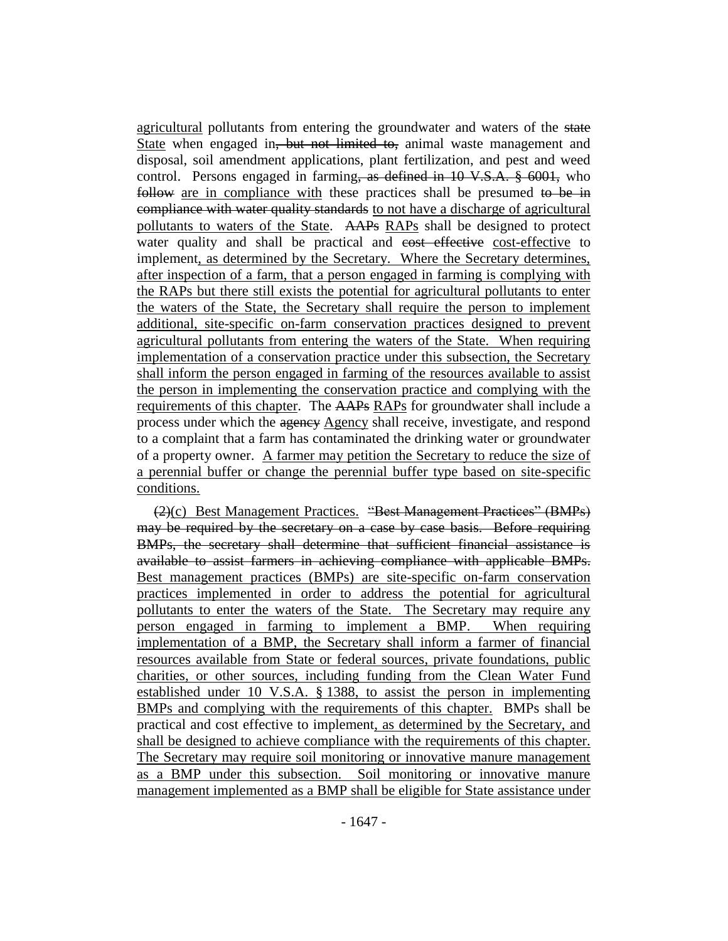agricultural pollutants from entering the groundwater and waters of the state State when engaged in<del>, but not limited to,</del> animal waste management and disposal, soil amendment applications, plant fertilization, and pest and weed control. Persons engaged in farming, as defined in 10 V.S.A. § 6001, who follow are in compliance with these practices shall be presumed to be in compliance with water quality standards to not have a discharge of agricultural pollutants to waters of the State. AAPs RAPs shall be designed to protect water quality and shall be practical and cost effective cost-effective to implement, as determined by the Secretary. Where the Secretary determines, after inspection of a farm, that a person engaged in farming is complying with the RAPs but there still exists the potential for agricultural pollutants to enter the waters of the State, the Secretary shall require the person to implement additional, site-specific on-farm conservation practices designed to prevent agricultural pollutants from entering the waters of the State. When requiring implementation of a conservation practice under this subsection, the Secretary shall inform the person engaged in farming of the resources available to assist the person in implementing the conservation practice and complying with the requirements of this chapter. The AAPs RAPs for groundwater shall include a process under which the agency Agency shall receive, investigate, and respond to a complaint that a farm has contaminated the drinking water or groundwater of a property owner. A farmer may petition the Secretary to reduce the size of a perennial buffer or change the perennial buffer type based on site-specific conditions.

(2)(c) Best Management Practices. "Best Management Practices" (BMPs) may be required by the secretary on a case by case basis. Before requiring BMPs, the secretary shall determine that sufficient financial assistance is available to assist farmers in achieving compliance with applicable BMPs. Best management practices (BMPs) are site-specific on-farm conservation practices implemented in order to address the potential for agricultural pollutants to enter the waters of the State. The Secretary may require any person engaged in farming to implement a BMP. When requiring implementation of a BMP, the Secretary shall inform a farmer of financial resources available from State or federal sources, private foundations, public charities, or other sources, including funding from the Clean Water Fund established under 10 V.S.A. § 1388, to assist the person in implementing BMPs and complying with the requirements of this chapter. BMPs shall be practical and cost effective to implement, as determined by the Secretary, and shall be designed to achieve compliance with the requirements of this chapter. The Secretary may require soil monitoring or innovative manure management as a BMP under this subsection. Soil monitoring or innovative manure management implemented as a BMP shall be eligible for State assistance under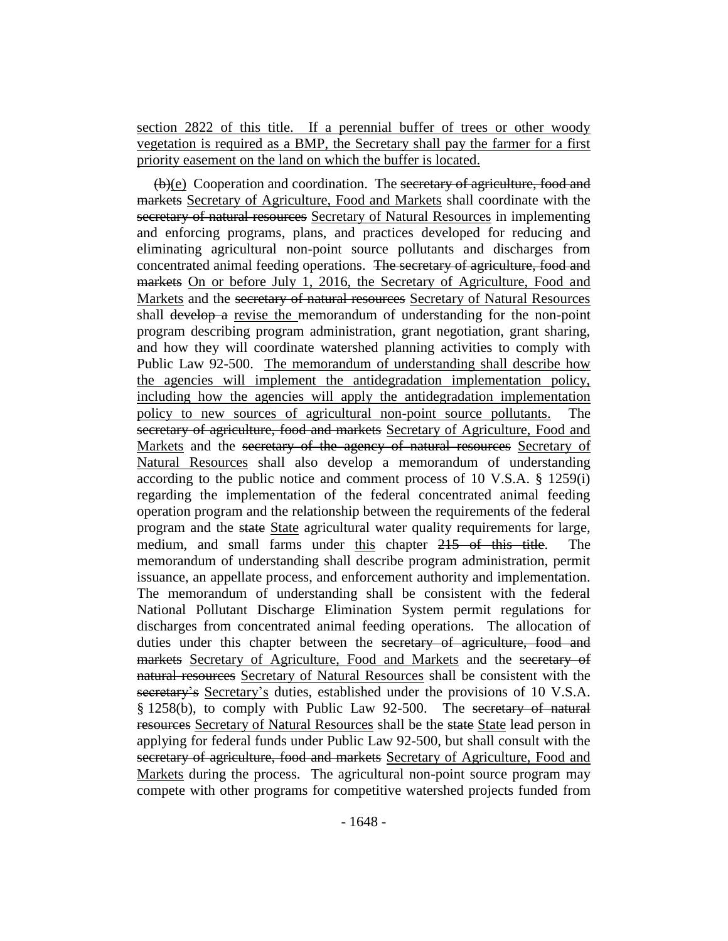section 2822 of this title. If a perennial buffer of trees or other woody vegetation is required as a BMP, the Secretary shall pay the farmer for a first priority easement on the land on which the buffer is located.

(b)(e) Cooperation and coordination. The secretary of agriculture, food and markets Secretary of Agriculture, Food and Markets shall coordinate with the secretary of natural resources Secretary of Natural Resources in implementing and enforcing programs, plans, and practices developed for reducing and eliminating agricultural non-point source pollutants and discharges from concentrated animal feeding operations. The secretary of agriculture, food and markets On or before July 1, 2016, the Secretary of Agriculture, Food and Markets and the secretary of natural resources Secretary of Natural Resources shall develop a revise the memorandum of understanding for the non-point program describing program administration, grant negotiation, grant sharing, and how they will coordinate watershed planning activities to comply with Public Law 92-500. The memorandum of understanding shall describe how the agencies will implement the antidegradation implementation policy, including how the agencies will apply the antidegradation implementation policy to new sources of agricultural non-point source pollutants. The secretary of agriculture, food and markets Secretary of Agriculture, Food and Markets and the secretary of the agency of natural resources Secretary of Natural Resources shall also develop a memorandum of understanding according to the public notice and comment process of 10 V.S.A. § 1259(i) regarding the implementation of the federal concentrated animal feeding operation program and the relationship between the requirements of the federal program and the state State agricultural water quality requirements for large, medium, and small farms under this chapter 215 of this title. The memorandum of understanding shall describe program administration, permit issuance, an appellate process, and enforcement authority and implementation. The memorandum of understanding shall be consistent with the federal National Pollutant Discharge Elimination System permit regulations for discharges from concentrated animal feeding operations. The allocation of duties under this chapter between the secretary of agriculture, food and markets Secretary of Agriculture, Food and Markets and the secretary of natural resources Secretary of Natural Resources shall be consistent with the secretary's Secretary's duties, established under the provisions of 10 V.S.A. § 1258(b), to comply with Public Law 92-500. The secretary of natural resources Secretary of Natural Resources shall be the state State lead person in applying for federal funds under Public Law 92-500, but shall consult with the secretary of agriculture, food and markets Secretary of Agriculture, Food and Markets during the process. The agricultural non-point source program may compete with other programs for competitive watershed projects funded from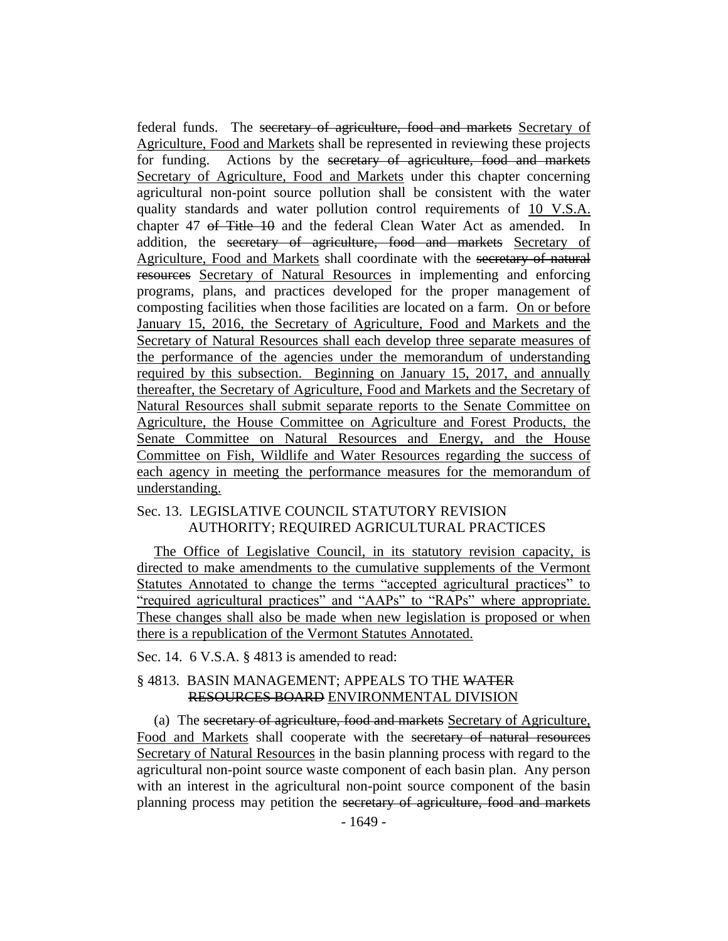federal funds. The secretary of agriculture, food and markets Secretary of Agriculture, Food and Markets shall be represented in reviewing these projects for funding. Actions by the secretary of agriculture, food and markets Secretary of Agriculture, Food and Markets under this chapter concerning agricultural non-point source pollution shall be consistent with the water quality standards and water pollution control requirements of 10 V.S.A. chapter 47 <del>of Title 10</del> and the federal Clean Water Act as amended. In addition, the secretary of agriculture, food and markets Secretary of Agriculture, Food and Markets shall coordinate with the secretary of natural resources Secretary of Natural Resources in implementing and enforcing programs, plans, and practices developed for the proper management of composting facilities when those facilities are located on a farm. On or before January 15, 2016, the Secretary of Agriculture, Food and Markets and the Secretary of Natural Resources shall each develop three separate measures of the performance of the agencies under the memorandum of understanding required by this subsection. Beginning on January 15, 2017, and annually thereafter, the Secretary of Agriculture, Food and Markets and the Secretary of Natural Resources shall submit separate reports to the Senate Committee on Agriculture, the House Committee on Agriculture and Forest Products, the Senate Committee on Natural Resources and Energy, and the House Committee on Fish, Wildlife and Water Resources regarding the success of each agency in meeting the performance measures for the memorandum of understanding.

## Sec. 13. LEGISLATIVE COUNCIL STATUTORY REVISION AUTHORITY; REQUIRED AGRICULTURAL PRACTICES

The Office of Legislative Council, in its statutory revision capacity, is directed to make amendments to the cumulative supplements of the Vermont Statutes Annotated to change the terms "accepted agricultural practices" to "required agricultural practices" and "AAPs" to "RAPs" where appropriate. These changes shall also be made when new legislation is proposed or when there is a republication of the Vermont Statutes Annotated.

Sec. 14. 6 V.S.A. § 4813 is amended to read:

## § 4813. BASIN MANAGEMENT; APPEALS TO THE WATER RESOURCES BOARD ENVIRONMENTAL DIVISION

(a) The secretary of agriculture, food and markets Secretary of Agriculture, Food and Markets shall cooperate with the secretary of natural resources Secretary of Natural Resources in the basin planning process with regard to the agricultural non-point source waste component of each basin plan. Any person with an interest in the agricultural non-point source component of the basin planning process may petition the secretary of agriculture, food and markets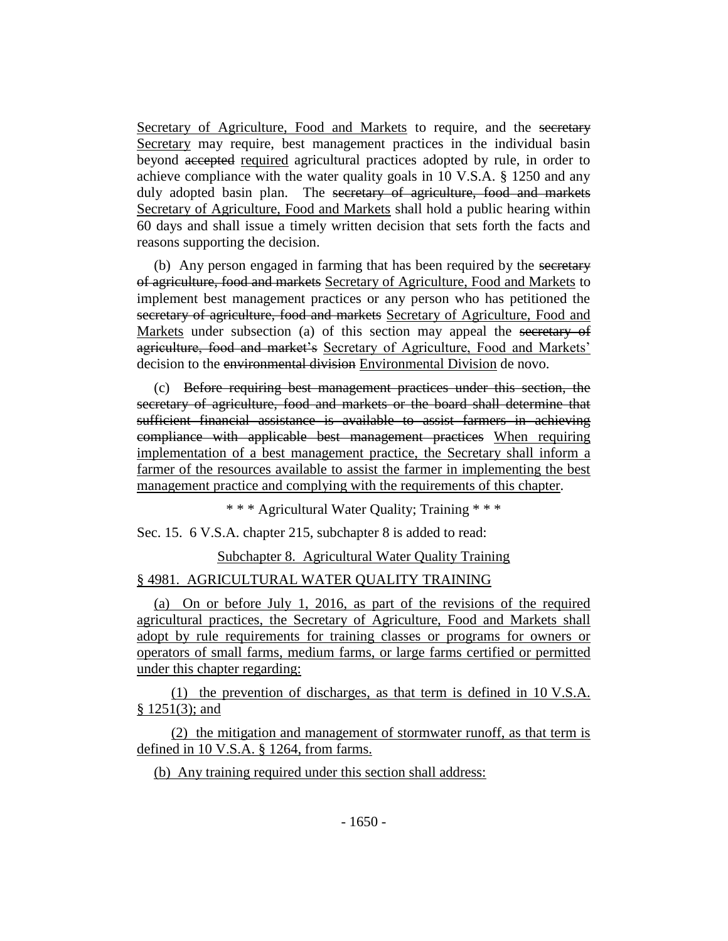Secretary of Agriculture, Food and Markets to require, and the secretary Secretary may require, best management practices in the individual basin beyond accepted required agricultural practices adopted by rule, in order to achieve compliance with the water quality goals in 10 V.S.A. § 1250 and any duly adopted basin plan. The secretary of agriculture, food and markets Secretary of Agriculture, Food and Markets shall hold a public hearing within 60 days and shall issue a timely written decision that sets forth the facts and reasons supporting the decision.

(b) Any person engaged in farming that has been required by the secretary of agriculture, food and markets Secretary of Agriculture, Food and Markets to implement best management practices or any person who has petitioned the secretary of agriculture, food and markets Secretary of Agriculture, Food and Markets under subsection (a) of this section may appeal the secretary of agriculture, food and market's Secretary of Agriculture, Food and Markets' decision to the environmental division Environmental Division de novo.

(c) Before requiring best management practices under this section, the secretary of agriculture, food and markets or the board shall determine that sufficient financial assistance is available to assist farmers in achieving compliance with applicable best management practices When requiring implementation of a best management practice, the Secretary shall inform a farmer of the resources available to assist the farmer in implementing the best management practice and complying with the requirements of this chapter.

\* \* \* Agricultural Water Quality; Training \* \* \*

Sec. 15. 6 V.S.A. chapter 215, subchapter 8 is added to read:

Subchapter 8. Agricultural Water Quality Training

## § 4981. AGRICULTURAL WATER QUALITY TRAINING

(a) On or before July 1, 2016, as part of the revisions of the required agricultural practices, the Secretary of Agriculture, Food and Markets shall adopt by rule requirements for training classes or programs for owners or operators of small farms, medium farms, or large farms certified or permitted under this chapter regarding:

(1) the prevention of discharges, as that term is defined in 10 V.S.A. § 1251(3); and

(2) the mitigation and management of stormwater runoff, as that term is defined in 10 V.S.A. § 1264, from farms.

(b) Any training required under this section shall address: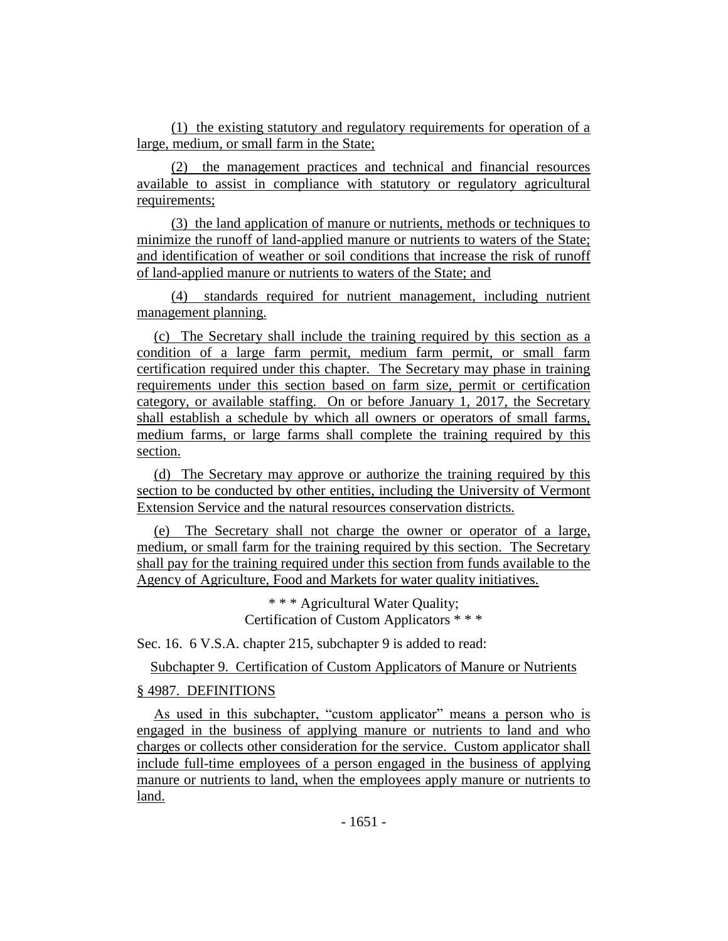(1) the existing statutory and regulatory requirements for operation of a large, medium, or small farm in the State;

(2) the management practices and technical and financial resources available to assist in compliance with statutory or regulatory agricultural requirements;

(3) the land application of manure or nutrients, methods or techniques to minimize the runoff of land-applied manure or nutrients to waters of the State; and identification of weather or soil conditions that increase the risk of runoff of land-applied manure or nutrients to waters of the State; and

(4) standards required for nutrient management, including nutrient management planning.

(c) The Secretary shall include the training required by this section as a condition of a large farm permit, medium farm permit, or small farm certification required under this chapter. The Secretary may phase in training requirements under this section based on farm size, permit or certification category, or available staffing. On or before January 1, 2017, the Secretary shall establish a schedule by which all owners or operators of small farms, medium farms, or large farms shall complete the training required by this section.

(d) The Secretary may approve or authorize the training required by this section to be conducted by other entities, including the University of Vermont Extension Service and the natural resources conservation districts.

(e) The Secretary shall not charge the owner or operator of a large, medium, or small farm for the training required by this section. The Secretary shall pay for the training required under this section from funds available to the Agency of Agriculture, Food and Markets for water quality initiatives.

> \* \* \* Agricultural Water Quality; Certification of Custom Applicators \* \* \*

Sec. 16. 6 V.S.A. chapter 215, subchapter 9 is added to read:

Subchapter 9. Certification of Custom Applicators of Manure or Nutrients

## § 4987. DEFINITIONS

As used in this subchapter, "custom applicator" means a person who is engaged in the business of applying manure or nutrients to land and who charges or collects other consideration for the service. Custom applicator shall include full-time employees of a person engaged in the business of applying manure or nutrients to land, when the employees apply manure or nutrients to land.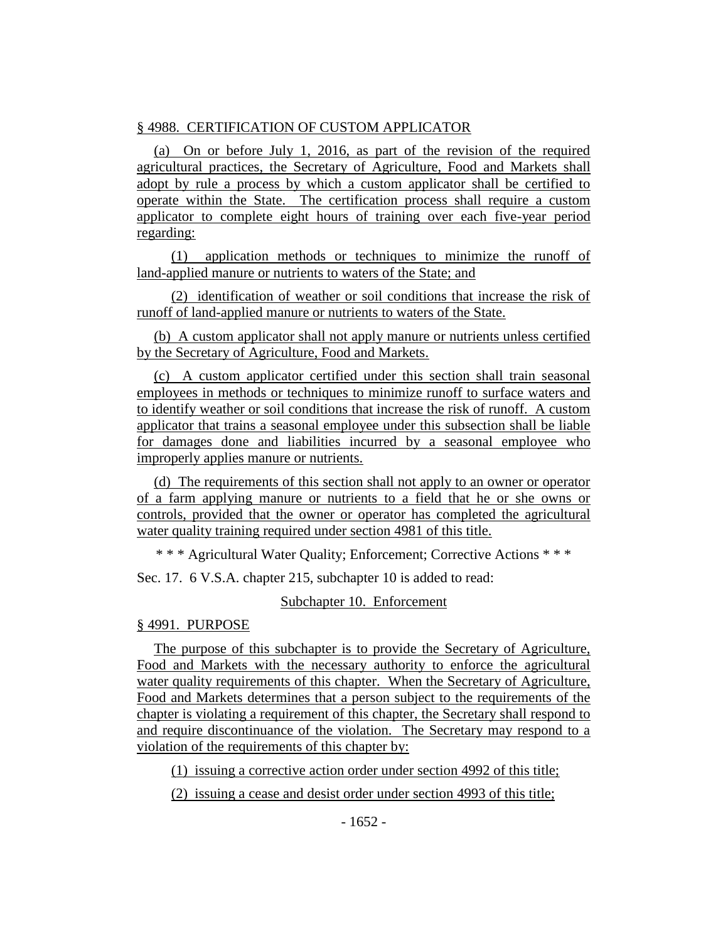## § 4988. CERTIFICATION OF CUSTOM APPLICATOR

(a) On or before July 1, 2016, as part of the revision of the required agricultural practices, the Secretary of Agriculture, Food and Markets shall adopt by rule a process by which a custom applicator shall be certified to operate within the State. The certification process shall require a custom applicator to complete eight hours of training over each five-year period regarding:

(1) application methods or techniques to minimize the runoff of land-applied manure or nutrients to waters of the State; and

(2) identification of weather or soil conditions that increase the risk of runoff of land-applied manure or nutrients to waters of the State.

(b) A custom applicator shall not apply manure or nutrients unless certified by the Secretary of Agriculture, Food and Markets.

(c) A custom applicator certified under this section shall train seasonal employees in methods or techniques to minimize runoff to surface waters and to identify weather or soil conditions that increase the risk of runoff. A custom applicator that trains a seasonal employee under this subsection shall be liable for damages done and liabilities incurred by a seasonal employee who improperly applies manure or nutrients.

(d) The requirements of this section shall not apply to an owner or operator of a farm applying manure or nutrients to a field that he or she owns or controls, provided that the owner or operator has completed the agricultural water quality training required under section 4981 of this title.

\* \* \* Agricultural Water Quality; Enforcement; Corrective Actions \* \* \*

Sec. 17. 6 V.S.A. chapter 215, subchapter 10 is added to read:

## Subchapter 10. Enforcement

## § 4991. PURPOSE

The purpose of this subchapter is to provide the Secretary of Agriculture, Food and Markets with the necessary authority to enforce the agricultural water quality requirements of this chapter. When the Secretary of Agriculture, Food and Markets determines that a person subject to the requirements of the chapter is violating a requirement of this chapter, the Secretary shall respond to and require discontinuance of the violation. The Secretary may respond to a violation of the requirements of this chapter by:

(1) issuing a corrective action order under section 4992 of this title;

(2) issuing a cease and desist order under section 4993 of this title;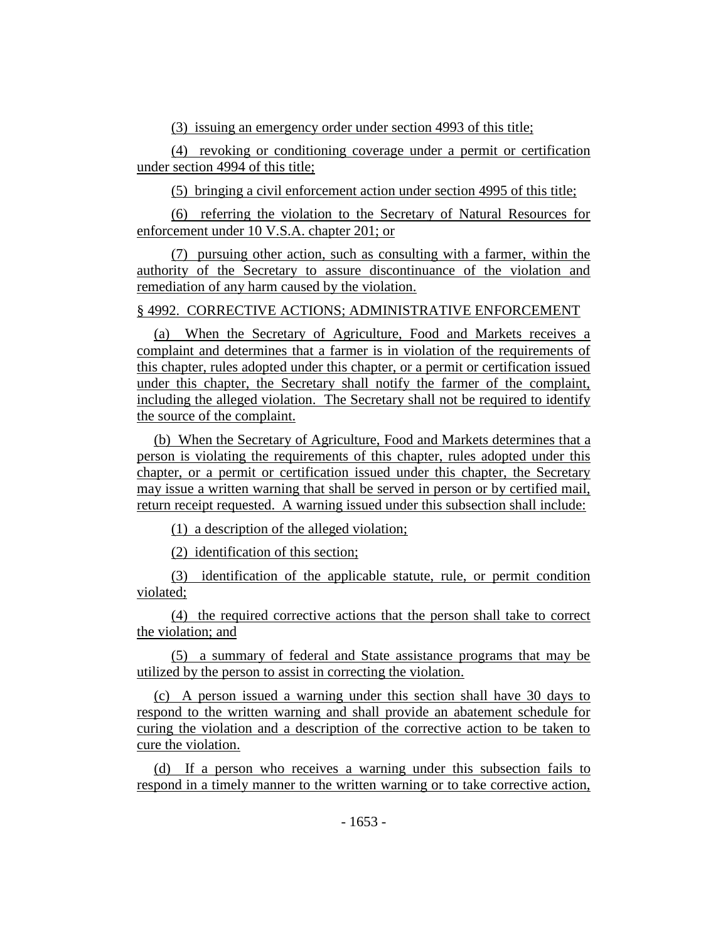(3) issuing an emergency order under section 4993 of this title;

(4) revoking or conditioning coverage under a permit or certification under section 4994 of this title;

(5) bringing a civil enforcement action under section 4995 of this title;

(6) referring the violation to the Secretary of Natural Resources for enforcement under 10 V.S.A. chapter 201; or

(7) pursuing other action, such as consulting with a farmer, within the authority of the Secretary to assure discontinuance of the violation and remediation of any harm caused by the violation.

## § 4992. CORRECTIVE ACTIONS; ADMINISTRATIVE ENFORCEMENT

(a) When the Secretary of Agriculture, Food and Markets receives a complaint and determines that a farmer is in violation of the requirements of this chapter, rules adopted under this chapter, or a permit or certification issued under this chapter, the Secretary shall notify the farmer of the complaint, including the alleged violation. The Secretary shall not be required to identify the source of the complaint.

(b) When the Secretary of Agriculture, Food and Markets determines that a person is violating the requirements of this chapter, rules adopted under this chapter, or a permit or certification issued under this chapter, the Secretary may issue a written warning that shall be served in person or by certified mail, return receipt requested. A warning issued under this subsection shall include:

(1) a description of the alleged violation;

(2) identification of this section;

(3) identification of the applicable statute, rule, or permit condition violated;

(4) the required corrective actions that the person shall take to correct the violation; and

(5) a summary of federal and State assistance programs that may be utilized by the person to assist in correcting the violation.

(c) A person issued a warning under this section shall have 30 days to respond to the written warning and shall provide an abatement schedule for curing the violation and a description of the corrective action to be taken to cure the violation.

(d) If a person who receives a warning under this subsection fails to respond in a timely manner to the written warning or to take corrective action,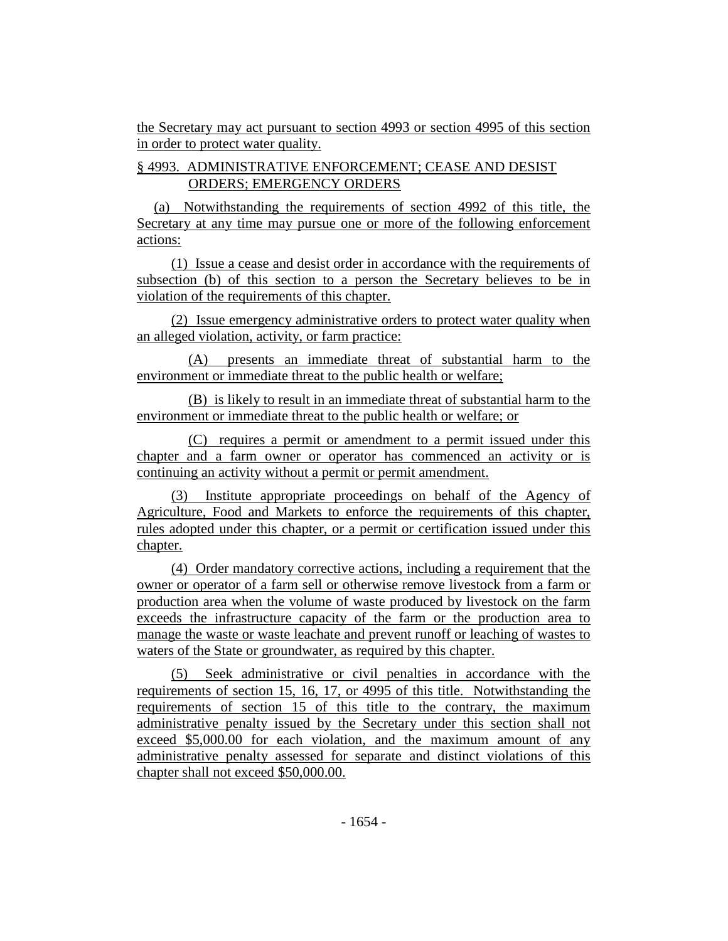the Secretary may act pursuant to section 4993 or section 4995 of this section in order to protect water quality.

## § 4993. ADMINISTRATIVE ENFORCEMENT; CEASE AND DESIST ORDERS; EMERGENCY ORDERS

(a) Notwithstanding the requirements of section 4992 of this title, the Secretary at any time may pursue one or more of the following enforcement actions:

(1) Issue a cease and desist order in accordance with the requirements of subsection (b) of this section to a person the Secretary believes to be in violation of the requirements of this chapter.

(2) Issue emergency administrative orders to protect water quality when an alleged violation, activity, or farm practice:

(A) presents an immediate threat of substantial harm to the environment or immediate threat to the public health or welfare;

(B) is likely to result in an immediate threat of substantial harm to the environment or immediate threat to the public health or welfare; or

(C) requires a permit or amendment to a permit issued under this chapter and a farm owner or operator has commenced an activity or is continuing an activity without a permit or permit amendment.

(3) Institute appropriate proceedings on behalf of the Agency of Agriculture, Food and Markets to enforce the requirements of this chapter, rules adopted under this chapter, or a permit or certification issued under this chapter.

(4) Order mandatory corrective actions, including a requirement that the owner or operator of a farm sell or otherwise remove livestock from a farm or production area when the volume of waste produced by livestock on the farm exceeds the infrastructure capacity of the farm or the production area to manage the waste or waste leachate and prevent runoff or leaching of wastes to waters of the State or groundwater, as required by this chapter.

(5) Seek administrative or civil penalties in accordance with the requirements of section 15, 16, 17, or 4995 of this title. Notwithstanding the requirements of section 15 of this title to the contrary, the maximum administrative penalty issued by the Secretary under this section shall not exceed \$5,000.00 for each violation, and the maximum amount of any administrative penalty assessed for separate and distinct violations of this chapter shall not exceed \$50,000.00.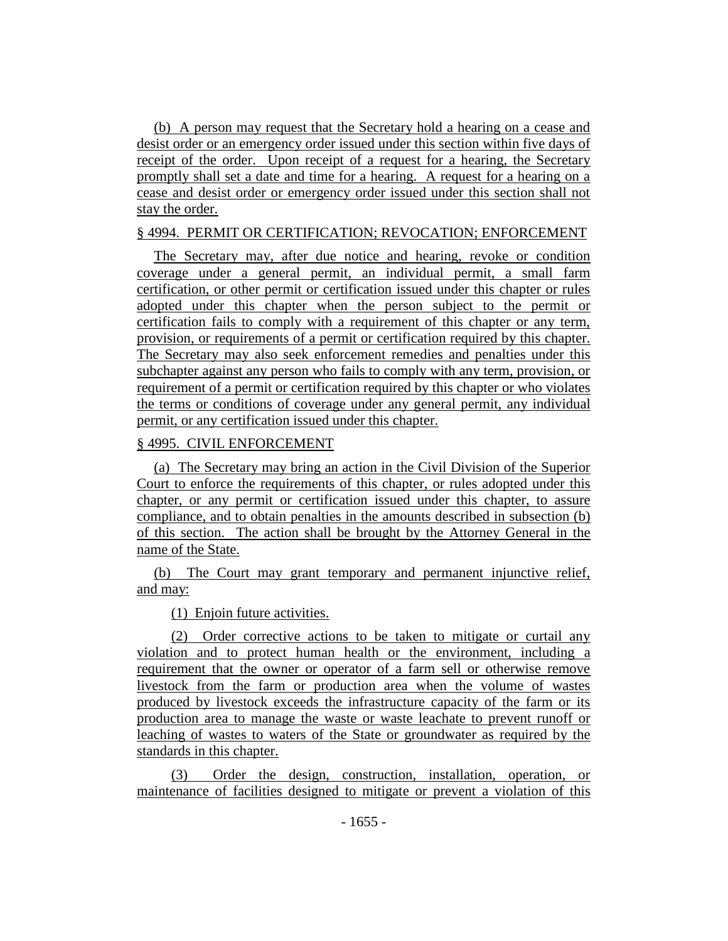(b) A person may request that the Secretary hold a hearing on a cease and desist order or an emergency order issued under this section within five days of receipt of the order. Upon receipt of a request for a hearing, the Secretary promptly shall set a date and time for a hearing. A request for a hearing on a cease and desist order or emergency order issued under this section shall not stay the order.

#### § 4994. PERMIT OR CERTIFICATION; REVOCATION; ENFORCEMENT

The Secretary may, after due notice and hearing, revoke or condition coverage under a general permit, an individual permit, a small farm certification, or other permit or certification issued under this chapter or rules adopted under this chapter when the person subject to the permit or certification fails to comply with a requirement of this chapter or any term, provision, or requirements of a permit or certification required by this chapter. The Secretary may also seek enforcement remedies and penalties under this subchapter against any person who fails to comply with any term, provision, or requirement of a permit or certification required by this chapter or who violates the terms or conditions of coverage under any general permit, any individual permit, or any certification issued under this chapter.

#### § 4995. CIVIL ENFORCEMENT

(a) The Secretary may bring an action in the Civil Division of the Superior Court to enforce the requirements of this chapter, or rules adopted under this chapter, or any permit or certification issued under this chapter, to assure compliance, and to obtain penalties in the amounts described in subsection (b) of this section. The action shall be brought by the Attorney General in the name of the State.

(b) The Court may grant temporary and permanent injunctive relief, and may:

(1) Enjoin future activities.

(2) Order corrective actions to be taken to mitigate or curtail any violation and to protect human health or the environment, including a requirement that the owner or operator of a farm sell or otherwise remove livestock from the farm or production area when the volume of wastes produced by livestock exceeds the infrastructure capacity of the farm or its production area to manage the waste or waste leachate to prevent runoff or leaching of wastes to waters of the State or groundwater as required by the standards in this chapter.

(3) Order the design, construction, installation, operation, or maintenance of facilities designed to mitigate or prevent a violation of this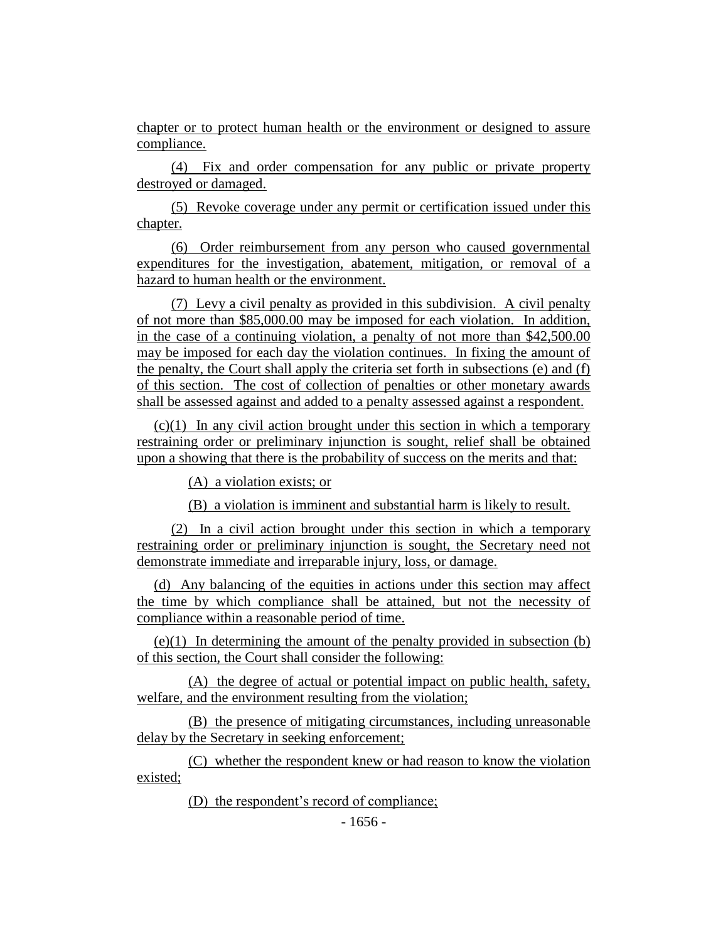chapter or to protect human health or the environment or designed to assure compliance.

(4) Fix and order compensation for any public or private property destroyed or damaged.

(5) Revoke coverage under any permit or certification issued under this chapter.

(6) Order reimbursement from any person who caused governmental expenditures for the investigation, abatement, mitigation, or removal of a hazard to human health or the environment.

(7) Levy a civil penalty as provided in this subdivision. A civil penalty of not more than \$85,000.00 may be imposed for each violation. In addition, in the case of a continuing violation, a penalty of not more than \$42,500.00 may be imposed for each day the violation continues. In fixing the amount of the penalty, the Court shall apply the criteria set forth in subsections (e) and (f) of this section. The cost of collection of penalties or other monetary awards shall be assessed against and added to a penalty assessed against a respondent.

(c)(1) In any civil action brought under this section in which a temporary restraining order or preliminary injunction is sought, relief shall be obtained upon a showing that there is the probability of success on the merits and that:

(A) a violation exists; or

(B) a violation is imminent and substantial harm is likely to result.

(2) In a civil action brought under this section in which a temporary restraining order or preliminary injunction is sought, the Secretary need not demonstrate immediate and irreparable injury, loss, or damage.

(d) Any balancing of the equities in actions under this section may affect the time by which compliance shall be attained, but not the necessity of compliance within a reasonable period of time.

(e)(1) In determining the amount of the penalty provided in subsection (b) of this section, the Court shall consider the following:

(A) the degree of actual or potential impact on public health, safety, welfare, and the environment resulting from the violation;

(B) the presence of mitigating circumstances, including unreasonable delay by the Secretary in seeking enforcement;

(C) whether the respondent knew or had reason to know the violation existed;

(D) the respondent's record of compliance;

- 1656 -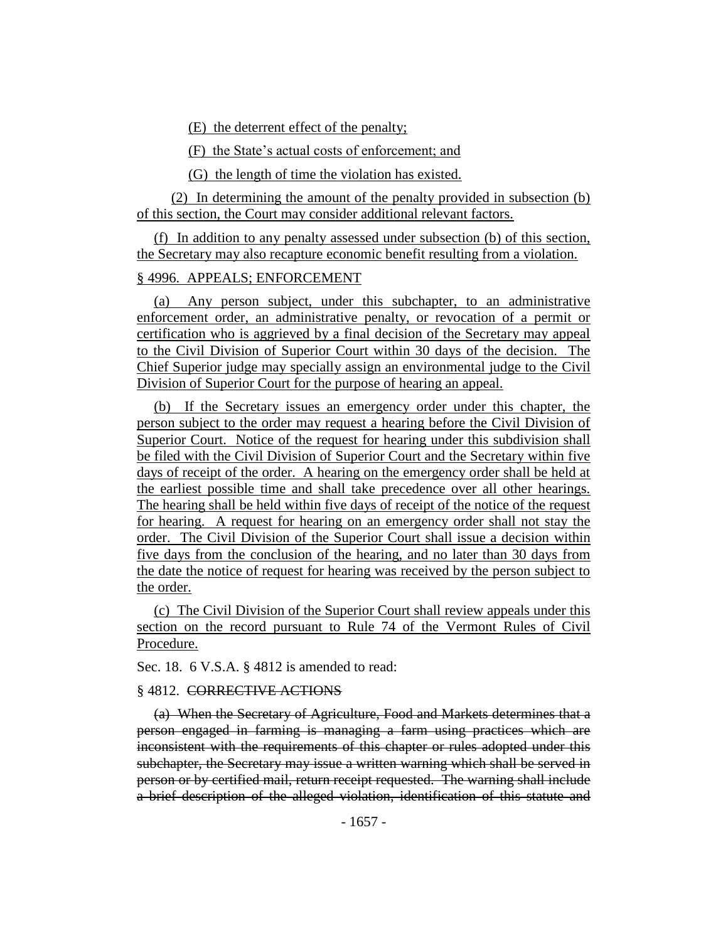(E) the deterrent effect of the penalty;

(F) the State's actual costs of enforcement; and

(G) the length of time the violation has existed.

(2) In determining the amount of the penalty provided in subsection (b) of this section, the Court may consider additional relevant factors.

(f) In addition to any penalty assessed under subsection (b) of this section, the Secretary may also recapture economic benefit resulting from a violation.

## § 4996. APPEALS; ENFORCEMENT

(a) Any person subject, under this subchapter, to an administrative enforcement order, an administrative penalty, or revocation of a permit or certification who is aggrieved by a final decision of the Secretary may appeal to the Civil Division of Superior Court within 30 days of the decision. The Chief Superior judge may specially assign an environmental judge to the Civil Division of Superior Court for the purpose of hearing an appeal.

(b) If the Secretary issues an emergency order under this chapter, the person subject to the order may request a hearing before the Civil Division of Superior Court. Notice of the request for hearing under this subdivision shall be filed with the Civil Division of Superior Court and the Secretary within five days of receipt of the order. A hearing on the emergency order shall be held at the earliest possible time and shall take precedence over all other hearings. The hearing shall be held within five days of receipt of the notice of the request for hearing. A request for hearing on an emergency order shall not stay the order. The Civil Division of the Superior Court shall issue a decision within five days from the conclusion of the hearing, and no later than 30 days from the date the notice of request for hearing was received by the person subject to the order.

(c) The Civil Division of the Superior Court shall review appeals under this section on the record pursuant to Rule 74 of the Vermont Rules of Civil Procedure.

Sec. 18. 6 V.S.A. § 4812 is amended to read:

#### § 4812. CORRECTIVE ACTIONS

(a) When the Secretary of Agriculture, Food and Markets determines that a person engaged in farming is managing a farm using practices which are inconsistent with the requirements of this chapter or rules adopted under this subchapter, the Secretary may issue a written warning which shall be served in person or by certified mail, return receipt requested. The warning shall include a brief description of the alleged violation, identification of this statute and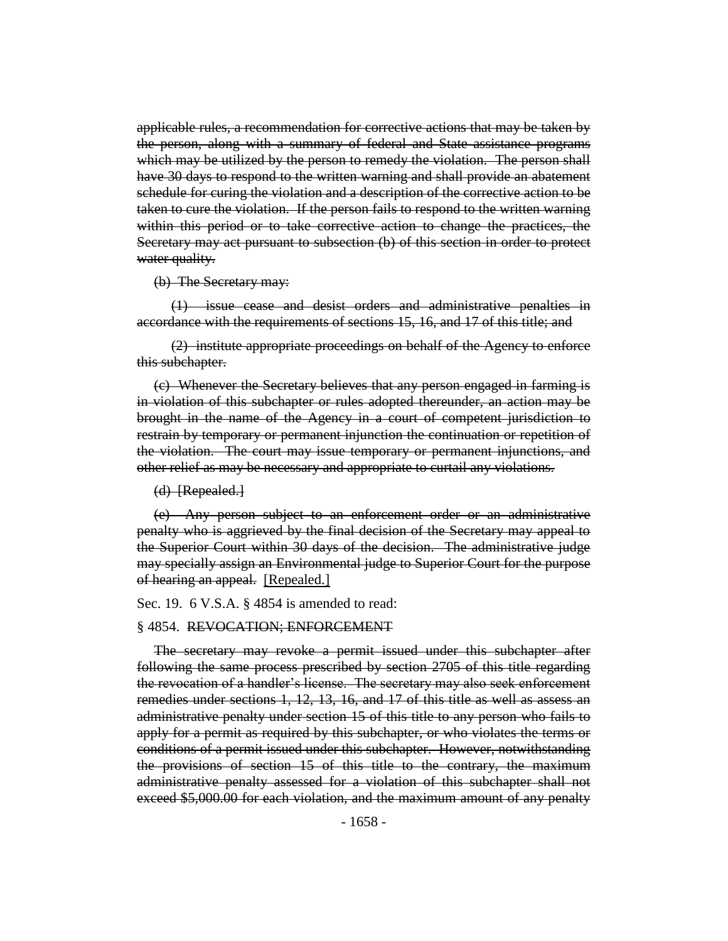applicable rules, a recommendation for corrective actions that may be taken by the person, along with a summary of federal and State assistance programs which may be utilized by the person to remedy the violation. The person shall have 30 days to respond to the written warning and shall provide an abatement schedule for curing the violation and a description of the corrective action to be taken to cure the violation. If the person fails to respond to the written warning within this period or to take corrective action to change the practices, the Secretary may act pursuant to subsection (b) of this section in order to protect water quality.

(b) The Secretary may:

(1) issue cease and desist orders and administrative penalties in accordance with the requirements of sections 15, 16, and 17 of this title; and

(2) institute appropriate proceedings on behalf of the Agency to enforce this subchapter.

(c) Whenever the Secretary believes that any person engaged in farming is in violation of this subchapter or rules adopted thereunder, an action may be brought in the name of the Agency in a court of competent jurisdiction to restrain by temporary or permanent injunction the continuation or repetition of the violation. The court may issue temporary or permanent injunctions, and other relief as may be necessary and appropriate to curtail any violations.

(d) [Repealed.]

(e) Any person subject to an enforcement order or an administrative penalty who is aggrieved by the final decision of the Secretary may appeal to the Superior Court within 30 days of the decision. The administrative judge may specially assign an Environmental judge to Superior Court for the purpose of hearing an appeal. [Repealed.]

Sec. 19. 6 V.S.A. § 4854 is amended to read:

## § 4854. REVOCATION; ENFORCEMENT

The secretary may revoke a permit issued under this subchapter after following the same process prescribed by section 2705 of this title regarding the revocation of a handler's license. The secretary may also seek enforcement remedies under sections 1, 12, 13, 16, and 17 of this title as well as assess an administrative penalty under section 15 of this title to any person who fails to apply for a permit as required by this subchapter, or who violates the terms or conditions of a permit issued under this subchapter. However, notwithstanding the provisions of section 15 of this title to the contrary, the maximum administrative penalty assessed for a violation of this subchapter shall not exceed \$5,000.00 for each violation, and the maximum amount of any penalty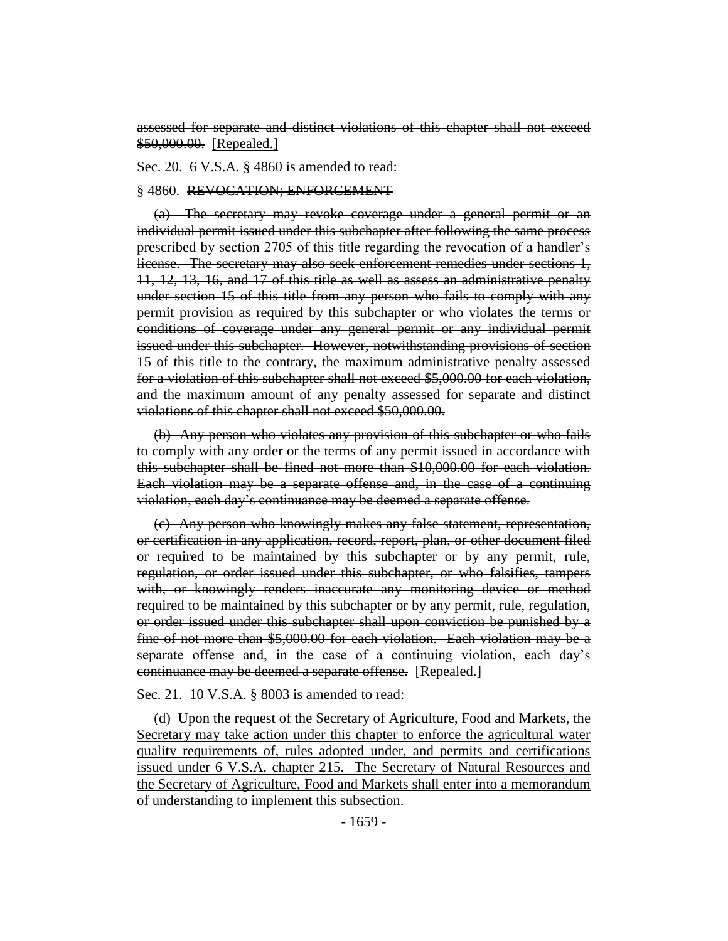assessed for separate and distinct violations of this chapter shall not exceed \$50,000.00. [Repealed.]

Sec. 20. 6 V.S.A. § 4860 is amended to read:

## § 4860. REVOCATION; ENFORCEMENT

(a) The secretary may revoke coverage under a general permit or an individual permit issued under this subchapter after following the same process prescribed by section 2705 of this title regarding the revocation of a handler's license. The secretary may also seek enforcement remedies under sections 1, 11, 12, 13, 16, and 17 of this title as well as assess an administrative penalty under section 15 of this title from any person who fails to comply with any permit provision as required by this subchapter or who violates the terms or conditions of coverage under any general permit or any individual permit issued under this subchapter. However, notwithstanding provisions of section 15 of this title to the contrary, the maximum administrative penalty assessed for a violation of this subchapter shall not exceed \$5,000.00 for each violation, and the maximum amount of any penalty assessed for separate and distinct violations of this chapter shall not exceed \$50,000.00.

(b) Any person who violates any provision of this subchapter or who fails to comply with any order or the terms of any permit issued in accordance with this subchapter shall be fined not more than \$10,000.00 for each violation. Each violation may be a separate offense and, in the case of a continuing violation, each day's continuance may be deemed a separate offense.

(c) Any person who knowingly makes any false statement, representation, or certification in any application, record, report, plan, or other document filed or required to be maintained by this subchapter or by any permit, rule, regulation, or order issued under this subchapter, or who falsifies, tampers with, or knowingly renders inaccurate any monitoring device or method required to be maintained by this subchapter or by any permit, rule, regulation, or order issued under this subchapter shall upon conviction be punished by a fine of not more than \$5,000.00 for each violation. Each violation may be a separate offense and, in the case of a continuing violation, each day's continuance may be deemed a separate offense. [Repealed.]

## Sec. 21. 10 V.S.A. § 8003 is amended to read:

(d) Upon the request of the Secretary of Agriculture, Food and Markets, the Secretary may take action under this chapter to enforce the agricultural water quality requirements of, rules adopted under, and permits and certifications issued under 6 V.S.A. chapter 215. The Secretary of Natural Resources and the Secretary of Agriculture, Food and Markets shall enter into a memorandum of understanding to implement this subsection.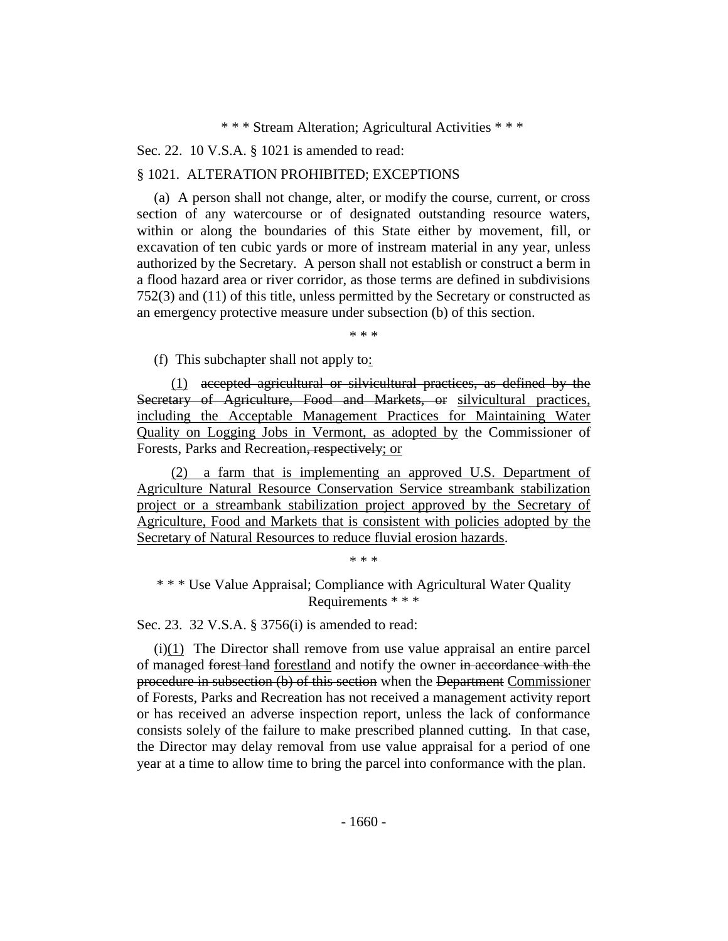\* \* \* Stream Alteration; Agricultural Activities \* \* \*

Sec. 22. 10 V.S.A. § 1021 is amended to read:

## § 1021. ALTERATION PROHIBITED; EXCEPTIONS

(a) A person shall not change, alter, or modify the course, current, or cross section of any watercourse or of designated outstanding resource waters, within or along the boundaries of this State either by movement, fill, or excavation of ten cubic yards or more of instream material in any year, unless authorized by the Secretary. A person shall not establish or construct a berm in a flood hazard area or river corridor, as those terms are defined in subdivisions 752(3) and (11) of this title, unless permitted by the Secretary or constructed as an emergency protective measure under subsection (b) of this section.

\* \* \*

(f) This subchapter shall not apply to:

(1) accepted agricultural or silvicultural practices, as defined by the Secretary of Agriculture, Food and Markets, or silvicultural practices, including the Acceptable Management Practices for Maintaining Water Quality on Logging Jobs in Vermont, as adopted by the Commissioner of Forests, Parks and Recreation, respectively; or

(2) a farm that is implementing an approved U.S. Department of Agriculture Natural Resource Conservation Service streambank stabilization project or a streambank stabilization project approved by the Secretary of Agriculture, Food and Markets that is consistent with policies adopted by the Secretary of Natural Resources to reduce fluvial erosion hazards.

\* \* \*

\* \* \* Use Value Appraisal; Compliance with Agricultural Water Quality Requirements \* \* \*

Sec. 23. 32 V.S.A. § 3756(i) is amended to read:

(i)(1) The Director shall remove from use value appraisal an entire parcel of managed forest land forestland and notify the owner in accordance with the procedure in subsection (b) of this section when the Department Commissioner of Forests, Parks and Recreation has not received a management activity report or has received an adverse inspection report, unless the lack of conformance consists solely of the failure to make prescribed planned cutting. In that case, the Director may delay removal from use value appraisal for a period of one year at a time to allow time to bring the parcel into conformance with the plan.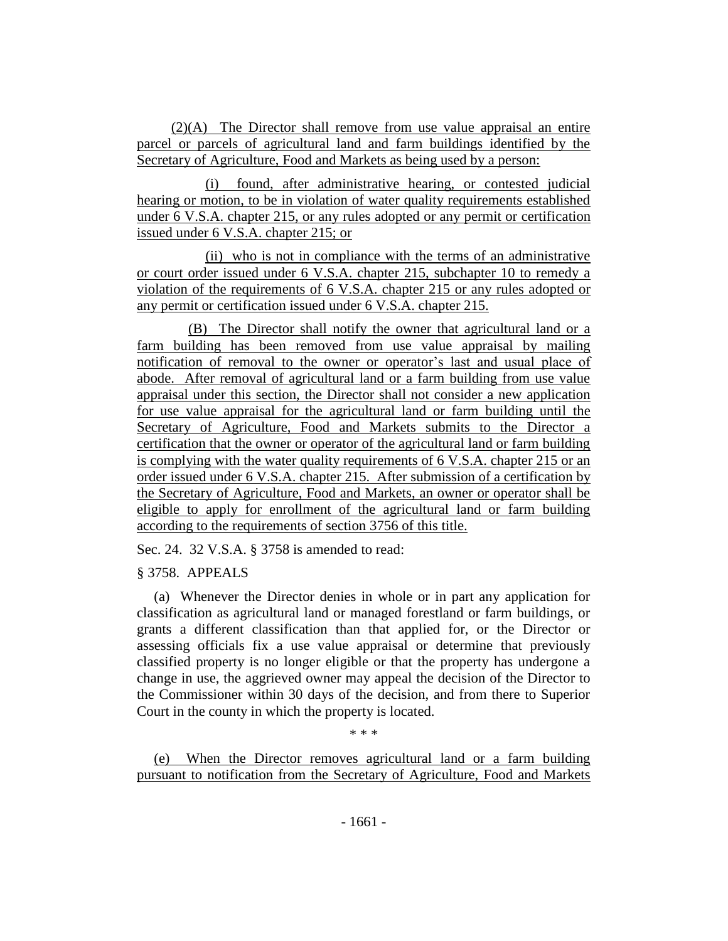(2)(A) The Director shall remove from use value appraisal an entire parcel or parcels of agricultural land and farm buildings identified by the Secretary of Agriculture, Food and Markets as being used by a person:

(i) found, after administrative hearing, or contested judicial hearing or motion, to be in violation of water quality requirements established under 6 V.S.A. chapter 215, or any rules adopted or any permit or certification issued under 6 V.S.A. chapter 215; or

(ii) who is not in compliance with the terms of an administrative or court order issued under 6 V.S.A. chapter 215, subchapter 10 to remedy a violation of the requirements of 6 V.S.A. chapter 215 or any rules adopted or any permit or certification issued under 6 V.S.A. chapter 215.

(B) The Director shall notify the owner that agricultural land or a farm building has been removed from use value appraisal by mailing notification of removal to the owner or operator's last and usual place of abode. After removal of agricultural land or a farm building from use value appraisal under this section, the Director shall not consider a new application for use value appraisal for the agricultural land or farm building until the Secretary of Agriculture, Food and Markets submits to the Director a certification that the owner or operator of the agricultural land or farm building is complying with the water quality requirements of 6 V.S.A. chapter 215 or an order issued under 6 V.S.A. chapter 215. After submission of a certification by the Secretary of Agriculture, Food and Markets, an owner or operator shall be eligible to apply for enrollment of the agricultural land or farm building according to the requirements of section 3756 of this title.

Sec. 24. 32 V.S.A. § 3758 is amended to read:

§ 3758. APPEALS

(a) Whenever the Director denies in whole or in part any application for classification as agricultural land or managed forestland or farm buildings, or grants a different classification than that applied for, or the Director or assessing officials fix a use value appraisal or determine that previously classified property is no longer eligible or that the property has undergone a change in use, the aggrieved owner may appeal the decision of the Director to the Commissioner within 30 days of the decision, and from there to Superior Court in the county in which the property is located.

\* \* \*

(e) When the Director removes agricultural land or a farm building pursuant to notification from the Secretary of Agriculture, Food and Markets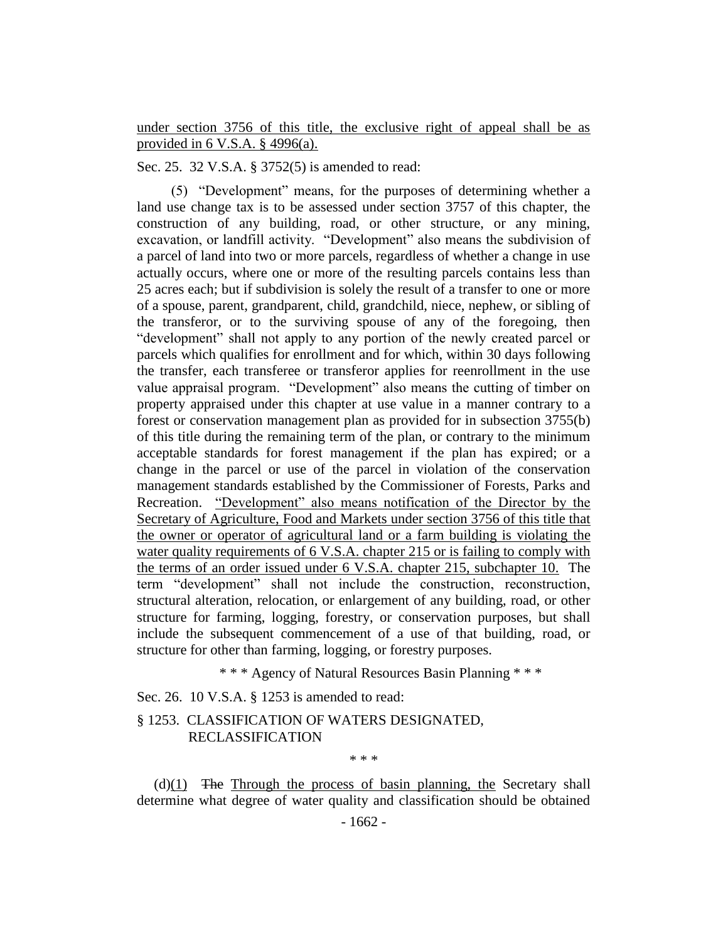under section 3756 of this title, the exclusive right of appeal shall be as provided in 6 V.S.A. § 4996(a).

Sec. 25. 32 V.S.A. § 3752(5) is amended to read:

(5) "Development" means, for the purposes of determining whether a land use change tax is to be assessed under section 3757 of this chapter, the construction of any building, road, or other structure, or any mining, excavation, or landfill activity. "Development" also means the subdivision of a parcel of land into two or more parcels, regardless of whether a change in use actually occurs, where one or more of the resulting parcels contains less than 25 acres each; but if subdivision is solely the result of a transfer to one or more of a spouse, parent, grandparent, child, grandchild, niece, nephew, or sibling of the transferor, or to the surviving spouse of any of the foregoing, then "development" shall not apply to any portion of the newly created parcel or parcels which qualifies for enrollment and for which, within 30 days following the transfer, each transferee or transferor applies for reenrollment in the use value appraisal program. "Development" also means the cutting of timber on property appraised under this chapter at use value in a manner contrary to a forest or conservation management plan as provided for in subsection 3755(b) of this title during the remaining term of the plan, or contrary to the minimum acceptable standards for forest management if the plan has expired; or a change in the parcel or use of the parcel in violation of the conservation management standards established by the Commissioner of Forests, Parks and Recreation. "Development" also means notification of the Director by the Secretary of Agriculture, Food and Markets under section 3756 of this title that the owner or operator of agricultural land or a farm building is violating the water quality requirements of 6 V.S.A. chapter 215 or is failing to comply with the terms of an order issued under 6 V.S.A. chapter 215, subchapter 10. The term "development" shall not include the construction, reconstruction, structural alteration, relocation, or enlargement of any building, road, or other structure for farming, logging, forestry, or conservation purposes, but shall include the subsequent commencement of a use of that building, road, or structure for other than farming, logging, or forestry purposes.

\* \* \* Agency of Natural Resources Basin Planning \* \* \*

Sec. 26. 10 V.S.A. § 1253 is amended to read:

§ 1253. CLASSIFICATION OF WATERS DESIGNATED, RECLASSIFICATION

\* \* \*

 $(d)(1)$  The Through the process of basin planning, the Secretary shall determine what degree of water quality and classification should be obtained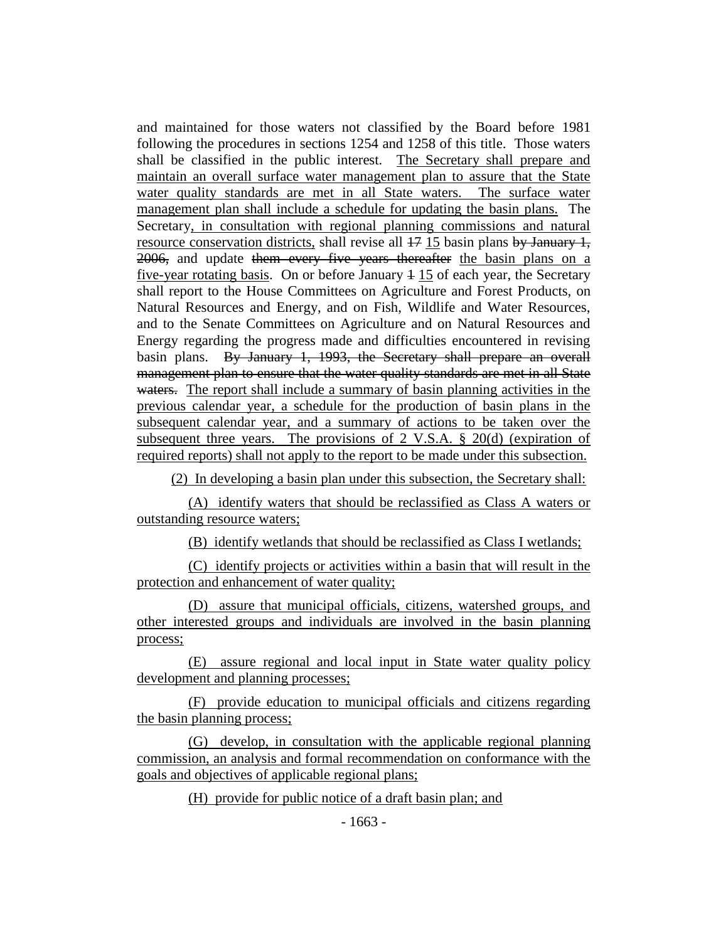and maintained for those waters not classified by the Board before 1981 following the procedures in sections 1254 and 1258 of this title. Those waters shall be classified in the public interest. The Secretary shall prepare and maintain an overall surface water management plan to assure that the State water quality standards are met in all State waters. The surface water management plan shall include a schedule for updating the basin plans. The Secretary, in consultation with regional planning commissions and natural resource conservation districts, shall revise all  $17$  15 basin plans by January 1, 2006, and update them every five years thereafter the basin plans on a five-year rotating basis. On or before January  $4\,15$  of each year, the Secretary shall report to the House Committees on Agriculture and Forest Products, on Natural Resources and Energy, and on Fish, Wildlife and Water Resources, and to the Senate Committees on Agriculture and on Natural Resources and Energy regarding the progress made and difficulties encountered in revising basin plans. By January 1, 1993, the Secretary shall prepare an overall management plan to ensure that the water quality standards are met in all State waters. The report shall include a summary of basin planning activities in the previous calendar year, a schedule for the production of basin plans in the subsequent calendar year, and a summary of actions to be taken over the subsequent three years. The provisions of 2 V.S.A. § 20(d) (expiration of required reports) shall not apply to the report to be made under this subsection.

(2) In developing a basin plan under this subsection, the Secretary shall:

(A) identify waters that should be reclassified as Class A waters or outstanding resource waters;

(B) identify wetlands that should be reclassified as Class I wetlands;

(C) identify projects or activities within a basin that will result in the protection and enhancement of water quality;

(D) assure that municipal officials, citizens, watershed groups, and other interested groups and individuals are involved in the basin planning process;

(E) assure regional and local input in State water quality policy development and planning processes;

(F) provide education to municipal officials and citizens regarding the basin planning process;

(G) develop, in consultation with the applicable regional planning commission, an analysis and formal recommendation on conformance with the goals and objectives of applicable regional plans;

(H) provide for public notice of a draft basin plan; and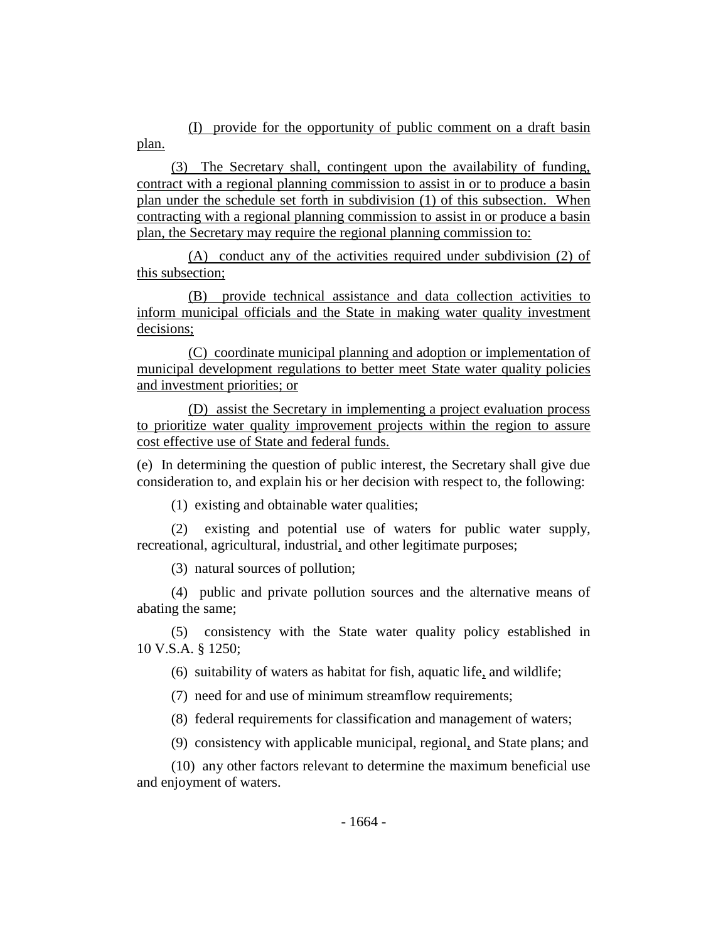(I) provide for the opportunity of public comment on a draft basin plan.

(3) The Secretary shall, contingent upon the availability of funding, contract with a regional planning commission to assist in or to produce a basin plan under the schedule set forth in subdivision (1) of this subsection. When contracting with a regional planning commission to assist in or produce a basin plan, the Secretary may require the regional planning commission to:

(A) conduct any of the activities required under subdivision (2) of this subsection;

(B) provide technical assistance and data collection activities to inform municipal officials and the State in making water quality investment decisions;

(C) coordinate municipal planning and adoption or implementation of municipal development regulations to better meet State water quality policies and investment priorities; or

(D) assist the Secretary in implementing a project evaluation process to prioritize water quality improvement projects within the region to assure cost effective use of State and federal funds.

(e) In determining the question of public interest, the Secretary shall give due consideration to, and explain his or her decision with respect to, the following:

(1) existing and obtainable water qualities;

(2) existing and potential use of waters for public water supply, recreational, agricultural, industrial, and other legitimate purposes;

(3) natural sources of pollution;

(4) public and private pollution sources and the alternative means of abating the same;

(5) consistency with the State water quality policy established in 10 V.S.A. § 1250;

(6) suitability of waters as habitat for fish, aquatic life, and wildlife;

(7) need for and use of minimum streamflow requirements;

(8) federal requirements for classification and management of waters;

(9) consistency with applicable municipal, regional, and State plans; and

(10) any other factors relevant to determine the maximum beneficial use and enjoyment of waters.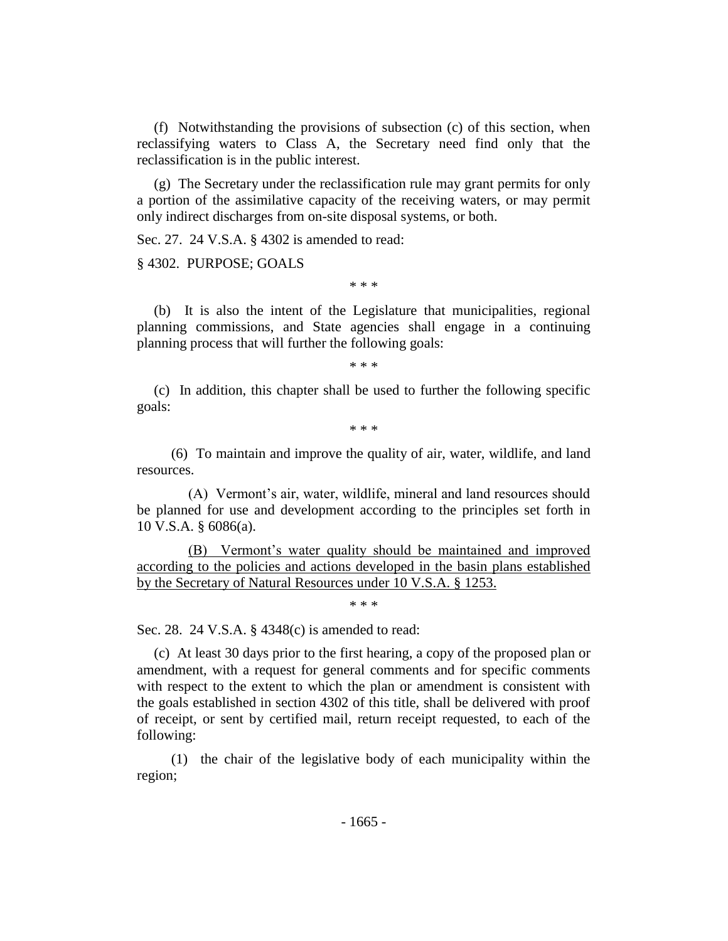(f) Notwithstanding the provisions of subsection (c) of this section, when reclassifying waters to Class A, the Secretary need find only that the reclassification is in the public interest.

(g) The Secretary under the reclassification rule may grant permits for only a portion of the assimilative capacity of the receiving waters, or may permit only indirect discharges from on-site disposal systems, or both.

Sec. 27. 24 V.S.A. § 4302 is amended to read:

§ 4302. PURPOSE; GOALS

\* \* \*

(b) It is also the intent of the Legislature that municipalities, regional planning commissions, and State agencies shall engage in a continuing planning process that will further the following goals:

\* \* \*

(c) In addition, this chapter shall be used to further the following specific goals:

\* \* \*

(6) To maintain and improve the quality of air, water, wildlife, and land resources.

(A) Vermont's air, water, wildlife, mineral and land resources should be planned for use and development according to the principles set forth in 10 V.S.A. § 6086(a).

(B) Vermont's water quality should be maintained and improved according to the policies and actions developed in the basin plans established by the Secretary of Natural Resources under 10 V.S.A. § 1253.

\* \* \*

Sec. 28. 24 V.S.A. § 4348(c) is amended to read:

(c) At least 30 days prior to the first hearing, a copy of the proposed plan or amendment, with a request for general comments and for specific comments with respect to the extent to which the plan or amendment is consistent with the goals established in section 4302 of this title, shall be delivered with proof of receipt, or sent by certified mail, return receipt requested, to each of the following:

(1) the chair of the legislative body of each municipality within the region;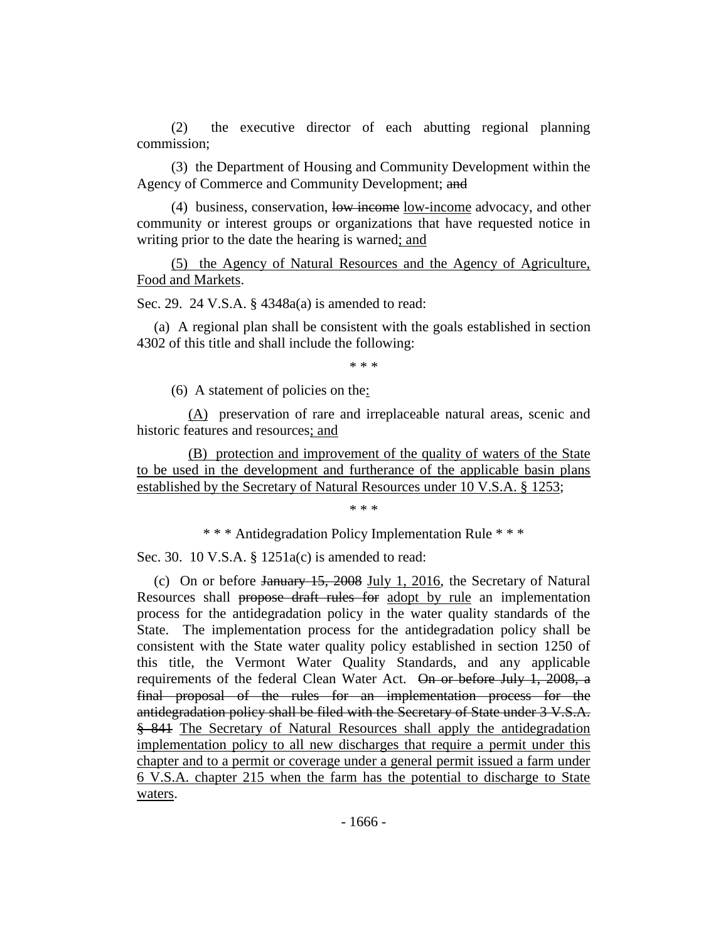(2) the executive director of each abutting regional planning commission;

(3) the Department of Housing and Community Development within the Agency of Commerce and Community Development; and

(4) business, conservation, low income low-income advocacy, and other community or interest groups or organizations that have requested notice in writing prior to the date the hearing is warned; and

(5) the Agency of Natural Resources and the Agency of Agriculture, Food and Markets.

Sec. 29. 24 V.S.A. § 4348a(a) is amended to read:

(a) A regional plan shall be consistent with the goals established in section 4302 of this title and shall include the following:

\* \* \*

(6) A statement of policies on the:

(A) preservation of rare and irreplaceable natural areas, scenic and historic features and resources; and

(B) protection and improvement of the quality of waters of the State to be used in the development and furtherance of the applicable basin plans established by the Secretary of Natural Resources under 10 V.S.A. § 1253;

\* \* \*

\* \* \* Antidegradation Policy Implementation Rule \* \* \*

Sec. 30. 10 V.S.A. § 1251a(c) is amended to read:

(c) On or before January 15, 2008 July 1, 2016, the Secretary of Natural Resources shall propose draft rules for adopt by rule an implementation process for the antidegradation policy in the water quality standards of the State. The implementation process for the antidegradation policy shall be consistent with the State water quality policy established in section 1250 of this title, the Vermont Water Quality Standards, and any applicable requirements of the federal Clean Water Act. On or before July 1, 2008, a final proposal of the rules for an implementation process for the antidegradation policy shall be filed with the Secretary of State under 3 V.S.A. § 841 The Secretary of Natural Resources shall apply the antidegradation implementation policy to all new discharges that require a permit under this chapter and to a permit or coverage under a general permit issued a farm under 6 V.S.A. chapter 215 when the farm has the potential to discharge to State waters.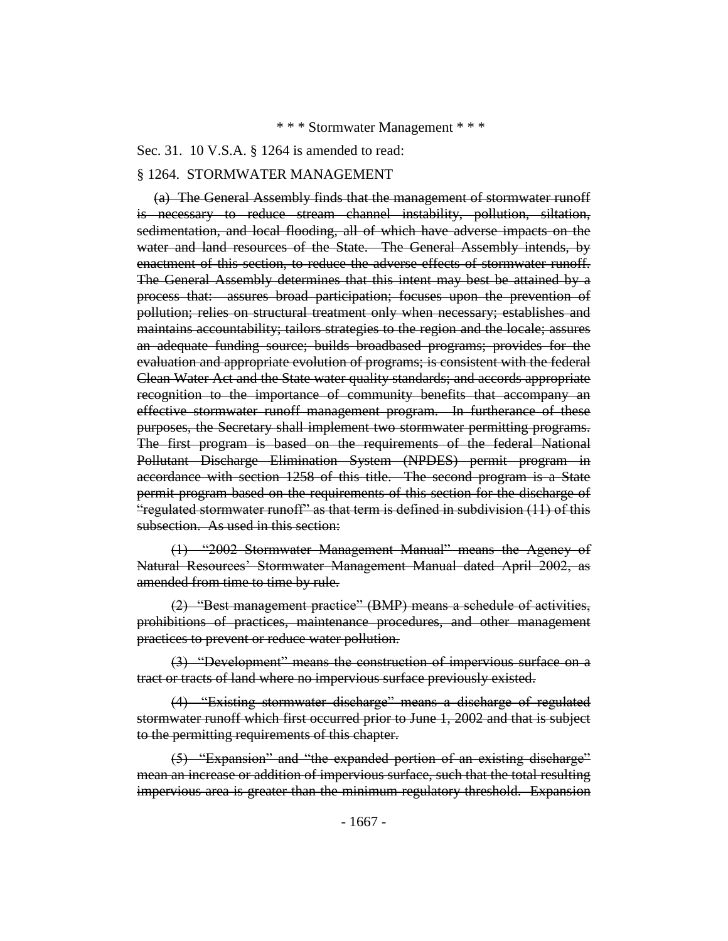### \* \* \* Stormwater Management \* \* \*

#### Sec. 31. 10 V.S.A. § 1264 is amended to read:

#### § 1264. STORMWATER MANAGEMENT

(a) The General Assembly finds that the management of stormwater runoff is necessary to reduce stream channel instability, pollution, siltation, sedimentation, and local flooding, all of which have adverse impacts on the water and land resources of the State. The General Assembly intends, by enactment of this section, to reduce the adverse effects of stormwater runoff. The General Assembly determines that this intent may best be attained by a process that: assures broad participation; focuses upon the prevention of pollution; relies on structural treatment only when necessary; establishes and maintains accountability; tailors strategies to the region and the locale; assures an adequate funding source; builds broadbased programs; provides for the evaluation and appropriate evolution of programs; is consistent with the federal Clean Water Act and the State water quality standards; and accords appropriate recognition to the importance of community benefits that accompany an effective stormwater runoff management program. In furtherance of these purposes, the Secretary shall implement two stormwater permitting programs. The first program is based on the requirements of the federal National Pollutant Discharge Elimination System (NPDES) permit program in accordance with section 1258 of this title. The second program is a State permit program based on the requirements of this section for the discharge of "regulated stormwater runoff" as that term is defined in subdivision (11) of this subsection. As used in this section:

(1) "2002 Stormwater Management Manual" means the Agency of Natural Resources' Stormwater Management Manual dated April 2002, as amended from time to time by rule.

(2) "Best management practice" (BMP) means a schedule of activities, prohibitions of practices, maintenance procedures, and other management practices to prevent or reduce water pollution.

(3) "Development" means the construction of impervious surface on a tract or tracts of land where no impervious surface previously existed.

(4) "Existing stormwater discharge" means a discharge of regulated stormwater runoff which first occurred prior to June 1, 2002 and that is subject to the permitting requirements of this chapter.

(5) "Expansion" and "the expanded portion of an existing discharge" mean an increase or addition of impervious surface, such that the total resulting impervious area is greater than the minimum regulatory threshold. Expansion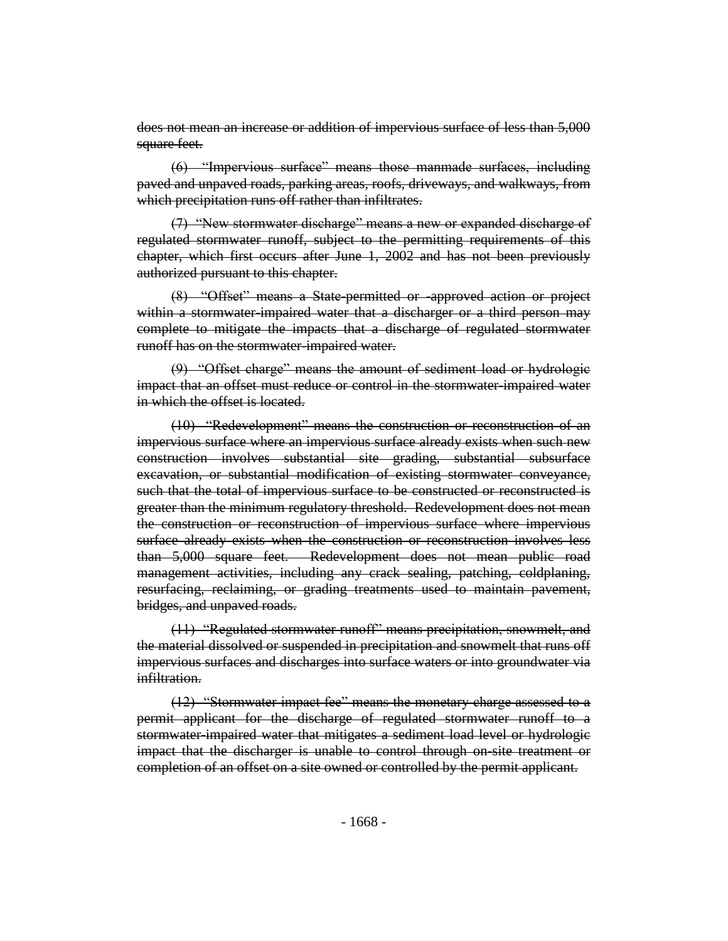does not mean an increase or addition of impervious surface of less than 5,000 square feet.

(6) "Impervious surface" means those manmade surfaces, including paved and unpaved roads, parking areas, roofs, driveways, and walkways, from which precipitation runs off rather than infiltrates.

(7) "New stormwater discharge" means a new or expanded discharge of regulated stormwater runoff, subject to the permitting requirements of this chapter, which first occurs after June 1, 2002 and has not been previously authorized pursuant to this chapter.

(8) "Offset" means a State-permitted or -approved action or project within a stormwater-impaired water that a discharger or a third person may complete to mitigate the impacts that a discharge of regulated stormwater runoff has on the stormwater-impaired water.

(9) "Offset charge" means the amount of sediment load or hydrologic impact that an offset must reduce or control in the stormwater impaired water in which the offset is located.

(10) "Redevelopment" means the construction or reconstruction of an impervious surface where an impervious surface already exists when such new construction involves substantial site grading, substantial subsurface excavation, or substantial modification of existing stormwater conveyance, such that the total of impervious surface to be constructed or reconstructed is greater than the minimum regulatory threshold. Redevelopment does not mean the construction or reconstruction of impervious surface where impervious surface already exists when the construction or reconstruction involves less than 5,000 square feet. Redevelopment does not mean public road management activities, including any crack sealing, patching, coldplaning, resurfacing, reclaiming, or grading treatments used to maintain pavement, bridges, and unpaved roads.

(11) "Regulated stormwater runoff" means precipitation, snowmelt, and the material dissolved or suspended in precipitation and snowmelt that runs off impervious surfaces and discharges into surface waters or into groundwater via infiltration.

(12) "Stormwater impact fee" means the monetary charge assessed to a permit applicant for the discharge of regulated stormwater runoff to a stormwater-impaired water that mitigates a sediment load level or hydrologie impact that the discharger is unable to control through on-site treatment or completion of an offset on a site owned or controlled by the permit applicant.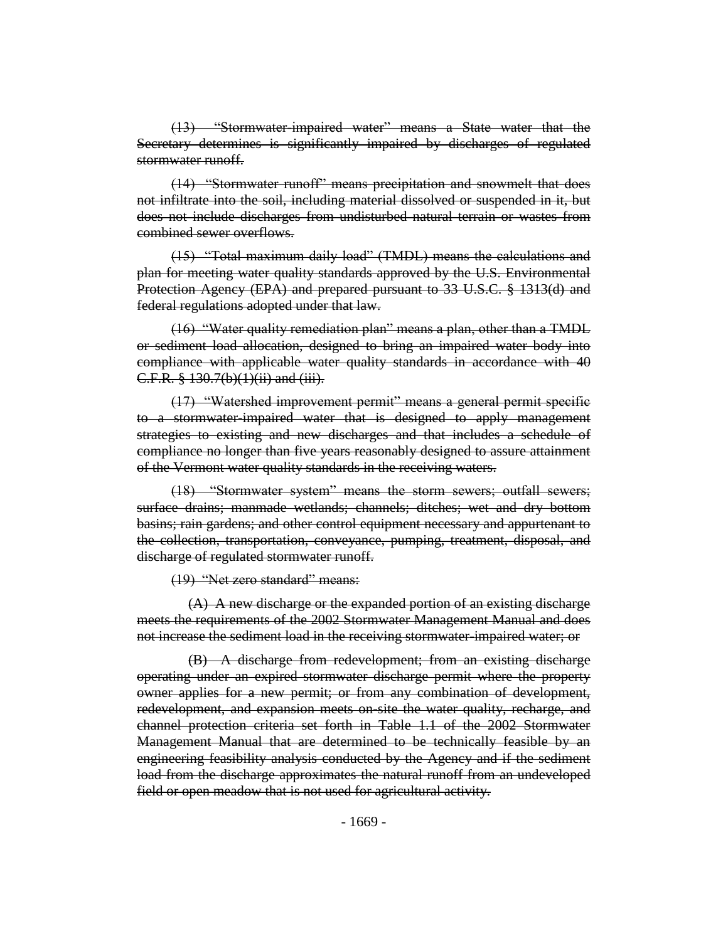(13) "Stormwater-impaired water" means a State water that the Secretary determines is significantly impaired by discharges of regulated stormwater runoff.

(14) "Stormwater runoff" means precipitation and snowmelt that does not infiltrate into the soil, including material dissolved or suspended in it, but does not include discharges from undisturbed natural terrain or wastes from combined sewer overflows.

(15) "Total maximum daily load" (TMDL) means the calculations and plan for meeting water quality standards approved by the U.S. Environmental Protection Agency (EPA) and prepared pursuant to 33 U.S.C. § 1313(d) and federal regulations adopted under that law.

(16) "Water quality remediation plan" means a plan, other than a TMDL or sediment load allocation, designed to bring an impaired water body into compliance with applicable water quality standards in accordance with 40 C.F.R. § 130.7(b)(1)(ii) and (iii).

(17) "Watershed improvement permit" means a general permit specific to a stormwater-impaired water that is designed to apply management strategies to existing and new discharges and that includes a schedule of compliance no longer than five years reasonably designed to assure attainment of the Vermont water quality standards in the receiving waters.

(18) "Stormwater system" means the storm sewers; outfall sewers; surface drains; manmade wetlands; channels; ditches; wet and dry bottom basins; rain gardens; and other control equipment necessary and appurtenant to the collection, transportation, conveyance, pumping, treatment, disposal, and discharge of regulated stormwater runoff.

(19) "Net zero standard" means:

(A) A new discharge or the expanded portion of an existing discharge meets the requirements of the 2002 Stormwater Management Manual and does not increase the sediment load in the receiving stormwater-impaired water; or

(B) A discharge from redevelopment; from an existing discharge operating under an expired stormwater discharge permit where the property owner applies for a new permit; or from any combination of development, redevelopment, and expansion meets on-site the water quality, recharge, and channel protection criteria set forth in Table 1.1 of the 2002 Stormwater Management Manual that are determined to be technically feasible by an engineering feasibility analysis conducted by the Agency and if the sediment load from the discharge approximates the natural runoff from an undeveloped field or open meadow that is not used for agricultural activity.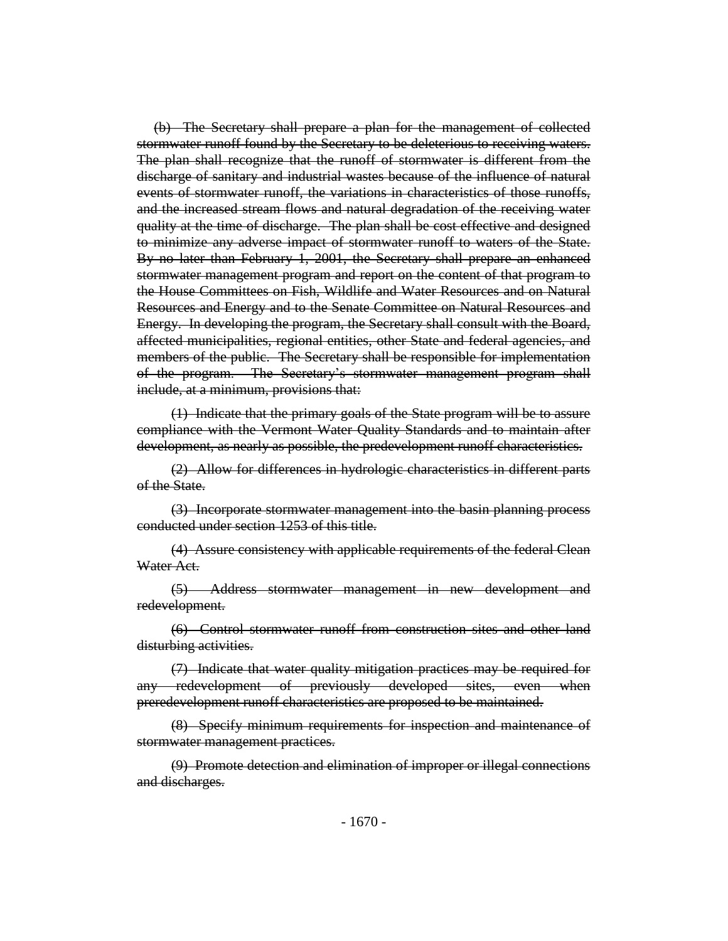(b) The Secretary shall prepare a plan for the management of collected stormwater runoff found by the Secretary to be deleterious to receiving waters. The plan shall recognize that the runoff of stormwater is different from the discharge of sanitary and industrial wastes because of the influence of natural events of stormwater runoff, the variations in characteristics of those runoffs, and the increased stream flows and natural degradation of the receiving water quality at the time of discharge. The plan shall be cost effective and designed to minimize any adverse impact of stormwater runoff to waters of the State. By no later than February 1, 2001, the Secretary shall prepare an enhanced stormwater management program and report on the content of that program to the House Committees on Fish, Wildlife and Water Resources and on Natural Resources and Energy and to the Senate Committee on Natural Resources and Energy. In developing the program, the Secretary shall consult with the Board, affected municipalities, regional entities, other State and federal agencies, and members of the public. The Secretary shall be responsible for implementation of the program. The Secretary's stormwater management program shall include, at a minimum, provisions that:

(1) Indicate that the primary goals of the State program will be to assure compliance with the Vermont Water Quality Standards and to maintain after development, as nearly as possible, the predevelopment runoff characteristics.

(2) Allow for differences in hydrologic characteristics in different parts of the State.

(3) Incorporate stormwater management into the basin planning process conducted under section 1253 of this title.

(4) Assure consistency with applicable requirements of the federal Clean Water Act.

(5) Address stormwater management in new development and redevelopment.

(6) Control stormwater runoff from construction sites and other land disturbing activities.

(7) Indicate that water quality mitigation practices may be required for redevelopment of previously developed sites, even when preredevelopment runoff characteristics are proposed to be maintained.

(8) Specify minimum requirements for inspection and maintenance of stormwater management practices.

(9) Promote detection and elimination of improper or illegal connections and discharges.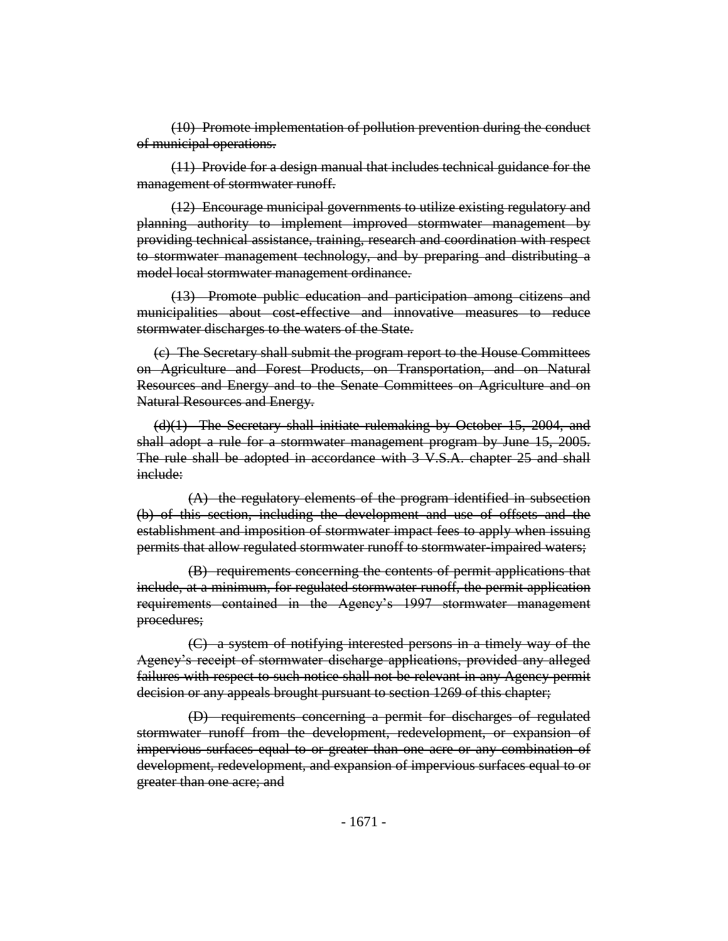(10) Promote implementation of pollution prevention during the conduct of municipal operations.

(11) Provide for a design manual that includes technical guidance for the management of stormwater runoff.

(12) Encourage municipal governments to utilize existing regulatory and planning authority to implement improved stormwater management by providing technical assistance, training, research and coordination with respect to stormwater management technology, and by preparing and distributing a model local stormwater management ordinance.

(13) Promote public education and participation among citizens and municipalities about cost-effective and innovative measures to reduce stormwater discharges to the waters of the State.

(c) The Secretary shall submit the program report to the House Committees on Agriculture and Forest Products, on Transportation, and on Natural Resources and Energy and to the Senate Committees on Agriculture and on Natural Resources and Energy.

(d)(1) The Secretary shall initiate rulemaking by October 15, 2004, and shall adopt a rule for a stormwater management program by June 15, 2005. The rule shall be adopted in accordance with 3 V.S.A. chapter 25 and shall include:

(A) the regulatory elements of the program identified in subsection (b) of this section, including the development and use of offsets and the establishment and imposition of stormwater impact fees to apply when issuing permits that allow regulated stormwater runoff to stormwater-impaired waters;

(B) requirements concerning the contents of permit applications that include, at a minimum, for regulated stormwater runoff, the permit application requirements contained in the Agency's 1997 stormwater management procedures;

(C) a system of notifying interested persons in a timely way of the Agency's receipt of stormwater discharge applications, provided any alleged failures with respect to such notice shall not be relevant in any Agency permit decision or any appeals brought pursuant to section 1269 of this chapter;

(D) requirements concerning a permit for discharges of regulated stormwater runoff from the development, redevelopment, or expansion of impervious surfaces equal to or greater than one acre or any combination of development, redevelopment, and expansion of impervious surfaces equal to or greater than one acre; and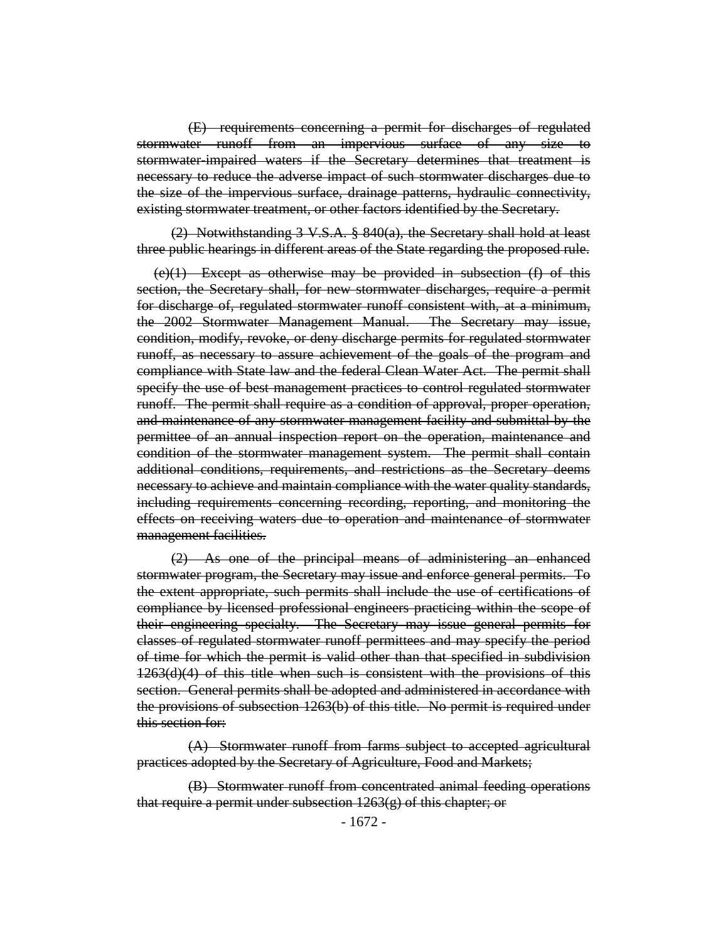(E) requirements concerning a permit for discharges of regulated stormwater runoff from an impervious surface of any size to stormwater-impaired waters if the Secretary determines that treatment is necessary to reduce the adverse impact of such stormwater discharges due to the size of the impervious surface, drainage patterns, hydraulic connectivity, existing stormwater treatment, or other factors identified by the Secretary.

(2) Notwithstanding  $3 \text{ V.S.A. }$   $8 \text{ 840(a), the Secretary shall hold at least}$ three public hearings in different areas of the State regarding the proposed rule.

 $(e)(1)$  Except as otherwise may be provided in subsection  $(f)$  of this section, the Secretary shall, for new stormwater discharges, require a permit for discharge of, regulated stormwater runoff consistent with, at a minimum, the 2002 Stormwater Management Manual. The Secretary may issue, condition, modify, revoke, or deny discharge permits for regulated stormwater runoff, as necessary to assure achievement of the goals of the program and compliance with State law and the federal Clean Water Act. The permit shall specify the use of best management practices to control regulated stormwater runoff. The permit shall require as a condition of approval, proper operation, and maintenance of any stormwater management facility and submittal by the permittee of an annual inspection report on the operation, maintenance and condition of the stormwater management system. The permit shall contain additional conditions, requirements, and restrictions as the Secretary deems necessary to achieve and maintain compliance with the water quality standards, including requirements concerning recording, reporting, and monitoring the effects on receiving waters due to operation and maintenance of stormwater management facilities.

(2) As one of the principal means of administering an enhanced stormwater program, the Secretary may issue and enforce general permits. To the extent appropriate, such permits shall include the use of certifications of compliance by licensed professional engineers practicing within the scope of their engineering specialty. The Secretary may issue general permits for classes of regulated stormwater runoff permittees and may specify the period of time for which the permit is valid other than that specified in subdivision 1263(d)(4) of this title when such is consistent with the provisions of this section. General permits shall be adopted and administered in accordance with the provisions of subsection 1263(b) of this title. No permit is required under this section for:

(A) Stormwater runoff from farms subject to accepted agricultural practices adopted by the Secretary of Agriculture, Food and Markets;

(B) Stormwater runoff from concentrated animal feeding operations that require a permit under subsection 1263(g) of this chapter; or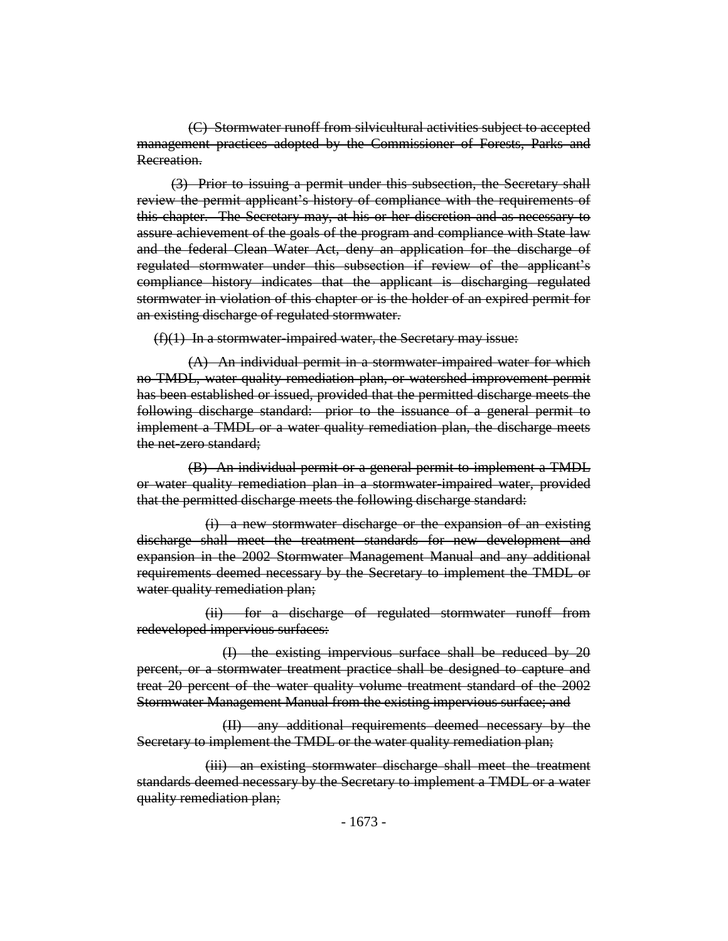(C) Stormwater runoff from silvicultural activities subject to accepted management practices adopted by the Commissioner of Forests, Parks and Recreation.

(3) Prior to issuing a permit under this subsection, the Secretary shall review the permit applicant's history of compliance with the requirements of this chapter. The Secretary may, at his or her discretion and as necessary to assure achievement of the goals of the program and compliance with State law and the federal Clean Water Act, deny an application for the discharge of regulated stormwater under this subsection if review of the applicant's compliance history indicates that the applicant is discharging regulated stormwater in violation of this chapter or is the holder of an expired permit for an existing discharge of regulated stormwater.

 $(f)(1)$  In a stormwater-impaired water, the Secretary may issue:

(A) An individual permit in a stormwater-impaired water for which no TMDL, water quality remediation plan, or watershed improvement permit has been established or issued, provided that the permitted discharge meets the following discharge standard: prior to the issuance of a general permit to implement a TMDL or a water quality remediation plan, the discharge meets the net-zero standard;

(B) An individual permit or a general permit to implement a TMDL or water quality remediation plan in a stormwater-impaired water, provided that the permitted discharge meets the following discharge standard:

(i) a new stormwater discharge or the expansion of an existing discharge shall meet the treatment standards for new development and expansion in the 2002 Stormwater Management Manual and any additional requirements deemed necessary by the Secretary to implement the TMDL or water quality remediation plan;

(ii) for a discharge of regulated stormwater runoff from redeveloped impervious surfaces:

(I) the existing impervious surface shall be reduced by 20 percent, or a stormwater treatment practice shall be designed to capture and treat 20 percent of the water quality volume treatment standard of the 2002 Stormwater Management Manual from the existing impervious surface; and

(II) any additional requirements deemed necessary by the Secretary to implement the TMDL or the water quality remediation plan;

(iii) an existing stormwater discharge shall meet the treatment standards deemed necessary by the Secretary to implement a TMDL or a water quality remediation plan;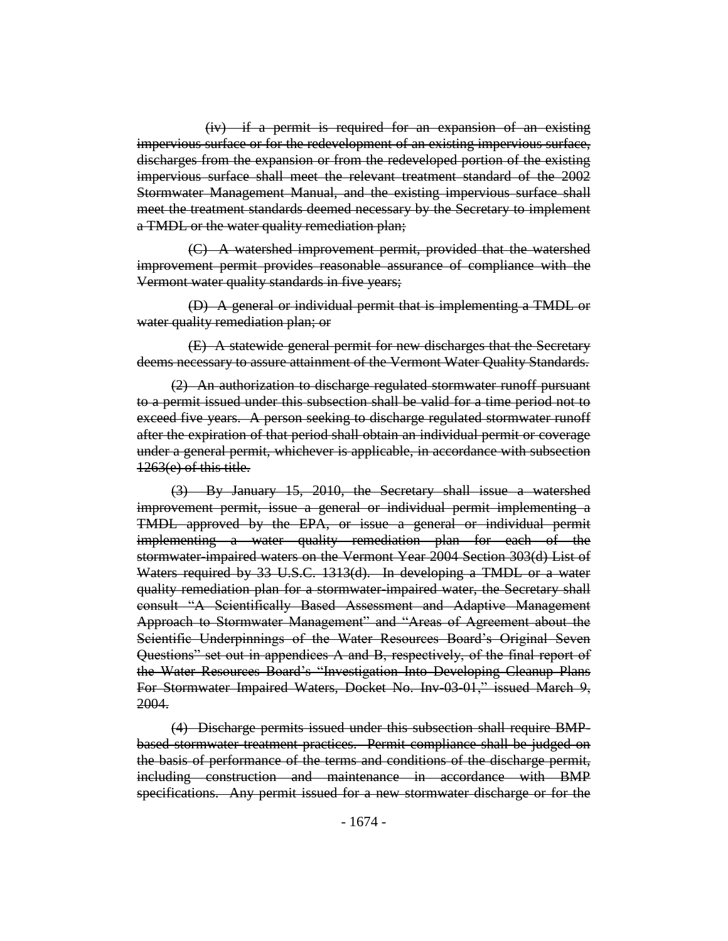(iv) if a permit is required for an expansion of an existing impervious surface or for the redevelopment of an existing impervious surface, discharges from the expansion or from the redeveloped portion of the existing impervious surface shall meet the relevant treatment standard of the 2002 Stormwater Management Manual, and the existing impervious surface shall meet the treatment standards deemed necessary by the Secretary to implement a TMDL or the water quality remediation plan;

(C) A watershed improvement permit, provided that the watershed improvement permit provides reasonable assurance of compliance with the Vermont water quality standards in five years;

(D) A general or individual permit that is implementing a TMDL or water quality remediation plan; or

(E) A statewide general permit for new discharges that the Secretary deems necessary to assure attainment of the Vermont Water Quality Standards.

(2) An authorization to discharge regulated stormwater runoff pursuant to a permit issued under this subsection shall be valid for a time period not to exceed five years. A person seeking to discharge regulated stormwater runoff after the expiration of that period shall obtain an individual permit or coverage under a general permit, whichever is applicable, in accordance with subsection 1263(e) of this title.

(3) By January 15, 2010, the Secretary shall issue a watershed improvement permit, issue a general or individual permit implementing a TMDL approved by the EPA, or issue a general or individual permit implementing a water quality remediation plan for each of the stormwater-impaired waters on the Vermont Year 2004 Section 303(d) List of Waters required by 33 U.S.C. 1313(d). In developing a TMDL or a water quality remediation plan for a stormwater-impaired water, the Secretary shall consult "A Scientifically Based Assessment and Adaptive Management Approach to Stormwater Management" and "Areas of Agreement about the Scientific Underpinnings of the Water Resources Board's Original Seven Questions" set out in appendices A and B, respectively, of the final report of the Water Resources Board's "Investigation Into Developing Cleanup Plans For Stormwater Impaired Waters, Docket No. Inv-03-01," issued March 9, 2004.

(4) Discharge permits issued under this subsection shall require BMPbased stormwater treatment practices. Permit compliance shall be judged on the basis of performance of the terms and conditions of the discharge permit, including construction and maintenance in accordance with BMP specifications. Any permit issued for a new stormwater discharge or for the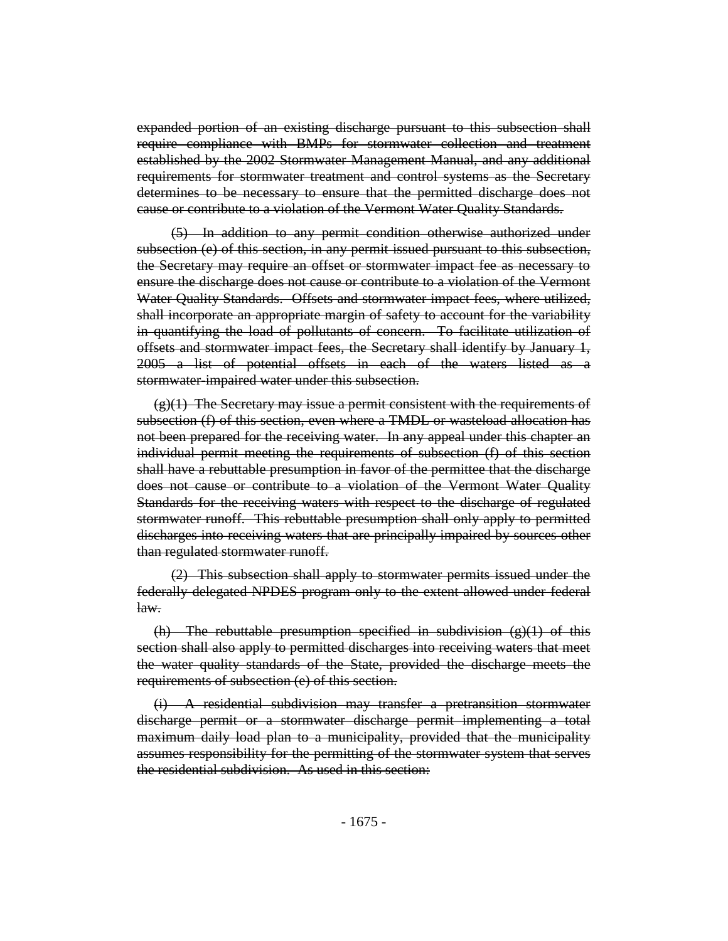expanded portion of an existing discharge pursuant to this subsection shall require compliance with BMPs for stormwater collection and treatment established by the 2002 Stormwater Management Manual, and any additional requirements for stormwater treatment and control systems as the Secretary determines to be necessary to ensure that the permitted discharge does not cause or contribute to a violation of the Vermont Water Quality Standards.

(5) In addition to any permit condition otherwise authorized under subsection (e) of this section, in any permit issued pursuant to this subsection, the Secretary may require an offset or stormwater impact fee as necessary to ensure the discharge does not cause or contribute to a violation of the Vermont Water Quality Standards. Offsets and stormwater impact fees, where utilized, shall incorporate an appropriate margin of safety to account for the variability in quantifying the load of pollutants of concern. To facilitate utilization of offsets and stormwater impact fees, the Secretary shall identify by January 1, 2005 a list of potential offsets in each of the waters listed as a stormwater-impaired water under this subsection.

 $(g)(1)$  The Secretary may issue a permit consistent with the requirements of subsection (f) of this section, even where a TMDL or wasteload allocation has not been prepared for the receiving water. In any appeal under this chapter an individual permit meeting the requirements of subsection (f) of this section shall have a rebuttable presumption in favor of the permittee that the discharge does not cause or contribute to a violation of the Vermont Water Quality Standards for the receiving waters with respect to the discharge of regulated stormwater runoff. This rebuttable presumption shall only apply to permitted discharges into receiving waters that are principally impaired by sources other than regulated stormwater runoff.

(2) This subsection shall apply to stormwater permits issued under the federally delegated NPDES program only to the extent allowed under federal law.

(h) The rebuttable presumption specified in subdivision  $(g)(1)$  of this section shall also apply to permitted discharges into receiving waters that meet the water quality standards of the State, provided the discharge meets the requirements of subsection (e) of this section.

(i) A residential subdivision may transfer a pretransition stormwater discharge permit or a stormwater discharge permit implementing a total maximum daily load plan to a municipality, provided that the municipality assumes responsibility for the permitting of the stormwater system that serves the residential subdivision. As used in this section: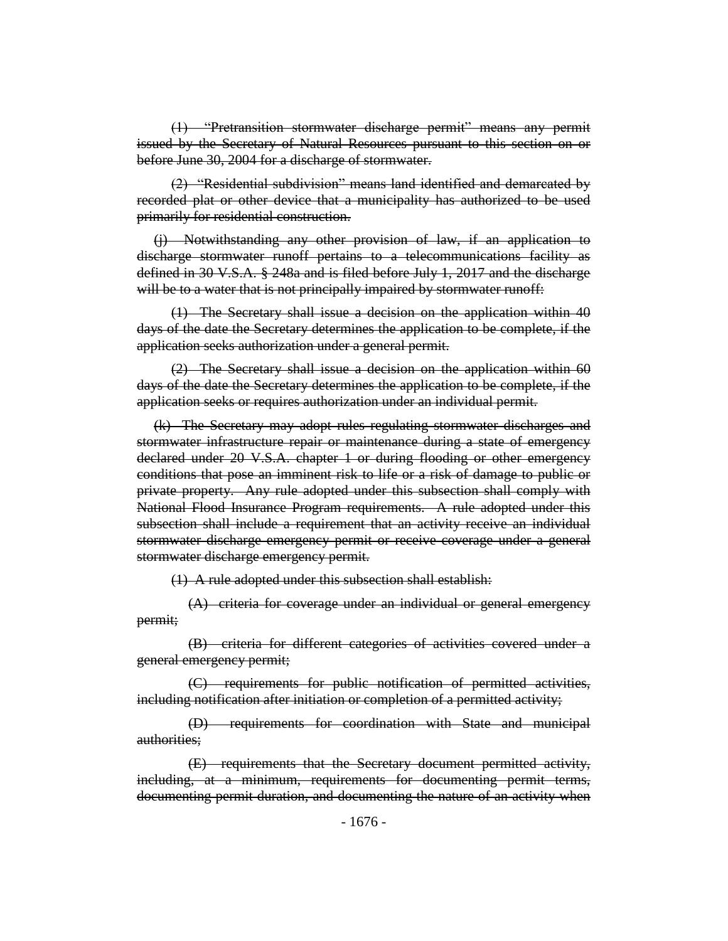(1) "Pretransition stormwater discharge permit" means any permit issued by the Secretary of Natural Resources pursuant to this section on or before June 30, 2004 for a discharge of stormwater.

(2) "Residential subdivision" means land identified and demarcated by recorded plat or other device that a municipality has authorized to be used primarily for residential construction.

(j) Notwithstanding any other provision of law, if an application to discharge stormwater runoff pertains to a telecommunications facility as defined in 30 V.S.A. § 248a and is filed before July 1, 2017 and the discharge will be to a water that is not principally impaired by stormwater runoff:

(1) The Secretary shall issue a decision on the application within 40 days of the date the Secretary determines the application to be complete, if the application seeks authorization under a general permit.

(2) The Secretary shall issue a decision on the application within 60 days of the date the Secretary determines the application to be complete, if the application seeks or requires authorization under an individual permit.

(k) The Secretary may adopt rules regulating stormwater discharges and stormwater infrastructure repair or maintenance during a state of emergency declared under 20 V.S.A. chapter 1 or during flooding or other emergency conditions that pose an imminent risk to life or a risk of damage to public or private property. Any rule adopted under this subsection shall comply with National Flood Insurance Program requirements. A rule adopted under this subsection shall include a requirement that an activity receive an individual stormwater discharge emergency permit or receive coverage under a general stormwater discharge emergency permit.

(1) A rule adopted under this subsection shall establish:

(A) criteria for coverage under an individual or general emergency permit;

(B) criteria for different categories of activities covered under a general emergency permit;

(C) requirements for public notification of permitted activities, including notification after initiation or completion of a permitted activity;

(D) requirements for coordination with State and municipal authorities;

(E) requirements that the Secretary document permitted activity, including, at a minimum, requirements for documenting permit terms, documenting permit duration, and documenting the nature of an activity when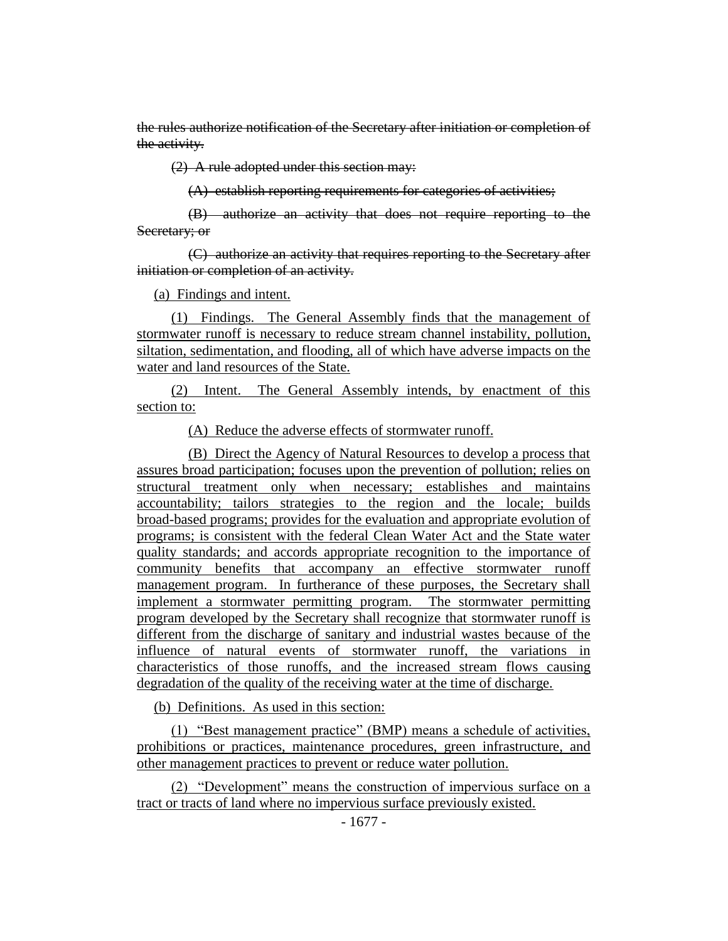the rules authorize notification of the Secretary after initiation or completion of the activity.

(2) A rule adopted under this section may:

(A) establish reporting requirements for categories of activities;

(B) authorize an activity that does not require reporting to the Secretary; or

(C) authorize an activity that requires reporting to the Secretary after initiation or completion of an activity.

(a) Findings and intent.

(1) Findings. The General Assembly finds that the management of stormwater runoff is necessary to reduce stream channel instability, pollution, siltation, sedimentation, and flooding, all of which have adverse impacts on the water and land resources of the State.

(2) Intent. The General Assembly intends, by enactment of this section to:

(A) Reduce the adverse effects of stormwater runoff.

(B) Direct the Agency of Natural Resources to develop a process that assures broad participation; focuses upon the prevention of pollution; relies on structural treatment only when necessary; establishes and maintains accountability; tailors strategies to the region and the locale; builds broad-based programs; provides for the evaluation and appropriate evolution of programs; is consistent with the federal Clean Water Act and the State water quality standards; and accords appropriate recognition to the importance of community benefits that accompany an effective stormwater runoff management program. In furtherance of these purposes, the Secretary shall implement a stormwater permitting program. The stormwater permitting program developed by the Secretary shall recognize that stormwater runoff is different from the discharge of sanitary and industrial wastes because of the influence of natural events of stormwater runoff, the variations in characteristics of those runoffs, and the increased stream flows causing degradation of the quality of the receiving water at the time of discharge.

(b) Definitions. As used in this section:

(1) "Best management practice" (BMP) means a schedule of activities, prohibitions or practices, maintenance procedures, green infrastructure, and other management practices to prevent or reduce water pollution.

(2) "Development" means the construction of impervious surface on a tract or tracts of land where no impervious surface previously existed.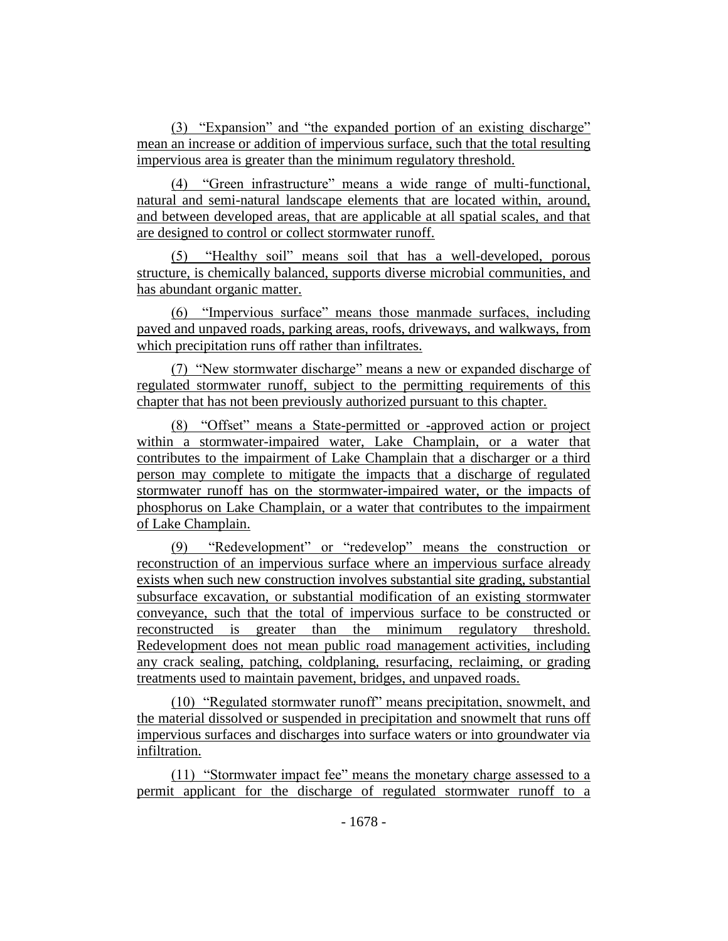(3) "Expansion" and "the expanded portion of an existing discharge" mean an increase or addition of impervious surface, such that the total resulting impervious area is greater than the minimum regulatory threshold.

(4) "Green infrastructure" means a wide range of multi-functional, natural and semi-natural landscape elements that are located within, around, and between developed areas, that are applicable at all spatial scales, and that are designed to control or collect stormwater runoff.

(5) "Healthy soil" means soil that has a well-developed, porous structure, is chemically balanced, supports diverse microbial communities, and has abundant organic matter.

(6) "Impervious surface" means those manmade surfaces, including paved and unpaved roads, parking areas, roofs, driveways, and walkways, from which precipitation runs off rather than infiltrates.

(7) "New stormwater discharge" means a new or expanded discharge of regulated stormwater runoff, subject to the permitting requirements of this chapter that has not been previously authorized pursuant to this chapter.

(8) "Offset" means a State-permitted or -approved action or project within a stormwater-impaired water, Lake Champlain, or a water that contributes to the impairment of Lake Champlain that a discharger or a third person may complete to mitigate the impacts that a discharge of regulated stormwater runoff has on the stormwater-impaired water, or the impacts of phosphorus on Lake Champlain, or a water that contributes to the impairment of Lake Champlain.

(9) "Redevelopment" or "redevelop" means the construction or reconstruction of an impervious surface where an impervious surface already exists when such new construction involves substantial site grading, substantial subsurface excavation, or substantial modification of an existing stormwater conveyance, such that the total of impervious surface to be constructed or reconstructed is greater than the minimum regulatory threshold. Redevelopment does not mean public road management activities, including any crack sealing, patching, coldplaning, resurfacing, reclaiming, or grading treatments used to maintain pavement, bridges, and unpaved roads.

(10) "Regulated stormwater runoff" means precipitation, snowmelt, and the material dissolved or suspended in precipitation and snowmelt that runs off impervious surfaces and discharges into surface waters or into groundwater via infiltration.

(11) "Stormwater impact fee" means the monetary charge assessed to a permit applicant for the discharge of regulated stormwater runoff to a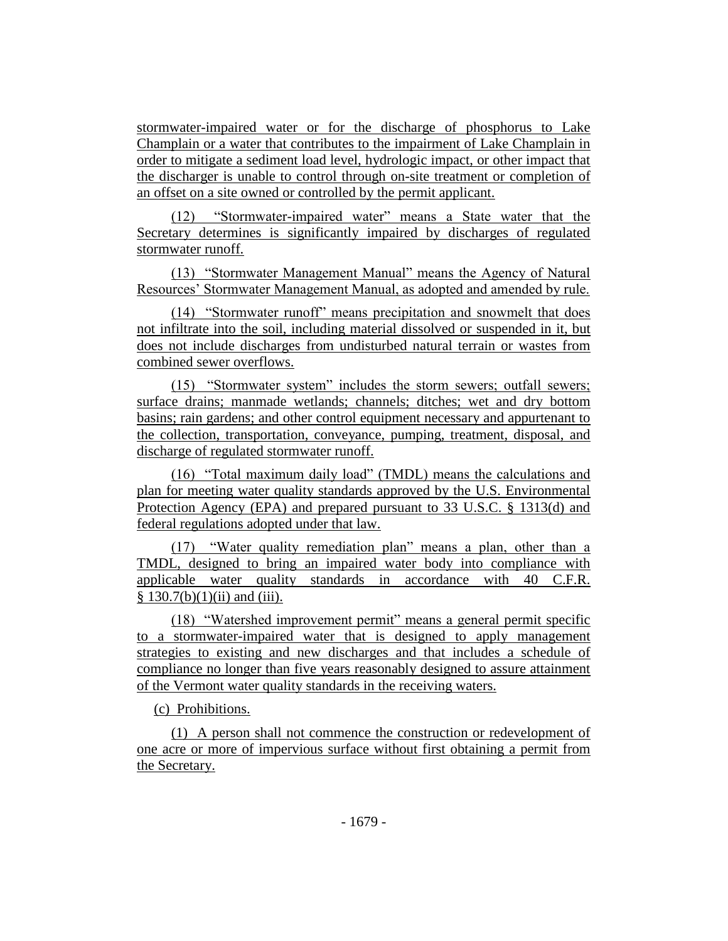stormwater-impaired water or for the discharge of phosphorus to Lake Champlain or a water that contributes to the impairment of Lake Champlain in order to mitigate a sediment load level, hydrologic impact, or other impact that the discharger is unable to control through on-site treatment or completion of an offset on a site owned or controlled by the permit applicant.

(12) "Stormwater-impaired water" means a State water that the Secretary determines is significantly impaired by discharges of regulated stormwater runoff.

(13) "Stormwater Management Manual" means the Agency of Natural Resources' Stormwater Management Manual, as adopted and amended by rule.

(14) "Stormwater runoff" means precipitation and snowmelt that does not infiltrate into the soil, including material dissolved or suspended in it, but does not include discharges from undisturbed natural terrain or wastes from combined sewer overflows.

(15) "Stormwater system" includes the storm sewers; outfall sewers; surface drains; manmade wetlands; channels; ditches; wet and dry bottom basins; rain gardens; and other control equipment necessary and appurtenant to the collection, transportation, conveyance, pumping, treatment, disposal, and discharge of regulated stormwater runoff.

(16) "Total maximum daily load" (TMDL) means the calculations and plan for meeting water quality standards approved by the U.S. Environmental Protection Agency (EPA) and prepared pursuant to 33 U.S.C. § 1313(d) and federal regulations adopted under that law.

(17) "Water quality remediation plan" means a plan, other than a TMDL, designed to bring an impaired water body into compliance with applicable water quality standards in accordance with 40 C.F.R.  $§ 130.7(b)(1)(ii)$  and (iii).

(18) "Watershed improvement permit" means a general permit specific to a stormwater-impaired water that is designed to apply management strategies to existing and new discharges and that includes a schedule of compliance no longer than five years reasonably designed to assure attainment of the Vermont water quality standards in the receiving waters.

(c) Prohibitions.

(1) A person shall not commence the construction or redevelopment of one acre or more of impervious surface without first obtaining a permit from the Secretary.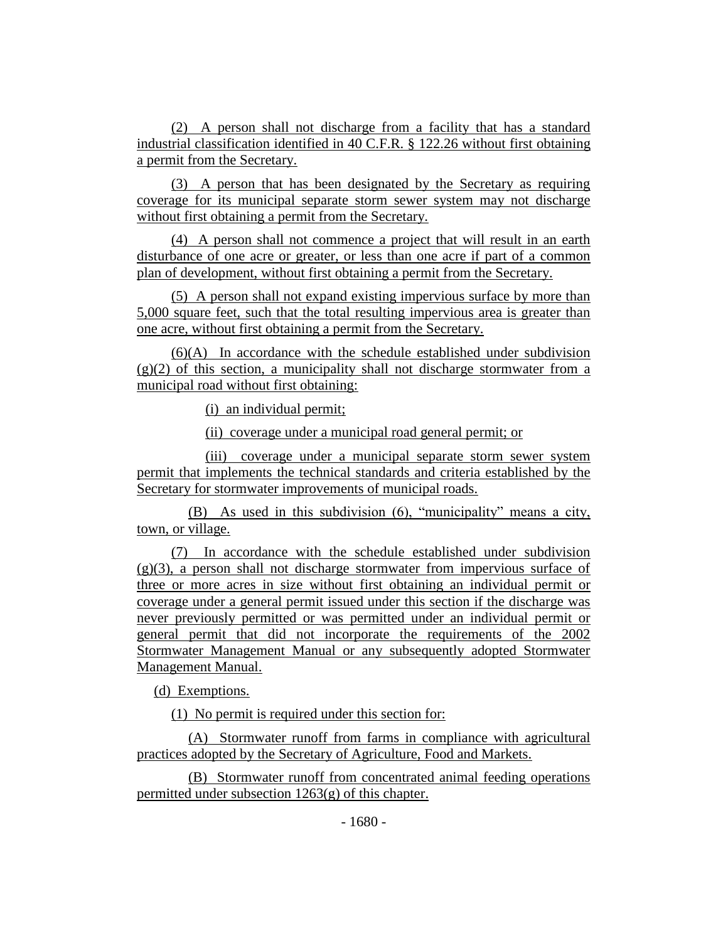(2) A person shall not discharge from a facility that has a standard industrial classification identified in 40 C.F.R. § 122.26 without first obtaining a permit from the Secretary.

(3) A person that has been designated by the Secretary as requiring coverage for its municipal separate storm sewer system may not discharge without first obtaining a permit from the Secretary.

(4) A person shall not commence a project that will result in an earth disturbance of one acre or greater, or less than one acre if part of a common plan of development, without first obtaining a permit from the Secretary.

(5) A person shall not expand existing impervious surface by more than 5,000 square feet, such that the total resulting impervious area is greater than one acre, without first obtaining a permit from the Secretary.

(6)(A) In accordance with the schedule established under subdivision  $(g)(2)$  of this section, a municipality shall not discharge stormwater from a municipal road without first obtaining:

(i) an individual permit;

(ii) coverage under a municipal road general permit; or

(iii) coverage under a municipal separate storm sewer system permit that implements the technical standards and criteria established by the Secretary for stormwater improvements of municipal roads.

(B) As used in this subdivision (6), "municipality" means a city, town, or village.

(7) In accordance with the schedule established under subdivision  $(g)(3)$ , a person shall not discharge stormwater from impervious surface of three or more acres in size without first obtaining an individual permit or coverage under a general permit issued under this section if the discharge was never previously permitted or was permitted under an individual permit or general permit that did not incorporate the requirements of the 2002 Stormwater Management Manual or any subsequently adopted Stormwater Management Manual.

(d) Exemptions.

(1) No permit is required under this section for:

(A) Stormwater runoff from farms in compliance with agricultural practices adopted by the Secretary of Agriculture, Food and Markets.

(B) Stormwater runoff from concentrated animal feeding operations permitted under subsection 1263(g) of this chapter.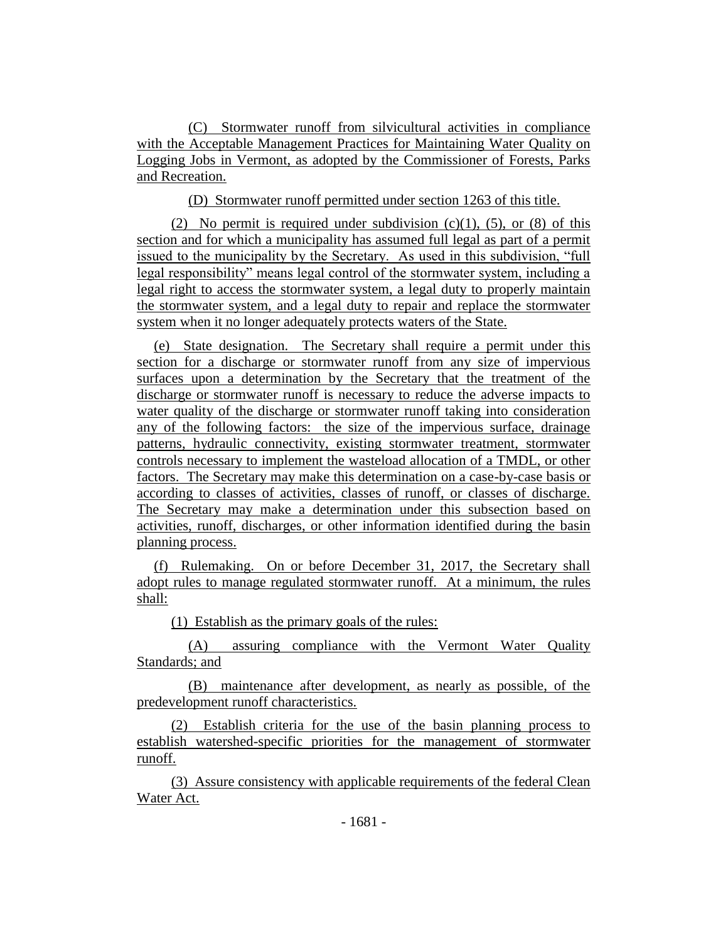(C) Stormwater runoff from silvicultural activities in compliance with the Acceptable Management Practices for Maintaining Water Quality on Logging Jobs in Vermont, as adopted by the Commissioner of Forests, Parks and Recreation.

(D) Stormwater runoff permitted under section 1263 of this title.

(2) No permit is required under subdivision  $(c)(1)$ ,  $(5)$ , or  $(8)$  of this section and for which a municipality has assumed full legal as part of a permit issued to the municipality by the Secretary. As used in this subdivision, "full legal responsibility" means legal control of the stormwater system, including a legal right to access the stormwater system, a legal duty to properly maintain the stormwater system, and a legal duty to repair and replace the stormwater system when it no longer adequately protects waters of the State.

(e) State designation. The Secretary shall require a permit under this section for a discharge or stormwater runoff from any size of impervious surfaces upon a determination by the Secretary that the treatment of the discharge or stormwater runoff is necessary to reduce the adverse impacts to water quality of the discharge or stormwater runoff taking into consideration any of the following factors: the size of the impervious surface, drainage patterns, hydraulic connectivity, existing stormwater treatment, stormwater controls necessary to implement the wasteload allocation of a TMDL, or other factors. The Secretary may make this determination on a case-by-case basis or according to classes of activities, classes of runoff, or classes of discharge. The Secretary may make a determination under this subsection based on activities, runoff, discharges, or other information identified during the basin planning process.

(f) Rulemaking. On or before December 31, 2017, the Secretary shall adopt rules to manage regulated stormwater runoff. At a minimum, the rules shall:

(1) Establish as the primary goals of the rules:

(A) assuring compliance with the Vermont Water Quality Standards; and

(B) maintenance after development, as nearly as possible, of the predevelopment runoff characteristics.

(2) Establish criteria for the use of the basin planning process to establish watershed-specific priorities for the management of stormwater runoff.

(3) Assure consistency with applicable requirements of the federal Clean Water Act.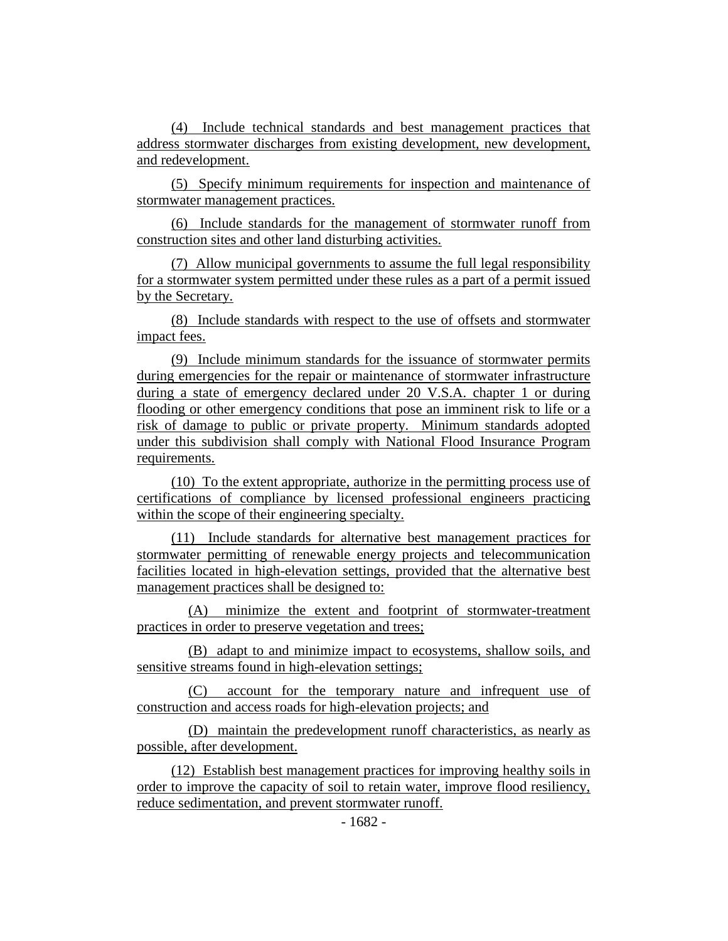(4) Include technical standards and best management practices that address stormwater discharges from existing development, new development, and redevelopment.

(5) Specify minimum requirements for inspection and maintenance of stormwater management practices.

(6) Include standards for the management of stormwater runoff from construction sites and other land disturbing activities.

(7) Allow municipal governments to assume the full legal responsibility for a stormwater system permitted under these rules as a part of a permit issued by the Secretary.

(8) Include standards with respect to the use of offsets and stormwater impact fees.

(9) Include minimum standards for the issuance of stormwater permits during emergencies for the repair or maintenance of stormwater infrastructure during a state of emergency declared under 20 V.S.A. chapter 1 or during flooding or other emergency conditions that pose an imminent risk to life or a risk of damage to public or private property. Minimum standards adopted under this subdivision shall comply with National Flood Insurance Program requirements.

(10) To the extent appropriate, authorize in the permitting process use of certifications of compliance by licensed professional engineers practicing within the scope of their engineering specialty.

(11) Include standards for alternative best management practices for stormwater permitting of renewable energy projects and telecommunication facilities located in high-elevation settings, provided that the alternative best management practices shall be designed to:

(A) minimize the extent and footprint of stormwater-treatment practices in order to preserve vegetation and trees;

(B) adapt to and minimize impact to ecosystems, shallow soils, and sensitive streams found in high-elevation settings;

(C) account for the temporary nature and infrequent use of construction and access roads for high-elevation projects; and

(D) maintain the predevelopment runoff characteristics, as nearly as possible, after development.

(12) Establish best management practices for improving healthy soils in order to improve the capacity of soil to retain water, improve flood resiliency, reduce sedimentation, and prevent stormwater runoff.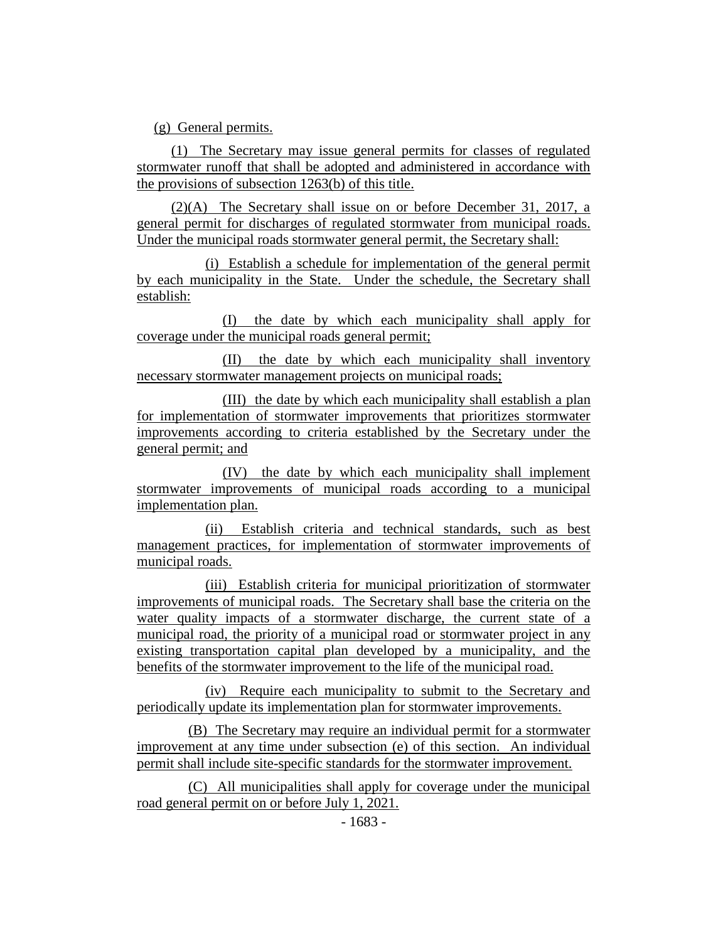(g) General permits.

(1) The Secretary may issue general permits for classes of regulated stormwater runoff that shall be adopted and administered in accordance with the provisions of subsection 1263(b) of this title.

(2)(A) The Secretary shall issue on or before December 31, 2017, a general permit for discharges of regulated stormwater from municipal roads. Under the municipal roads stormwater general permit, the Secretary shall:

(i) Establish a schedule for implementation of the general permit by each municipality in the State. Under the schedule, the Secretary shall establish:

(I) the date by which each municipality shall apply for coverage under the municipal roads general permit;

(II) the date by which each municipality shall inventory necessary stormwater management projects on municipal roads;

(III) the date by which each municipality shall establish a plan for implementation of stormwater improvements that prioritizes stormwater improvements according to criteria established by the Secretary under the general permit; and

(IV) the date by which each municipality shall implement stormwater improvements of municipal roads according to a municipal implementation plan.

(ii) Establish criteria and technical standards, such as best management practices, for implementation of stormwater improvements of municipal roads.

(iii) Establish criteria for municipal prioritization of stormwater improvements of municipal roads. The Secretary shall base the criteria on the water quality impacts of a stormwater discharge, the current state of a municipal road, the priority of a municipal road or stormwater project in any existing transportation capital plan developed by a municipality, and the benefits of the stormwater improvement to the life of the municipal road.

(iv) Require each municipality to submit to the Secretary and periodically update its implementation plan for stormwater improvements.

(B) The Secretary may require an individual permit for a stormwater improvement at any time under subsection (e) of this section. An individual permit shall include site-specific standards for the stormwater improvement.

(C) All municipalities shall apply for coverage under the municipal road general permit on or before July 1, 2021.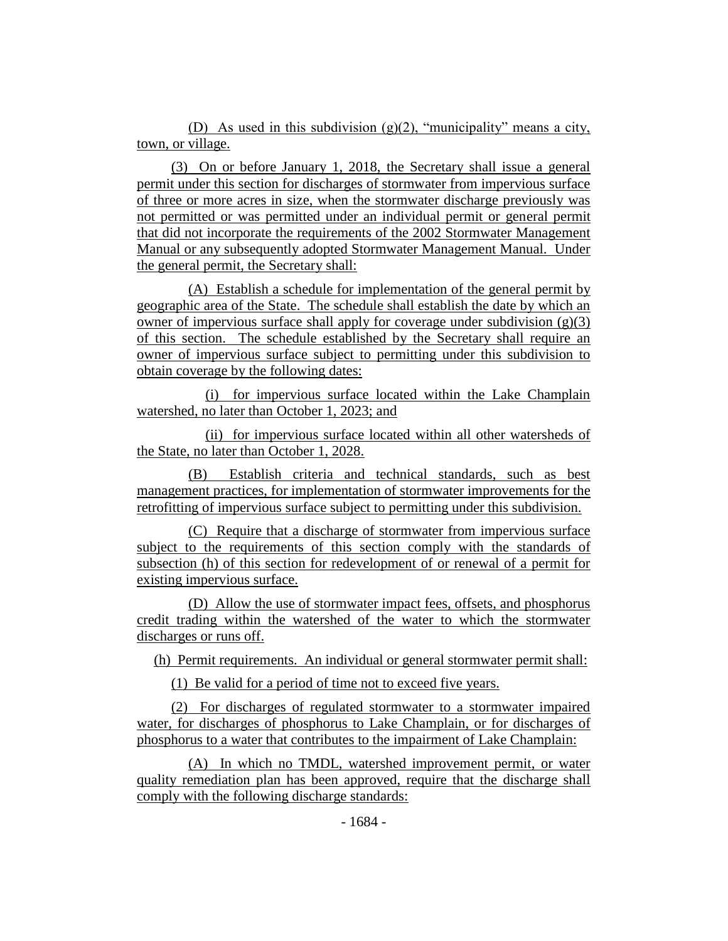(D) As used in this subdivision (g)(2), "municipality" means a city, town, or village.

(3) On or before January 1, 2018, the Secretary shall issue a general permit under this section for discharges of stormwater from impervious surface of three or more acres in size, when the stormwater discharge previously was not permitted or was permitted under an individual permit or general permit that did not incorporate the requirements of the 2002 Stormwater Management Manual or any subsequently adopted Stormwater Management Manual. Under the general permit, the Secretary shall:

(A) Establish a schedule for implementation of the general permit by geographic area of the State. The schedule shall establish the date by which an owner of impervious surface shall apply for coverage under subdivision  $(g)(3)$ of this section. The schedule established by the Secretary shall require an owner of impervious surface subject to permitting under this subdivision to obtain coverage by the following dates:

(i) for impervious surface located within the Lake Champlain watershed, no later than October 1, 2023; and

(ii) for impervious surface located within all other watersheds of the State, no later than October 1, 2028.

(B) Establish criteria and technical standards, such as best management practices, for implementation of stormwater improvements for the retrofitting of impervious surface subject to permitting under this subdivision.

(C) Require that a discharge of stormwater from impervious surface subject to the requirements of this section comply with the standards of subsection (h) of this section for redevelopment of or renewal of a permit for existing impervious surface.

(D) Allow the use of stormwater impact fees, offsets, and phosphorus credit trading within the watershed of the water to which the stormwater discharges or runs off.

(h) Permit requirements. An individual or general stormwater permit shall:

(1) Be valid for a period of time not to exceed five years.

(2) For discharges of regulated stormwater to a stormwater impaired water, for discharges of phosphorus to Lake Champlain, or for discharges of phosphorus to a water that contributes to the impairment of Lake Champlain:

(A) In which no TMDL, watershed improvement permit, or water quality remediation plan has been approved, require that the discharge shall comply with the following discharge standards: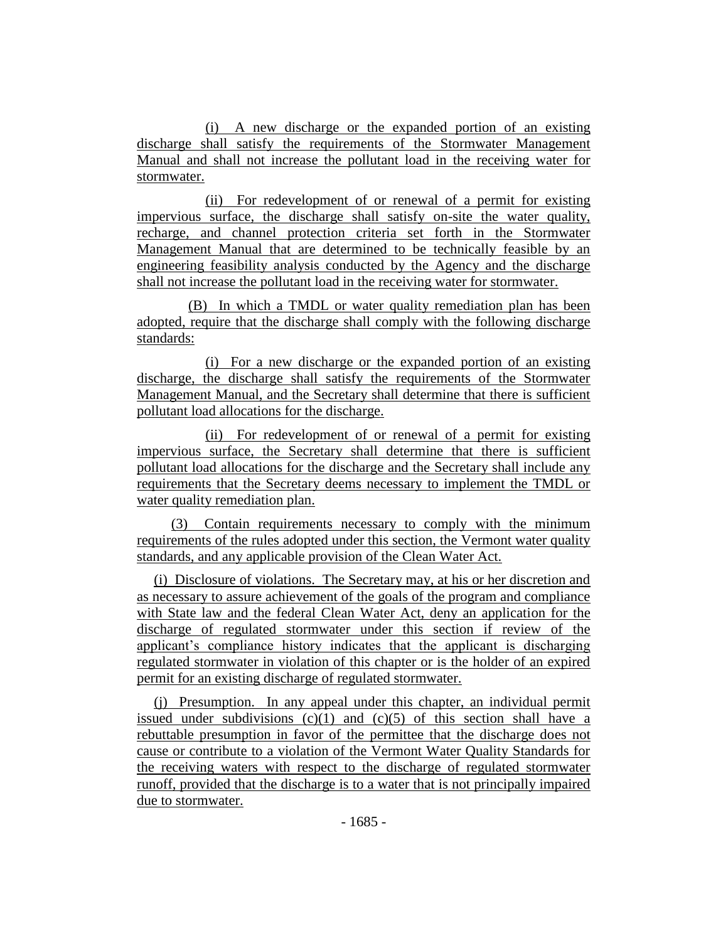(i) A new discharge or the expanded portion of an existing discharge shall satisfy the requirements of the Stormwater Management Manual and shall not increase the pollutant load in the receiving water for stormwater.

(ii) For redevelopment of or renewal of a permit for existing impervious surface, the discharge shall satisfy on-site the water quality, recharge, and channel protection criteria set forth in the Stormwater Management Manual that are determined to be technically feasible by an engineering feasibility analysis conducted by the Agency and the discharge shall not increase the pollutant load in the receiving water for stormwater.

(B) In which a TMDL or water quality remediation plan has been adopted, require that the discharge shall comply with the following discharge standards:

(i) For a new discharge or the expanded portion of an existing discharge, the discharge shall satisfy the requirements of the Stormwater Management Manual, and the Secretary shall determine that there is sufficient pollutant load allocations for the discharge.

(ii) For redevelopment of or renewal of a permit for existing impervious surface, the Secretary shall determine that there is sufficient pollutant load allocations for the discharge and the Secretary shall include any requirements that the Secretary deems necessary to implement the TMDL or water quality remediation plan.

(3) Contain requirements necessary to comply with the minimum requirements of the rules adopted under this section, the Vermont water quality standards, and any applicable provision of the Clean Water Act.

(i) Disclosure of violations. The Secretary may, at his or her discretion and as necessary to assure achievement of the goals of the program and compliance with State law and the federal Clean Water Act, deny an application for the discharge of regulated stormwater under this section if review of the applicant's compliance history indicates that the applicant is discharging regulated stormwater in violation of this chapter or is the holder of an expired permit for an existing discharge of regulated stormwater.

(j) Presumption. In any appeal under this chapter, an individual permit issued under subdivisions  $(c)(1)$  and  $(c)(5)$  of this section shall have a rebuttable presumption in favor of the permittee that the discharge does not cause or contribute to a violation of the Vermont Water Quality Standards for the receiving waters with respect to the discharge of regulated stormwater runoff, provided that the discharge is to a water that is not principally impaired due to stormwater.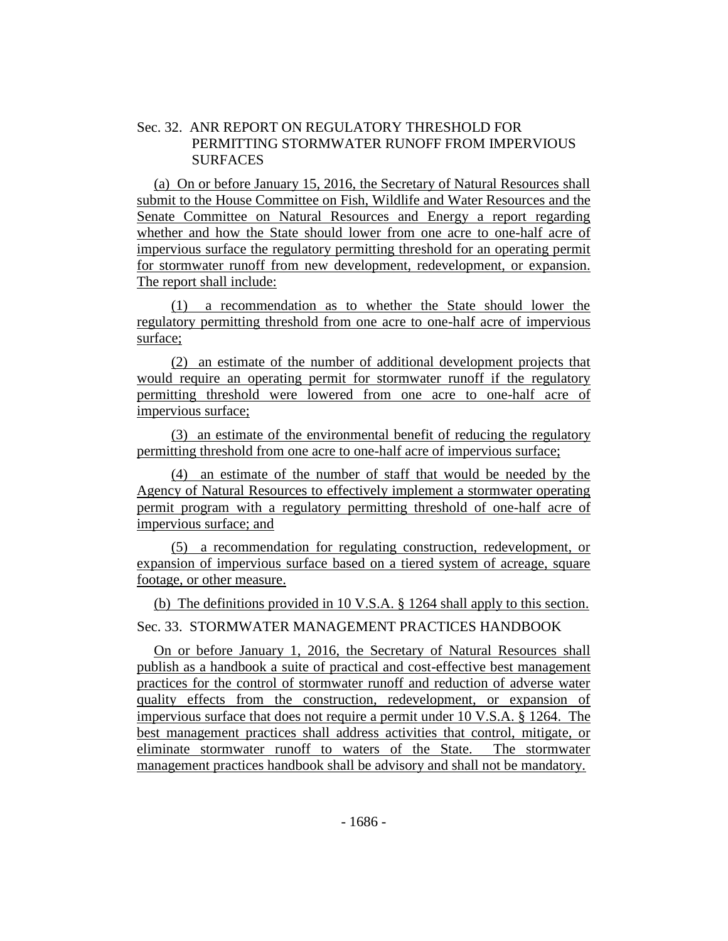## Sec. 32. ANR REPORT ON REGULATORY THRESHOLD FOR PERMITTING STORMWATER RUNOFF FROM IMPERVIOUS **SURFACES**

(a) On or before January 15, 2016, the Secretary of Natural Resources shall submit to the House Committee on Fish, Wildlife and Water Resources and the Senate Committee on Natural Resources and Energy a report regarding whether and how the State should lower from one acre to one-half acre of impervious surface the regulatory permitting threshold for an operating permit for stormwater runoff from new development, redevelopment, or expansion. The report shall include:

(1) a recommendation as to whether the State should lower the regulatory permitting threshold from one acre to one-half acre of impervious surface;

(2) an estimate of the number of additional development projects that would require an operating permit for stormwater runoff if the regulatory permitting threshold were lowered from one acre to one-half acre of impervious surface;

(3) an estimate of the environmental benefit of reducing the regulatory permitting threshold from one acre to one-half acre of impervious surface;

(4) an estimate of the number of staff that would be needed by the Agency of Natural Resources to effectively implement a stormwater operating permit program with a regulatory permitting threshold of one-half acre of impervious surface; and

(5) a recommendation for regulating construction, redevelopment, or expansion of impervious surface based on a tiered system of acreage, square footage, or other measure.

(b) The definitions provided in 10 V.S.A. § 1264 shall apply to this section.

Sec. 33. STORMWATER MANAGEMENT PRACTICES HANDBOOK

On or before January 1, 2016, the Secretary of Natural Resources shall publish as a handbook a suite of practical and cost-effective best management practices for the control of stormwater runoff and reduction of adverse water quality effects from the construction, redevelopment, or expansion of impervious surface that does not require a permit under 10 V.S.A. § 1264. The best management practices shall address activities that control, mitigate, or eliminate stormwater runoff to waters of the State. The stormwater management practices handbook shall be advisory and shall not be mandatory.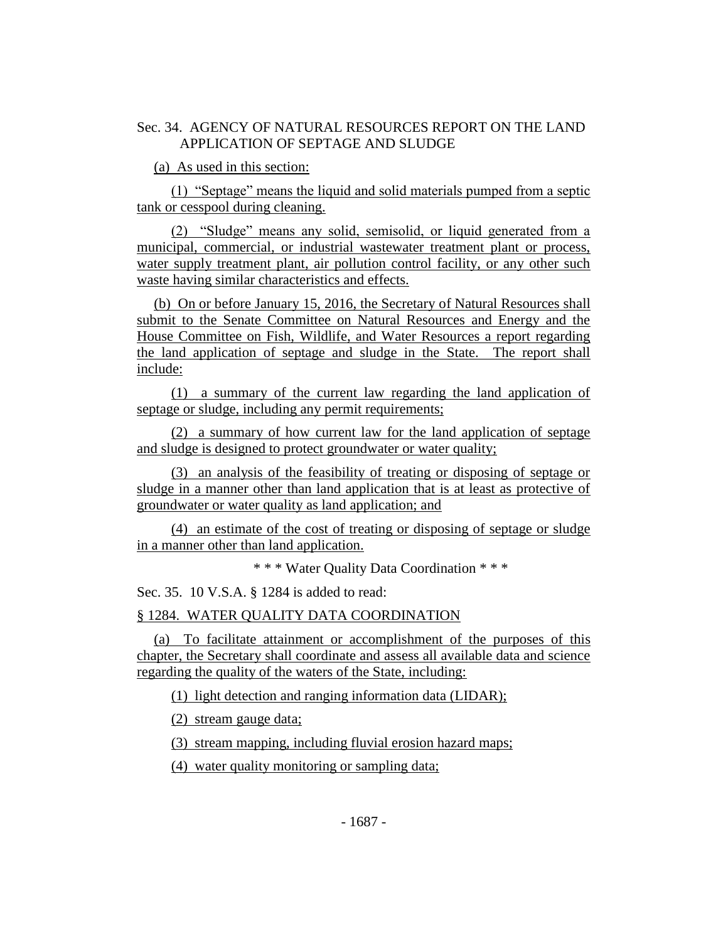## Sec. 34. AGENCY OF NATURAL RESOURCES REPORT ON THE LAND APPLICATION OF SEPTAGE AND SLUDGE

(a) As used in this section:

(1) "Septage" means the liquid and solid materials pumped from a septic tank or cesspool during cleaning.

(2) "Sludge" means any solid, semisolid, or liquid generated from a municipal, commercial, or industrial wastewater treatment plant or process, water supply treatment plant, air pollution control facility, or any other such waste having similar characteristics and effects.

(b) On or before January 15, 2016, the Secretary of Natural Resources shall submit to the Senate Committee on Natural Resources and Energy and the House Committee on Fish, Wildlife, and Water Resources a report regarding the land application of septage and sludge in the State. The report shall include:

(1) a summary of the current law regarding the land application of septage or sludge, including any permit requirements;

(2) a summary of how current law for the land application of septage and sludge is designed to protect groundwater or water quality;

(3) an analysis of the feasibility of treating or disposing of septage or sludge in a manner other than land application that is at least as protective of groundwater or water quality as land application; and

(4) an estimate of the cost of treating or disposing of septage or sludge in a manner other than land application.

\* \* \* Water Quality Data Coordination \* \* \*

Sec. 35. 10 V.S.A. § 1284 is added to read:

§ 1284. WATER QUALITY DATA COORDINATION

(a) To facilitate attainment or accomplishment of the purposes of this chapter, the Secretary shall coordinate and assess all available data and science regarding the quality of the waters of the State, including:

(1) light detection and ranging information data (LIDAR);

(2) stream gauge data;

(3) stream mapping, including fluvial erosion hazard maps;

(4) water quality monitoring or sampling data;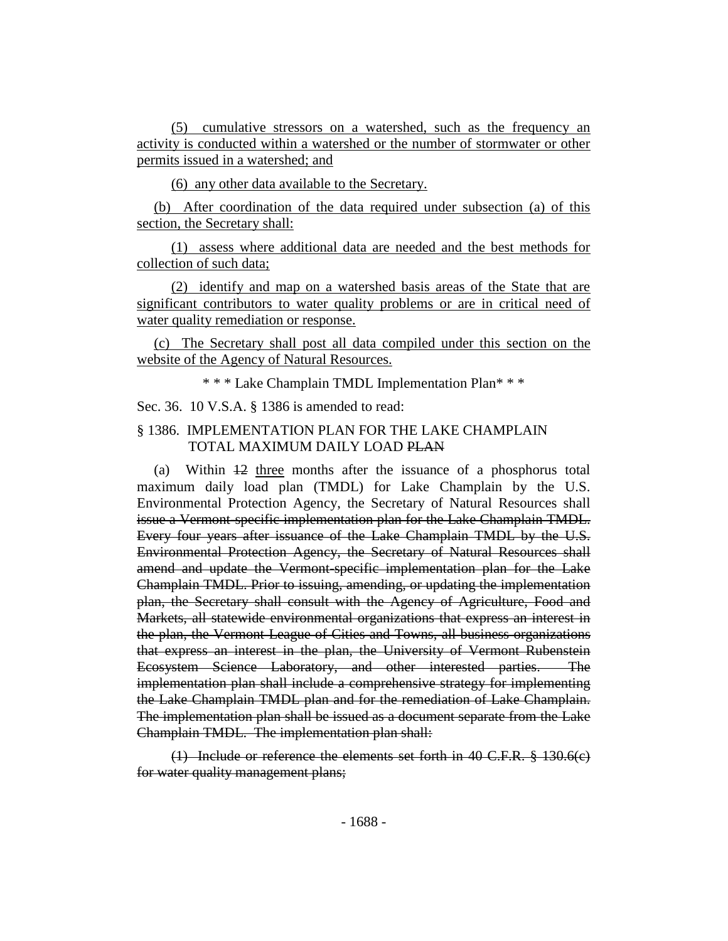(5) cumulative stressors on a watershed, such as the frequency an activity is conducted within a watershed or the number of stormwater or other permits issued in a watershed; and

(6) any other data available to the Secretary.

(b) After coordination of the data required under subsection (a) of this section, the Secretary shall:

(1) assess where additional data are needed and the best methods for collection of such data;

(2) identify and map on a watershed basis areas of the State that are significant contributors to water quality problems or are in critical need of water quality remediation or response.

(c) The Secretary shall post all data compiled under this section on the website of the Agency of Natural Resources.

\* \* \* Lake Champlain TMDL Implementation Plan\* \* \*

Sec. 36. 10 V.S.A. § 1386 is amended to read:

## § 1386. IMPLEMENTATION PLAN FOR THE LAKE CHAMPLAIN TOTAL MAXIMUM DAILY LOAD PLAN

(a) Within 12 three months after the issuance of a phosphorus total maximum daily load plan (TMDL) for Lake Champlain by the U.S. Environmental Protection Agency, the Secretary of Natural Resources shall issue a Vermont-specific implementation plan for the Lake Champlain TMDL. Every four years after issuance of the Lake Champlain TMDL by the U.S. Environmental Protection Agency, the Secretary of Natural Resources shall amend and update the Vermont-specific implementation plan for the Lake Champlain TMDL. Prior to issuing, amending, or updating the implementation plan, the Secretary shall consult with the Agency of Agriculture, Food and Markets, all statewide environmental organizations that express an interest in the plan, the Vermont League of Cities and Towns, all business organizations that express an interest in the plan, the University of Vermont Rubenstein Ecosystem Science Laboratory, and other interested parties. The implementation plan shall include a comprehensive strategy for implementing the Lake Champlain TMDL plan and for the remediation of Lake Champlain. The implementation plan shall be issued as a document separate from the Lake Champlain TMDL. The implementation plan shall:

(1) Include or reference the elements set forth in 40 C.F.R. § 130.6(c) for water quality management plans;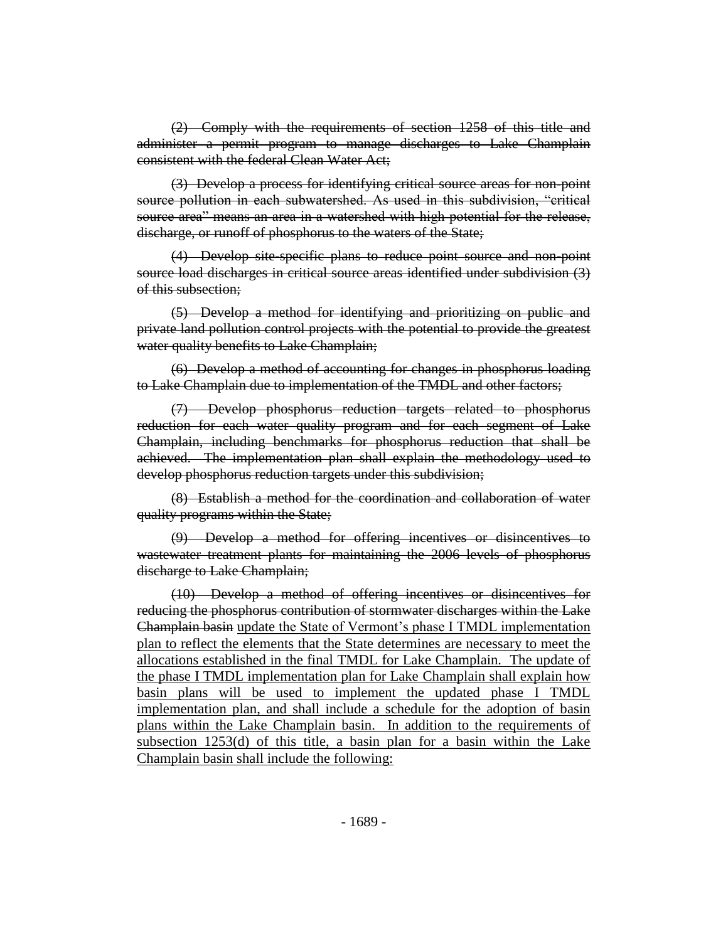(2) Comply with the requirements of section 1258 of this title and administer a permit program to manage discharges to Lake Champlain consistent with the federal Clean Water Act;

(3) Develop a process for identifying critical source areas for non-point source pollution in each subwatershed. As used in this subdivision, "critical source area" means an area in a watershed with high potential for the release, discharge, or runoff of phosphorus to the waters of the State;

(4) Develop site-specific plans to reduce point source and non-point source load discharges in critical source areas identified under subdivision (3) of this subsection;

(5) Develop a method for identifying and prioritizing on public and private land pollution control projects with the potential to provide the greatest water quality benefits to Lake Champlain;

(6) Develop a method of accounting for changes in phosphorus loading to Lake Champlain due to implementation of the TMDL and other factors;

(7) Develop phosphorus reduction targets related to phosphorus reduction for each water quality program and for each segment of Lake Champlain, including benchmarks for phosphorus reduction that shall be achieved. The implementation plan shall explain the methodology used to develop phosphorus reduction targets under this subdivision;

(8) Establish a method for the coordination and collaboration of water quality programs within the State;

(9) Develop a method for offering incentives or disincentives to wastewater treatment plants for maintaining the 2006 levels of phosphorus discharge to Lake Champlain;

(10) Develop a method of offering incentives or disincentives for reducing the phosphorus contribution of stormwater discharges within the Lake Champlain basin update the State of Vermont's phase I TMDL implementation plan to reflect the elements that the State determines are necessary to meet the allocations established in the final TMDL for Lake Champlain. The update of the phase I TMDL implementation plan for Lake Champlain shall explain how basin plans will be used to implement the updated phase I TMDL implementation plan, and shall include a schedule for the adoption of basin plans within the Lake Champlain basin. In addition to the requirements of subsection 1253(d) of this title, a basin plan for a basin within the Lake Champlain basin shall include the following: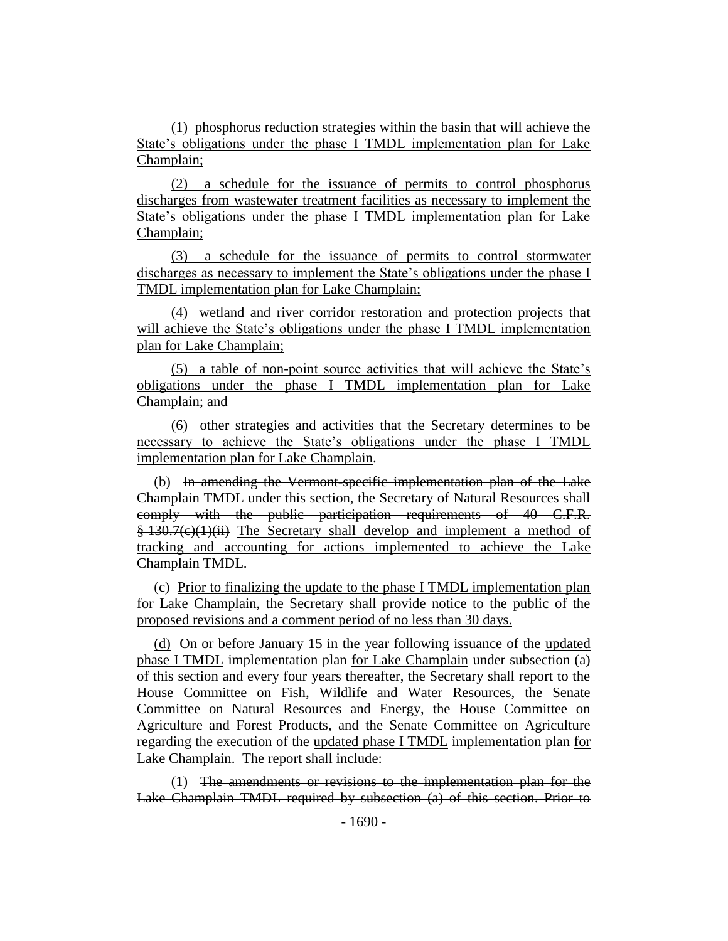(1) phosphorus reduction strategies within the basin that will achieve the State's obligations under the phase I TMDL implementation plan for Lake Champlain;

(2) a schedule for the issuance of permits to control phosphorus discharges from wastewater treatment facilities as necessary to implement the State's obligations under the phase I TMDL implementation plan for Lake Champlain;

(3) a schedule for the issuance of permits to control stormwater discharges as necessary to implement the State's obligations under the phase I TMDL implementation plan for Lake Champlain;

(4) wetland and river corridor restoration and protection projects that will achieve the State's obligations under the phase I TMDL implementation plan for Lake Champlain;

(5) a table of non-point source activities that will achieve the State's obligations under the phase I TMDL implementation plan for Lake Champlain; and

(6) other strategies and activities that the Secretary determines to be necessary to achieve the State's obligations under the phase I TMDL implementation plan for Lake Champlain.

(b) In amending the Vermont-specific implementation plan of the Lake Champlain TMDL under this section, the Secretary of Natural Resources shall comply with the public participation requirements of 40 C.F.R. § 130.7(c)(1)(ii) The Secretary shall develop and implement a method of tracking and accounting for actions implemented to achieve the Lake Champlain TMDL.

(c) Prior to finalizing the update to the phase I TMDL implementation plan for Lake Champlain, the Secretary shall provide notice to the public of the proposed revisions and a comment period of no less than 30 days.

(d) On or before January 15 in the year following issuance of the updated phase I TMDL implementation plan for Lake Champlain under subsection (a) of this section and every four years thereafter, the Secretary shall report to the House Committee on Fish, Wildlife and Water Resources, the Senate Committee on Natural Resources and Energy, the House Committee on Agriculture and Forest Products, and the Senate Committee on Agriculture regarding the execution of the updated phase I TMDL implementation plan for Lake Champlain. The report shall include:

(1) The amendments or revisions to the implementation plan for the Lake Champlain TMDL required by subsection (a) of this section. Prior to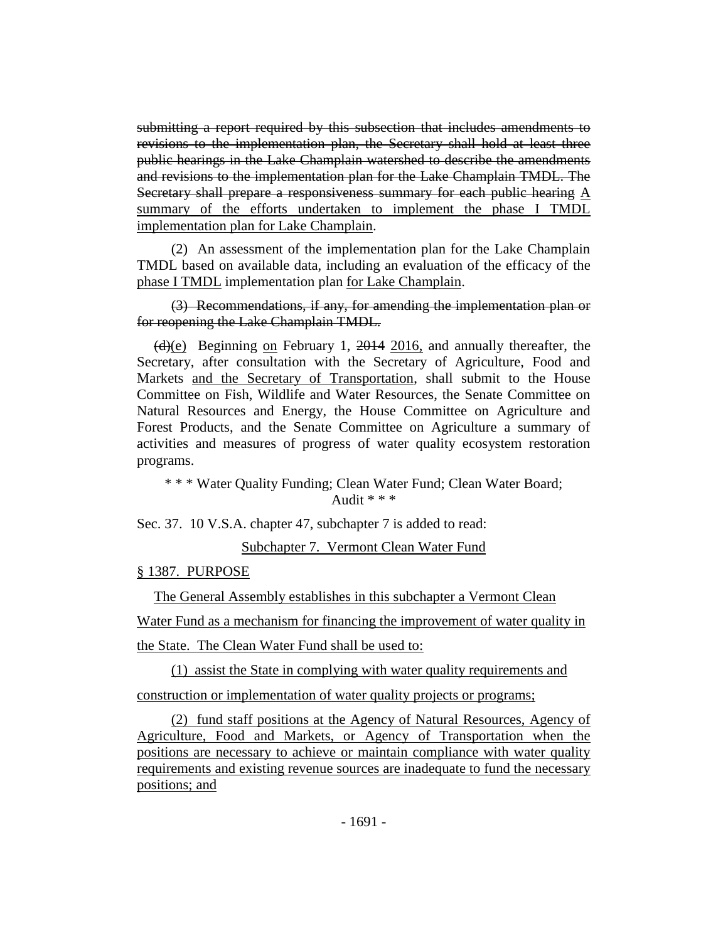submitting a report required by this subsection that includes amendments to revisions to the implementation plan, the Secretary shall hold at least three public hearings in the Lake Champlain watershed to describe the amendments and revisions to the implementation plan for the Lake Champlain TMDL. The Secretary shall prepare a responsiveness summary for each public hearing A summary of the efforts undertaken to implement the phase I TMDL implementation plan for Lake Champlain.

(2) An assessment of the implementation plan for the Lake Champlain TMDL based on available data, including an evaluation of the efficacy of the phase I TMDL implementation plan for Lake Champlain.

(3) Recommendations, if any, for amending the implementation plan or for reopening the Lake Champlain TMDL.

 $\frac{d}{e}$  Beginning on February 1, 2014 2016, and annually thereafter, the Secretary, after consultation with the Secretary of Agriculture, Food and Markets and the Secretary of Transportation, shall submit to the House Committee on Fish, Wildlife and Water Resources, the Senate Committee on Natural Resources and Energy, the House Committee on Agriculture and Forest Products, and the Senate Committee on Agriculture a summary of activities and measures of progress of water quality ecosystem restoration programs.

\* \* \* Water Quality Funding; Clean Water Fund; Clean Water Board; Audit  $* * *$ 

Sec. 37. 10 V.S.A. chapter 47, subchapter 7 is added to read:

Subchapter 7. Vermont Clean Water Fund

§ 1387. PURPOSE

The General Assembly establishes in this subchapter a Vermont Clean Water Fund as a mechanism for financing the improvement of water quality in the State. The Clean Water Fund shall be used to:

(1) assist the State in complying with water quality requirements and construction or implementation of water quality projects or programs;

(2) fund staff positions at the Agency of Natural Resources, Agency of Agriculture, Food and Markets, or Agency of Transportation when the positions are necessary to achieve or maintain compliance with water quality requirements and existing revenue sources are inadequate to fund the necessary positions; and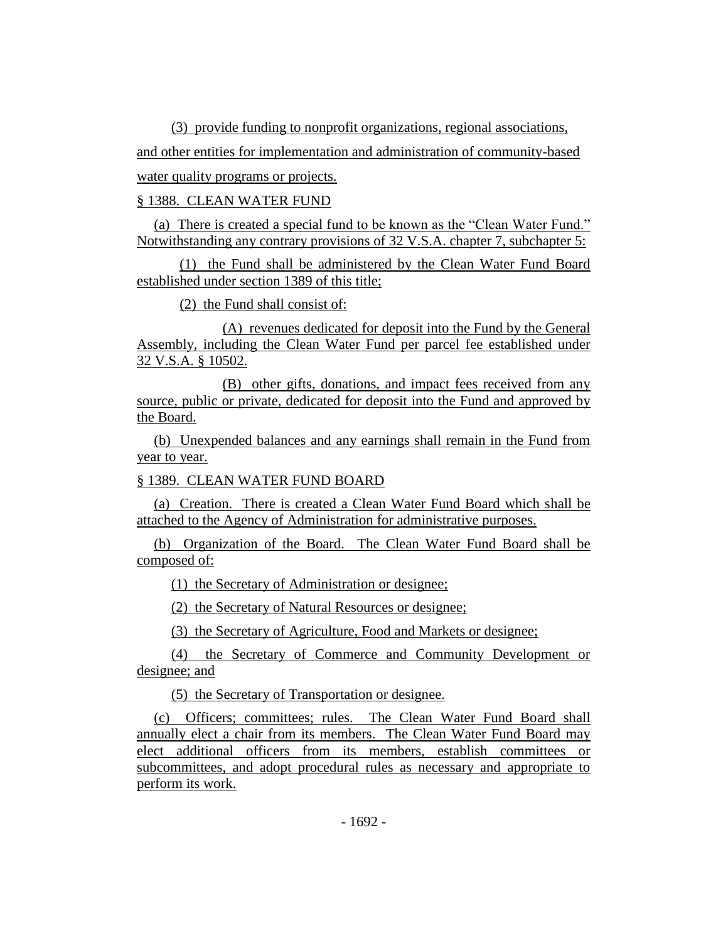(3) provide funding to nonprofit organizations, regional associations,

and other entities for implementation and administration of community-based water quality programs or projects.

# § 1388. CLEAN WATER FUND

(a) There is created a special fund to be known as the "Clean Water Fund." Notwithstanding any contrary provisions of 32 V.S.A. chapter 7, subchapter 5:

(1) the Fund shall be administered by the Clean Water Fund Board established under section 1389 of this title;

(2) the Fund shall consist of:

(A) revenues dedicated for deposit into the Fund by the General Assembly, including the Clean Water Fund per parcel fee established under 32 V.S.A. § 10502.

(B) other gifts, donations, and impact fees received from any source, public or private, dedicated for deposit into the Fund and approved by the Board.

(b) Unexpended balances and any earnings shall remain in the Fund from year to year.

§ 1389. CLEAN WATER FUND BOARD

(a) Creation. There is created a Clean Water Fund Board which shall be attached to the Agency of Administration for administrative purposes.

(b) Organization of the Board. The Clean Water Fund Board shall be composed of:

(1) the Secretary of Administration or designee;

(2) the Secretary of Natural Resources or designee;

(3) the Secretary of Agriculture, Food and Markets or designee;

(4) the Secretary of Commerce and Community Development or designee; and

(5) the Secretary of Transportation or designee.

(c) Officers; committees; rules. The Clean Water Fund Board shall annually elect a chair from its members. The Clean Water Fund Board may elect additional officers from its members, establish committees or subcommittees, and adopt procedural rules as necessary and appropriate to perform its work.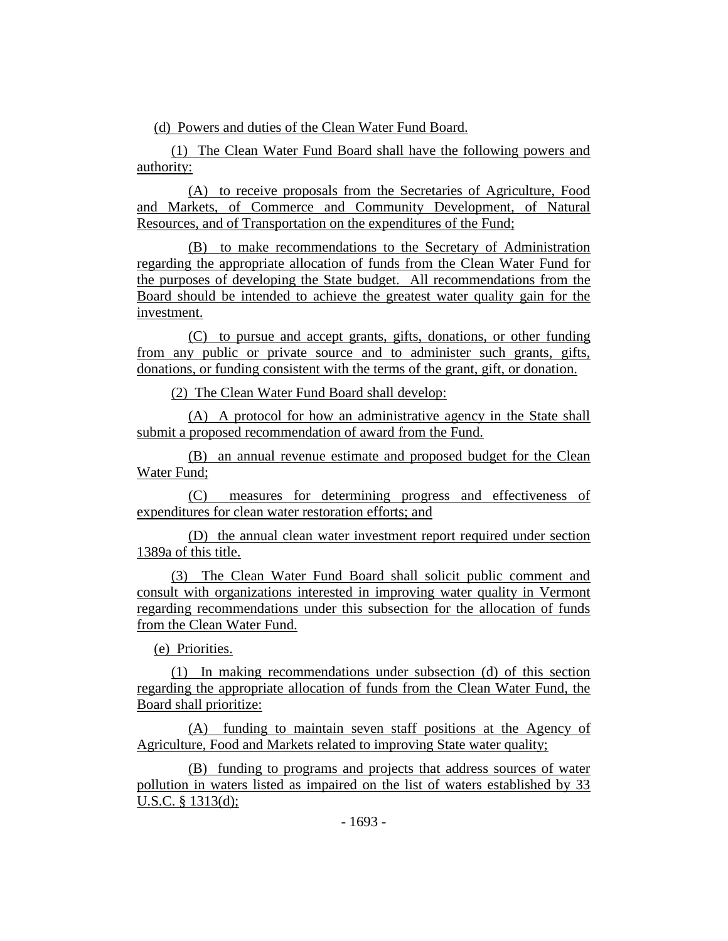(d) Powers and duties of the Clean Water Fund Board.

(1) The Clean Water Fund Board shall have the following powers and authority:

(A) to receive proposals from the Secretaries of Agriculture, Food and Markets, of Commerce and Community Development, of Natural Resources, and of Transportation on the expenditures of the Fund;

(B) to make recommendations to the Secretary of Administration regarding the appropriate allocation of funds from the Clean Water Fund for the purposes of developing the State budget. All recommendations from the Board should be intended to achieve the greatest water quality gain for the investment.

(C) to pursue and accept grants, gifts, donations, or other funding from any public or private source and to administer such grants, gifts, donations, or funding consistent with the terms of the grant, gift, or donation.

(2) The Clean Water Fund Board shall develop:

(A) A protocol for how an administrative agency in the State shall submit a proposed recommendation of award from the Fund.

(B) an annual revenue estimate and proposed budget for the Clean Water Fund;

(C) measures for determining progress and effectiveness of expenditures for clean water restoration efforts; and

(D) the annual clean water investment report required under section 1389a of this title.

(3) The Clean Water Fund Board shall solicit public comment and consult with organizations interested in improving water quality in Vermont regarding recommendations under this subsection for the allocation of funds from the Clean Water Fund.

(e) Priorities.

(1) In making recommendations under subsection (d) of this section regarding the appropriate allocation of funds from the Clean Water Fund, the Board shall prioritize:

(A) funding to maintain seven staff positions at the Agency of Agriculture, Food and Markets related to improving State water quality;

(B) funding to programs and projects that address sources of water pollution in waters listed as impaired on the list of waters established by 33 U.S.C. § 1313(d);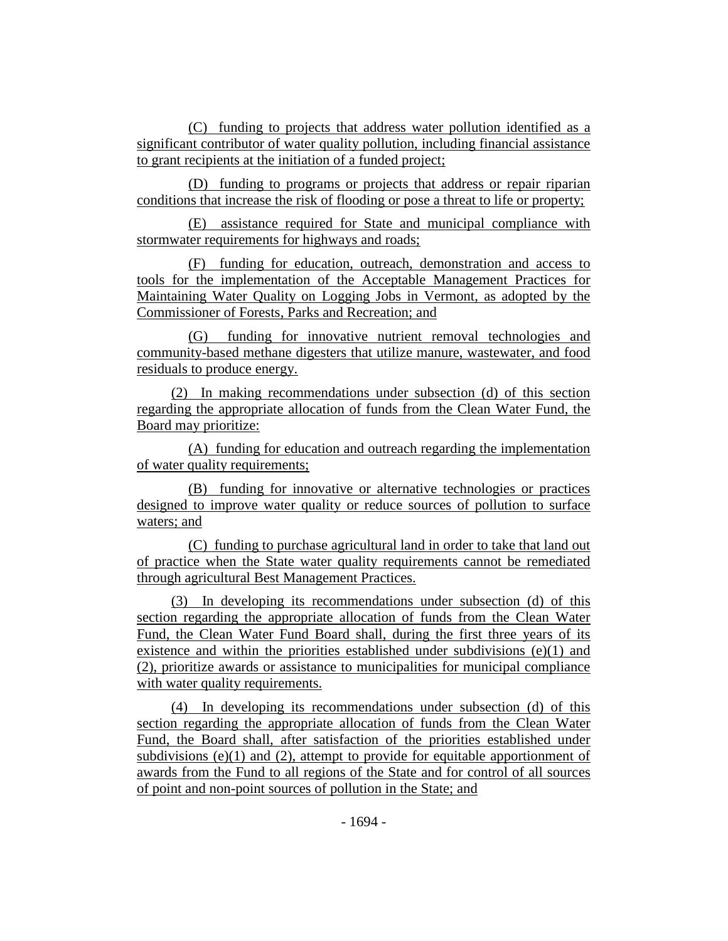(C) funding to projects that address water pollution identified as a significant contributor of water quality pollution, including financial assistance to grant recipients at the initiation of a funded project;

(D) funding to programs or projects that address or repair riparian conditions that increase the risk of flooding or pose a threat to life or property;

(E) assistance required for State and municipal compliance with stormwater requirements for highways and roads;

(F) funding for education, outreach, demonstration and access to tools for the implementation of the Acceptable Management Practices for Maintaining Water Quality on Logging Jobs in Vermont, as adopted by the Commissioner of Forests, Parks and Recreation; and

(G) funding for innovative nutrient removal technologies and community-based methane digesters that utilize manure, wastewater, and food residuals to produce energy.

(2) In making recommendations under subsection (d) of this section regarding the appropriate allocation of funds from the Clean Water Fund, the Board may prioritize:

(A) funding for education and outreach regarding the implementation of water quality requirements;

(B) funding for innovative or alternative technologies or practices designed to improve water quality or reduce sources of pollution to surface waters; and

(C) funding to purchase agricultural land in order to take that land out of practice when the State water quality requirements cannot be remediated through agricultural Best Management Practices.

(3) In developing its recommendations under subsection (d) of this section regarding the appropriate allocation of funds from the Clean Water Fund, the Clean Water Fund Board shall, during the first three years of its existence and within the priorities established under subdivisions (e)(1) and (2), prioritize awards or assistance to municipalities for municipal compliance with water quality requirements.

(4) In developing its recommendations under subsection (d) of this section regarding the appropriate allocation of funds from the Clean Water Fund, the Board shall, after satisfaction of the priorities established under subdivisions  $(e)(1)$  and  $(2)$ , attempt to provide for equitable apportionment of awards from the Fund to all regions of the State and for control of all sources of point and non-point sources of pollution in the State; and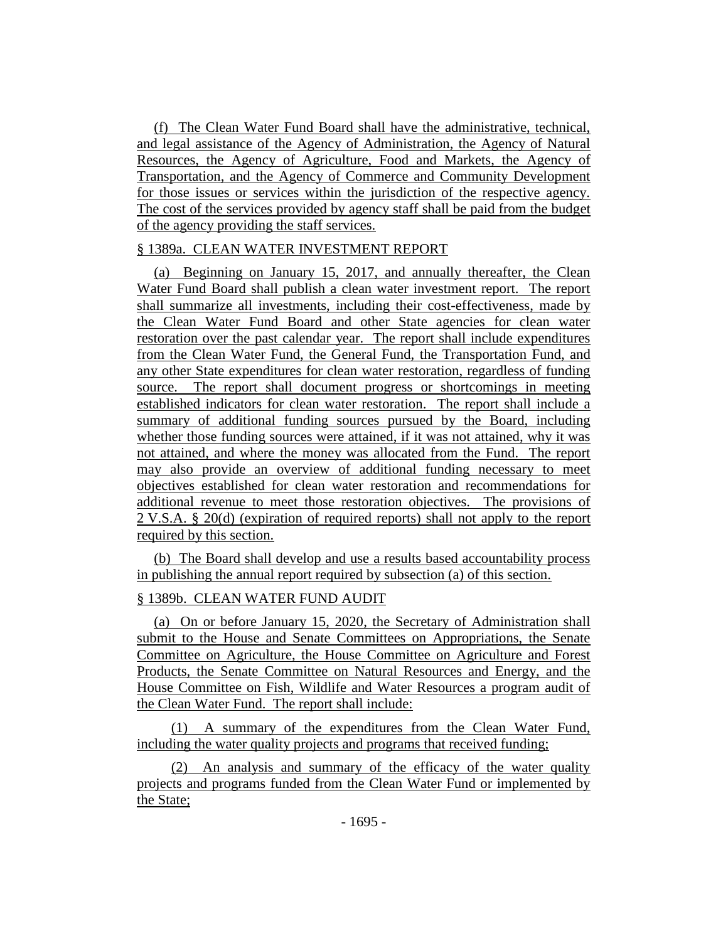(f) The Clean Water Fund Board shall have the administrative, technical, and legal assistance of the Agency of Administration, the Agency of Natural Resources, the Agency of Agriculture, Food and Markets, the Agency of Transportation, and the Agency of Commerce and Community Development for those issues or services within the jurisdiction of the respective agency. The cost of the services provided by agency staff shall be paid from the budget of the agency providing the staff services.

# § 1389a. CLEAN WATER INVESTMENT REPORT

(a) Beginning on January 15, 2017, and annually thereafter, the Clean Water Fund Board shall publish a clean water investment report. The report shall summarize all investments, including their cost-effectiveness, made by the Clean Water Fund Board and other State agencies for clean water restoration over the past calendar year. The report shall include expenditures from the Clean Water Fund, the General Fund, the Transportation Fund, and any other State expenditures for clean water restoration, regardless of funding source. The report shall document progress or shortcomings in meeting established indicators for clean water restoration. The report shall include a summary of additional funding sources pursued by the Board, including whether those funding sources were attained, if it was not attained, why it was not attained, and where the money was allocated from the Fund. The report may also provide an overview of additional funding necessary to meet objectives established for clean water restoration and recommendations for additional revenue to meet those restoration objectives. The provisions of 2 V.S.A. § 20(d) (expiration of required reports) shall not apply to the report required by this section.

(b) The Board shall develop and use a results based accountability process in publishing the annual report required by subsection (a) of this section.

# § 1389b. CLEAN WATER FUND AUDIT

(a) On or before January 15, 2020, the Secretary of Administration shall submit to the House and Senate Committees on Appropriations, the Senate Committee on Agriculture, the House Committee on Agriculture and Forest Products, the Senate Committee on Natural Resources and Energy, and the House Committee on Fish, Wildlife and Water Resources a program audit of the Clean Water Fund. The report shall include:

(1) A summary of the expenditures from the Clean Water Fund, including the water quality projects and programs that received funding;

(2) An analysis and summary of the efficacy of the water quality projects and programs funded from the Clean Water Fund or implemented by the State;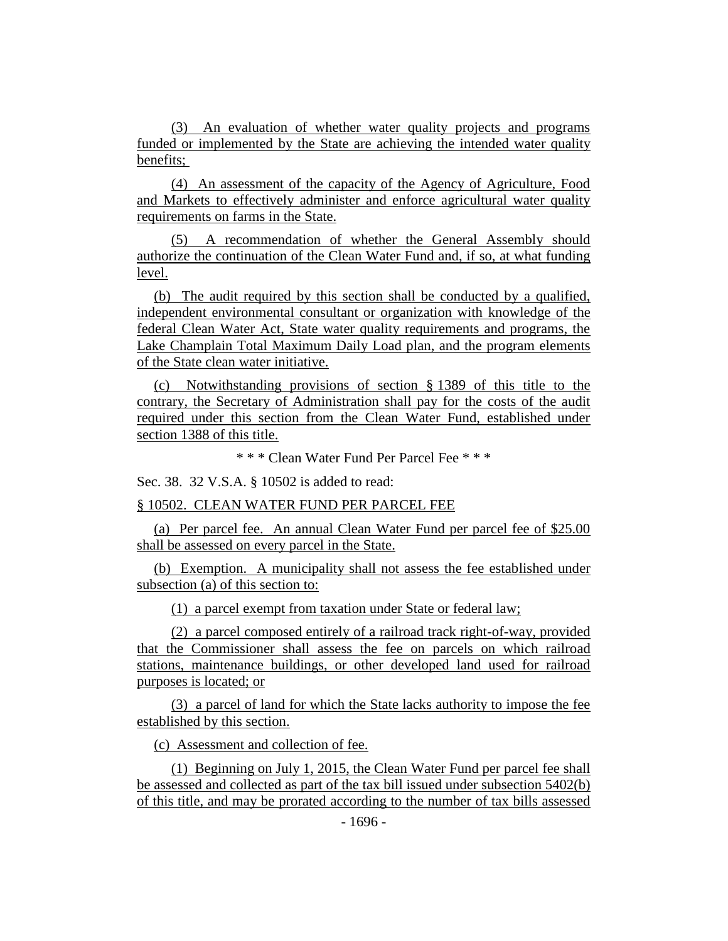(3) An evaluation of whether water quality projects and programs funded or implemented by the State are achieving the intended water quality benefits;

(4) An assessment of the capacity of the Agency of Agriculture, Food and Markets to effectively administer and enforce agricultural water quality requirements on farms in the State.

(5) A recommendation of whether the General Assembly should authorize the continuation of the Clean Water Fund and, if so, at what funding level.

(b) The audit required by this section shall be conducted by a qualified, independent environmental consultant or organization with knowledge of the federal Clean Water Act, State water quality requirements and programs, the Lake Champlain Total Maximum Daily Load plan, and the program elements of the State clean water initiative.

(c) Notwithstanding provisions of section § 1389 of this title to the contrary, the Secretary of Administration shall pay for the costs of the audit required under this section from the Clean Water Fund, established under section 1388 of this title.

\* \* \* Clean Water Fund Per Parcel Fee \* \* \*

Sec. 38. 32 V.S.A. § 10502 is added to read:

§ 10502. CLEAN WATER FUND PER PARCEL FEE

(a) Per parcel fee. An annual Clean Water Fund per parcel fee of \$25.00 shall be assessed on every parcel in the State.

(b) Exemption. A municipality shall not assess the fee established under subsection (a) of this section to:

(1) a parcel exempt from taxation under State or federal law;

(2) a parcel composed entirely of a railroad track right-of-way, provided that the Commissioner shall assess the fee on parcels on which railroad stations, maintenance buildings, or other developed land used for railroad purposes is located; or

(3) a parcel of land for which the State lacks authority to impose the fee established by this section.

(c) Assessment and collection of fee.

(1) Beginning on July 1, 2015, the Clean Water Fund per parcel fee shall be assessed and collected as part of the tax bill issued under subsection 5402(b) of this title, and may be prorated according to the number of tax bills assessed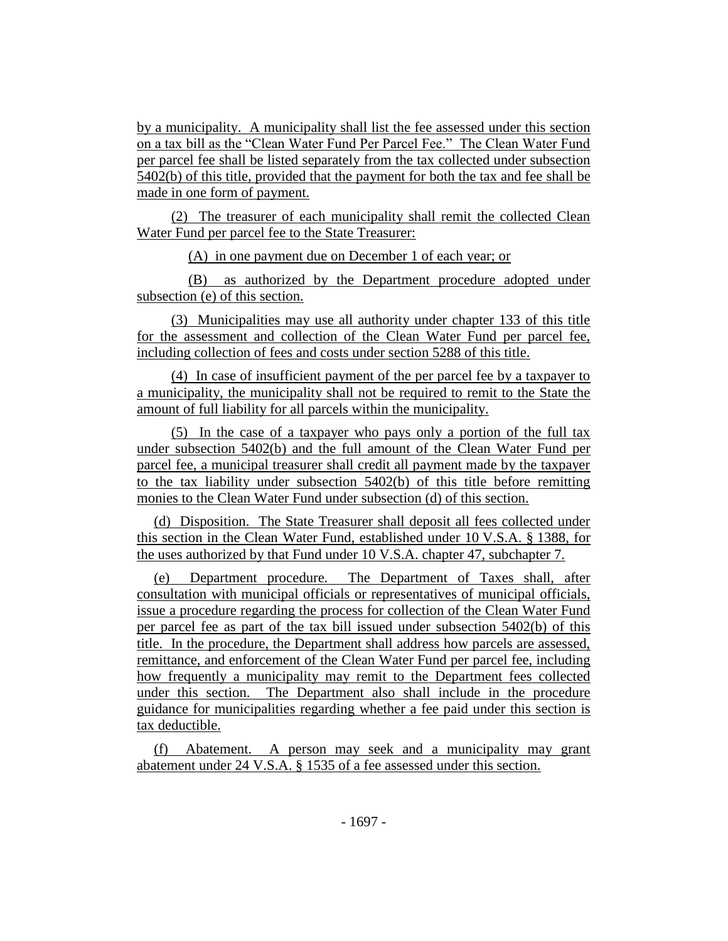by a municipality. A municipality shall list the fee assessed under this section on a tax bill as the "Clean Water Fund Per Parcel Fee." The Clean Water Fund per parcel fee shall be listed separately from the tax collected under subsection 5402(b) of this title, provided that the payment for both the tax and fee shall be made in one form of payment.

(2) The treasurer of each municipality shall remit the collected Clean Water Fund per parcel fee to the State Treasurer:

(A) in one payment due on December 1 of each year; or

(B) as authorized by the Department procedure adopted under subsection (e) of this section.

(3) Municipalities may use all authority under chapter 133 of this title for the assessment and collection of the Clean Water Fund per parcel fee, including collection of fees and costs under section 5288 of this title.

(4) In case of insufficient payment of the per parcel fee by a taxpayer to a municipality, the municipality shall not be required to remit to the State the amount of full liability for all parcels within the municipality.

(5) In the case of a taxpayer who pays only a portion of the full tax under subsection 5402(b) and the full amount of the Clean Water Fund per parcel fee, a municipal treasurer shall credit all payment made by the taxpayer to the tax liability under subsection 5402(b) of this title before remitting monies to the Clean Water Fund under subsection (d) of this section.

(d) Disposition. The State Treasurer shall deposit all fees collected under this section in the Clean Water Fund, established under 10 V.S.A. § 1388, for the uses authorized by that Fund under 10 V.S.A. chapter 47, subchapter 7.

(e) Department procedure. The Department of Taxes shall, after consultation with municipal officials or representatives of municipal officials, issue a procedure regarding the process for collection of the Clean Water Fund per parcel fee as part of the tax bill issued under subsection 5402(b) of this title. In the procedure, the Department shall address how parcels are assessed, remittance, and enforcement of the Clean Water Fund per parcel fee, including how frequently a municipality may remit to the Department fees collected under this section. The Department also shall include in the procedure guidance for municipalities regarding whether a fee paid under this section is tax deductible.

(f) Abatement. A person may seek and a municipality may grant abatement under 24 V.S.A. § 1535 of a fee assessed under this section.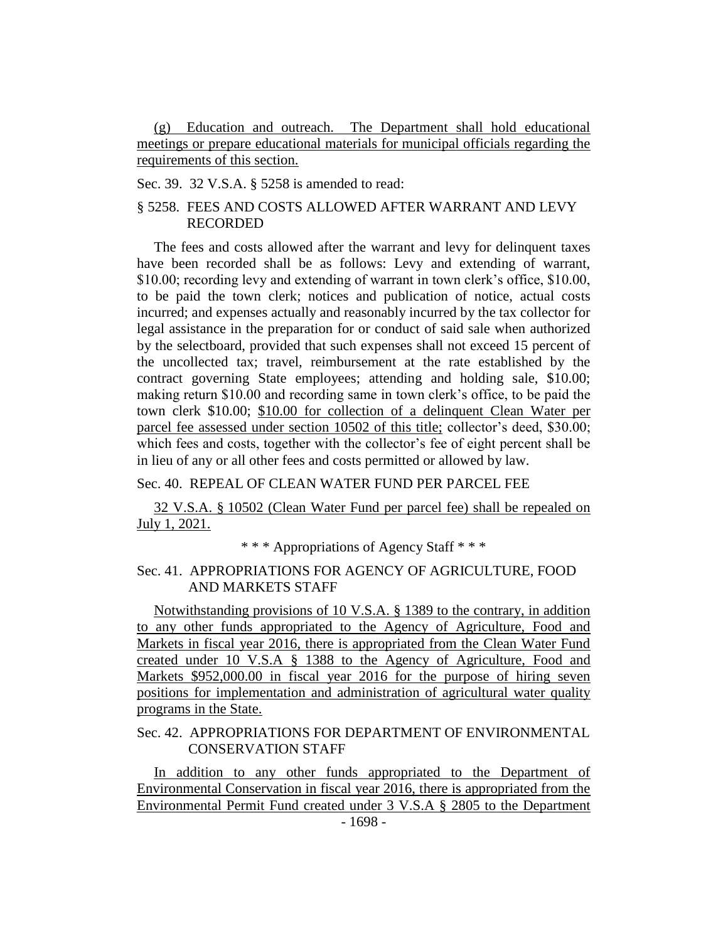(g) Education and outreach. The Department shall hold educational meetings or prepare educational materials for municipal officials regarding the requirements of this section.

Sec. 39. 32 V.S.A. § 5258 is amended to read:

# § 5258. FEES AND COSTS ALLOWED AFTER WARRANT AND LEVY RECORDED

The fees and costs allowed after the warrant and levy for delinquent taxes have been recorded shall be as follows: Levy and extending of warrant, \$10.00; recording levy and extending of warrant in town clerk's office, \$10.00, to be paid the town clerk; notices and publication of notice, actual costs incurred; and expenses actually and reasonably incurred by the tax collector for legal assistance in the preparation for or conduct of said sale when authorized by the selectboard, provided that such expenses shall not exceed 15 percent of the uncollected tax; travel, reimbursement at the rate established by the contract governing State employees; attending and holding sale, \$10.00; making return \$10.00 and recording same in town clerk's office, to be paid the town clerk \$10.00; \$10.00 for collection of a delinquent Clean Water per parcel fee assessed under section 10502 of this title; collector's deed, \$30.00; which fees and costs, together with the collector's fee of eight percent shall be in lieu of any or all other fees and costs permitted or allowed by law.

# Sec. 40. REPEAL OF CLEAN WATER FUND PER PARCEL FEE

32 V.S.A. § 10502 (Clean Water Fund per parcel fee) shall be repealed on July 1, 2021.

\* \* \* Appropriations of Agency Staff \* \* \*

## Sec. 41. APPROPRIATIONS FOR AGENCY OF AGRICULTURE, FOOD AND MARKETS STAFF

Notwithstanding provisions of 10 V.S.A. § 1389 to the contrary, in addition to any other funds appropriated to the Agency of Agriculture, Food and Markets in fiscal year 2016, there is appropriated from the Clean Water Fund created under 10 V.S.A § 1388 to the Agency of Agriculture, Food and Markets \$952,000.00 in fiscal year 2016 for the purpose of hiring seven positions for implementation and administration of agricultural water quality programs in the State.

# Sec. 42. APPROPRIATIONS FOR DEPARTMENT OF ENVIRONMENTAL CONSERVATION STAFF

In addition to any other funds appropriated to the Department of Environmental Conservation in fiscal year 2016, there is appropriated from the Environmental Permit Fund created under 3 V.S.A § 2805 to the Department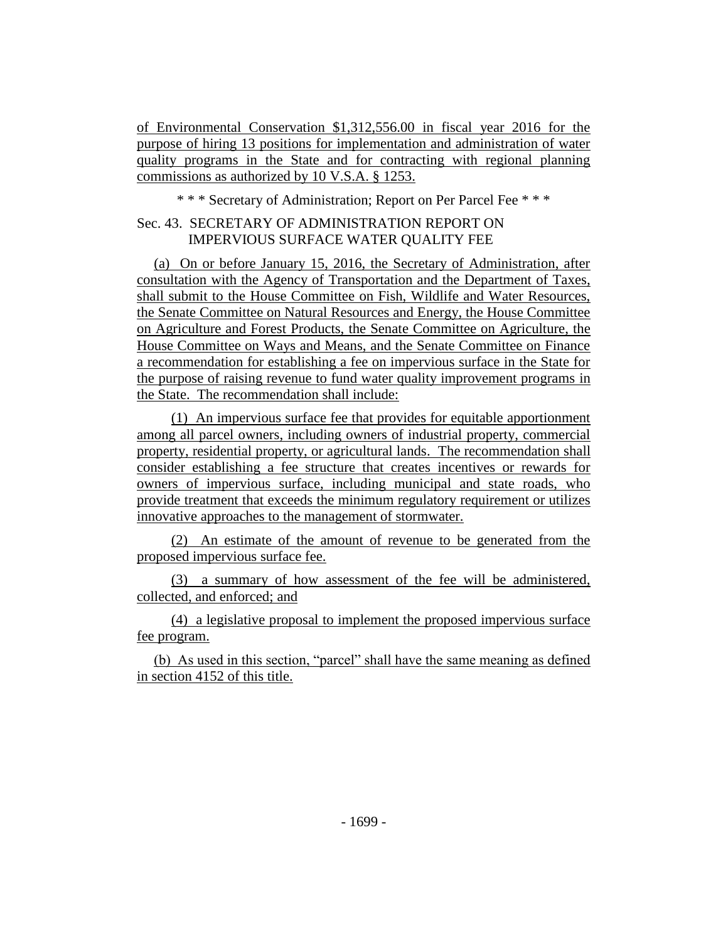of Environmental Conservation \$1,312,556.00 in fiscal year 2016 for the purpose of hiring 13 positions for implementation and administration of water quality programs in the State and for contracting with regional planning commissions as authorized by 10 V.S.A. § 1253.

\* \* \* Secretary of Administration; Report on Per Parcel Fee \* \* \*

# Sec. 43. SECRETARY OF ADMINISTRATION REPORT ON IMPERVIOUS SURFACE WATER QUALITY FEE

(a) On or before January 15, 2016, the Secretary of Administration, after consultation with the Agency of Transportation and the Department of Taxes, shall submit to the House Committee on Fish, Wildlife and Water Resources, the Senate Committee on Natural Resources and Energy, the House Committee on Agriculture and Forest Products, the Senate Committee on Agriculture, the House Committee on Ways and Means, and the Senate Committee on Finance a recommendation for establishing a fee on impervious surface in the State for the purpose of raising revenue to fund water quality improvement programs in the State. The recommendation shall include:

(1) An impervious surface fee that provides for equitable apportionment among all parcel owners, including owners of industrial property, commercial property, residential property, or agricultural lands. The recommendation shall consider establishing a fee structure that creates incentives or rewards for owners of impervious surface, including municipal and state roads, who provide treatment that exceeds the minimum regulatory requirement or utilizes innovative approaches to the management of stormwater.

(2) An estimate of the amount of revenue to be generated from the proposed impervious surface fee.

(3) a summary of how assessment of the fee will be administered, collected, and enforced; and

(4) a legislative proposal to implement the proposed impervious surface fee program.

(b) As used in this section, "parcel" shall have the same meaning as defined in section 4152 of this title.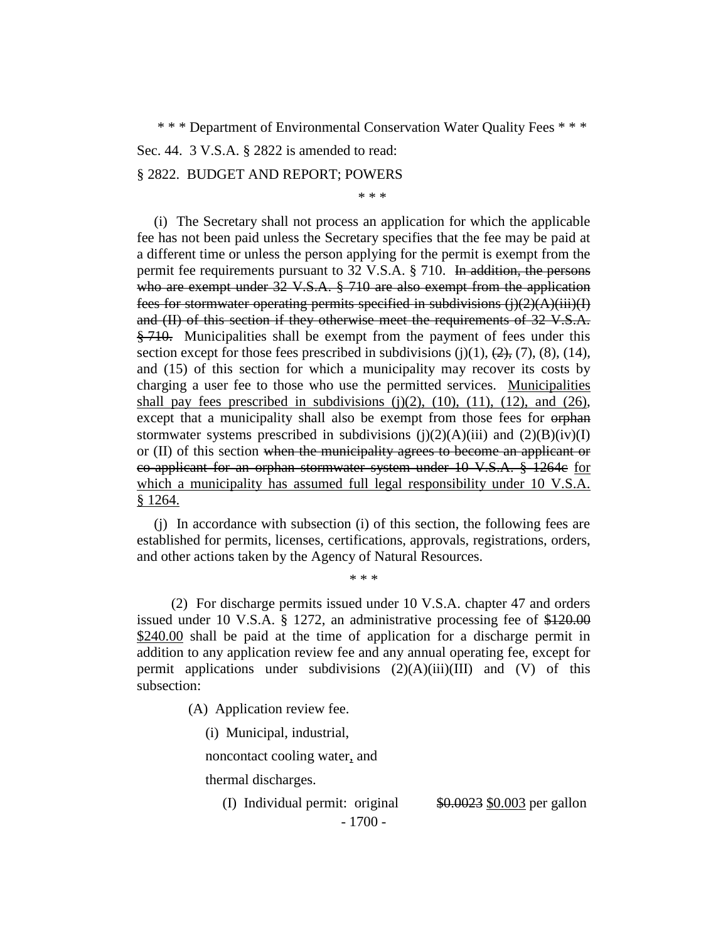\* \* \* Department of Environmental Conservation Water Quality Fees \* \* \*

Sec. 44. 3 V.S.A. § 2822 is amended to read:

#### § 2822. BUDGET AND REPORT; POWERS

\* \* \*

(i) The Secretary shall not process an application for which the applicable fee has not been paid unless the Secretary specifies that the fee may be paid at a different time or unless the person applying for the permit is exempt from the permit fee requirements pursuant to 32 V.S.A. § 710. In addition, the persons who are exempt under 32 V.S.A. § 710 are also exempt from the application fees for stormwater operating permits specified in subdivisions  $(j(2)(A)(iii)(I))$ and (II) of this section if they otherwise meet the requirements of 32 V.S.A.  $\frac{1}{2}$ , 710. Municipalities shall be exempt from the payment of fees under this section except for those fees prescribed in subdivisions  $(j)(1)$ ,  $(2)$ ,  $(7)$ ,  $(8)$ ,  $(14)$ , and (15) of this section for which a municipality may recover its costs by charging a user fee to those who use the permitted services. Municipalities shall pay fees prescribed in subdivisions  $(j)(2)$ ,  $(10)$ ,  $(11)$ ,  $(12)$ , and  $(26)$ , except that a municipality shall also be exempt from those fees for orphan stormwater systems prescribed in subdivisions  $(i)(2)(A)(iii)$  and  $(2)(B)(iv)(I)$ or (II) of this section when the municipality agrees to become an applicant or co-applicant for an orphan stormwater system under 10 V.S.A. § 1264c for which a municipality has assumed full legal responsibility under 10 V.S.A. § 1264.

(j) In accordance with subsection (i) of this section, the following fees are established for permits, licenses, certifications, approvals, registrations, orders, and other actions taken by the Agency of Natural Resources.

\* \* \*

(2) For discharge permits issued under 10 V.S.A. chapter 47 and orders issued under 10 V.S.A. § 1272, an administrative processing fee of \$120.00 \$240.00 shall be paid at the time of application for a discharge permit in addition to any application review fee and any annual operating fee, except for permit applications under subdivisions  $(2)(A)(iii)(III)$  and  $(V)$  of this subsection:

(A) Application review fee.

(i) Municipal, industrial,

noncontact cooling water, and

thermal discharges.

- 1700 - (I) Individual permit: original  $\frac{$0.0023}{$0.003}$  per gallon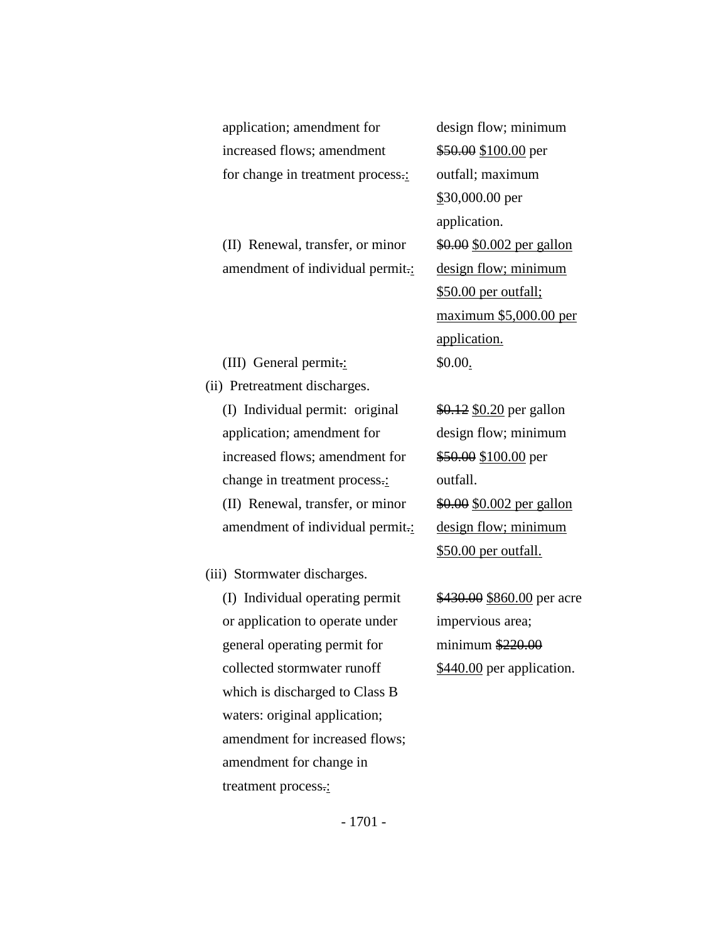| application; amendment for        | design flow; minimum       |
|-----------------------------------|----------------------------|
| increased flows; amendment        | \$50.00 \$100.00 per       |
| for change in treatment process.: | outfall; maximum           |
|                                   | $$30,000.00$ per           |
|                                   | application.               |
| (II) Renewal, transfer, or minor  | \$0.00 \$0.002 per gallon  |
| amendment of individual permit.:  | design flow; minimum       |
|                                   | \$50.00 per outfall;       |
|                                   | maximum \$5,000.00 per     |
|                                   | application.               |
| (III) General permit.:            | \$0.00.                    |
| (ii) Pretreatment discharges.     |                            |
| (I) Individual permit: original   | \$0.12 \$0.20 per gallon   |
| application; amendment for        | design flow; minimum       |
| increased flows; amendment for    | \$50.00 \$100.00 per       |
| change in treatment process.:     | outfall.                   |
| (II) Renewal, transfer, or minor  | \$0.00 \$0.002 per gallon  |
| amendment of individual permit.:  | design flow; minimum       |
|                                   | \$50.00 per outfall.       |
| (iii) Stormwater discharges.      |                            |
| (I) Individual operating permit   | \$430.00 \$860.00 per acre |
| or application to operate under   | impervious area;           |
| general operating permit for      | minimum $$220.00$          |
| collected stormwater runoff       | \$440.00 per application.  |
| which is discharged to Class R    |                            |

which is discharged to Class B waters: original application; amendment for increased flows; amendment for change in treatment process.: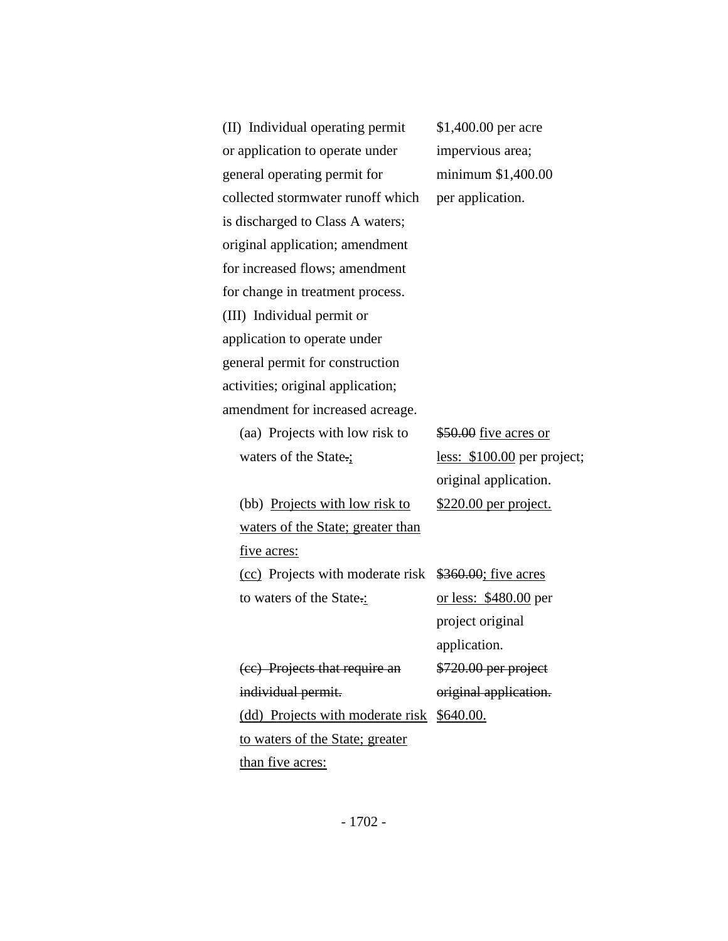(II) Individual operating permit \$1,400.00 per acre or application to operate under impervious area; general operating permit for minimum \$1,400.00 collected stormwater runoff which per application. is discharged to Class A waters; original application; amendment for increased flows; amendment for change in treatment process. (III) Individual permit or application to operate under general permit for construction activities; original application; amendment for increased acreage. (aa) Projects with low risk to  $$50.00$  five acres or waters of the State.; less: \$100.00 per project; (bb) Projects with low risk to \$220.00 per project. waters of the State; greater than five acres: (cc) Projects with moderate risk \$360.00; five acres to waters of the State.: or less: \$480.00 per (cc) Projects that require an \$720.00 per project individual permit. **original application**. (dd) Projects with moderate risk \$640.00. to waters of the State; greater

than five acres:

original application.

project original application.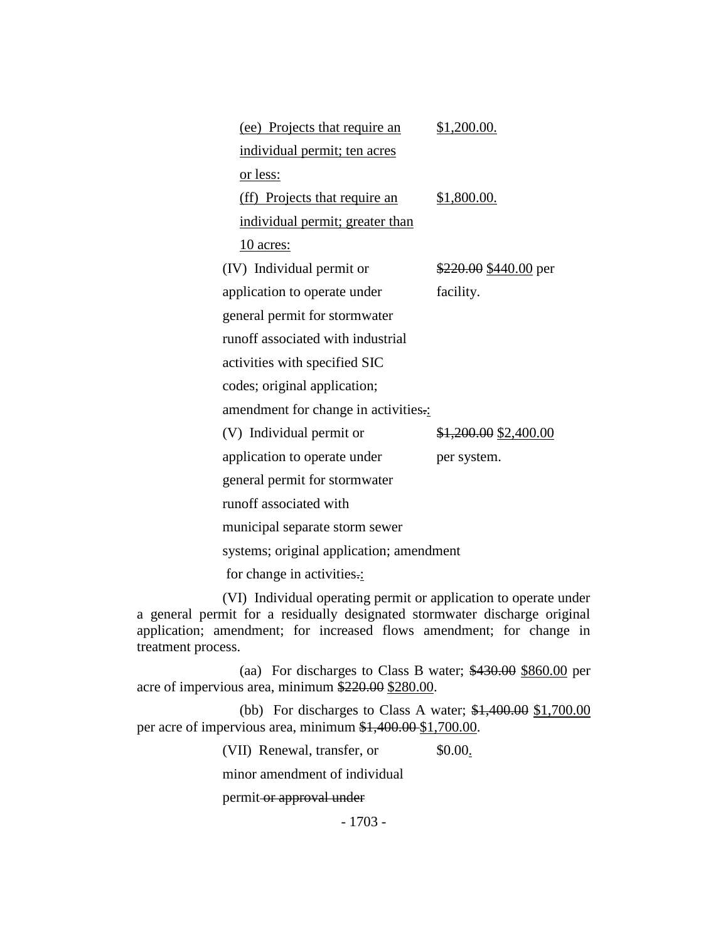| (ee) Projects that require an            | \$1,200.00.           |  |
|------------------------------------------|-----------------------|--|
| individual permit; ten acres             |                       |  |
| or less:                                 |                       |  |
| (ff) Projects that require an            | \$1,800.00.           |  |
| individual permit; greater than          |                       |  |
| 10 acres:                                |                       |  |
| (IV) Individual permit or                | \$220.00 \$440.00 per |  |
| application to operate under             | facility.             |  |
| general permit for stormwater            |                       |  |
| runoff associated with industrial        |                       |  |
| activities with specified SIC            |                       |  |
| codes; original application;             |                       |  |
| amendment for change in activities       |                       |  |
| (V) Individual permit or                 | \$1,200.00 \$2,400.00 |  |
| application to operate under             | per system.           |  |
| general permit for stormwater            |                       |  |
| runoff associated with                   |                       |  |
| municipal separate storm sewer           |                       |  |
| systems; original application; amendment |                       |  |

for change in activities.:

(VI) Individual operating permit or application to operate under a general permit for a residually designated stormwater discharge original application; amendment; for increased flows amendment; for change in treatment process.

(aa) For discharges to Class B water; \$430.00 \$860.00 per acre of impervious area, minimum \$220.00 \$280.00.

(bb) For discharges to Class A water; \$1,400.00 \$1,700.00 per acre of impervious area, minimum \$1,400.00 \$1,700.00.

(VII) Renewal, transfer, or \$0.00.

minor amendment of individual

permit or approval under

- 1703 -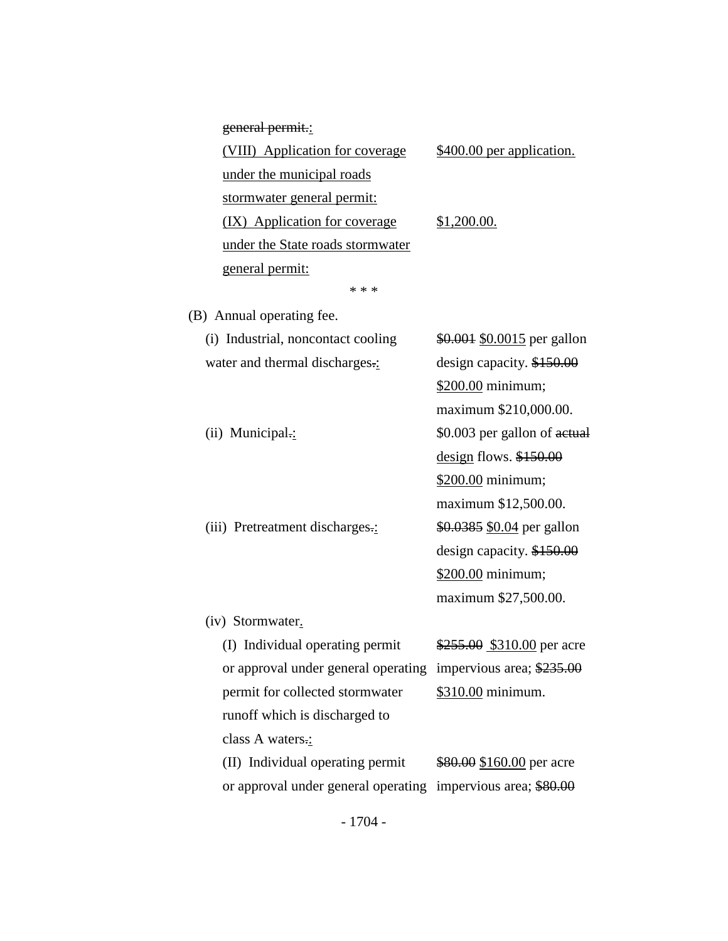| general permit.:                    |                                     |
|-------------------------------------|-------------------------------------|
| (VIII) Application for coverage     | \$400.00 per application.           |
| under the municipal roads           |                                     |
| stormwater general permit:          |                                     |
| (IX) Application for coverage       | \$1,200.00.                         |
| under the State roads stormwater    |                                     |
| general permit:                     |                                     |
| * * *                               |                                     |
| (B) Annual operating fee.           |                                     |
| (i) Industrial, noncontact cooling  | \$0.001 \$0.0015 per gallon         |
| water and thermal discharges.:      | design capacity. \$150.00           |
|                                     | \$200.00 minimum;                   |
|                                     | maximum \$210,000.00.               |
| (ii) Municipal.:                    | \$0.003 per gallon of actual        |
|                                     | $\frac{design}{10}$ flows. \$150.00 |
|                                     | \$200.00 minimum;                   |
|                                     | maximum \$12,500.00.                |
| (iii) Pretreatment discharges.:     | \$0.0385 \$0.04 per gallon          |
|                                     | design capacity. \$150.00           |
|                                     | \$200.00 minimum;                   |
|                                     | maximum \$27,500.00.                |
| (iv) Stormwater.                    |                                     |
| (I) Individual operating permit     | \$255.00 \$310.00 per acre          |
| or approval under general operating | impervious area; \$235.00           |

class A waters.: (II) Individual operating permit \$80.00 \$160.00 per acre or approval under general operating impervious area; \$80.00

permit for collected stormwater \$310.00 minimum.

runoff which is discharged to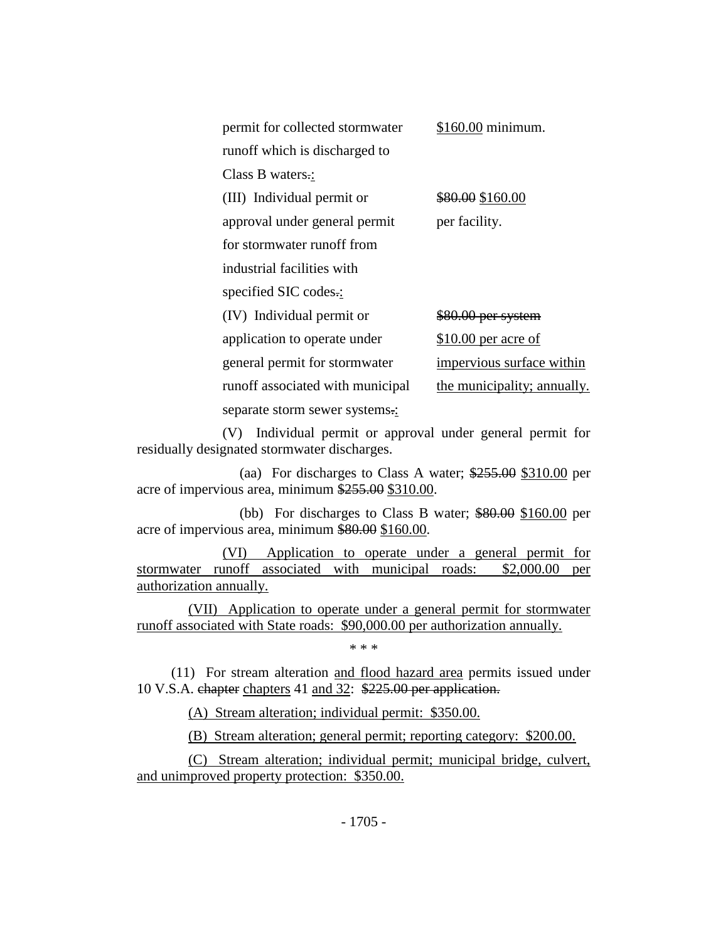| permit for collected stormwater  | \$160.00 minimum.           |
|----------------------------------|-----------------------------|
| runoff which is discharged to    |                             |
| Class B waters.:                 |                             |
| (III) Individual permit or       | \$80.00 \$160.00            |
| approval under general permit    | per facility.               |
| for stormwater runoff from       |                             |
| industrial facilities with       |                             |
| specified SIC codes.:            |                             |
| (IV) Individual permit or        | \$80.00 per system          |
| application to operate under     | \$10.00 per acre of         |
| general permit for stormwater    | impervious surface within   |
| runoff associated with municipal | the municipality; annually. |
| separate storm sewer systems.:   |                             |

(V) Individual permit or approval under general permit for residually designated stormwater discharges.

(aa) For discharges to Class A water; \$255.00 \$310.00 per acre of impervious area, minimum \$255.00 \$310.00.

(bb) For discharges to Class B water; \$80.00 \$160.00 per acre of impervious area, minimum \$80.00 \$160.00.

(VI) Application to operate under a general permit for stormwater runoff associated with municipal roads: \$2,000.00 per authorization annually.

(VII) Application to operate under a general permit for stormwater runoff associated with State roads: \$90,000.00 per authorization annually.

\* \* \*

(11) For stream alteration and flood hazard area permits issued under 10 V.S.A. chapter chapters 41 and 32: \$225.00 per application.

(A) Stream alteration; individual permit: \$350.00.

(B) Stream alteration; general permit; reporting category: \$200.00.

(C) Stream alteration; individual permit; municipal bridge, culvert, and unimproved property protection: \$350.00.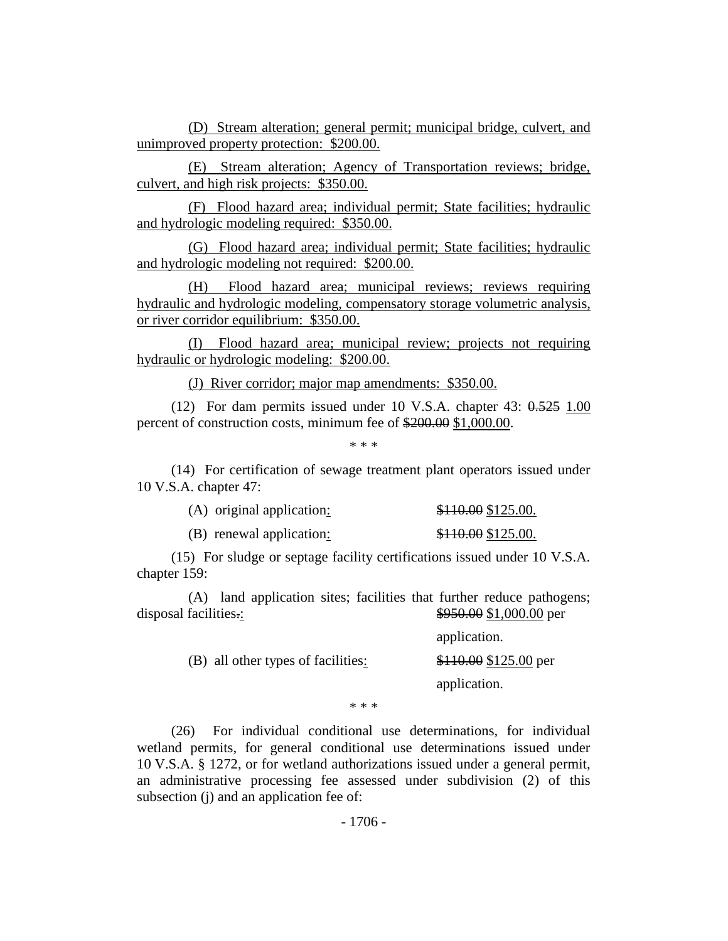(D) Stream alteration; general permit; municipal bridge, culvert, and unimproved property protection: \$200.00.

(E) Stream alteration; Agency of Transportation reviews; bridge, culvert, and high risk projects: \$350.00.

(F) Flood hazard area; individual permit; State facilities; hydraulic and hydrologic modeling required: \$350.00.

(G) Flood hazard area; individual permit; State facilities; hydraulic and hydrologic modeling not required: \$200.00.

(H) Flood hazard area; municipal reviews; reviews requiring hydraulic and hydrologic modeling, compensatory storage volumetric analysis, or river corridor equilibrium: \$350.00.

(I) Flood hazard area; municipal review; projects not requiring hydraulic or hydrologic modeling: \$200.00.

(J) River corridor; major map amendments: \$350.00.

(12) For dam permits issued under 10 V.S.A. chapter  $43: 0.525$  1.00 percent of construction costs, minimum fee of \$200.00 \$1,000.00.

\* \* \*

(14) For certification of sewage treatment plant operators issued under 10 V.S.A. chapter 47:

| (A) original application: | \$110.00 \$125.00. |
|---------------------------|--------------------|
| (B) renewal application:  | \$110.00 \$125.00. |

(15) For sludge or septage facility certifications issued under 10 V.S.A. chapter 159:

(A) land application sites; facilities that further reduce pathogens; disposal facilities...<br>\$950.00 \$1,000.00 per

|                                    | application.           |
|------------------------------------|------------------------|
| (B) all other types of facilities: | $$110.00$ \$125.00 per |
|                                    | application.           |

\* \* \*

(26) For individual conditional use determinations, for individual wetland permits, for general conditional use determinations issued under 10 V.S.A. § 1272, or for wetland authorizations issued under a general permit, an administrative processing fee assessed under subdivision (2) of this subsection (j) and an application fee of: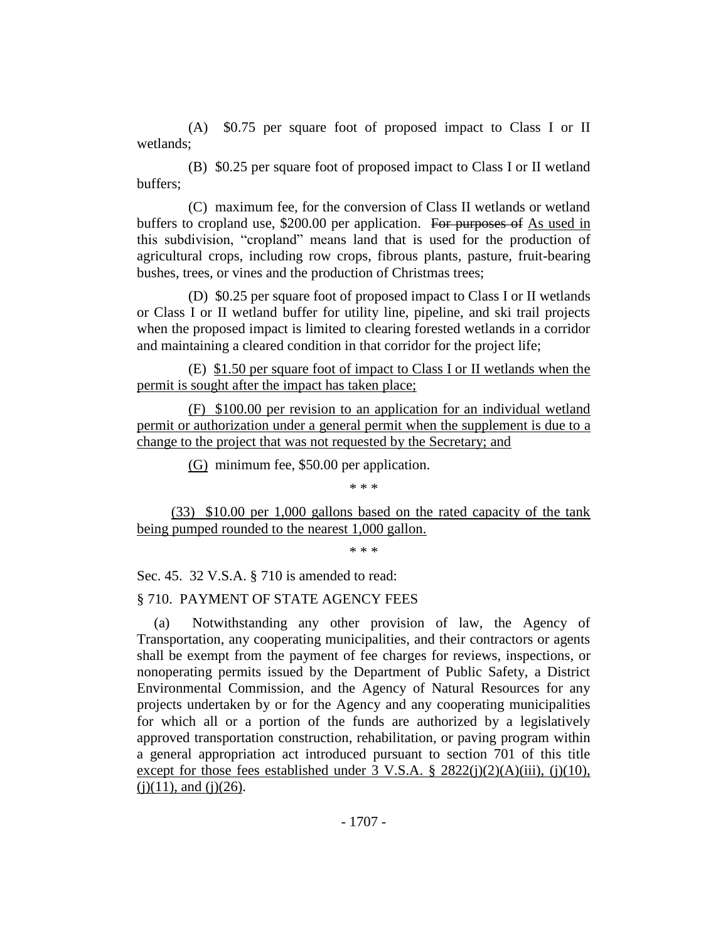(A) \$0.75 per square foot of proposed impact to Class I or II wetlands;

(B) \$0.25 per square foot of proposed impact to Class I or II wetland buffers;

(C) maximum fee, for the conversion of Class II wetlands or wetland buffers to cropland use, \$200.00 per application. For purposes of As used in this subdivision, "cropland" means land that is used for the production of agricultural crops, including row crops, fibrous plants, pasture, fruit-bearing bushes, trees, or vines and the production of Christmas trees;

(D) \$0.25 per square foot of proposed impact to Class I or II wetlands or Class I or II wetland buffer for utility line, pipeline, and ski trail projects when the proposed impact is limited to clearing forested wetlands in a corridor and maintaining a cleared condition in that corridor for the project life;

(E) \$1.50 per square foot of impact to Class I or II wetlands when the permit is sought after the impact has taken place;

(F) \$100.00 per revision to an application for an individual wetland permit or authorization under a general permit when the supplement is due to a change to the project that was not requested by the Secretary; and

(G) minimum fee, \$50.00 per application.

\* \* \*

(33) \$10.00 per 1,000 gallons based on the rated capacity of the tank being pumped rounded to the nearest 1,000 gallon.

\* \* \*

Sec. 45. 32 V.S.A. § 710 is amended to read:

#### § 710. PAYMENT OF STATE AGENCY FEES

(a) Notwithstanding any other provision of law, the Agency of Transportation, any cooperating municipalities, and their contractors or agents shall be exempt from the payment of fee charges for reviews, inspections, or nonoperating permits issued by the Department of Public Safety, a District Environmental Commission, and the Agency of Natural Resources for any projects undertaken by or for the Agency and any cooperating municipalities for which all or a portion of the funds are authorized by a legislatively approved transportation construction, rehabilitation, or paving program within a general appropriation act introduced pursuant to section 701 of this title except for those fees established under  $3 \text{ V.S.A. }$   $\S$   $2822(i)(2)(\text{A})(iii)$ , (j)(10),  $(i)(11)$ , and  $(i)(26)$ .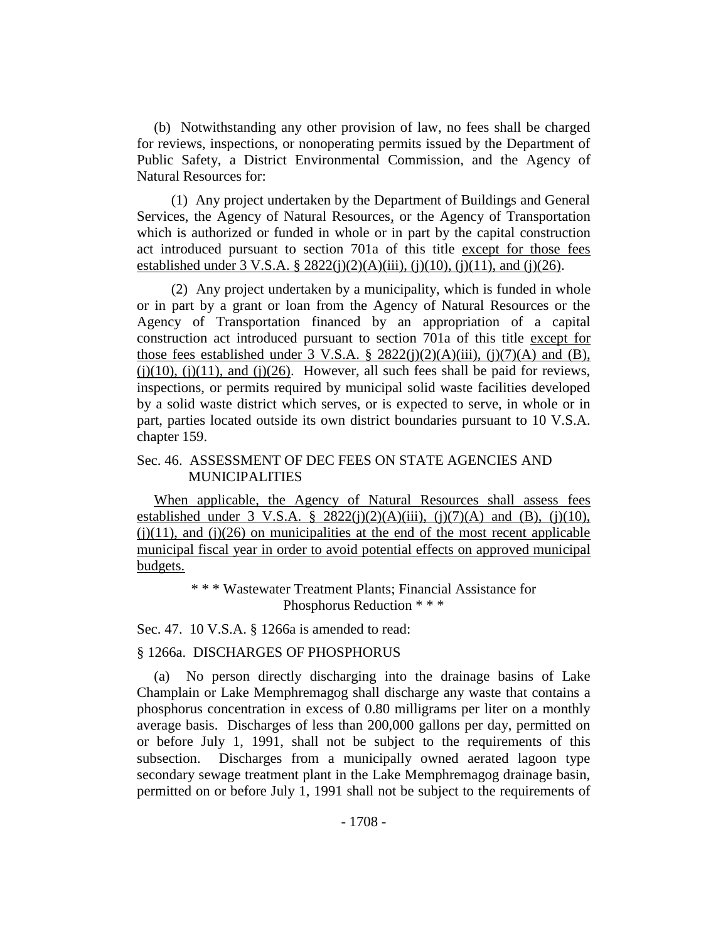(b) Notwithstanding any other provision of law, no fees shall be charged for reviews, inspections, or nonoperating permits issued by the Department of Public Safety, a District Environmental Commission, and the Agency of Natural Resources for:

(1) Any project undertaken by the Department of Buildings and General Services, the Agency of Natural Resources, or the Agency of Transportation which is authorized or funded in whole or in part by the capital construction act introduced pursuant to section 701a of this title except for those fees established under  $3 \text{ V.S.A.}$  §  $2822(i)(2)(A)(iii)$ , (i)(10), (i)(11), and (i)(26).

(2) Any project undertaken by a municipality, which is funded in whole or in part by a grant or loan from the Agency of Natural Resources or the Agency of Transportation financed by an appropriation of a capital construction act introduced pursuant to section 701a of this title except for those fees established under 3 V.S.A. § 2822(j)(2)(A)(iii), (j)(7)(A) and (B),  $(j)(10)$ ,  $(j)(11)$ , and  $(j)(26)$ . However, all such fees shall be paid for reviews, inspections, or permits required by municipal solid waste facilities developed by a solid waste district which serves, or is expected to serve, in whole or in part, parties located outside its own district boundaries pursuant to 10 V.S.A. chapter 159.

#### Sec. 46. ASSESSMENT OF DEC FEES ON STATE AGENCIES AND MUNICIPALITIES

When applicable, the Agency of Natural Resources shall assess fees established under 3 V.S.A. § 2822(j)(2)(A)(iii), (j)(7)(A) and (B), (j)(10),  $(i)(11)$ , and  $(i)(26)$  on municipalities at the end of the most recent applicable municipal fiscal year in order to avoid potential effects on approved municipal budgets.

> \* \* \* Wastewater Treatment Plants; Financial Assistance for Phosphorus Reduction \* \* \*

Sec. 47. 10 V.S.A. § 1266a is amended to read:

#### § 1266a. DISCHARGES OF PHOSPHORUS

(a) No person directly discharging into the drainage basins of Lake Champlain or Lake Memphremagog shall discharge any waste that contains a phosphorus concentration in excess of 0.80 milligrams per liter on a monthly average basis. Discharges of less than 200,000 gallons per day, permitted on or before July 1, 1991, shall not be subject to the requirements of this subsection. Discharges from a municipally owned aerated lagoon type secondary sewage treatment plant in the Lake Memphremagog drainage basin, permitted on or before July 1, 1991 shall not be subject to the requirements of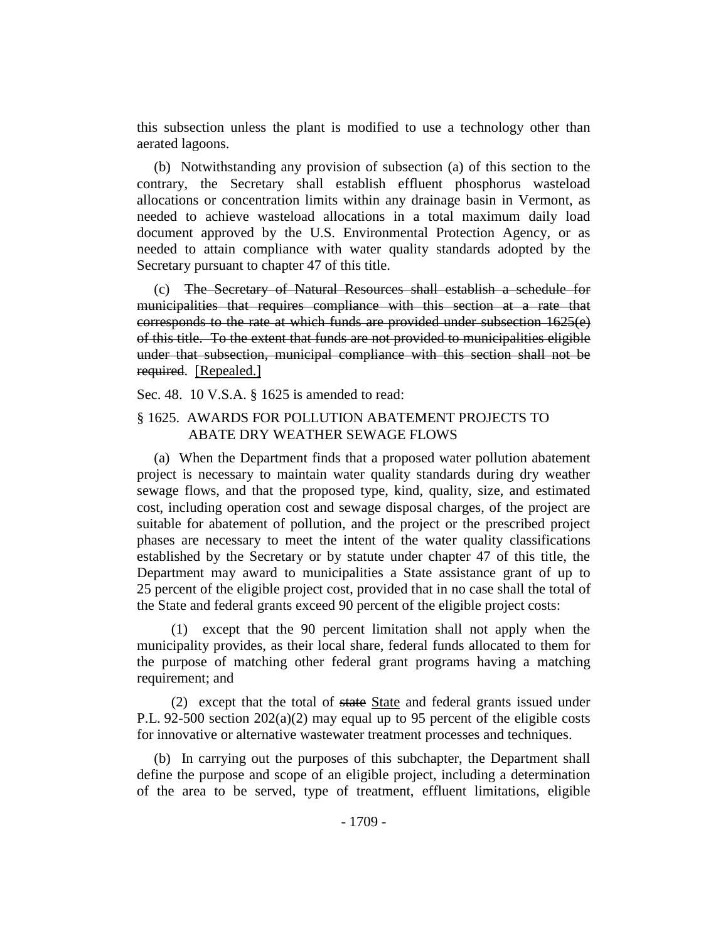this subsection unless the plant is modified to use a technology other than aerated lagoons.

(b) Notwithstanding any provision of subsection (a) of this section to the contrary, the Secretary shall establish effluent phosphorus wasteload allocations or concentration limits within any drainage basin in Vermont, as needed to achieve wasteload allocations in a total maximum daily load document approved by the U.S. Environmental Protection Agency, or as needed to attain compliance with water quality standards adopted by the Secretary pursuant to chapter 47 of this title.

(c) The Secretary of Natural Resources shall establish a schedule for municipalities that requires compliance with this section at a rate that corresponds to the rate at which funds are provided under subsection 1625(e) of this title. To the extent that funds are not provided to municipalities eligible under that subsection, municipal compliance with this section shall not be required. [Repealed.]

Sec. 48. 10 V.S.A. § 1625 is amended to read:

# § 1625. AWARDS FOR POLLUTION ABATEMENT PROJECTS TO ABATE DRY WEATHER SEWAGE FLOWS

(a) When the Department finds that a proposed water pollution abatement project is necessary to maintain water quality standards during dry weather sewage flows, and that the proposed type, kind, quality, size, and estimated cost, including operation cost and sewage disposal charges, of the project are suitable for abatement of pollution, and the project or the prescribed project phases are necessary to meet the intent of the water quality classifications established by the Secretary or by statute under chapter 47 of this title, the Department may award to municipalities a State assistance grant of up to 25 percent of the eligible project cost, provided that in no case shall the total of the State and federal grants exceed 90 percent of the eligible project costs:

(1) except that the 90 percent limitation shall not apply when the municipality provides, as their local share, federal funds allocated to them for the purpose of matching other federal grant programs having a matching requirement; and

(2) except that the total of state State and federal grants issued under P.L. 92-500 section 202(a)(2) may equal up to 95 percent of the eligible costs for innovative or alternative wastewater treatment processes and techniques.

(b) In carrying out the purposes of this subchapter, the Department shall define the purpose and scope of an eligible project, including a determination of the area to be served, type of treatment, effluent limitations, eligible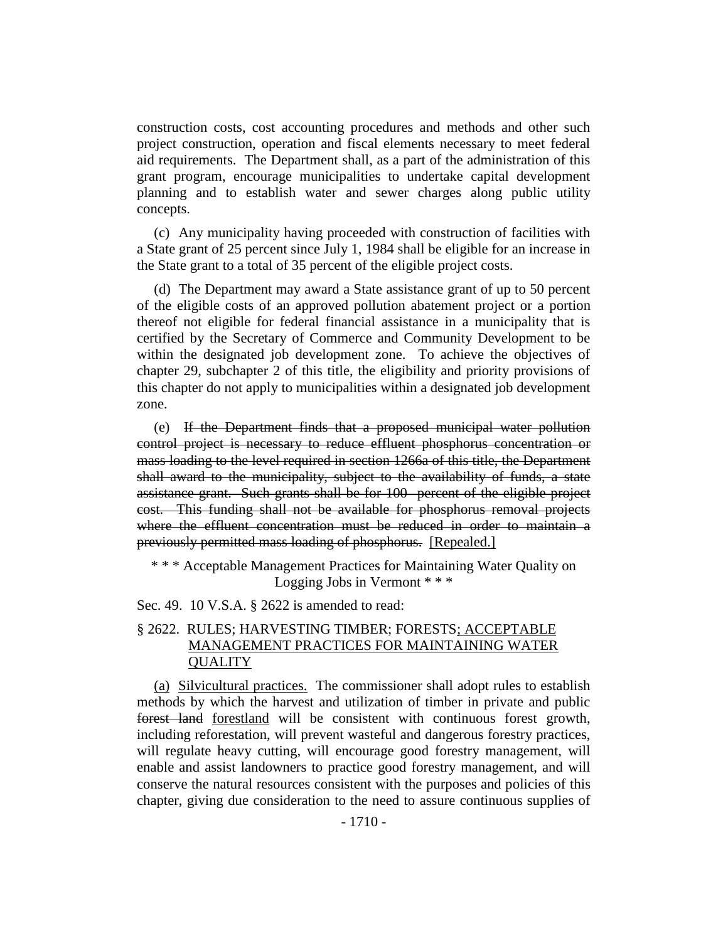construction costs, cost accounting procedures and methods and other such project construction, operation and fiscal elements necessary to meet federal aid requirements. The Department shall, as a part of the administration of this grant program, encourage municipalities to undertake capital development planning and to establish water and sewer charges along public utility concepts.

(c) Any municipality having proceeded with construction of facilities with a State grant of 25 percent since July 1, 1984 shall be eligible for an increase in the State grant to a total of 35 percent of the eligible project costs.

(d) The Department may award a State assistance grant of up to 50 percent of the eligible costs of an approved pollution abatement project or a portion thereof not eligible for federal financial assistance in a municipality that is certified by the Secretary of Commerce and Community Development to be within the designated job development zone. To achieve the objectives of chapter 29, subchapter 2 of this title, the eligibility and priority provisions of this chapter do not apply to municipalities within a designated job development zone.

(e) If the Department finds that a proposed municipal water pollution control project is necessary to reduce effluent phosphorus concentration or mass loading to the level required in section 1266a of this title, the Department shall award to the municipality, subject to the availability of funds, a state assistance grant. Such grants shall be for 100 percent of the eligible project cost. This funding shall not be available for phosphorus removal projects where the effluent concentration must be reduced in order to maintain a previously permitted mass loading of phosphorus. [Repealed.]

\* \* \* Acceptable Management Practices for Maintaining Water Quality on Logging Jobs in Vermont \* \* \*

Sec. 49. 10 V.S.A. § 2622 is amended to read:

# § 2622. RULES; HARVESTING TIMBER; FORESTS; ACCEPTABLE MANAGEMENT PRACTICES FOR MAINTAINING WATER **QUALITY**

(a) Silvicultural practices. The commissioner shall adopt rules to establish methods by which the harvest and utilization of timber in private and public forest land forestland will be consistent with continuous forest growth, including reforestation, will prevent wasteful and dangerous forestry practices, will regulate heavy cutting, will encourage good forestry management, will enable and assist landowners to practice good forestry management, and will conserve the natural resources consistent with the purposes and policies of this chapter, giving due consideration to the need to assure continuous supplies of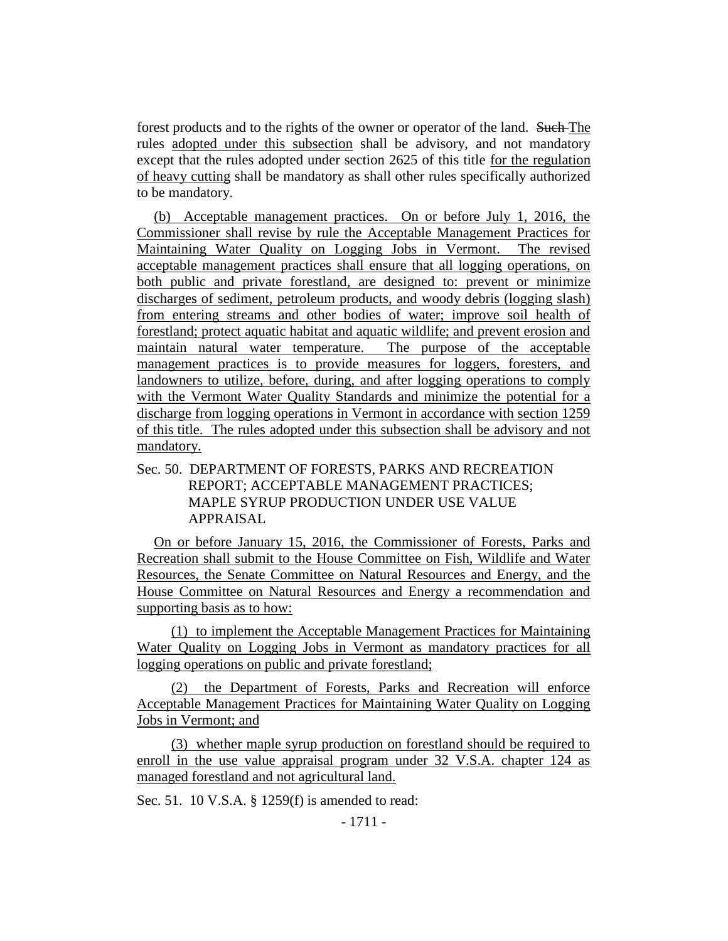forest products and to the rights of the owner or operator of the land. Such The rules adopted under this subsection shall be advisory, and not mandatory except that the rules adopted under section 2625 of this title for the regulation of heavy cutting shall be mandatory as shall other rules specifically authorized to be mandatory.

(b) Acceptable management practices. On or before July 1, 2016, the Commissioner shall revise by rule the Acceptable Management Practices for Maintaining Water Quality on Logging Jobs in Vermont. The revised acceptable management practices shall ensure that all logging operations, on both public and private forestland, are designed to: prevent or minimize discharges of sediment, petroleum products, and woody debris (logging slash) from entering streams and other bodies of water; improve soil health of forestland; protect aquatic habitat and aquatic wildlife; and prevent erosion and maintain natural water temperature. The purpose of the acceptable management practices is to provide measures for loggers, foresters, and landowners to utilize, before, during, and after logging operations to comply with the Vermont Water Quality Standards and minimize the potential for a discharge from logging operations in Vermont in accordance with section 1259 of this title. The rules adopted under this subsection shall be advisory and not mandatory.

# Sec. 50. DEPARTMENT OF FORESTS, PARKS AND RECREATION REPORT; ACCEPTABLE MANAGEMENT PRACTICES; MAPLE SYRUP PRODUCTION UNDER USE VALUE APPRAISAL

On or before January 15, 2016, the Commissioner of Forests, Parks and Recreation shall submit to the House Committee on Fish, Wildlife and Water Resources, the Senate Committee on Natural Resources and Energy, and the House Committee on Natural Resources and Energy a recommendation and supporting basis as to how:

(1) to implement the Acceptable Management Practices for Maintaining Water Quality on Logging Jobs in Vermont as mandatory practices for all logging operations on public and private forestland;

(2) the Department of Forests, Parks and Recreation will enforce Acceptable Management Practices for Maintaining Water Quality on Logging Jobs in Vermont; and

(3) whether maple syrup production on forestland should be required to enroll in the use value appraisal program under 32 V.S.A. chapter 124 as managed forestland and not agricultural land.

Sec. 51. 10 V.S.A. § 1259(f) is amended to read: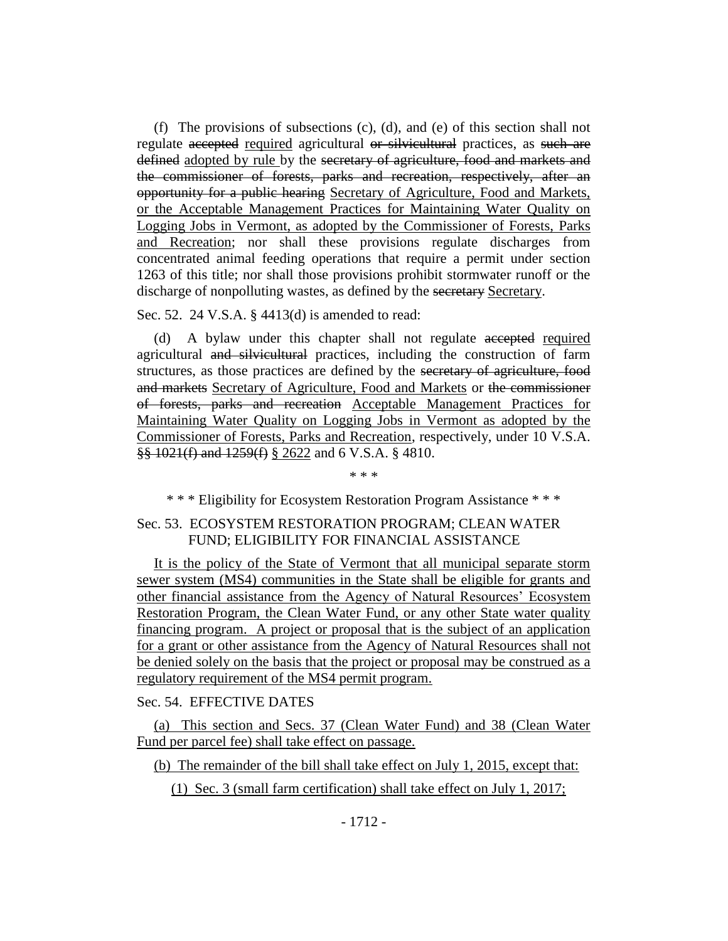(f) The provisions of subsections (c), (d), and (e) of this section shall not regulate accepted required agricultural or silvicultural practices, as such are defined adopted by rule by the secretary of agriculture, food and markets and the commissioner of forests, parks and recreation, respectively, after an opportunity for a public hearing Secretary of Agriculture, Food and Markets, or the Acceptable Management Practices for Maintaining Water Quality on Logging Jobs in Vermont, as adopted by the Commissioner of Forests, Parks and Recreation; nor shall these provisions regulate discharges from concentrated animal feeding operations that require a permit under section 1263 of this title; nor shall those provisions prohibit stormwater runoff or the discharge of nonpolluting wastes, as defined by the secretary Secretary.

Sec. 52. 24 V.S.A. § 4413(d) is amended to read:

(d) A bylaw under this chapter shall not regulate accepted required agricultural and silvicultural practices, including the construction of farm structures, as those practices are defined by the secretary of agriculture, food and markets Secretary of Agriculture, Food and Markets or the commissioner of forests, parks and recreation Acceptable Management Practices for Maintaining Water Quality on Logging Jobs in Vermont as adopted by the Commissioner of Forests, Parks and Recreation, respectively, under 10 V.S.A. §§ 1021(f) and 1259(f) § 2622 and 6 V.S.A. § 4810.

\* \* \*

\* \* \* Eligibility for Ecosystem Restoration Program Assistance \* \* \*

# Sec. 53. ECOSYSTEM RESTORATION PROGRAM; CLEAN WATER FUND; ELIGIBILITY FOR FINANCIAL ASSISTANCE

It is the policy of the State of Vermont that all municipal separate storm sewer system (MS4) communities in the State shall be eligible for grants and other financial assistance from the Agency of Natural Resources' Ecosystem Restoration Program, the Clean Water Fund, or any other State water quality financing program. A project or proposal that is the subject of an application for a grant or other assistance from the Agency of Natural Resources shall not be denied solely on the basis that the project or proposal may be construed as a regulatory requirement of the MS4 permit program.

Sec. 54. EFFECTIVE DATES

(a) This section and Secs. 37 (Clean Water Fund) and 38 (Clean Water Fund per parcel fee) shall take effect on passage.

(b) The remainder of the bill shall take effect on July 1, 2015, except that:

(1) Sec. 3 (small farm certification) shall take effect on July 1, 2017;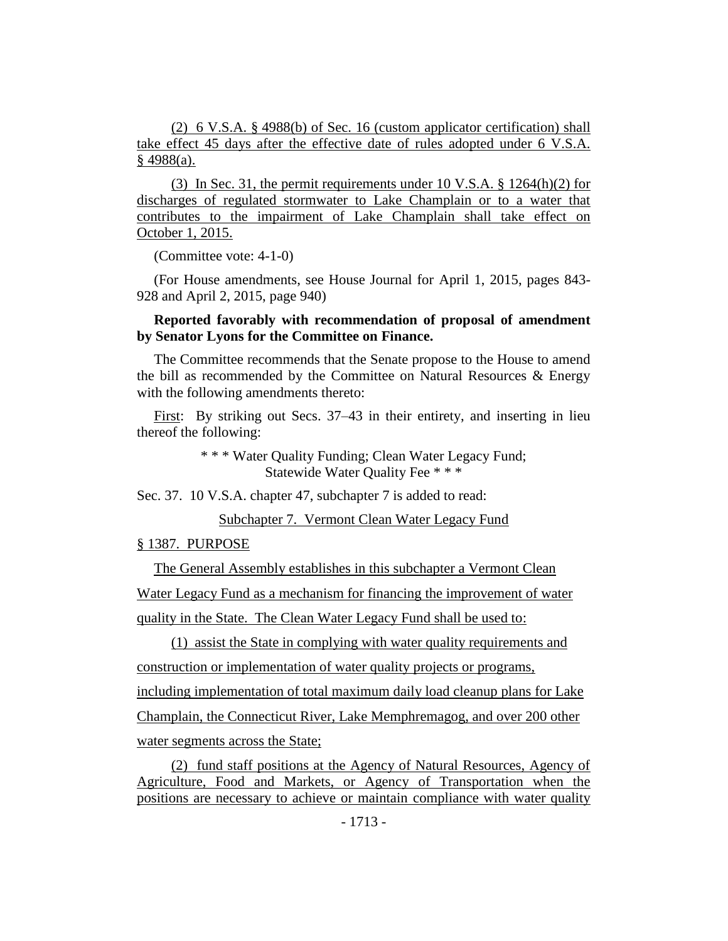(2) 6 V.S.A. § 4988(b) of Sec. 16 (custom applicator certification) shall take effect 45 days after the effective date of rules adopted under 6 V.S.A. § 4988(a).

(3) In Sec. 31, the permit requirements under 10 V.S.A. § 1264(h)(2) for discharges of regulated stormwater to Lake Champlain or to a water that contributes to the impairment of Lake Champlain shall take effect on October 1, 2015.

(Committee vote: 4-1-0)

(For House amendments, see House Journal for April 1, 2015, pages 843- 928 and April 2, 2015, page 940)

# **Reported favorably with recommendation of proposal of amendment by Senator Lyons for the Committee on Finance.**

The Committee recommends that the Senate propose to the House to amend the bill as recommended by the Committee on Natural Resources & Energy with the following amendments thereto:

First: By striking out Secs. 37–43 in their entirety, and inserting in lieu thereof the following:

> \* \* \* Water Quality Funding; Clean Water Legacy Fund; Statewide Water Quality Fee \* \* \*

Sec. 37. 10 V.S.A. chapter 47, subchapter 7 is added to read:

Subchapter 7. Vermont Clean Water Legacy Fund

§ 1387. PURPOSE

The General Assembly establishes in this subchapter a Vermont Clean Water Legacy Fund as a mechanism for financing the improvement of water quality in the State. The Clean Water Legacy Fund shall be used to:

(1) assist the State in complying with water quality requirements and construction or implementation of water quality projects or programs, including implementation of total maximum daily load cleanup plans for Lake Champlain, the Connecticut River, Lake Memphremagog, and over 200 other water segments across the State;

(2) fund staff positions at the Agency of Natural Resources, Agency of Agriculture, Food and Markets, or Agency of Transportation when the positions are necessary to achieve or maintain compliance with water quality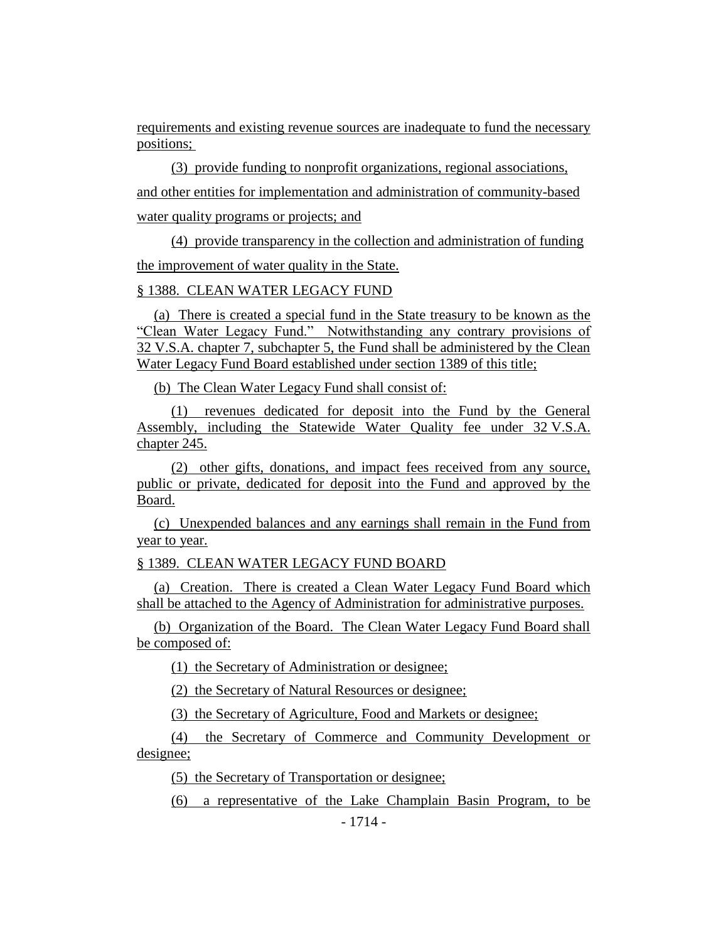requirements and existing revenue sources are inadequate to fund the necessary positions;

(3) provide funding to nonprofit organizations, regional associations, and other entities for implementation and administration of community-based water quality programs or projects; and

(4) provide transparency in the collection and administration of funding the improvement of water quality in the State.

#### § 1388. CLEAN WATER LEGACY FUND

(a) There is created a special fund in the State treasury to be known as the "Clean Water Legacy Fund." Notwithstanding any contrary provisions of 32 V.S.A. chapter 7, subchapter 5, the Fund shall be administered by the Clean Water Legacy Fund Board established under section 1389 of this title;

(b) The Clean Water Legacy Fund shall consist of:

(1) revenues dedicated for deposit into the Fund by the General Assembly, including the Statewide Water Quality fee under 32 V.S.A. chapter 245.

(2) other gifts, donations, and impact fees received from any source, public or private, dedicated for deposit into the Fund and approved by the Board.

(c) Unexpended balances and any earnings shall remain in the Fund from year to year.

§ 1389. CLEAN WATER LEGACY FUND BOARD

(a) Creation. There is created a Clean Water Legacy Fund Board which shall be attached to the Agency of Administration for administrative purposes.

(b) Organization of the Board. The Clean Water Legacy Fund Board shall be composed of:

(1) the Secretary of Administration or designee;

(2) the Secretary of Natural Resources or designee;

(3) the Secretary of Agriculture, Food and Markets or designee;

(4) the Secretary of Commerce and Community Development or designee;

(5) the Secretary of Transportation or designee;

(6) a representative of the Lake Champlain Basin Program, to be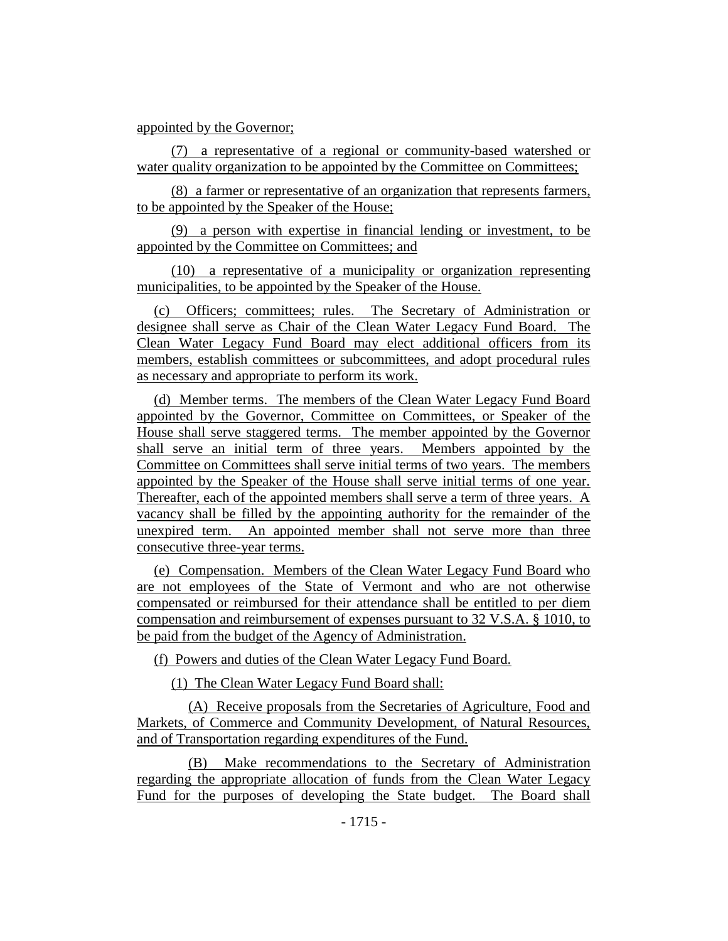#### appointed by the Governor;

(7) a representative of a regional or community-based watershed or water quality organization to be appointed by the Committee on Committees;

(8) a farmer or representative of an organization that represents farmers, to be appointed by the Speaker of the House;

(9) a person with expertise in financial lending or investment, to be appointed by the Committee on Committees; and

(10) a representative of a municipality or organization representing municipalities, to be appointed by the Speaker of the House.

(c) Officers; committees; rules. The Secretary of Administration or designee shall serve as Chair of the Clean Water Legacy Fund Board. The Clean Water Legacy Fund Board may elect additional officers from its members, establish committees or subcommittees, and adopt procedural rules as necessary and appropriate to perform its work.

(d) Member terms. The members of the Clean Water Legacy Fund Board appointed by the Governor, Committee on Committees, or Speaker of the House shall serve staggered terms. The member appointed by the Governor shall serve an initial term of three years. Members appointed by the Committee on Committees shall serve initial terms of two years. The members appointed by the Speaker of the House shall serve initial terms of one year. Thereafter, each of the appointed members shall serve a term of three years. A vacancy shall be filled by the appointing authority for the remainder of the unexpired term. An appointed member shall not serve more than three consecutive three-year terms.

(e) Compensation. Members of the Clean Water Legacy Fund Board who are not employees of the State of Vermont and who are not otherwise compensated or reimbursed for their attendance shall be entitled to per diem compensation and reimbursement of expenses pursuant to 32 V.S.A. § 1010, to be paid from the budget of the Agency of Administration.

(f) Powers and duties of the Clean Water Legacy Fund Board.

(1) The Clean Water Legacy Fund Board shall:

(A) Receive proposals from the Secretaries of Agriculture, Food and Markets, of Commerce and Community Development, of Natural Resources, and of Transportation regarding expenditures of the Fund.

(B) Make recommendations to the Secretary of Administration regarding the appropriate allocation of funds from the Clean Water Legacy Fund for the purposes of developing the State budget. The Board shall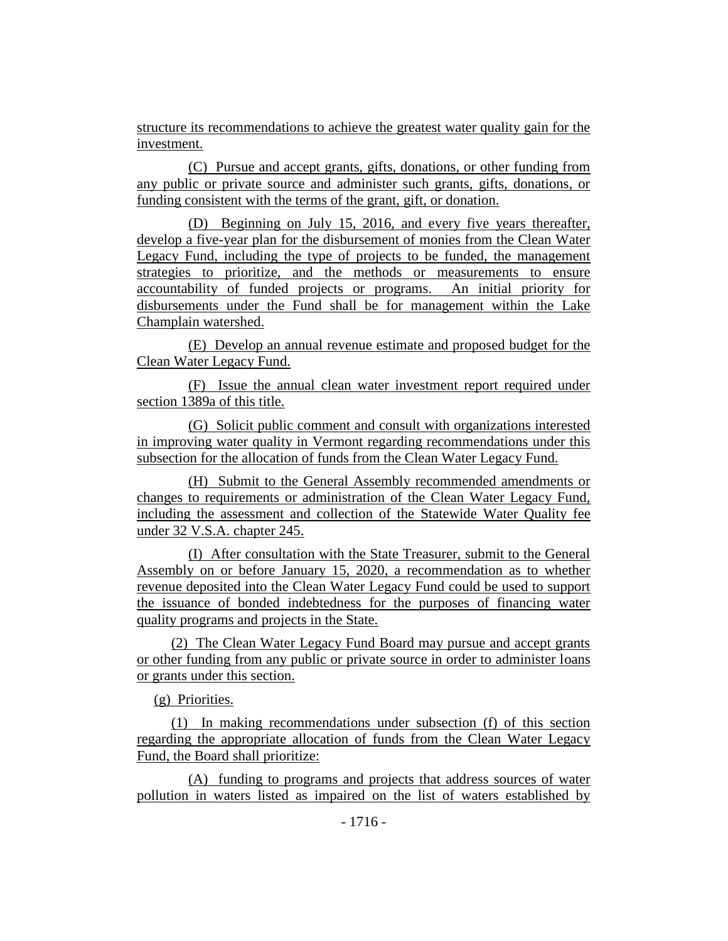structure its recommendations to achieve the greatest water quality gain for the investment.

(C) Pursue and accept grants, gifts, donations, or other funding from any public or private source and administer such grants, gifts, donations, or funding consistent with the terms of the grant, gift, or donation.

(D) Beginning on July 15, 2016, and every five years thereafter, develop a five-year plan for the disbursement of monies from the Clean Water Legacy Fund, including the type of projects to be funded, the management strategies to prioritize, and the methods or measurements to ensure accountability of funded projects or programs. An initial priority for disbursements under the Fund shall be for management within the Lake Champlain watershed.

(E) Develop an annual revenue estimate and proposed budget for the Clean Water Legacy Fund.

(F) Issue the annual clean water investment report required under section 1389a of this title.

(G) Solicit public comment and consult with organizations interested in improving water quality in Vermont regarding recommendations under this subsection for the allocation of funds from the Clean Water Legacy Fund.

(H) Submit to the General Assembly recommended amendments or changes to requirements or administration of the Clean Water Legacy Fund, including the assessment and collection of the Statewide Water Quality fee under 32 V.S.A. chapter 245.

(I) After consultation with the State Treasurer, submit to the General Assembly on or before January 15, 2020, a recommendation as to whether revenue deposited into the Clean Water Legacy Fund could be used to support the issuance of bonded indebtedness for the purposes of financing water quality programs and projects in the State.

(2) The Clean Water Legacy Fund Board may pursue and accept grants or other funding from any public or private source in order to administer loans or grants under this section.

(g) Priorities.

(1) In making recommendations under subsection (f) of this section regarding the appropriate allocation of funds from the Clean Water Legacy Fund, the Board shall prioritize:

(A) funding to programs and projects that address sources of water pollution in waters listed as impaired on the list of waters established by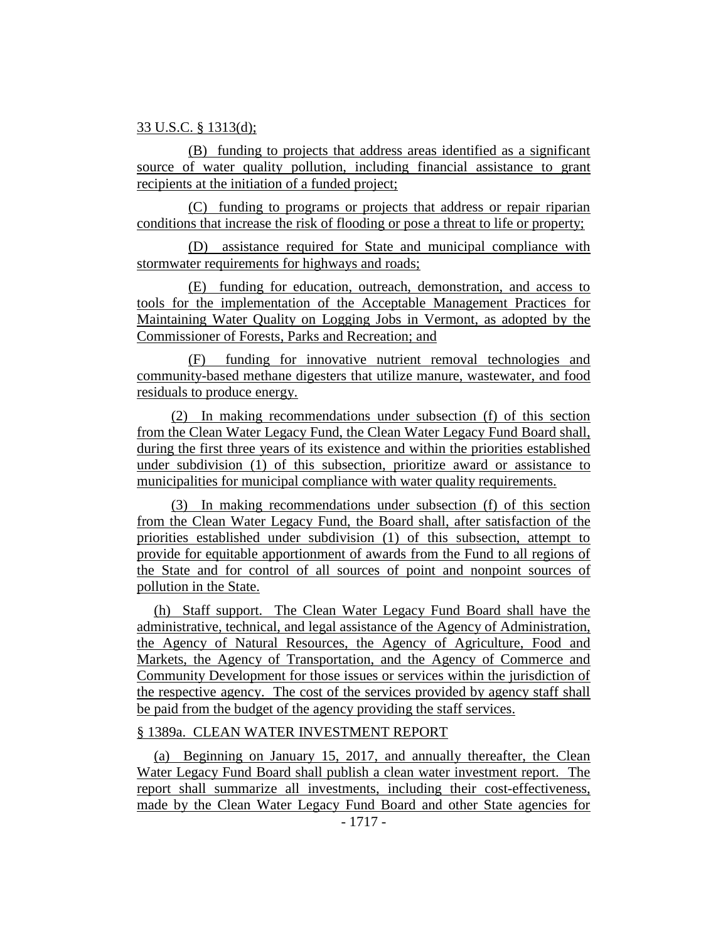#### 33 U.S.C. § 1313(d);

(B) funding to projects that address areas identified as a significant source of water quality pollution, including financial assistance to grant recipients at the initiation of a funded project;

(C) funding to programs or projects that address or repair riparian conditions that increase the risk of flooding or pose a threat to life or property;

(D) assistance required for State and municipal compliance with stormwater requirements for highways and roads;

(E) funding for education, outreach, demonstration, and access to tools for the implementation of the Acceptable Management Practices for Maintaining Water Quality on Logging Jobs in Vermont, as adopted by the Commissioner of Forests, Parks and Recreation; and

(F) funding for innovative nutrient removal technologies and community-based methane digesters that utilize manure, wastewater, and food residuals to produce energy.

(2) In making recommendations under subsection (f) of this section from the Clean Water Legacy Fund, the Clean Water Legacy Fund Board shall, during the first three years of its existence and within the priorities established under subdivision (1) of this subsection, prioritize award or assistance to municipalities for municipal compliance with water quality requirements.

(3) In making recommendations under subsection (f) of this section from the Clean Water Legacy Fund, the Board shall, after satisfaction of the priorities established under subdivision (1) of this subsection, attempt to provide for equitable apportionment of awards from the Fund to all regions of the State and for control of all sources of point and nonpoint sources of pollution in the State.

(h) Staff support. The Clean Water Legacy Fund Board shall have the administrative, technical, and legal assistance of the Agency of Administration, the Agency of Natural Resources, the Agency of Agriculture, Food and Markets, the Agency of Transportation, and the Agency of Commerce and Community Development for those issues or services within the jurisdiction of the respective agency. The cost of the services provided by agency staff shall be paid from the budget of the agency providing the staff services.

# § 1389a. CLEAN WATER INVESTMENT REPORT

(a) Beginning on January 15, 2017, and annually thereafter, the Clean Water Legacy Fund Board shall publish a clean water investment report. The report shall summarize all investments, including their cost-effectiveness, made by the Clean Water Legacy Fund Board and other State agencies for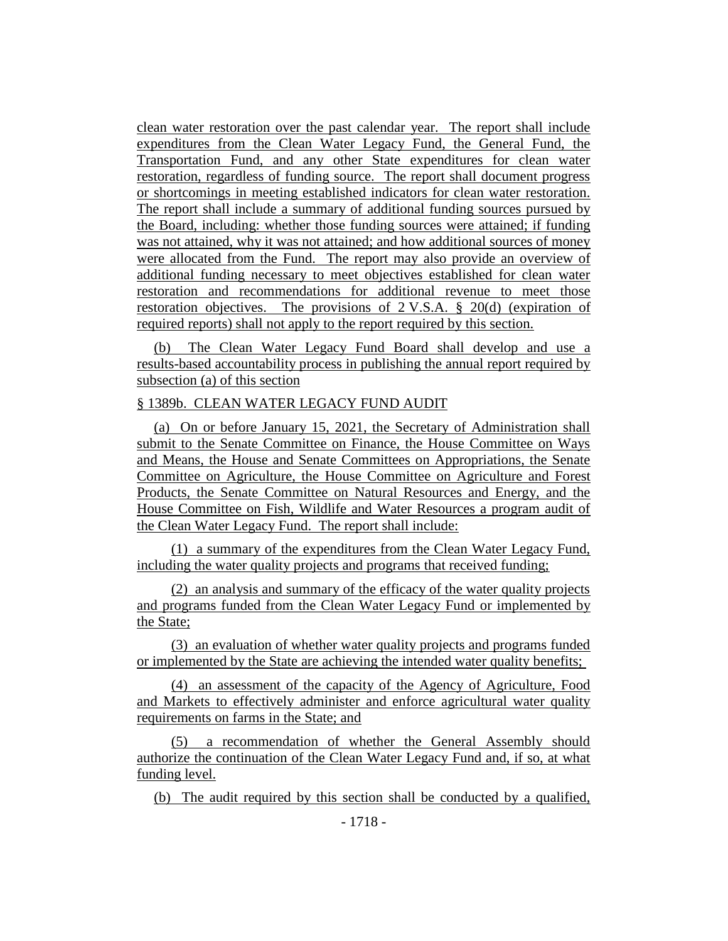clean water restoration over the past calendar year. The report shall include expenditures from the Clean Water Legacy Fund, the General Fund, the Transportation Fund, and any other State expenditures for clean water restoration, regardless of funding source. The report shall document progress or shortcomings in meeting established indicators for clean water restoration. The report shall include a summary of additional funding sources pursued by the Board, including: whether those funding sources were attained; if funding was not attained, why it was not attained; and how additional sources of money were allocated from the Fund. The report may also provide an overview of additional funding necessary to meet objectives established for clean water restoration and recommendations for additional revenue to meet those restoration objectives. The provisions of 2 V.S.A. § 20(d) (expiration of required reports) shall not apply to the report required by this section.

(b) The Clean Water Legacy Fund Board shall develop and use a results-based accountability process in publishing the annual report required by subsection (a) of this section

# § 1389b. CLEAN WATER LEGACY FUND AUDIT

(a) On or before January 15, 2021, the Secretary of Administration shall submit to the Senate Committee on Finance, the House Committee on Ways and Means, the House and Senate Committees on Appropriations, the Senate Committee on Agriculture, the House Committee on Agriculture and Forest Products, the Senate Committee on Natural Resources and Energy, and the House Committee on Fish, Wildlife and Water Resources a program audit of the Clean Water Legacy Fund. The report shall include:

(1) a summary of the expenditures from the Clean Water Legacy Fund, including the water quality projects and programs that received funding;

(2) an analysis and summary of the efficacy of the water quality projects and programs funded from the Clean Water Legacy Fund or implemented by the State;

(3) an evaluation of whether water quality projects and programs funded or implemented by the State are achieving the intended water quality benefits;

(4) an assessment of the capacity of the Agency of Agriculture, Food and Markets to effectively administer and enforce agricultural water quality requirements on farms in the State; and

(5) a recommendation of whether the General Assembly should authorize the continuation of the Clean Water Legacy Fund and, if so, at what funding level.

(b) The audit required by this section shall be conducted by a qualified,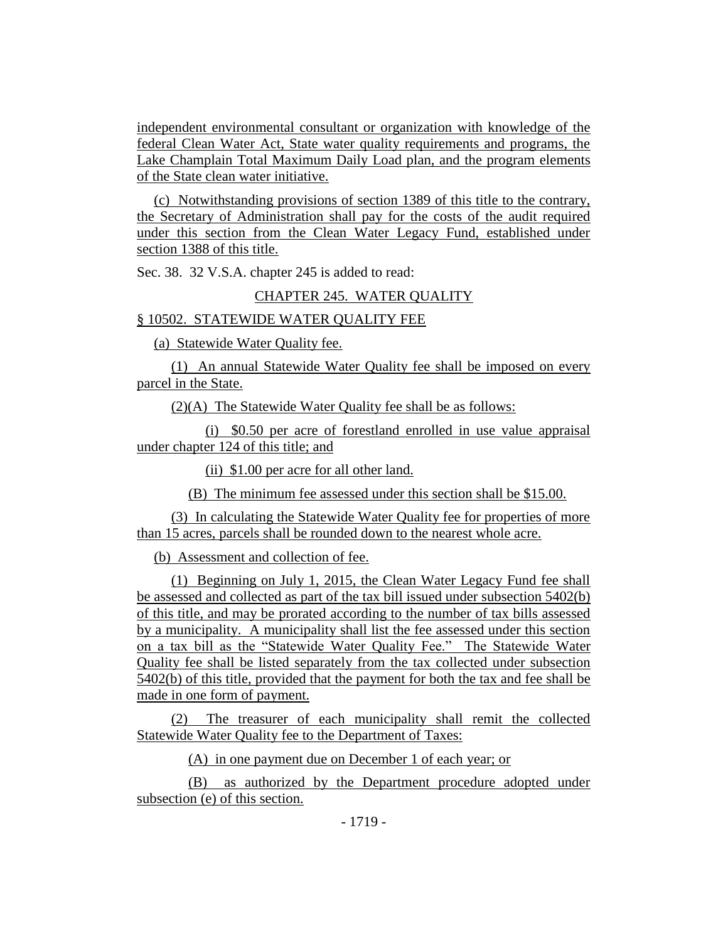independent environmental consultant or organization with knowledge of the federal Clean Water Act, State water quality requirements and programs, the Lake Champlain Total Maximum Daily Load plan, and the program elements of the State clean water initiative.

(c) Notwithstanding provisions of section 1389 of this title to the contrary, the Secretary of Administration shall pay for the costs of the audit required under this section from the Clean Water Legacy Fund, established under section 1388 of this title.

Sec. 38. 32 V.S.A. chapter 245 is added to read:

#### CHAPTER 245. WATER QUALITY

#### § 10502. STATEWIDE WATER QUALITY FEE

(a) Statewide Water Quality fee.

(1) An annual Statewide Water Quality fee shall be imposed on every parcel in the State.

(2)(A) The Statewide Water Quality fee shall be as follows:

(i) \$0.50 per acre of forestland enrolled in use value appraisal under chapter 124 of this title; and

(ii) \$1.00 per acre for all other land.

(B) The minimum fee assessed under this section shall be \$15.00.

(3) In calculating the Statewide Water Quality fee for properties of more than 15 acres, parcels shall be rounded down to the nearest whole acre.

(b) Assessment and collection of fee.

(1) Beginning on July 1, 2015, the Clean Water Legacy Fund fee shall be assessed and collected as part of the tax bill issued under subsection 5402(b) of this title, and may be prorated according to the number of tax bills assessed by a municipality. A municipality shall list the fee assessed under this section on a tax bill as the "Statewide Water Quality Fee." The Statewide Water Quality fee shall be listed separately from the tax collected under subsection 5402(b) of this title, provided that the payment for both the tax and fee shall be made in one form of payment.

(2) The treasurer of each municipality shall remit the collected Statewide Water Quality fee to the Department of Taxes:

(A) in one payment due on December 1 of each year; or

(B) as authorized by the Department procedure adopted under subsection (e) of this section.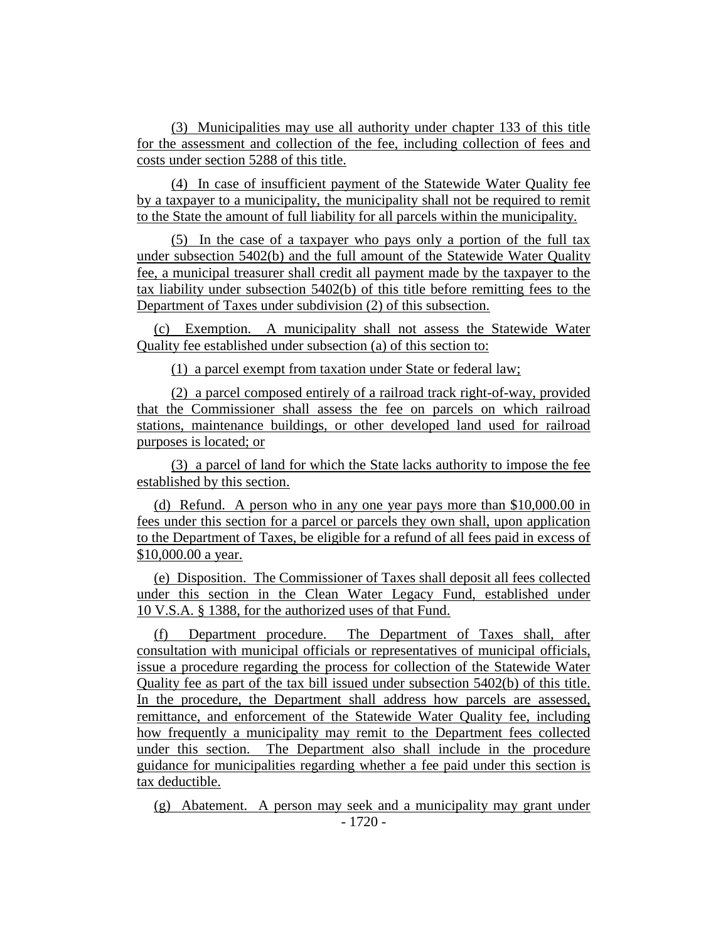(3) Municipalities may use all authority under chapter 133 of this title for the assessment and collection of the fee, including collection of fees and costs under section 5288 of this title.

(4) In case of insufficient payment of the Statewide Water Quality fee by a taxpayer to a municipality, the municipality shall not be required to remit to the State the amount of full liability for all parcels within the municipality.

(5) In the case of a taxpayer who pays only a portion of the full tax under subsection 5402(b) and the full amount of the Statewide Water Quality fee, a municipal treasurer shall credit all payment made by the taxpayer to the tax liability under subsection 5402(b) of this title before remitting fees to the Department of Taxes under subdivision (2) of this subsection.

(c) Exemption. A municipality shall not assess the Statewide Water Quality fee established under subsection (a) of this section to:

(1) a parcel exempt from taxation under State or federal law;

(2) a parcel composed entirely of a railroad track right-of-way, provided that the Commissioner shall assess the fee on parcels on which railroad stations, maintenance buildings, or other developed land used for railroad purposes is located; or

(3) a parcel of land for which the State lacks authority to impose the fee established by this section.

(d) Refund. A person who in any one year pays more than \$10,000.00 in fees under this section for a parcel or parcels they own shall, upon application to the Department of Taxes, be eligible for a refund of all fees paid in excess of \$10,000.00 a year.

(e) Disposition. The Commissioner of Taxes shall deposit all fees collected under this section in the Clean Water Legacy Fund, established under 10 V.S.A. § 1388, for the authorized uses of that Fund.

(f) Department procedure. The Department of Taxes shall, after consultation with municipal officials or representatives of municipal officials, issue a procedure regarding the process for collection of the Statewide Water Quality fee as part of the tax bill issued under subsection 5402(b) of this title. In the procedure, the Department shall address how parcels are assessed, remittance, and enforcement of the Statewide Water Quality fee, including how frequently a municipality may remit to the Department fees collected under this section. The Department also shall include in the procedure guidance for municipalities regarding whether a fee paid under this section is tax deductible.

- 1720 - (g) Abatement. A person may seek and a municipality may grant under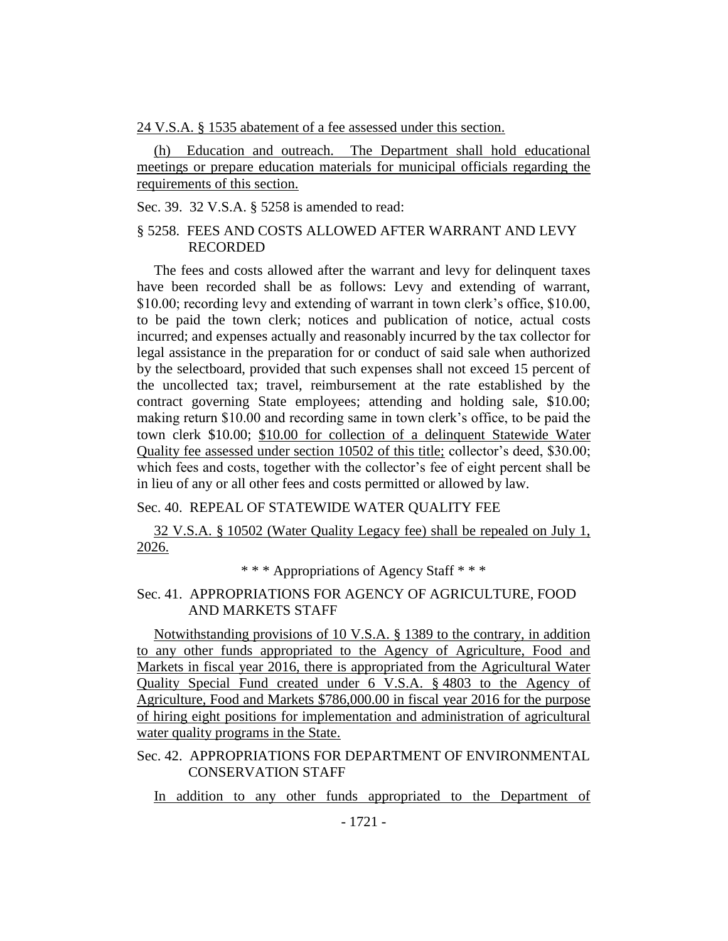24 V.S.A. § 1535 abatement of a fee assessed under this section.

(h) Education and outreach. The Department shall hold educational meetings or prepare education materials for municipal officials regarding the requirements of this section.

Sec. 39. 32 V.S.A. § 5258 is amended to read:

# § 5258. FEES AND COSTS ALLOWED AFTER WARRANT AND LEVY RECORDED

The fees and costs allowed after the warrant and levy for delinquent taxes have been recorded shall be as follows: Levy and extending of warrant, \$10.00; recording levy and extending of warrant in town clerk's office, \$10.00, to be paid the town clerk; notices and publication of notice, actual costs incurred; and expenses actually and reasonably incurred by the tax collector for legal assistance in the preparation for or conduct of said sale when authorized by the selectboard, provided that such expenses shall not exceed 15 percent of the uncollected tax; travel, reimbursement at the rate established by the contract governing State employees; attending and holding sale, \$10.00; making return \$10.00 and recording same in town clerk's office, to be paid the town clerk \$10.00; \$10.00 for collection of a delinquent Statewide Water Quality fee assessed under section 10502 of this title; collector's deed, \$30.00; which fees and costs, together with the collector's fee of eight percent shall be in lieu of any or all other fees and costs permitted or allowed by law.

# Sec. 40. REPEAL OF STATEWIDE WATER QUALITY FEE

32 V.S.A. § 10502 (Water Quality Legacy fee) shall be repealed on July 1, 2026.

\* \* \* Appropriations of Agency Staff \* \* \*

# Sec. 41. APPROPRIATIONS FOR AGENCY OF AGRICULTURE, FOOD AND MARKETS STAFF

Notwithstanding provisions of 10 V.S.A. § 1389 to the contrary, in addition to any other funds appropriated to the Agency of Agriculture, Food and Markets in fiscal year 2016, there is appropriated from the Agricultural Water Quality Special Fund created under 6 V.S.A. § 4803 to the Agency of Agriculture, Food and Markets \$786,000.00 in fiscal year 2016 for the purpose of hiring eight positions for implementation and administration of agricultural water quality programs in the State.

# Sec. 42. APPROPRIATIONS FOR DEPARTMENT OF ENVIRONMENTAL CONSERVATION STAFF

In addition to any other funds appropriated to the Department of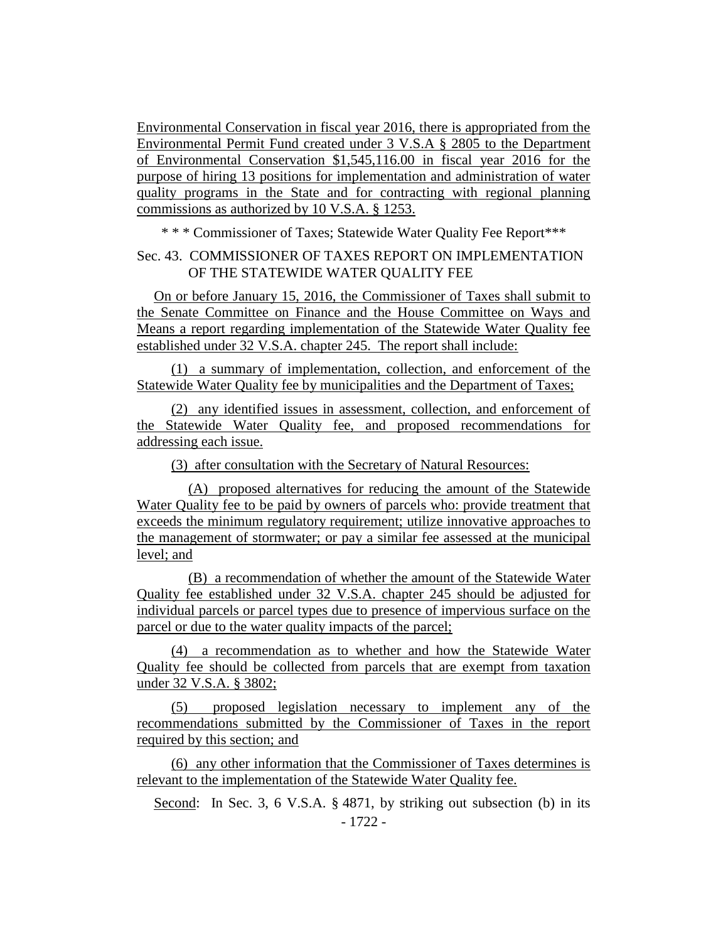Environmental Conservation in fiscal year 2016, there is appropriated from the Environmental Permit Fund created under 3 V.S.A § 2805 to the Department of Environmental Conservation \$1,545,116.00 in fiscal year 2016 for the purpose of hiring 13 positions for implementation and administration of water quality programs in the State and for contracting with regional planning commissions as authorized by 10 V.S.A. § 1253.

\* \* \* Commissioner of Taxes; Statewide Water Quality Fee Report\*\*\*

Sec. 43. COMMISSIONER OF TAXES REPORT ON IMPLEMENTATION OF THE STATEWIDE WATER QUALITY FEE

On or before January 15, 2016, the Commissioner of Taxes shall submit to the Senate Committee on Finance and the House Committee on Ways and Means a report regarding implementation of the Statewide Water Quality fee established under 32 V.S.A. chapter 245. The report shall include:

(1) a summary of implementation, collection, and enforcement of the Statewide Water Quality fee by municipalities and the Department of Taxes;

(2) any identified issues in assessment, collection, and enforcement of the Statewide Water Quality fee, and proposed recommendations for addressing each issue.

(3) after consultation with the Secretary of Natural Resources:

(A) proposed alternatives for reducing the amount of the Statewide Water Quality fee to be paid by owners of parcels who: provide treatment that exceeds the minimum regulatory requirement; utilize innovative approaches to the management of stormwater; or pay a similar fee assessed at the municipal level; and

(B) a recommendation of whether the amount of the Statewide Water Quality fee established under 32 V.S.A. chapter 245 should be adjusted for individual parcels or parcel types due to presence of impervious surface on the parcel or due to the water quality impacts of the parcel;

(4) a recommendation as to whether and how the Statewide Water Quality fee should be collected from parcels that are exempt from taxation under 32 V.S.A. § 3802;

(5) proposed legislation necessary to implement any of the recommendations submitted by the Commissioner of Taxes in the report required by this section; and

(6) any other information that the Commissioner of Taxes determines is relevant to the implementation of the Statewide Water Quality fee.

- 1722 - Second: In Sec. 3, 6 V.S.A. § 4871, by striking out subsection (b) in its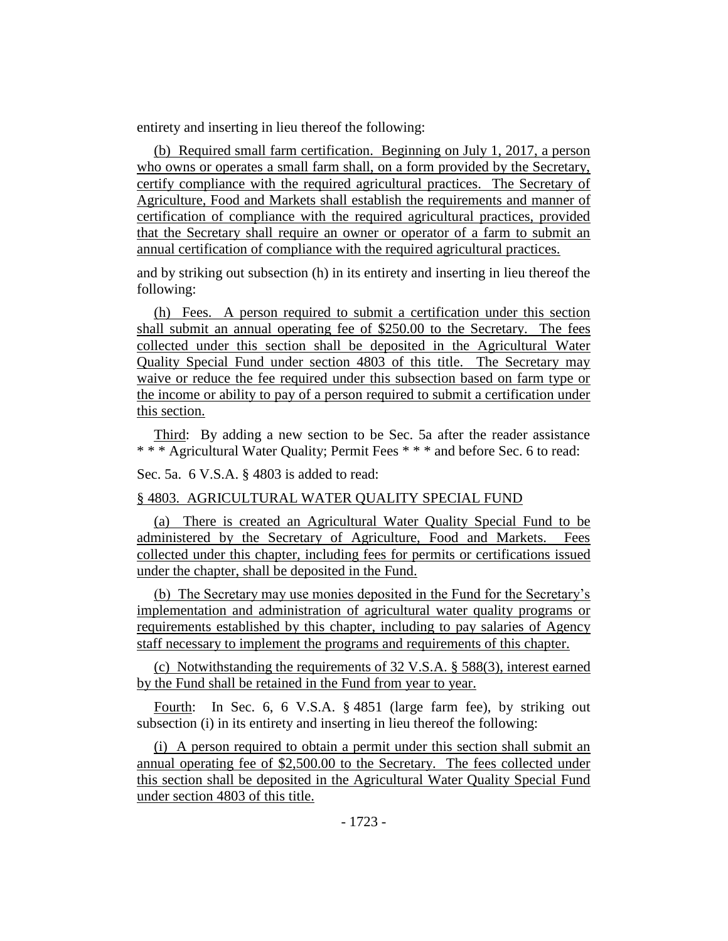entirety and inserting in lieu thereof the following:

(b) Required small farm certification. Beginning on July 1, 2017, a person who owns or operates a small farm shall, on a form provided by the Secretary, certify compliance with the required agricultural practices. The Secretary of Agriculture, Food and Markets shall establish the requirements and manner of certification of compliance with the required agricultural practices, provided that the Secretary shall require an owner or operator of a farm to submit an annual certification of compliance with the required agricultural practices.

and by striking out subsection (h) in its entirety and inserting in lieu thereof the following:

(h) Fees. A person required to submit a certification under this section shall submit an annual operating fee of \$250.00 to the Secretary. The fees collected under this section shall be deposited in the Agricultural Water Quality Special Fund under section 4803 of this title. The Secretary may waive or reduce the fee required under this subsection based on farm type or the income or ability to pay of a person required to submit a certification under this section.

Third: By adding a new section to be Sec. 5a after the reader assistance \* \* \* Agricultural Water Quality; Permit Fees \* \* \* and before Sec. 6 to read:

Sec. 5a. 6 V.S.A. § 4803 is added to read:

#### § 4803. AGRICULTURAL WATER QUALITY SPECIAL FUND

(a) There is created an Agricultural Water Quality Special Fund to be administered by the Secretary of Agriculture, Food and Markets. Fees collected under this chapter, including fees for permits or certifications issued under the chapter, shall be deposited in the Fund.

(b) The Secretary may use monies deposited in the Fund for the Secretary's implementation and administration of agricultural water quality programs or requirements established by this chapter, including to pay salaries of Agency staff necessary to implement the programs and requirements of this chapter.

(c) Notwithstanding the requirements of 32 V.S.A. § 588(3), interest earned by the Fund shall be retained in the Fund from year to year.

Fourth: In Sec. 6, 6 V.S.A. § 4851 (large farm fee), by striking out subsection (i) in its entirety and inserting in lieu thereof the following:

(i) A person required to obtain a permit under this section shall submit an annual operating fee of \$2,500.00 to the Secretary. The fees collected under this section shall be deposited in the Agricultural Water Quality Special Fund under section 4803 of this title.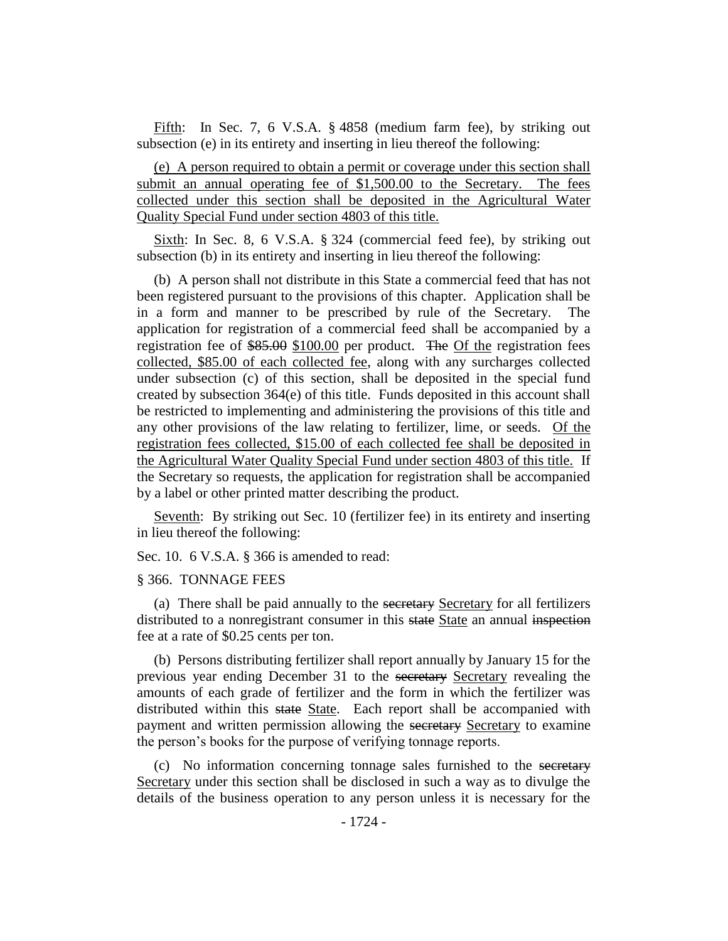Fifth: In Sec. 7, 6 V.S.A. § 4858 (medium farm fee), by striking out subsection (e) in its entirety and inserting in lieu thereof the following:

(e) A person required to obtain a permit or coverage under this section shall submit an annual operating fee of \$1,500.00 to the Secretary. The fees collected under this section shall be deposited in the Agricultural Water Quality Special Fund under section 4803 of this title.

Sixth: In Sec. 8, 6 V.S.A. § 324 (commercial feed fee), by striking out subsection (b) in its entirety and inserting in lieu thereof the following:

(b) A person shall not distribute in this State a commercial feed that has not been registered pursuant to the provisions of this chapter. Application shall be in a form and manner to be prescribed by rule of the Secretary. The application for registration of a commercial feed shall be accompanied by a registration fee of \$85.00 \$100.00 per product. The Of the registration fees collected, \$85.00 of each collected fee, along with any surcharges collected under subsection (c) of this section, shall be deposited in the special fund created by subsection 364(e) of this title. Funds deposited in this account shall be restricted to implementing and administering the provisions of this title and any other provisions of the law relating to fertilizer, lime, or seeds. Of the registration fees collected, \$15.00 of each collected fee shall be deposited in the Agricultural Water Quality Special Fund under section 4803 of this title. If the Secretary so requests, the application for registration shall be accompanied by a label or other printed matter describing the product.

Seventh: By striking out Sec. 10 (fertilizer fee) in its entirety and inserting in lieu thereof the following:

Sec. 10. 6 V.S.A. § 366 is amended to read:

#### § 366. TONNAGE FEES

(a) There shall be paid annually to the secretary Secretary for all fertilizers distributed to a nonregistrant consumer in this state State an annual inspection fee at a rate of \$0.25 cents per ton.

(b) Persons distributing fertilizer shall report annually by January 15 for the previous year ending December 31 to the secretary Secretary revealing the amounts of each grade of fertilizer and the form in which the fertilizer was distributed within this state State. Each report shall be accompanied with payment and written permission allowing the secretary Secretary to examine the person's books for the purpose of verifying tonnage reports.

(c) No information concerning tonnage sales furnished to the secretary Secretary under this section shall be disclosed in such a way as to divulge the details of the business operation to any person unless it is necessary for the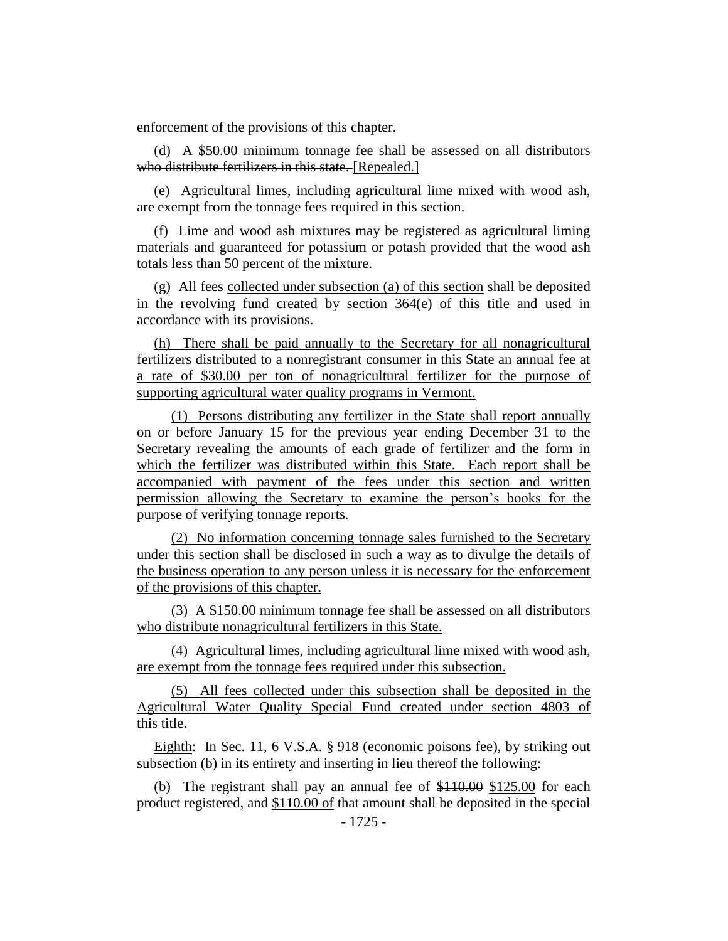enforcement of the provisions of this chapter.

(d) A \$50.00 minimum tonnage fee shall be assessed on all distributors who distribute fertilizers in this state. [Repealed.]

(e) Agricultural limes, including agricultural lime mixed with wood ash, are exempt from the tonnage fees required in this section.

(f) Lime and wood ash mixtures may be registered as agricultural liming materials and guaranteed for potassium or potash provided that the wood ash totals less than 50 percent of the mixture.

(g) All fees collected under subsection (a) of this section shall be deposited in the revolving fund created by section 364(e) of this title and used in accordance with its provisions.

(h) There shall be paid annually to the Secretary for all nonagricultural fertilizers distributed to a nonregistrant consumer in this State an annual fee at a rate of \$30.00 per ton of nonagricultural fertilizer for the purpose of supporting agricultural water quality programs in Vermont.

(1) Persons distributing any fertilizer in the State shall report annually on or before January 15 for the previous year ending December 31 to the Secretary revealing the amounts of each grade of fertilizer and the form in which the fertilizer was distributed within this State. Each report shall be accompanied with payment of the fees under this section and written permission allowing the Secretary to examine the person's books for the purpose of verifying tonnage reports.

(2) No information concerning tonnage sales furnished to the Secretary under this section shall be disclosed in such a way as to divulge the details of the business operation to any person unless it is necessary for the enforcement of the provisions of this chapter.

(3) A \$150.00 minimum tonnage fee shall be assessed on all distributors who distribute nonagricultural fertilizers in this State.

(4) Agricultural limes, including agricultural lime mixed with wood ash, are exempt from the tonnage fees required under this subsection.

(5) All fees collected under this subsection shall be deposited in the Agricultural Water Quality Special Fund created under section 4803 of this title.

Eighth: In Sec. 11, 6 V.S.A. § 918 (economic poisons fee), by striking out subsection (b) in its entirety and inserting in lieu thereof the following:

(b) The registrant shall pay an annual fee of \$110.00 \$125.00 for each product registered, and \$110.00 of that amount shall be deposited in the special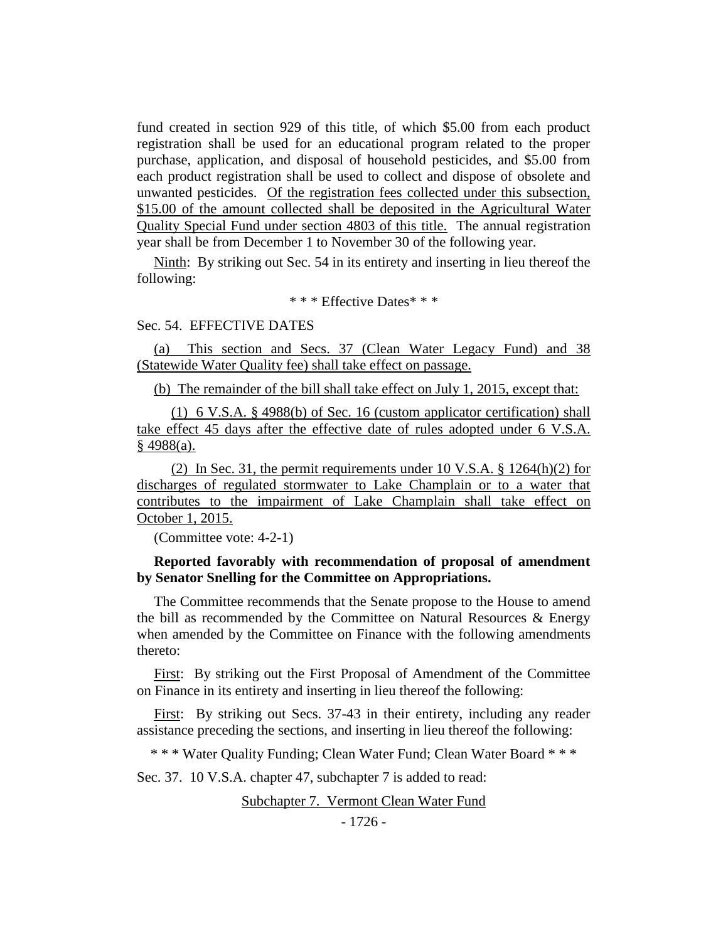fund created in section 929 of this title, of which \$5.00 from each product registration shall be used for an educational program related to the proper purchase, application, and disposal of household pesticides, and \$5.00 from each product registration shall be used to collect and dispose of obsolete and unwanted pesticides. Of the registration fees collected under this subsection, \$15.00 of the amount collected shall be deposited in the Agricultural Water Quality Special Fund under section 4803 of this title. The annual registration year shall be from December 1 to November 30 of the following year.

Ninth: By striking out Sec. 54 in its entirety and inserting in lieu thereof the following:

\* \* \* Effective Dates\* \* \*

#### Sec. 54. EFFECTIVE DATES

(a) This section and Secs. 37 (Clean Water Legacy Fund) and 38 (Statewide Water Quality fee) shall take effect on passage.

(b) The remainder of the bill shall take effect on July 1, 2015, except that:

(1) 6 V.S.A. § 4988(b) of Sec. 16 (custom applicator certification) shall take effect 45 days after the effective date of rules adopted under 6 V.S.A.  $§$  4988(a).

(2) In Sec. 31, the permit requirements under 10 V.S.A. § 1264(h)(2) for discharges of regulated stormwater to Lake Champlain or to a water that contributes to the impairment of Lake Champlain shall take effect on October 1, 2015.

(Committee vote: 4-2-1)

#### **Reported favorably with recommendation of proposal of amendment by Senator Snelling for the Committee on Appropriations.**

The Committee recommends that the Senate propose to the House to amend the bill as recommended by the Committee on Natural Resources & Energy when amended by the Committee on Finance with the following amendments thereto:

First: By striking out the First Proposal of Amendment of the Committee on Finance in its entirety and inserting in lieu thereof the following:

First: By striking out Secs. 37-43 in their entirety, including any reader assistance preceding the sections, and inserting in lieu thereof the following:

\* \* \* Water Quality Funding; Clean Water Fund; Clean Water Board \* \* \*

Sec. 37. 10 V.S.A. chapter 47, subchapter 7 is added to read:

Subchapter 7. Vermont Clean Water Fund

- 1726 -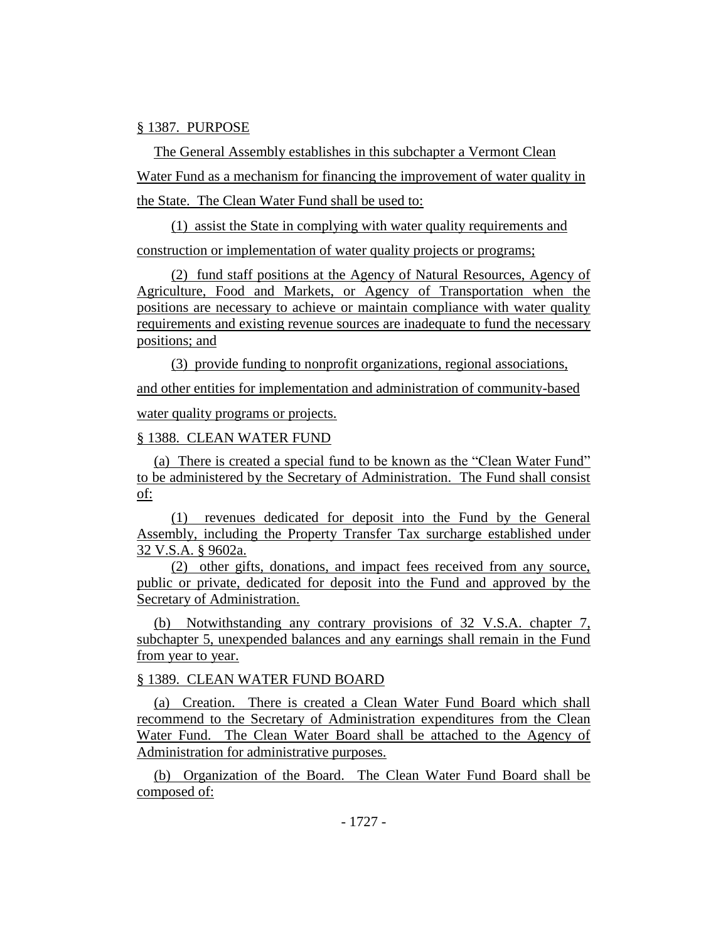#### § 1387. PURPOSE

The General Assembly establishes in this subchapter a Vermont Clean Water Fund as a mechanism for financing the improvement of water quality in the State. The Clean Water Fund shall be used to:

(1) assist the State in complying with water quality requirements and construction or implementation of water quality projects or programs;

(2) fund staff positions at the Agency of Natural Resources, Agency of Agriculture, Food and Markets, or Agency of Transportation when the positions are necessary to achieve or maintain compliance with water quality requirements and existing revenue sources are inadequate to fund the necessary positions; and

(3) provide funding to nonprofit organizations, regional associations, and other entities for implementation and administration of community-based water quality programs or projects.

#### § 1388. CLEAN WATER FUND

(a) There is created a special fund to be known as the "Clean Water Fund" to be administered by the Secretary of Administration. The Fund shall consist of:

(1) revenues dedicated for deposit into the Fund by the General Assembly, including the Property Transfer Tax surcharge established under 32 V.S.A. § 9602a.

(2) other gifts, donations, and impact fees received from any source, public or private, dedicated for deposit into the Fund and approved by the Secretary of Administration.

(b) Notwithstanding any contrary provisions of 32 V.S.A. chapter 7, subchapter 5, unexpended balances and any earnings shall remain in the Fund from year to year.

#### § 1389. CLEAN WATER FUND BOARD

(a) Creation. There is created a Clean Water Fund Board which shall recommend to the Secretary of Administration expenditures from the Clean Water Fund. The Clean Water Board shall be attached to the Agency of Administration for administrative purposes.

(b) Organization of the Board. The Clean Water Fund Board shall be composed of: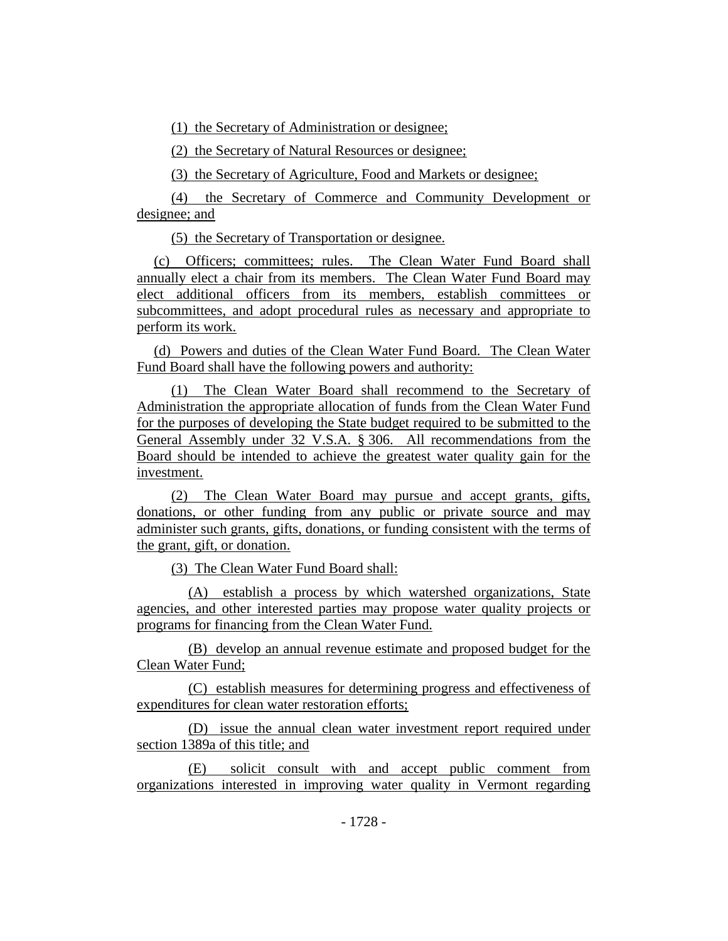(1) the Secretary of Administration or designee;

(2) the Secretary of Natural Resources or designee;

(3) the Secretary of Agriculture, Food and Markets or designee;

(4) the Secretary of Commerce and Community Development or designee; and

(5) the Secretary of Transportation or designee.

(c) Officers; committees; rules. The Clean Water Fund Board shall annually elect a chair from its members. The Clean Water Fund Board may elect additional officers from its members, establish committees or subcommittees, and adopt procedural rules as necessary and appropriate to perform its work.

(d) Powers and duties of the Clean Water Fund Board. The Clean Water Fund Board shall have the following powers and authority:

(1) The Clean Water Board shall recommend to the Secretary of Administration the appropriate allocation of funds from the Clean Water Fund for the purposes of developing the State budget required to be submitted to the General Assembly under 32 V.S.A. § 306. All recommendations from the Board should be intended to achieve the greatest water quality gain for the investment.

(2) The Clean Water Board may pursue and accept grants, gifts, donations, or other funding from any public or private source and may administer such grants, gifts, donations, or funding consistent with the terms of the grant, gift, or donation.

(3) The Clean Water Fund Board shall:

(A) establish a process by which watershed organizations, State agencies, and other interested parties may propose water quality projects or programs for financing from the Clean Water Fund.

(B) develop an annual revenue estimate and proposed budget for the Clean Water Fund;

(C) establish measures for determining progress and effectiveness of expenditures for clean water restoration efforts;

(D) issue the annual clean water investment report required under section 1389a of this title; and

(E) solicit consult with and accept public comment from organizations interested in improving water quality in Vermont regarding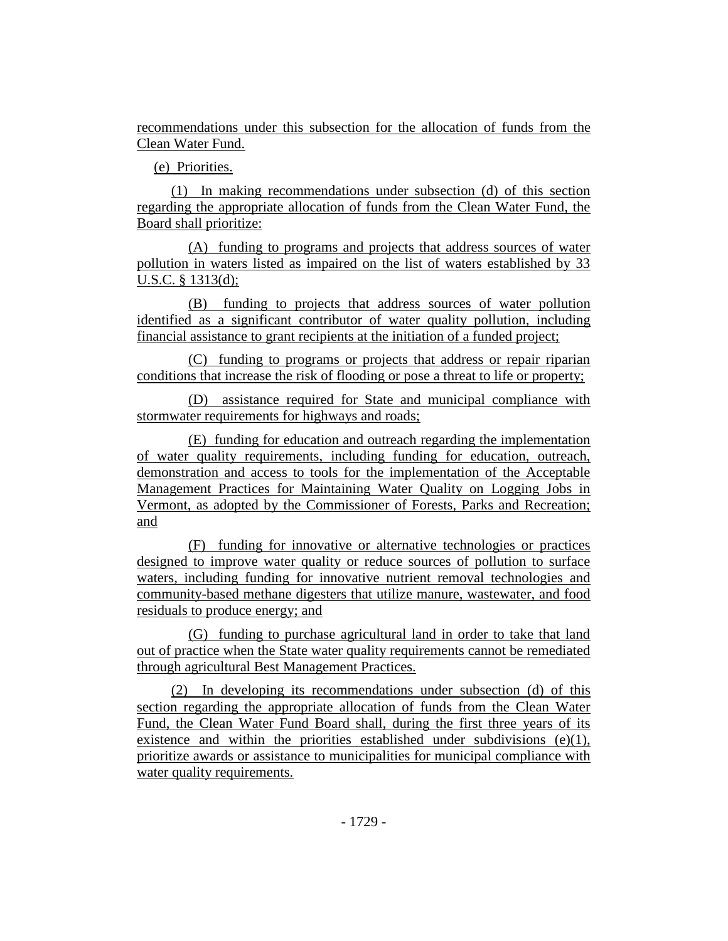recommendations under this subsection for the allocation of funds from the Clean Water Fund.

(e) Priorities.

(1) In making recommendations under subsection (d) of this section regarding the appropriate allocation of funds from the Clean Water Fund, the Board shall prioritize:

(A) funding to programs and projects that address sources of water pollution in waters listed as impaired on the list of waters established by 33 U.S.C. § 1313(d);

(B) funding to projects that address sources of water pollution identified as a significant contributor of water quality pollution, including financial assistance to grant recipients at the initiation of a funded project;

(C) funding to programs or projects that address or repair riparian conditions that increase the risk of flooding or pose a threat to life or property;

(D) assistance required for State and municipal compliance with stormwater requirements for highways and roads;

(E) funding for education and outreach regarding the implementation of water quality requirements, including funding for education, outreach, demonstration and access to tools for the implementation of the Acceptable Management Practices for Maintaining Water Quality on Logging Jobs in Vermont, as adopted by the Commissioner of Forests, Parks and Recreation; and

(F) funding for innovative or alternative technologies or practices designed to improve water quality or reduce sources of pollution to surface waters, including funding for innovative nutrient removal technologies and community-based methane digesters that utilize manure, wastewater, and food residuals to produce energy; and

(G) funding to purchase agricultural land in order to take that land out of practice when the State water quality requirements cannot be remediated through agricultural Best Management Practices.

(2) In developing its recommendations under subsection (d) of this section regarding the appropriate allocation of funds from the Clean Water Fund, the Clean Water Fund Board shall, during the first three years of its existence and within the priorities established under subdivisions  $(e)(1)$ , prioritize awards or assistance to municipalities for municipal compliance with water quality requirements.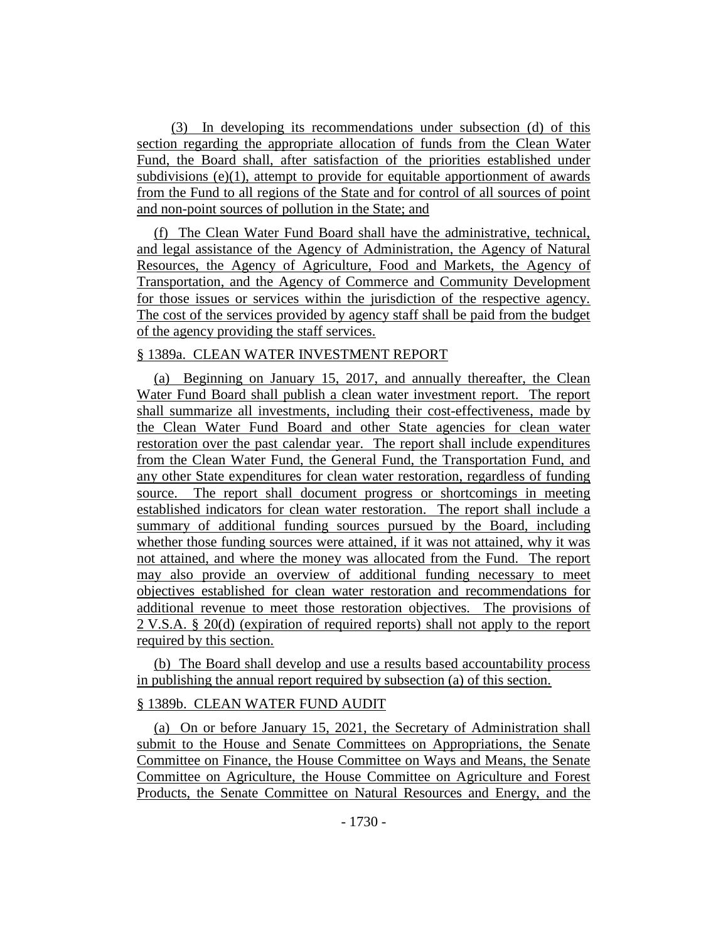(3) In developing its recommendations under subsection (d) of this section regarding the appropriate allocation of funds from the Clean Water Fund, the Board shall, after satisfaction of the priorities established under subdivisions  $(e)(1)$ , attempt to provide for equitable apportionment of awards from the Fund to all regions of the State and for control of all sources of point and non-point sources of pollution in the State; and

(f) The Clean Water Fund Board shall have the administrative, technical, and legal assistance of the Agency of Administration, the Agency of Natural Resources, the Agency of Agriculture, Food and Markets, the Agency of Transportation, and the Agency of Commerce and Community Development for those issues or services within the jurisdiction of the respective agency. The cost of the services provided by agency staff shall be paid from the budget of the agency providing the staff services.

#### § 1389a. CLEAN WATER INVESTMENT REPORT

(a) Beginning on January 15, 2017, and annually thereafter, the Clean Water Fund Board shall publish a clean water investment report. The report shall summarize all investments, including their cost-effectiveness, made by the Clean Water Fund Board and other State agencies for clean water restoration over the past calendar year. The report shall include expenditures from the Clean Water Fund, the General Fund, the Transportation Fund, and any other State expenditures for clean water restoration, regardless of funding source. The report shall document progress or shortcomings in meeting established indicators for clean water restoration. The report shall include a summary of additional funding sources pursued by the Board, including whether those funding sources were attained, if it was not attained, why it was not attained, and where the money was allocated from the Fund. The report may also provide an overview of additional funding necessary to meet objectives established for clean water restoration and recommendations for additional revenue to meet those restoration objectives. The provisions of 2 V.S.A. § 20(d) (expiration of required reports) shall not apply to the report required by this section.

(b) The Board shall develop and use a results based accountability process in publishing the annual report required by subsection (a) of this section.

### § 1389b. CLEAN WATER FUND AUDIT

(a) On or before January 15, 2021, the Secretary of Administration shall submit to the House and Senate Committees on Appropriations, the Senate Committee on Finance, the House Committee on Ways and Means, the Senate Committee on Agriculture, the House Committee on Agriculture and Forest Products, the Senate Committee on Natural Resources and Energy, and the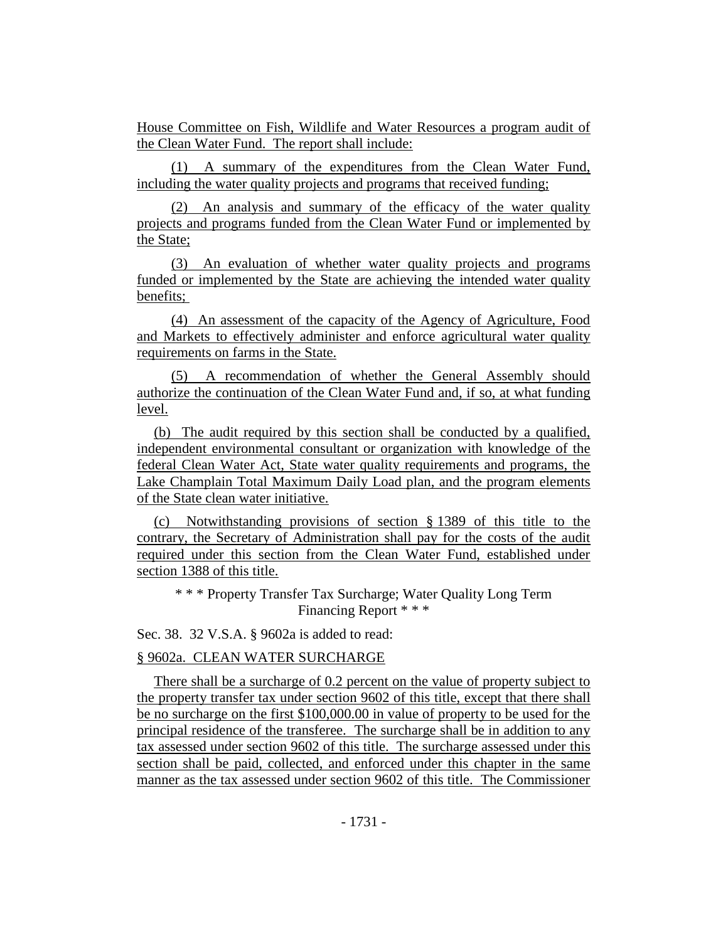House Committee on Fish, Wildlife and Water Resources a program audit of the Clean Water Fund. The report shall include:

(1) A summary of the expenditures from the Clean Water Fund, including the water quality projects and programs that received funding;

(2) An analysis and summary of the efficacy of the water quality projects and programs funded from the Clean Water Fund or implemented by the State;

(3) An evaluation of whether water quality projects and programs funded or implemented by the State are achieving the intended water quality benefits;

(4) An assessment of the capacity of the Agency of Agriculture, Food and Markets to effectively administer and enforce agricultural water quality requirements on farms in the State.

(5) A recommendation of whether the General Assembly should authorize the continuation of the Clean Water Fund and, if so, at what funding level.

(b) The audit required by this section shall be conducted by a qualified, independent environmental consultant or organization with knowledge of the federal Clean Water Act, State water quality requirements and programs, the Lake Champlain Total Maximum Daily Load plan, and the program elements of the State clean water initiative.

(c) Notwithstanding provisions of section § 1389 of this title to the contrary, the Secretary of Administration shall pay for the costs of the audit required under this section from the Clean Water Fund, established under section 1388 of this title.

\* \* \* Property Transfer Tax Surcharge; Water Quality Long Term Financing Report \* \* \*

Sec. 38. 32 V.S.A. § 9602a is added to read:

§ 9602a. CLEAN WATER SURCHARGE

There shall be a surcharge of 0.2 percent on the value of property subject to the property transfer tax under section 9602 of this title, except that there shall be no surcharge on the first \$100,000.00 in value of property to be used for the principal residence of the transferee. The surcharge shall be in addition to any tax assessed under section 9602 of this title. The surcharge assessed under this section shall be paid, collected, and enforced under this chapter in the same manner as the tax assessed under section 9602 of this title. The Commissioner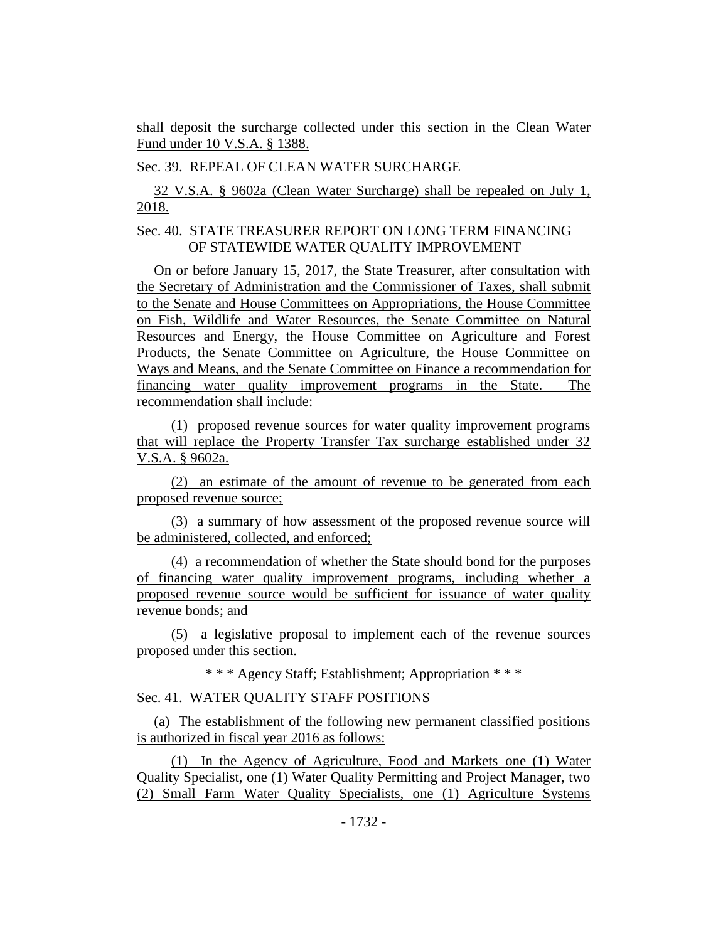shall deposit the surcharge collected under this section in the Clean Water Fund under 10 V.S.A. § 1388.

Sec. 39. REPEAL OF CLEAN WATER SURCHARGE

32 V.S.A. § 9602a (Clean Water Surcharge) shall be repealed on July 1, 2018.

# Sec. 40. STATE TREASURER REPORT ON LONG TERM FINANCING OF STATEWIDE WATER QUALITY IMPROVEMENT

On or before January 15, 2017, the State Treasurer, after consultation with the Secretary of Administration and the Commissioner of Taxes, shall submit to the Senate and House Committees on Appropriations, the House Committee on Fish, Wildlife and Water Resources, the Senate Committee on Natural Resources and Energy, the House Committee on Agriculture and Forest Products, the Senate Committee on Agriculture, the House Committee on Ways and Means, and the Senate Committee on Finance a recommendation for financing water quality improvement programs in the State. The recommendation shall include:

(1) proposed revenue sources for water quality improvement programs that will replace the Property Transfer Tax surcharge established under 32 V.S.A. § 9602a.

(2) an estimate of the amount of revenue to be generated from each proposed revenue source;

(3) a summary of how assessment of the proposed revenue source will be administered, collected, and enforced;

(4) a recommendation of whether the State should bond for the purposes of financing water quality improvement programs, including whether a proposed revenue source would be sufficient for issuance of water quality revenue bonds; and

(5) a legislative proposal to implement each of the revenue sources proposed under this section.

\* \* \* Agency Staff; Establishment; Appropriation \* \* \*

Sec. 41. WATER QUALITY STAFF POSITIONS

(a) The establishment of the following new permanent classified positions is authorized in fiscal year 2016 as follows:

(1) In the Agency of Agriculture, Food and Markets–one (1) Water Quality Specialist, one (1) Water Quality Permitting and Project Manager, two (2) Small Farm Water Quality Specialists, one (1) Agriculture Systems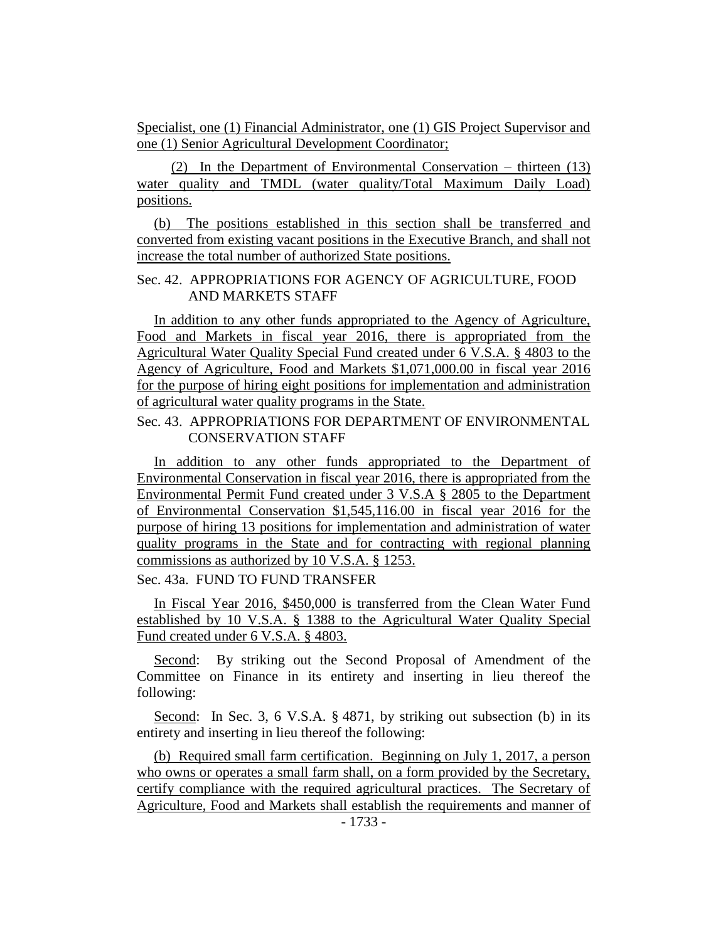Specialist, one (1) Financial Administrator, one (1) GIS Project Supervisor and one (1) Senior Agricultural Development Coordinator;

(2) In the Department of Environmental Conservation – thirteen (13) water quality and TMDL (water quality/Total Maximum Daily Load) positions.

(b) The positions established in this section shall be transferred and converted from existing vacant positions in the Executive Branch, and shall not increase the total number of authorized State positions.

### Sec. 42. APPROPRIATIONS FOR AGENCY OF AGRICULTURE, FOOD AND MARKETS STAFF

In addition to any other funds appropriated to the Agency of Agriculture, Food and Markets in fiscal year 2016, there is appropriated from the Agricultural Water Quality Special Fund created under 6 V.S.A. § 4803 to the Agency of Agriculture, Food and Markets \$1,071,000.00 in fiscal year 2016 for the purpose of hiring eight positions for implementation and administration of agricultural water quality programs in the State.

# Sec. 43. APPROPRIATIONS FOR DEPARTMENT OF ENVIRONMENTAL CONSERVATION STAFF

In addition to any other funds appropriated to the Department of Environmental Conservation in fiscal year 2016, there is appropriated from the Environmental Permit Fund created under 3 V.S.A § 2805 to the Department of Environmental Conservation \$1,545,116.00 in fiscal year 2016 for the purpose of hiring 13 positions for implementation and administration of water quality programs in the State and for contracting with regional planning commissions as authorized by 10 V.S.A. § 1253.

Sec. 43a. FUND TO FUND TRANSFER

In Fiscal Year 2016, \$450,000 is transferred from the Clean Water Fund established by 10 V.S.A. § 1388 to the Agricultural Water Quality Special Fund created under 6 V.S.A. § 4803.

Second: By striking out the Second Proposal of Amendment of the Committee on Finance in its entirety and inserting in lieu thereof the following:

Second: In Sec. 3, 6 V.S.A. § 4871, by striking out subsection (b) in its entirety and inserting in lieu thereof the following:

(b) Required small farm certification. Beginning on July 1, 2017, a person who owns or operates a small farm shall, on a form provided by the Secretary, certify compliance with the required agricultural practices. The Secretary of Agriculture, Food and Markets shall establish the requirements and manner of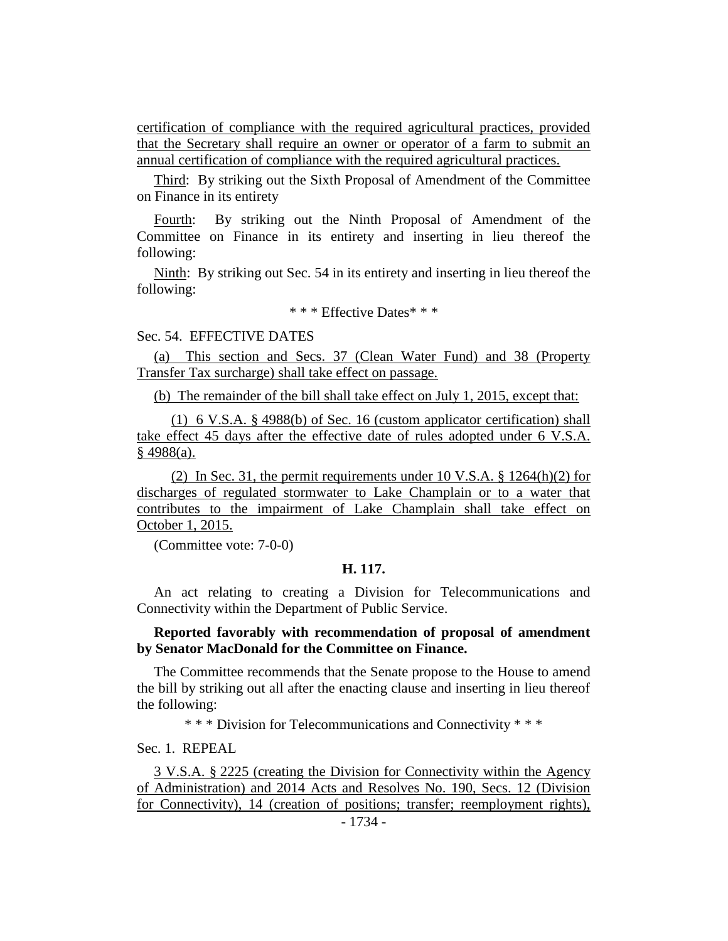certification of compliance with the required agricultural practices, provided that the Secretary shall require an owner or operator of a farm to submit an annual certification of compliance with the required agricultural practices.

Third: By striking out the Sixth Proposal of Amendment of the Committee on Finance in its entirety

Fourth: By striking out the Ninth Proposal of Amendment of the Committee on Finance in its entirety and inserting in lieu thereof the following:

Ninth: By striking out Sec. 54 in its entirety and inserting in lieu thereof the following:

\* \* \* Effective Dates\* \* \*

Sec. 54. EFFECTIVE DATES

(a) This section and Secs. 37 (Clean Water Fund) and 38 (Property Transfer Tax surcharge) shall take effect on passage.

(b) The remainder of the bill shall take effect on July 1, 2015, except that:

(1) 6 V.S.A. § 4988(b) of Sec. 16 (custom applicator certification) shall take effect 45 days after the effective date of rules adopted under 6 V.S.A.  $§$  4988(a).

(2) In Sec. 31, the permit requirements under 10 V.S.A. § 1264(h)(2) for discharges of regulated stormwater to Lake Champlain or to a water that contributes to the impairment of Lake Champlain shall take effect on October 1, 2015.

(Committee vote: 7-0-0)

### **H. 117.**

An act relating to creating a Division for Telecommunications and Connectivity within the Department of Public Service.

### **Reported favorably with recommendation of proposal of amendment by Senator MacDonald for the Committee on Finance.**

The Committee recommends that the Senate propose to the House to amend the bill by striking out all after the enacting clause and inserting in lieu thereof the following:

\* \* \* Division for Telecommunications and Connectivity \* \* \*

Sec. 1. REPEAL

3 V.S.A. § 2225 (creating the Division for Connectivity within the Agency of Administration) and 2014 Acts and Resolves No. 190, Secs. 12 (Division for Connectivity), 14 (creation of positions; transfer; reemployment rights),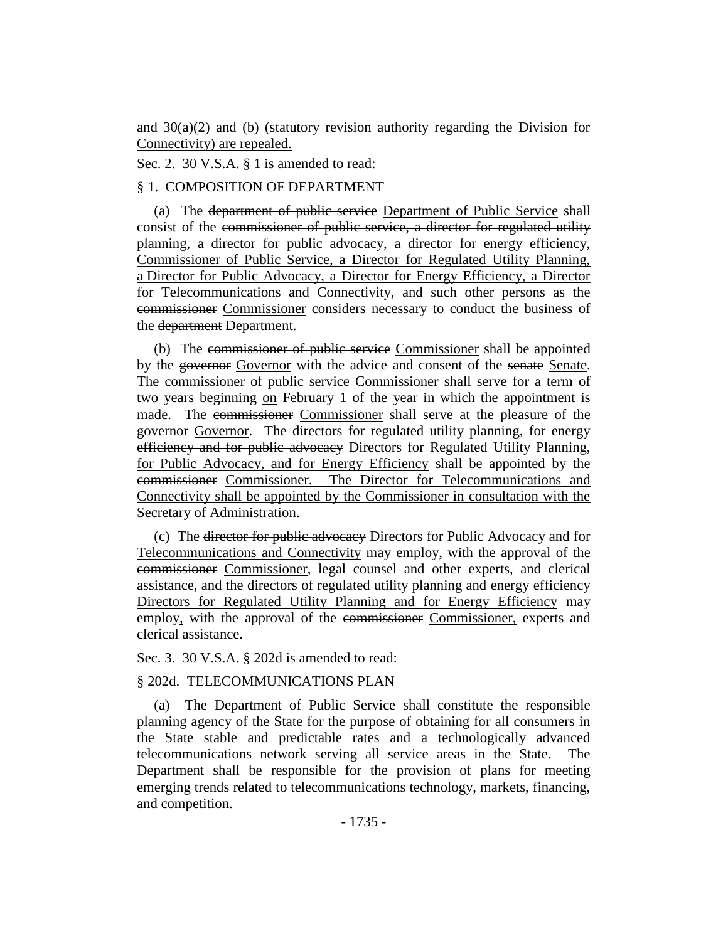and  $30(a)(2)$  and (b) (statutory revision authority regarding the Division for Connectivity) are repealed.

Sec. 2. 30 V.S.A. § 1 is amended to read:

### § 1. COMPOSITION OF DEPARTMENT

(a) The department of public service Department of Public Service shall consist of the commissioner of public service, a director for regulated utility planning, a director for public advocacy, a director for energy efficiency, Commissioner of Public Service, a Director for Regulated Utility Planning, a Director for Public Advocacy, a Director for Energy Efficiency, a Director for Telecommunications and Connectivity, and such other persons as the commissioner Commissioner considers necessary to conduct the business of the department Department.

(b) The commissioner of public service Commissioner shall be appointed by the governor Governor with the advice and consent of the senate Senate. The commissioner of public service Commissioner shall serve for a term of two years beginning on February 1 of the year in which the appointment is made. The commissioner Commissioner shall serve at the pleasure of the governor Governor. The directors for regulated utility planning, for energy efficiency and for public advocacy Directors for Regulated Utility Planning, for Public Advocacy, and for Energy Efficiency shall be appointed by the commissioner Commissioner. The Director for Telecommunications and Connectivity shall be appointed by the Commissioner in consultation with the Secretary of Administration.

(c) The director for public advocacy Directors for Public Advocacy and for Telecommunications and Connectivity may employ, with the approval of the commissioner Commissioner, legal counsel and other experts, and clerical assistance, and the directors of regulated utility planning and energy efficiency Directors for Regulated Utility Planning and for Energy Efficiency may employ, with the approval of the commissioner Commissioner, experts and clerical assistance.

#### Sec. 3. 30 V.S.A. § 202d is amended to read:

#### § 202d. TELECOMMUNICATIONS PLAN

(a) The Department of Public Service shall constitute the responsible planning agency of the State for the purpose of obtaining for all consumers in the State stable and predictable rates and a technologically advanced telecommunications network serving all service areas in the State. The Department shall be responsible for the provision of plans for meeting emerging trends related to telecommunications technology, markets, financing, and competition.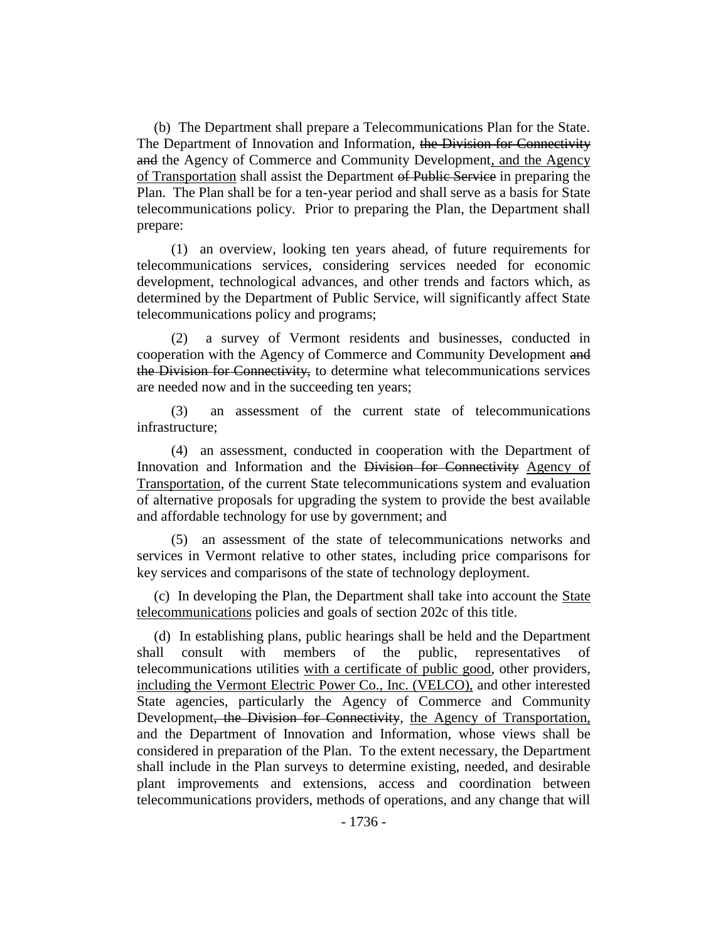(b) The Department shall prepare a Telecommunications Plan for the State. The Department of Innovation and Information, the Division for Connectivity and the Agency of Commerce and Community Development, and the Agency of Transportation shall assist the Department of Public Service in preparing the Plan. The Plan shall be for a ten-year period and shall serve as a basis for State telecommunications policy. Prior to preparing the Plan, the Department shall prepare:

(1) an overview, looking ten years ahead, of future requirements for telecommunications services, considering services needed for economic development, technological advances, and other trends and factors which, as determined by the Department of Public Service, will significantly affect State telecommunications policy and programs;

(2) a survey of Vermont residents and businesses, conducted in cooperation with the Agency of Commerce and Community Development and the Division for Connectivity, to determine what telecommunications services are needed now and in the succeeding ten years;

(3) an assessment of the current state of telecommunications infrastructure;

(4) an assessment, conducted in cooperation with the Department of Innovation and Information and the Division for Connectivity Agency of Transportation, of the current State telecommunications system and evaluation of alternative proposals for upgrading the system to provide the best available and affordable technology for use by government; and

(5) an assessment of the state of telecommunications networks and services in Vermont relative to other states, including price comparisons for key services and comparisons of the state of technology deployment.

(c) In developing the Plan, the Department shall take into account the State telecommunications policies and goals of section 202c of this title.

(d) In establishing plans, public hearings shall be held and the Department shall consult with members of the public, representatives of telecommunications utilities with a certificate of public good, other providers, including the Vermont Electric Power Co., Inc. (VELCO), and other interested State agencies, particularly the Agency of Commerce and Community Development<del>, the Division for Connectivity</del>, the Agency of Transportation, and the Department of Innovation and Information, whose views shall be considered in preparation of the Plan. To the extent necessary, the Department shall include in the Plan surveys to determine existing, needed, and desirable plant improvements and extensions, access and coordination between telecommunications providers, methods of operations, and any change that will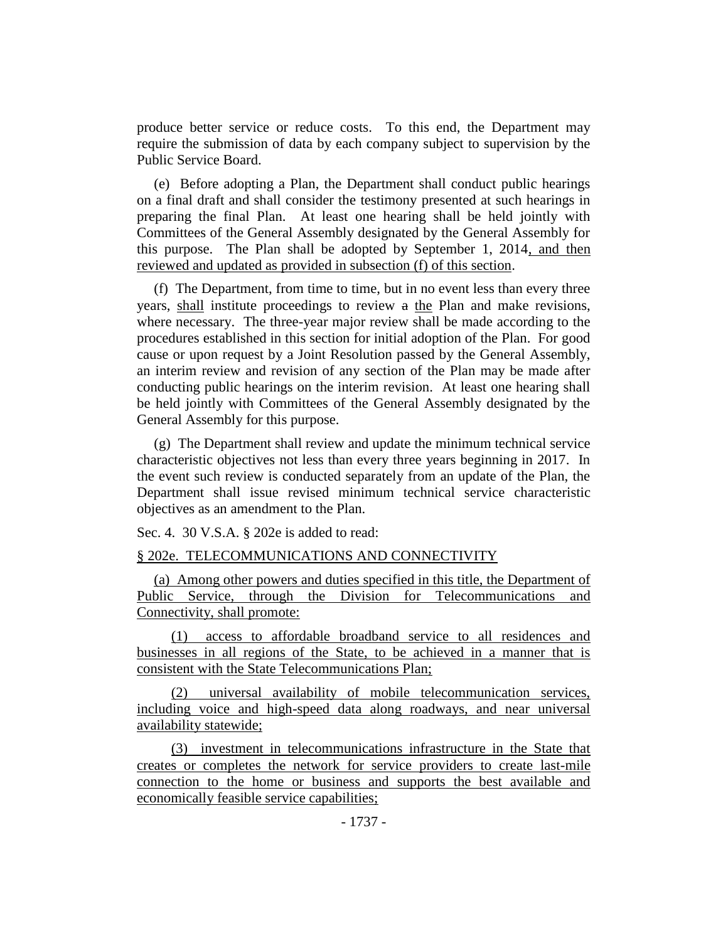produce better service or reduce costs. To this end, the Department may require the submission of data by each company subject to supervision by the Public Service Board.

(e) Before adopting a Plan, the Department shall conduct public hearings on a final draft and shall consider the testimony presented at such hearings in preparing the final Plan. At least one hearing shall be held jointly with Committees of the General Assembly designated by the General Assembly for this purpose. The Plan shall be adopted by September 1, 2014, and then reviewed and updated as provided in subsection (f) of this section.

(f) The Department, from time to time, but in no event less than every three years, shall institute proceedings to review a the Plan and make revisions, where necessary. The three-year major review shall be made according to the procedures established in this section for initial adoption of the Plan. For good cause or upon request by a Joint Resolution passed by the General Assembly, an interim review and revision of any section of the Plan may be made after conducting public hearings on the interim revision. At least one hearing shall be held jointly with Committees of the General Assembly designated by the General Assembly for this purpose.

(g) The Department shall review and update the minimum technical service characteristic objectives not less than every three years beginning in 2017. In the event such review is conducted separately from an update of the Plan, the Department shall issue revised minimum technical service characteristic objectives as an amendment to the Plan.

Sec. 4. 30 V.S.A. § 202e is added to read:

### § 202e. TELECOMMUNICATIONS AND CONNECTIVITY

(a) Among other powers and duties specified in this title, the Department of Public Service, through the Division for Telecommunications and Connectivity, shall promote:

(1) access to affordable broadband service to all residences and businesses in all regions of the State, to be achieved in a manner that is consistent with the State Telecommunications Plan;

(2) universal availability of mobile telecommunication services, including voice and high-speed data along roadways, and near universal availability statewide;

(3) investment in telecommunications infrastructure in the State that creates or completes the network for service providers to create last-mile connection to the home or business and supports the best available and economically feasible service capabilities;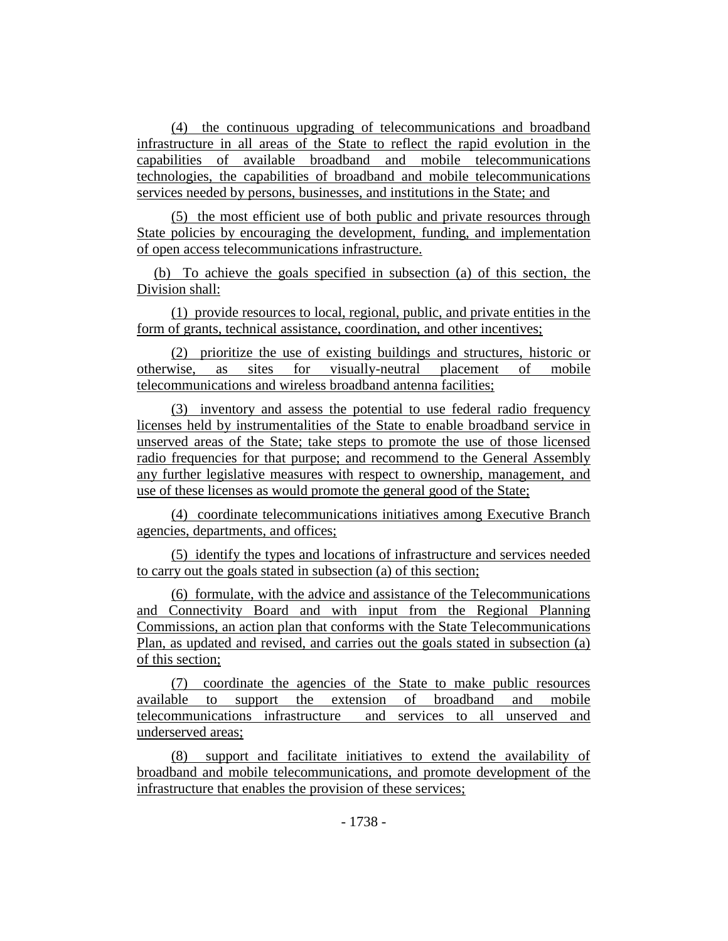(4) the continuous upgrading of telecommunications and broadband infrastructure in all areas of the State to reflect the rapid evolution in the capabilities of available broadband and mobile telecommunications technologies, the capabilities of broadband and mobile telecommunications services needed by persons, businesses, and institutions in the State; and

(5) the most efficient use of both public and private resources through State policies by encouraging the development, funding, and implementation of open access telecommunications infrastructure.

(b) To achieve the goals specified in subsection (a) of this section, the Division shall:

(1) provide resources to local, regional, public, and private entities in the form of grants, technical assistance, coordination, and other incentives;

(2) prioritize the use of existing buildings and structures, historic or otherwise, as sites for visually-neutral placement of mobile telecommunications and wireless broadband antenna facilities;

(3) inventory and assess the potential to use federal radio frequency licenses held by instrumentalities of the State to enable broadband service in unserved areas of the State; take steps to promote the use of those licensed radio frequencies for that purpose; and recommend to the General Assembly any further legislative measures with respect to ownership, management, and use of these licenses as would promote the general good of the State;

(4) coordinate telecommunications initiatives among Executive Branch agencies, departments, and offices;

(5) identify the types and locations of infrastructure and services needed to carry out the goals stated in subsection (a) of this section;

(6) formulate, with the advice and assistance of the Telecommunications and Connectivity Board and with input from the Regional Planning Commissions, an action plan that conforms with the State Telecommunications Plan, as updated and revised, and carries out the goals stated in subsection (a) of this section;

(7) coordinate the agencies of the State to make public resources available to support the extension of broadband and mobile telecommunications infrastructure and services to all unserved and underserved areas;

(8) support and facilitate initiatives to extend the availability of broadband and mobile telecommunications, and promote development of the infrastructure that enables the provision of these services;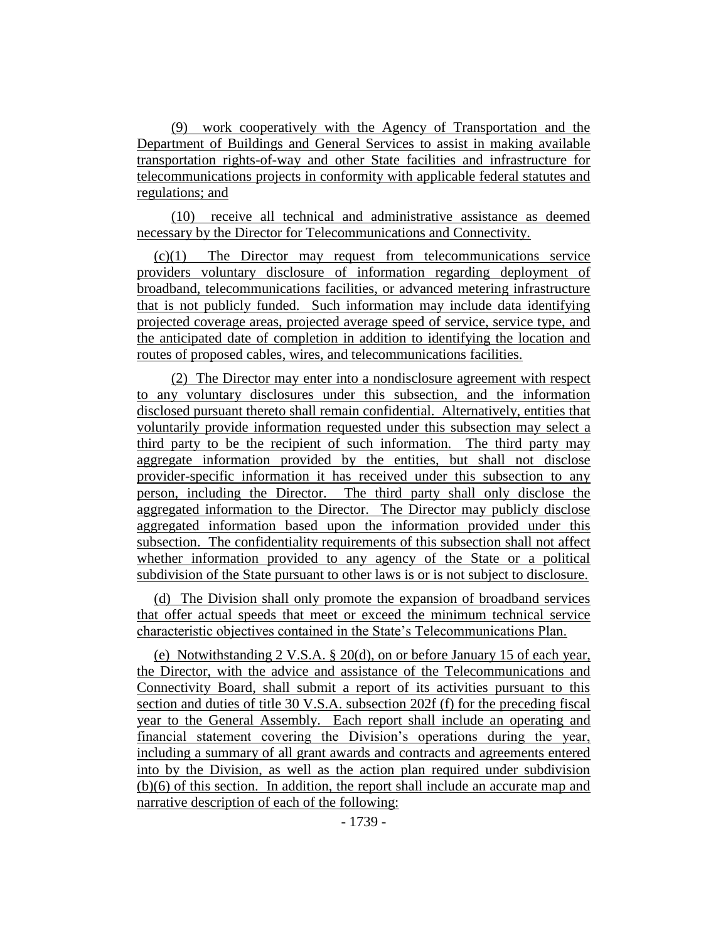(9) work cooperatively with the Agency of Transportation and the Department of Buildings and General Services to assist in making available transportation rights-of-way and other State facilities and infrastructure for telecommunications projects in conformity with applicable federal statutes and regulations; and

(10) receive all technical and administrative assistance as deemed necessary by the Director for Telecommunications and Connectivity.

(c)(1) The Director may request from telecommunications service providers voluntary disclosure of information regarding deployment of broadband, telecommunications facilities, or advanced metering infrastructure that is not publicly funded. Such information may include data identifying projected coverage areas, projected average speed of service, service type, and the anticipated date of completion in addition to identifying the location and routes of proposed cables, wires, and telecommunications facilities.

(2) The Director may enter into a nondisclosure agreement with respect to any voluntary disclosures under this subsection, and the information disclosed pursuant thereto shall remain confidential. Alternatively, entities that voluntarily provide information requested under this subsection may select a third party to be the recipient of such information. The third party may aggregate information provided by the entities, but shall not disclose provider-specific information it has received under this subsection to any person, including the Director. The third party shall only disclose the aggregated information to the Director. The Director may publicly disclose aggregated information based upon the information provided under this subsection. The confidentiality requirements of this subsection shall not affect whether information provided to any agency of the State or a political subdivision of the State pursuant to other laws is or is not subject to disclosure.

(d) The Division shall only promote the expansion of broadband services that offer actual speeds that meet or exceed the minimum technical service characteristic objectives contained in the State's Telecommunications Plan.

(e) Notwithstanding 2 V.S.A. § 20(d), on or before January 15 of each year, the Director, with the advice and assistance of the Telecommunications and Connectivity Board, shall submit a report of its activities pursuant to this section and duties of title 30 V.S.A. subsection 202f (f) for the preceding fiscal year to the General Assembly. Each report shall include an operating and financial statement covering the Division's operations during the year, including a summary of all grant awards and contracts and agreements entered into by the Division, as well as the action plan required under subdivision (b)(6) of this section. In addition, the report shall include an accurate map and narrative description of each of the following: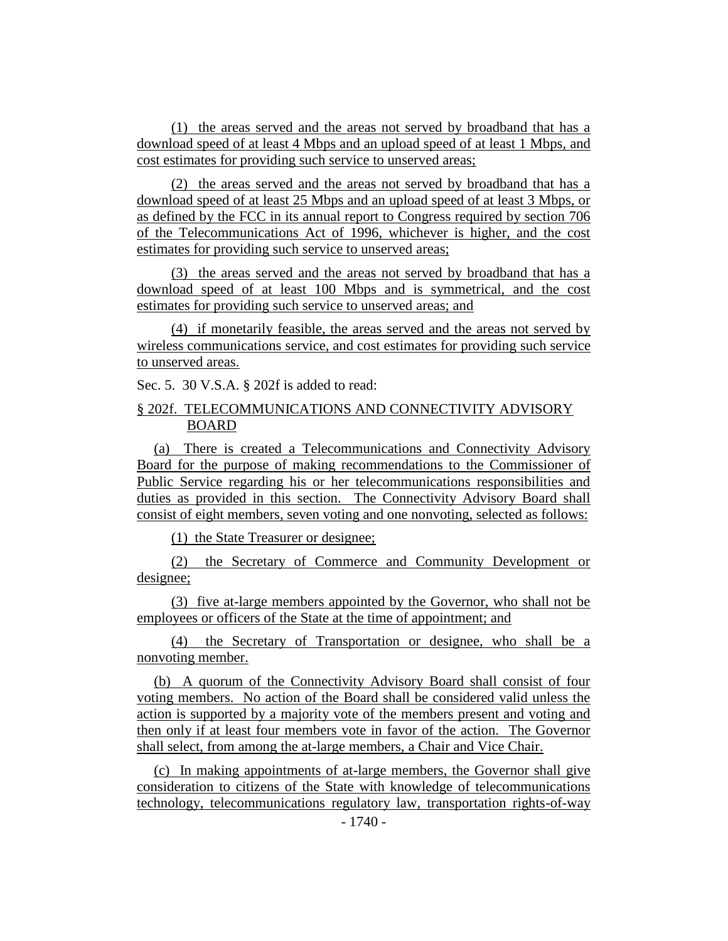(1) the areas served and the areas not served by broadband that has a download speed of at least 4 Mbps and an upload speed of at least 1 Mbps, and cost estimates for providing such service to unserved areas;

(2) the areas served and the areas not served by broadband that has a download speed of at least 25 Mbps and an upload speed of at least 3 Mbps, or as defined by the FCC in its annual report to Congress required by section 706 of the Telecommunications Act of 1996, whichever is higher, and the cost estimates for providing such service to unserved areas;

(3) the areas served and the areas not served by broadband that has a download speed of at least 100 Mbps and is symmetrical, and the cost estimates for providing such service to unserved areas; and

(4) if monetarily feasible, the areas served and the areas not served by wireless communications service, and cost estimates for providing such service to unserved areas.

Sec. 5. 30 V.S.A. § 202f is added to read:

# § 202f. TELECOMMUNICATIONS AND CONNECTIVITY ADVISORY BOARD

(a) There is created a Telecommunications and Connectivity Advisory Board for the purpose of making recommendations to the Commissioner of Public Service regarding his or her telecommunications responsibilities and duties as provided in this section. The Connectivity Advisory Board shall consist of eight members, seven voting and one nonvoting, selected as follows:

(1) the State Treasurer or designee;

(2) the Secretary of Commerce and Community Development or designee;

(3) five at-large members appointed by the Governor, who shall not be employees or officers of the State at the time of appointment; and

(4) the Secretary of Transportation or designee, who shall be a nonvoting member.

(b) A quorum of the Connectivity Advisory Board shall consist of four voting members. No action of the Board shall be considered valid unless the action is supported by a majority vote of the members present and voting and then only if at least four members vote in favor of the action. The Governor shall select, from among the at-large members, a Chair and Vice Chair.

(c) In making appointments of at-large members, the Governor shall give consideration to citizens of the State with knowledge of telecommunications technology, telecommunications regulatory law, transportation rights-of-way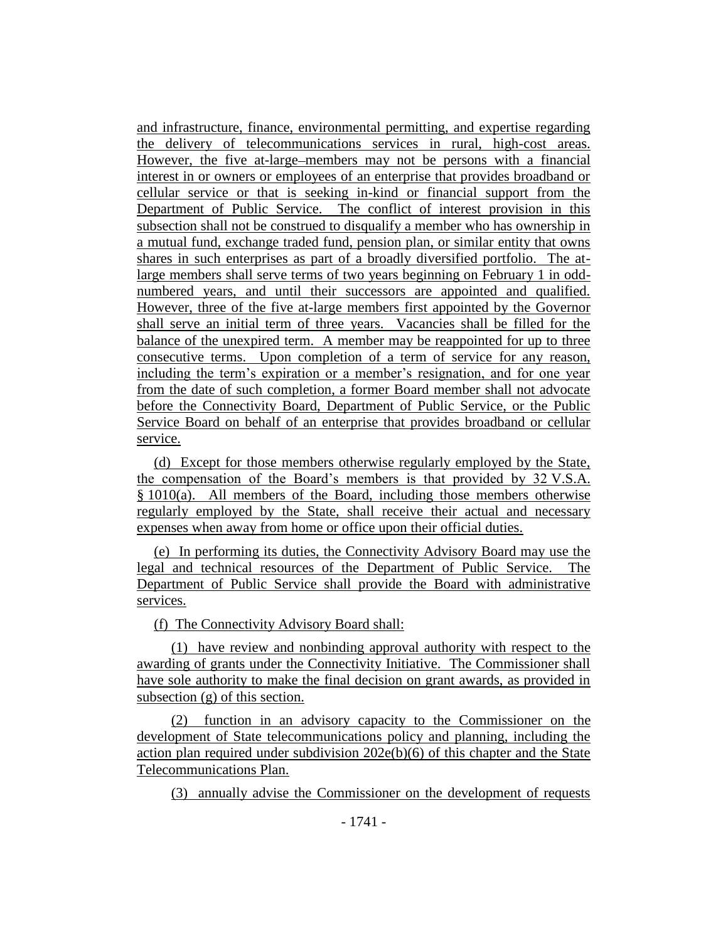and infrastructure, finance, environmental permitting, and expertise regarding the delivery of telecommunications services in rural, high-cost areas. However, the five at-large members may not be persons with a financial interest in or owners or employees of an enterprise that provides broadband or cellular service or that is seeking in-kind or financial support from the Department of Public Service. The conflict of interest provision in this subsection shall not be construed to disqualify a member who has ownership in a mutual fund, exchange traded fund, pension plan, or similar entity that owns shares in such enterprises as part of a broadly diversified portfolio. The atlarge members shall serve terms of two years beginning on February 1 in oddnumbered years, and until their successors are appointed and qualified. However, three of the five at-large members first appointed by the Governor shall serve an initial term of three years. Vacancies shall be filled for the balance of the unexpired term. A member may be reappointed for up to three consecutive terms. Upon completion of a term of service for any reason, including the term's expiration or a member's resignation, and for one year from the date of such completion, a former Board member shall not advocate before the Connectivity Board, Department of Public Service, or the Public Service Board on behalf of an enterprise that provides broadband or cellular service.

(d) Except for those members otherwise regularly employed by the State, the compensation of the Board's members is that provided by 32 V.S.A. § 1010(a). All members of the Board, including those members otherwise regularly employed by the State, shall receive their actual and necessary expenses when away from home or office upon their official duties.

(e) In performing its duties, the Connectivity Advisory Board may use the legal and technical resources of the Department of Public Service. The Department of Public Service shall provide the Board with administrative services.

(f) The Connectivity Advisory Board shall:

(1) have review and nonbinding approval authority with respect to the awarding of grants under the Connectivity Initiative. The Commissioner shall have sole authority to make the final decision on grant awards, as provided in subsection (g) of this section.

(2) function in an advisory capacity to the Commissioner on the development of State telecommunications policy and planning, including the action plan required under subdivision 202e(b)(6) of this chapter and the State Telecommunications Plan.

(3) annually advise the Commissioner on the development of requests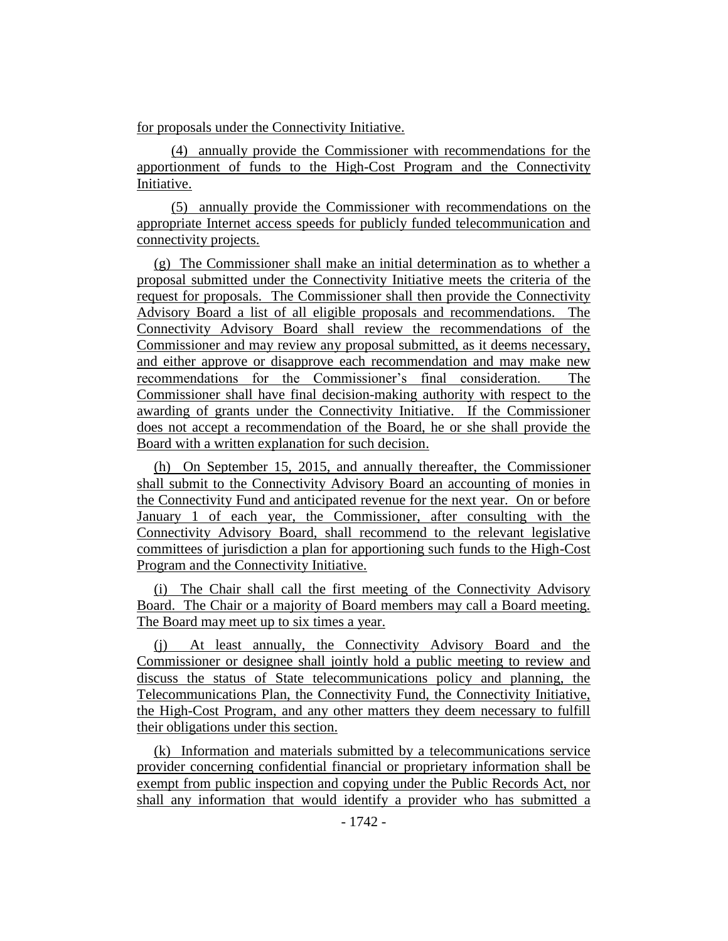for proposals under the Connectivity Initiative.

(4) annually provide the Commissioner with recommendations for the apportionment of funds to the High-Cost Program and the Connectivity Initiative.

(5) annually provide the Commissioner with recommendations on the appropriate Internet access speeds for publicly funded telecommunication and connectivity projects.

(g) The Commissioner shall make an initial determination as to whether a proposal submitted under the Connectivity Initiative meets the criteria of the request for proposals. The Commissioner shall then provide the Connectivity Advisory Board a list of all eligible proposals and recommendations. The Connectivity Advisory Board shall review the recommendations of the Commissioner and may review any proposal submitted, as it deems necessary, and either approve or disapprove each recommendation and may make new recommendations for the Commissioner's final consideration. The Commissioner shall have final decision-making authority with respect to the awarding of grants under the Connectivity Initiative. If the Commissioner does not accept a recommendation of the Board, he or she shall provide the Board with a written explanation for such decision.

(h) On September 15, 2015, and annually thereafter, the Commissioner shall submit to the Connectivity Advisory Board an accounting of monies in the Connectivity Fund and anticipated revenue for the next year. On or before January 1 of each year, the Commissioner, after consulting with the Connectivity Advisory Board, shall recommend to the relevant legislative committees of jurisdiction a plan for apportioning such funds to the High-Cost Program and the Connectivity Initiative.

(i) The Chair shall call the first meeting of the Connectivity Advisory Board. The Chair or a majority of Board members may call a Board meeting. The Board may meet up to six times a year.

(j) At least annually, the Connectivity Advisory Board and the Commissioner or designee shall jointly hold a public meeting to review and discuss the status of State telecommunications policy and planning, the Telecommunications Plan, the Connectivity Fund, the Connectivity Initiative, the High-Cost Program, and any other matters they deem necessary to fulfill their obligations under this section.

(k) Information and materials submitted by a telecommunications service provider concerning confidential financial or proprietary information shall be exempt from public inspection and copying under the Public Records Act, nor shall any information that would identify a provider who has submitted a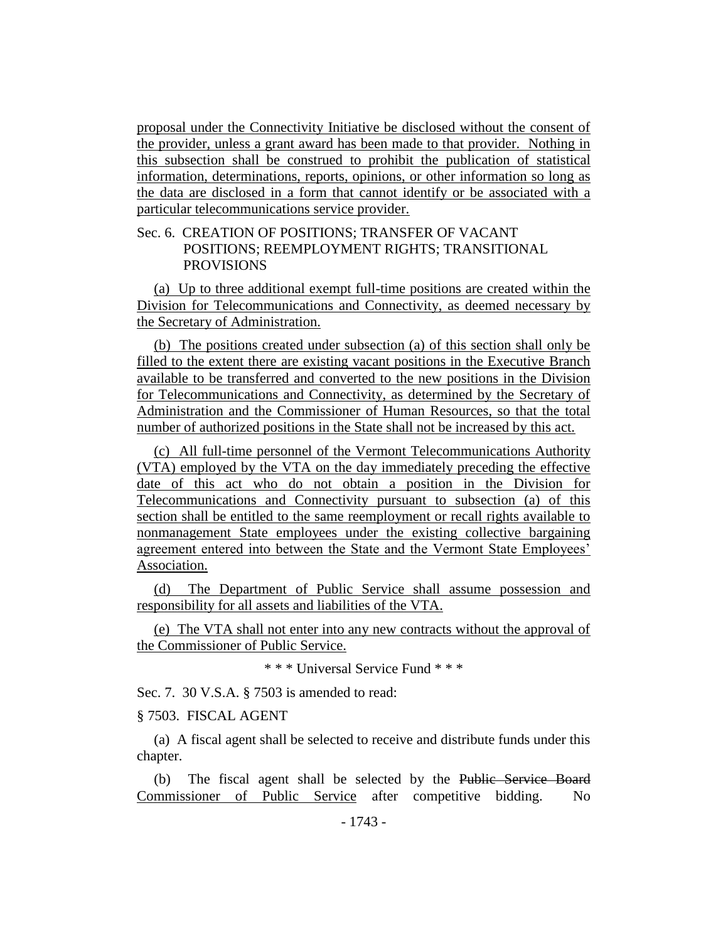proposal under the Connectivity Initiative be disclosed without the consent of the provider, unless a grant award has been made to that provider. Nothing in this subsection shall be construed to prohibit the publication of statistical information, determinations, reports, opinions, or other information so long as the data are disclosed in a form that cannot identify or be associated with a particular telecommunications service provider.

# Sec. 6. CREATION OF POSITIONS; TRANSFER OF VACANT POSITIONS; REEMPLOYMENT RIGHTS; TRANSITIONAL PROVISIONS

(a) Up to three additional exempt full-time positions are created within the Division for Telecommunications and Connectivity, as deemed necessary by the Secretary of Administration.

(b) The positions created under subsection (a) of this section shall only be filled to the extent there are existing vacant positions in the Executive Branch available to be transferred and converted to the new positions in the Division for Telecommunications and Connectivity, as determined by the Secretary of Administration and the Commissioner of Human Resources, so that the total number of authorized positions in the State shall not be increased by this act.

(c) All full-time personnel of the Vermont Telecommunications Authority (VTA) employed by the VTA on the day immediately preceding the effective date of this act who do not obtain a position in the Division for Telecommunications and Connectivity pursuant to subsection (a) of this section shall be entitled to the same reemployment or recall rights available to nonmanagement State employees under the existing collective bargaining agreement entered into between the State and the Vermont State Employees' Association.

(d) The Department of Public Service shall assume possession and responsibility for all assets and liabilities of the VTA.

(e) The VTA shall not enter into any new contracts without the approval of the Commissioner of Public Service.

\* \* \* Universal Service Fund \* \* \*

Sec. 7. 30 V.S.A. § 7503 is amended to read:

§ 7503. FISCAL AGENT

(a) A fiscal agent shall be selected to receive and distribute funds under this chapter.

(b) The fiscal agent shall be selected by the Public Service Board Commissioner of Public Service after competitive bidding. No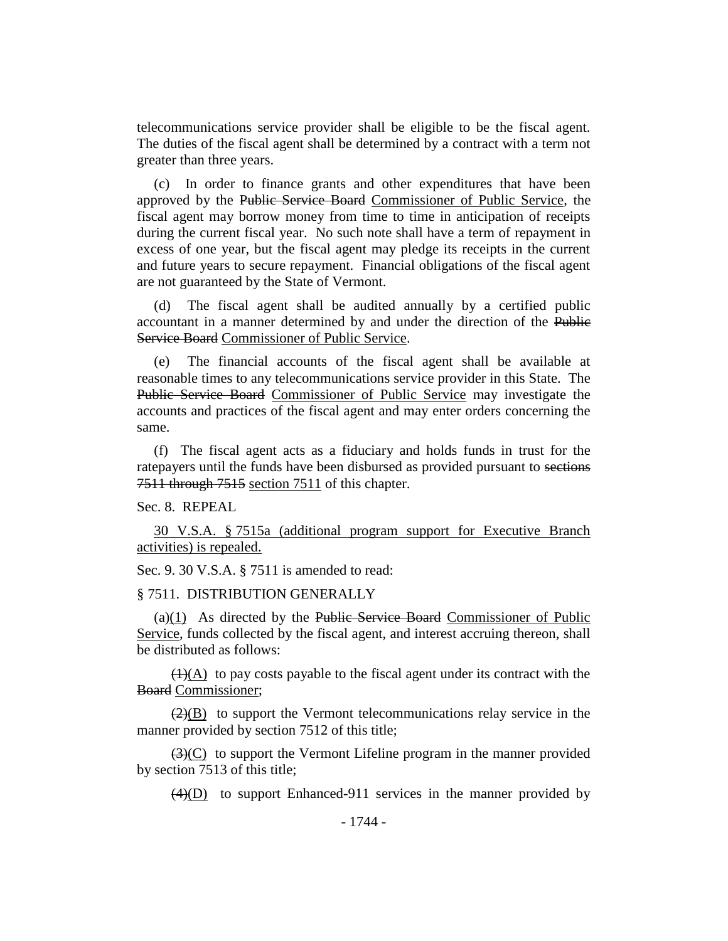telecommunications service provider shall be eligible to be the fiscal agent. The duties of the fiscal agent shall be determined by a contract with a term not greater than three years.

(c) In order to finance grants and other expenditures that have been approved by the Public Service Board Commissioner of Public Service, the fiscal agent may borrow money from time to time in anticipation of receipts during the current fiscal year. No such note shall have a term of repayment in excess of one year, but the fiscal agent may pledge its receipts in the current and future years to secure repayment. Financial obligations of the fiscal agent are not guaranteed by the State of Vermont.

(d) The fiscal agent shall be audited annually by a certified public accountant in a manner determined by and under the direction of the Public Service Board Commissioner of Public Service.

(e) The financial accounts of the fiscal agent shall be available at reasonable times to any telecommunications service provider in this State. The Public Service Board Commissioner of Public Service may investigate the accounts and practices of the fiscal agent and may enter orders concerning the same.

(f) The fiscal agent acts as a fiduciary and holds funds in trust for the ratepayers until the funds have been disbursed as provided pursuant to sections 7511 through 7515 section 7511 of this chapter.

Sec. 8. REPEAL

30 V.S.A. § 7515a (additional program support for Executive Branch activities) is repealed.

Sec. 9. 30 V.S.A. § 7511 is amended to read:

#### § 7511. DISTRIBUTION GENERALLY

 $(a)(1)$  As directed by the Public Service Board Commissioner of Public Service, funds collected by the fiscal agent, and interest accruing thereon, shall be distributed as follows:

 $(1)(A)$  to pay costs payable to the fiscal agent under its contract with the Board Commissioner;

 $(2)(B)$  to support the Vermont telecommunications relay service in the manner provided by section 7512 of this title;

 $\left(\frac{3}{2}\right)(C)$  to support the Vermont Lifeline program in the manner provided by section 7513 of this title;

 $\overline{(4)(D)}$  to support Enhanced-911 services in the manner provided by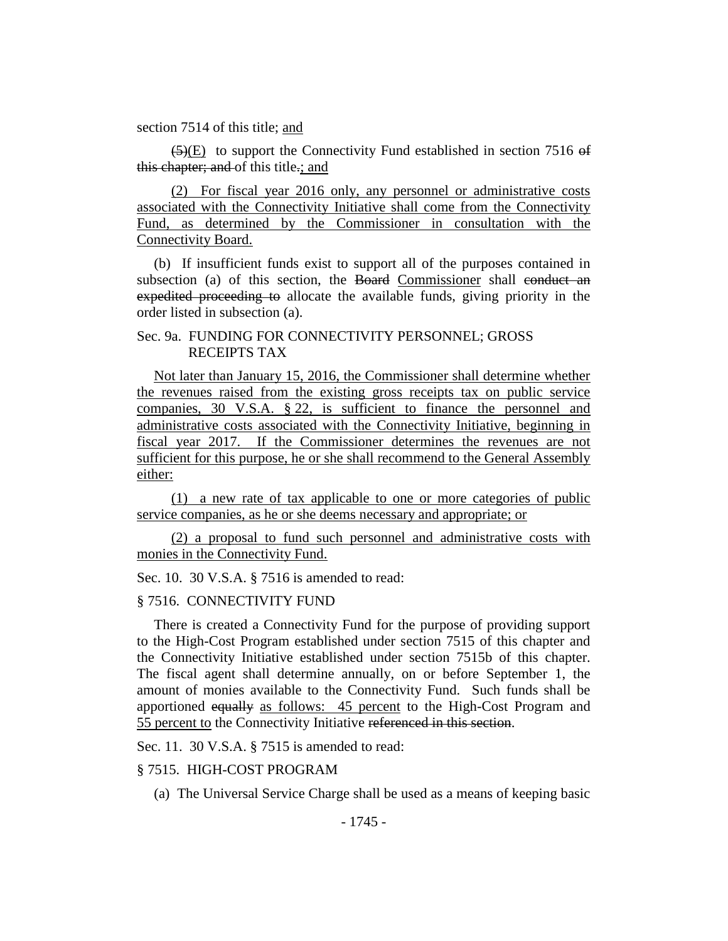section 7514 of this title; and

 $\overline{(5)}$  (E) to support the Connectivity Fund established in section 7516 of this chapter; and of this title.; and

(2) For fiscal year 2016 only, any personnel or administrative costs associated with the Connectivity Initiative shall come from the Connectivity Fund, as determined by the Commissioner in consultation with the Connectivity Board.

(b) If insufficient funds exist to support all of the purposes contained in subsection (a) of this section, the Board Commissioner shall conduct an expedited proceeding to allocate the available funds, giving priority in the order listed in subsection (a).

# Sec. 9a. FUNDING FOR CONNECTIVITY PERSONNEL; GROSS RECEIPTS TAX

Not later than January 15, 2016, the Commissioner shall determine whether the revenues raised from the existing gross receipts tax on public service companies, 30 V.S.A. § 22, is sufficient to finance the personnel and administrative costs associated with the Connectivity Initiative, beginning in fiscal year 2017. If the Commissioner determines the revenues are not sufficient for this purpose, he or she shall recommend to the General Assembly either:

(1) a new rate of tax applicable to one or more categories of public service companies, as he or she deems necessary and appropriate; or

(2) a proposal to fund such personnel and administrative costs with monies in the Connectivity Fund.

#### Sec. 10. 30 V.S.A. § 7516 is amended to read:

### § 7516. CONNECTIVITY FUND

There is created a Connectivity Fund for the purpose of providing support to the High-Cost Program established under section 7515 of this chapter and the Connectivity Initiative established under section 7515b of this chapter. The fiscal agent shall determine annually, on or before September 1, the amount of monies available to the Connectivity Fund. Such funds shall be apportioned equally as follows: 45 percent to the High-Cost Program and 55 percent to the Connectivity Initiative referenced in this section.

Sec. 11. 30 V.S.A. § 7515 is amended to read:

### § 7515. HIGH-COST PROGRAM

(a) The Universal Service Charge shall be used as a means of keeping basic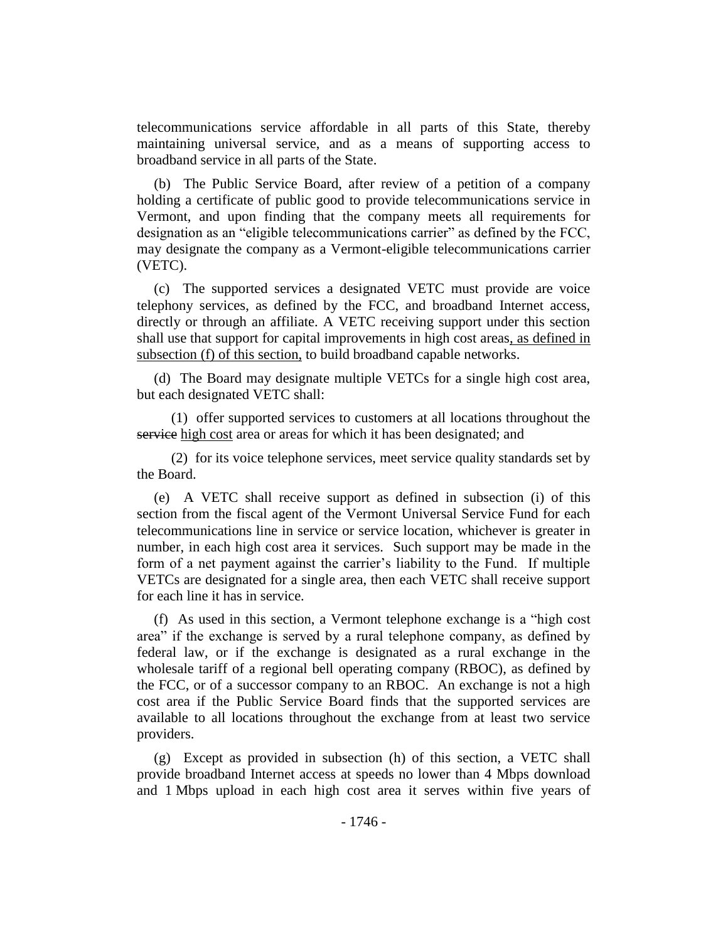telecommunications service affordable in all parts of this State, thereby maintaining universal service, and as a means of supporting access to broadband service in all parts of the State.

(b) The Public Service Board, after review of a petition of a company holding a certificate of public good to provide telecommunications service in Vermont, and upon finding that the company meets all requirements for designation as an "eligible telecommunications carrier" as defined by the FCC, may designate the company as a Vermont-eligible telecommunications carrier (VETC).

(c) The supported services a designated VETC must provide are voice telephony services, as defined by the FCC, and broadband Internet access, directly or through an affiliate. A VETC receiving support under this section shall use that support for capital improvements in high cost areas, as defined in subsection (f) of this section, to build broadband capable networks.

(d) The Board may designate multiple VETCs for a single high cost area, but each designated VETC shall:

(1) offer supported services to customers at all locations throughout the service high cost area or areas for which it has been designated; and

(2) for its voice telephone services, meet service quality standards set by the Board.

(e) A VETC shall receive support as defined in subsection (i) of this section from the fiscal agent of the Vermont Universal Service Fund for each telecommunications line in service or service location, whichever is greater in number, in each high cost area it services. Such support may be made in the form of a net payment against the carrier's liability to the Fund. If multiple VETCs are designated for a single area, then each VETC shall receive support for each line it has in service.

(f) As used in this section, a Vermont telephone exchange is a "high cost area" if the exchange is served by a rural telephone company, as defined by federal law, or if the exchange is designated as a rural exchange in the wholesale tariff of a regional bell operating company (RBOC), as defined by the FCC, or of a successor company to an RBOC. An exchange is not a high cost area if the Public Service Board finds that the supported services are available to all locations throughout the exchange from at least two service providers.

(g) Except as provided in subsection (h) of this section, a VETC shall provide broadband Internet access at speeds no lower than 4 Mbps download and 1 Mbps upload in each high cost area it serves within five years of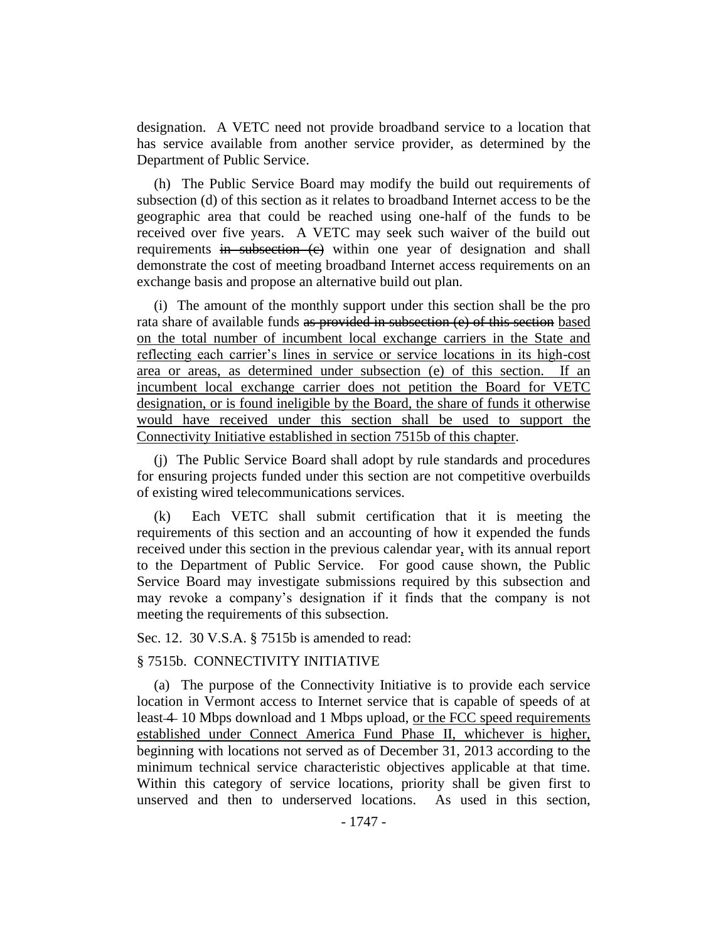designation. A VETC need not provide broadband service to a location that has service available from another service provider, as determined by the Department of Public Service.

(h) The Public Service Board may modify the build out requirements of subsection (d) of this section as it relates to broadband Internet access to be the geographic area that could be reached using one-half of the funds to be received over five years. A VETC may seek such waiver of the build out requirements in subsection (c) within one year of designation and shall demonstrate the cost of meeting broadband Internet access requirements on an exchange basis and propose an alternative build out plan.

(i) The amount of the monthly support under this section shall be the pro rata share of available funds as provided in subsection (e) of this section based on the total number of incumbent local exchange carriers in the State and reflecting each carrier's lines in service or service locations in its high-cost area or areas, as determined under subsection (e) of this section. If an incumbent local exchange carrier does not petition the Board for VETC designation, or is found ineligible by the Board, the share of funds it otherwise would have received under this section shall be used to support the Connectivity Initiative established in section 7515b of this chapter.

(j) The Public Service Board shall adopt by rule standards and procedures for ensuring projects funded under this section are not competitive overbuilds of existing wired telecommunications services.

(k) Each VETC shall submit certification that it is meeting the requirements of this section and an accounting of how it expended the funds received under this section in the previous calendar year, with its annual report to the Department of Public Service. For good cause shown, the Public Service Board may investigate submissions required by this subsection and may revoke a company's designation if it finds that the company is not meeting the requirements of this subsection.

Sec. 12. 30 V.S.A. § 7515b is amended to read:

#### § 7515b. CONNECTIVITY INITIATIVE

(a) The purpose of the Connectivity Initiative is to provide each service location in Vermont access to Internet service that is capable of speeds of at least 4 10 Mbps download and 1 Mbps upload, or the FCC speed requirements established under Connect America Fund Phase II, whichever is higher, beginning with locations not served as of December 31, 2013 according to the minimum technical service characteristic objectives applicable at that time. Within this category of service locations, priority shall be given first to unserved and then to underserved locations. As used in this section,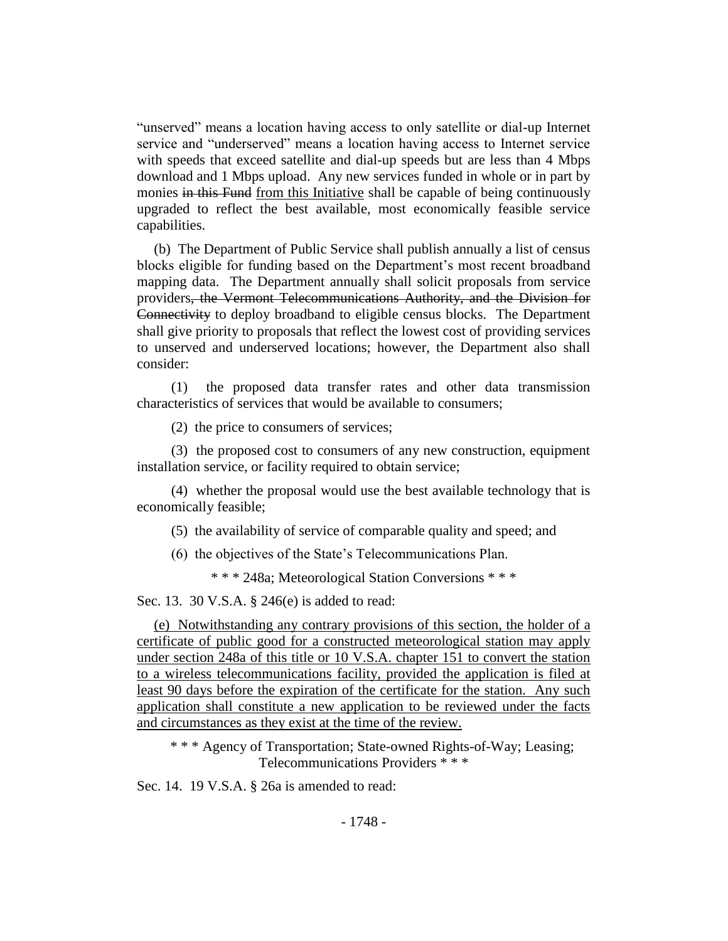"unserved" means a location having access to only satellite or dial-up Internet service and "underserved" means a location having access to Internet service with speeds that exceed satellite and dial-up speeds but are less than 4 Mbps download and 1 Mbps upload. Any new services funded in whole or in part by monies in this Fund from this Initiative shall be capable of being continuously upgraded to reflect the best available, most economically feasible service capabilities.

(b) The Department of Public Service shall publish annually a list of census blocks eligible for funding based on the Department's most recent broadband mapping data. The Department annually shall solicit proposals from service providers, the Vermont Telecommunications Authority, and the Division for Connectivity to deploy broadband to eligible census blocks. The Department shall give priority to proposals that reflect the lowest cost of providing services to unserved and underserved locations; however, the Department also shall consider:

(1) the proposed data transfer rates and other data transmission characteristics of services that would be available to consumers;

(2) the price to consumers of services;

(3) the proposed cost to consumers of any new construction, equipment installation service, or facility required to obtain service;

(4) whether the proposal would use the best available technology that is economically feasible;

(5) the availability of service of comparable quality and speed; and

(6) the objectives of the State's Telecommunications Plan.

\* \* \* 248a; Meteorological Station Conversions \* \* \*

Sec. 13. 30 V.S.A. § 246(e) is added to read:

(e) Notwithstanding any contrary provisions of this section, the holder of a certificate of public good for a constructed meteorological station may apply under section 248a of this title or 10 V.S.A. chapter 151 to convert the station to a wireless telecommunications facility, provided the application is filed at least 90 days before the expiration of the certificate for the station. Any such application shall constitute a new application to be reviewed under the facts and circumstances as they exist at the time of the review.

\* \* \* Agency of Transportation; State-owned Rights-of-Way; Leasing; Telecommunications Providers \* \* \*

Sec. 14. 19 V.S.A. § 26a is amended to read: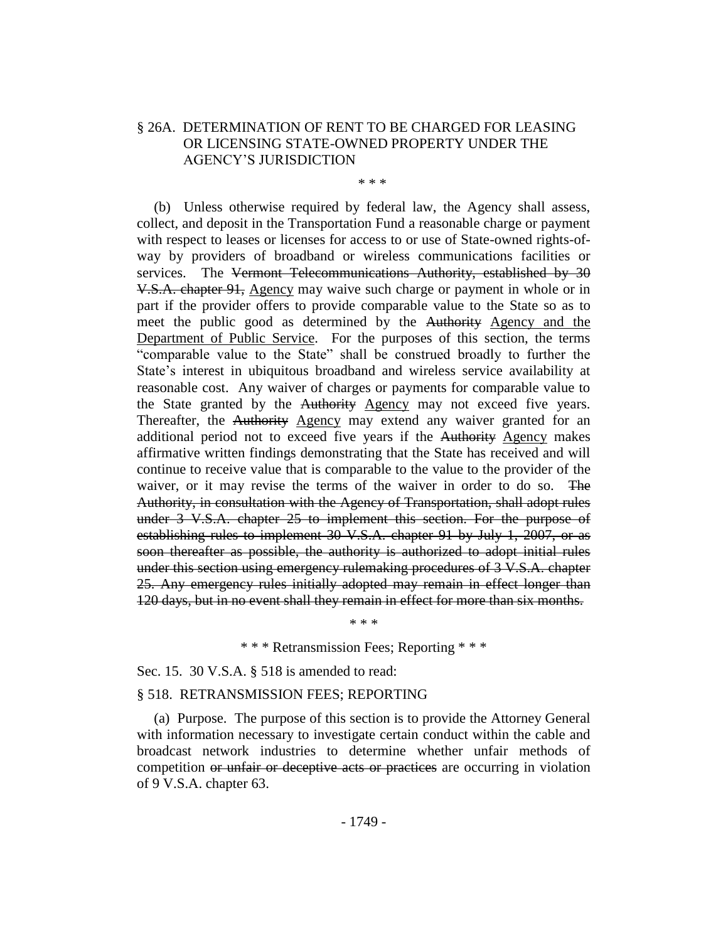# § 26A. DETERMINATION OF RENT TO BE CHARGED FOR LEASING OR LICENSING STATE-OWNED PROPERTY UNDER THE AGENCY'S JURISDICTION

\* \* \*

(b) Unless otherwise required by federal law, the Agency shall assess, collect, and deposit in the Transportation Fund a reasonable charge or payment with respect to leases or licenses for access to or use of State-owned rights-ofway by providers of broadband or wireless communications facilities or services. The Vermont Telecommunications Authority, established by 30 V.S.A. chapter 91, Agency may waive such charge or payment in whole or in part if the provider offers to provide comparable value to the State so as to meet the public good as determined by the Authority Agency and the Department of Public Service. For the purposes of this section, the terms "comparable value to the State" shall be construed broadly to further the State's interest in ubiquitous broadband and wireless service availability at reasonable cost. Any waiver of charges or payments for comparable value to the State granted by the Authority Agency may not exceed five years. Thereafter, the Authority Agency may extend any waiver granted for an additional period not to exceed five years if the Authority Agency makes affirmative written findings demonstrating that the State has received and will continue to receive value that is comparable to the value to the provider of the waiver, or it may revise the terms of the waiver in order to do so. The Authority, in consultation with the Agency of Transportation, shall adopt rules under 3 V.S.A. chapter 25 to implement this section. For the purpose of establishing rules to implement 30 V.S.A. chapter 91 by July 1, 2007, or as soon thereafter as possible, the authority is authorized to adopt initial rules under this section using emergency rulemaking procedures of 3 V.S.A. chapter 25. Any emergency rules initially adopted may remain in effect longer than 120 days, but in no event shall they remain in effect for more than six months.

\* \* \* Retransmission Fees; Reporting \* \* \*

\* \* \*

Sec. 15. 30 V.S.A. § 518 is amended to read:

#### § 518. RETRANSMISSION FEES; REPORTING

(a) Purpose. The purpose of this section is to provide the Attorney General with information necessary to investigate certain conduct within the cable and broadcast network industries to determine whether unfair methods of competition or unfair or deceptive acts or practices are occurring in violation of 9 V.S.A. chapter 63.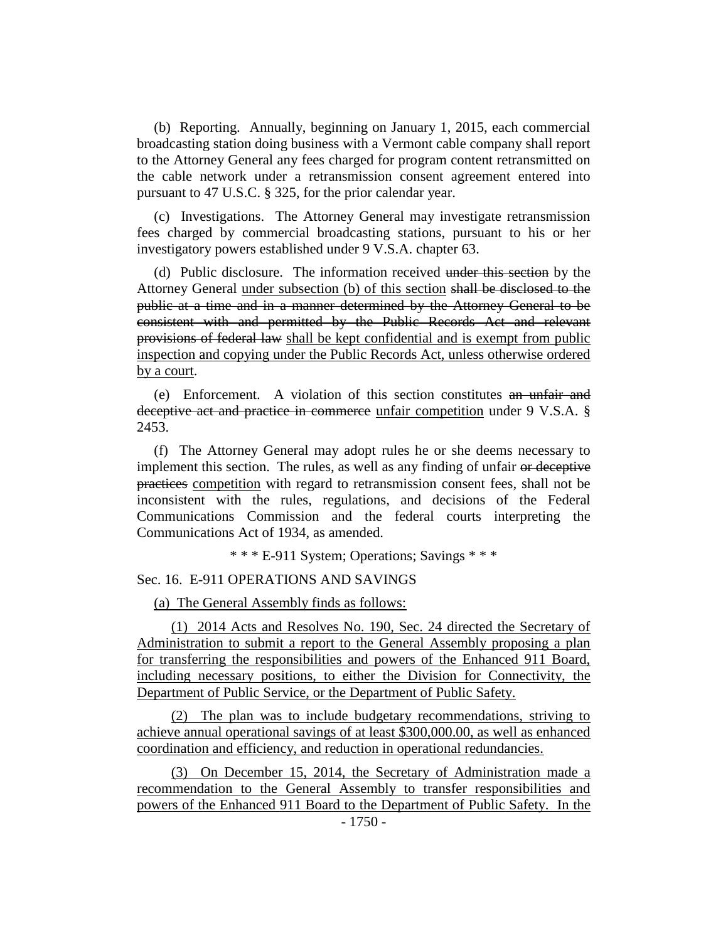(b) Reporting. Annually, beginning on January 1, 2015, each commercial broadcasting station doing business with a Vermont cable company shall report to the Attorney General any fees charged for program content retransmitted on the cable network under a retransmission consent agreement entered into pursuant to 47 U.S.C. § 325, for the prior calendar year.

(c) Investigations. The Attorney General may investigate retransmission fees charged by commercial broadcasting stations, pursuant to his or her investigatory powers established under 9 V.S.A. chapter 63.

(d) Public disclosure. The information received under this section by the Attorney General under subsection (b) of this section shall be disclosed to the public at a time and in a manner determined by the Attorney General to be consistent with and permitted by the Public Records Act and relevant provisions of federal law shall be kept confidential and is exempt from public inspection and copying under the Public Records Act, unless otherwise ordered by a court.

(e) Enforcement. A violation of this section constitutes an unfair and deceptive act and practice in commerce unfair competition under 9 V.S.A. § 2453.

(f) The Attorney General may adopt rules he or she deems necessary to implement this section. The rules, as well as any finding of unfair or deceptive practices competition with regard to retransmission consent fees, shall not be inconsistent with the rules, regulations, and decisions of the Federal Communications Commission and the federal courts interpreting the Communications Act of 1934, as amended.

\* \* \* E-911 System; Operations; Savings \* \* \*

# Sec. 16. E-911 OPERATIONS AND SAVINGS

(a) The General Assembly finds as follows:

(1) 2014 Acts and Resolves No. 190, Sec. 24 directed the Secretary of Administration to submit a report to the General Assembly proposing a plan for transferring the responsibilities and powers of the Enhanced 911 Board, including necessary positions, to either the Division for Connectivity, the Department of Public Service, or the Department of Public Safety.

(2) The plan was to include budgetary recommendations, striving to achieve annual operational savings of at least \$300,000.00, as well as enhanced coordination and efficiency, and reduction in operational redundancies.

(3) On December 15, 2014, the Secretary of Administration made a recommendation to the General Assembly to transfer responsibilities and powers of the Enhanced 911 Board to the Department of Public Safety. In the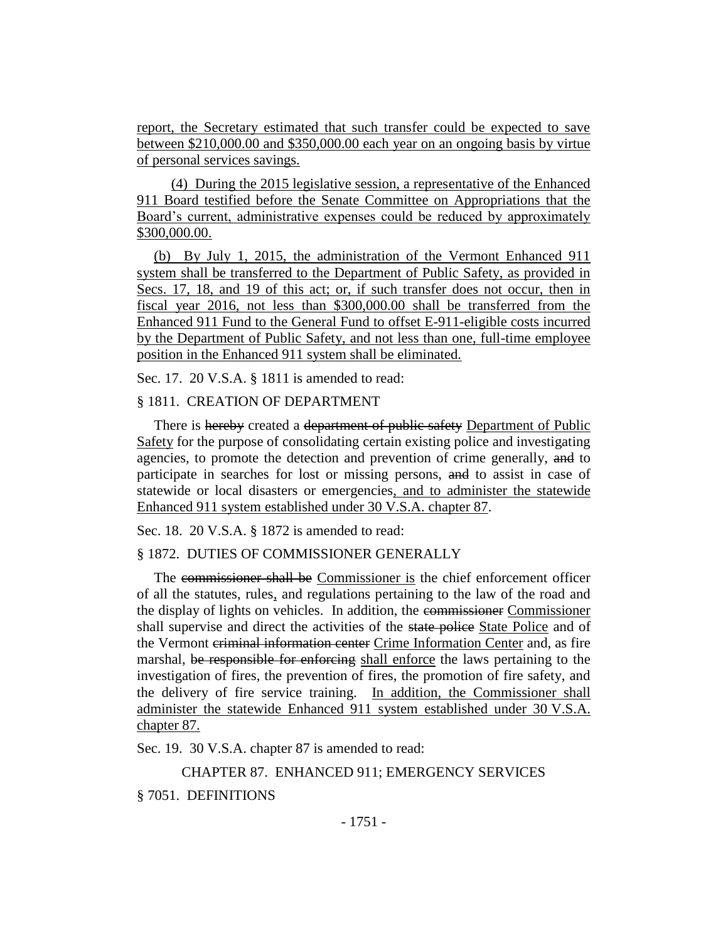report, the Secretary estimated that such transfer could be expected to save between \$210,000.00 and \$350,000.00 each year on an ongoing basis by virtue of personal services savings.

(4) During the 2015 legislative session, a representative of the Enhanced 911 Board testified before the Senate Committee on Appropriations that the Board's current, administrative expenses could be reduced by approximately \$300,000.00.

(b) By July 1, 2015, the administration of the Vermont Enhanced 911 system shall be transferred to the Department of Public Safety, as provided in Secs. 17, 18, and 19 of this act; or, if such transfer does not occur, then in fiscal year 2016, not less than \$300,000.00 shall be transferred from the Enhanced 911 Fund to the General Fund to offset E-911-eligible costs incurred by the Department of Public Safety, and not less than one, full-time employee position in the Enhanced 911 system shall be eliminated.

Sec. 17. 20 V.S.A. § 1811 is amended to read:

### § 1811. CREATION OF DEPARTMENT

There is hereby created a department of public safety Department of Public Safety for the purpose of consolidating certain existing police and investigating agencies, to promote the detection and prevention of crime generally, and to participate in searches for lost or missing persons, and to assist in case of statewide or local disasters or emergencies, and to administer the statewide Enhanced 911 system established under 30 V.S.A. chapter 87.

Sec. 18. 20 V.S.A. § 1872 is amended to read:

#### § 1872. DUTIES OF COMMISSIONER GENERALLY

The commissioner shall be Commissioner is the chief enforcement officer of all the statutes, rules, and regulations pertaining to the law of the road and the display of lights on vehicles. In addition, the commissioner Commissioner shall supervise and direct the activities of the state police State Police and of the Vermont criminal information center Crime Information Center and, as fire marshal, be responsible for enforcing shall enforce the laws pertaining to the investigation of fires, the prevention of fires, the promotion of fire safety, and the delivery of fire service training. In addition, the Commissioner shall administer the statewide Enhanced 911 system established under 30 V.S.A. chapter 87.

Sec. 19. 30 V.S.A. chapter 87 is amended to read:

CHAPTER 87. ENHANCED 911; EMERGENCY SERVICES

§ 7051. DEFINITIONS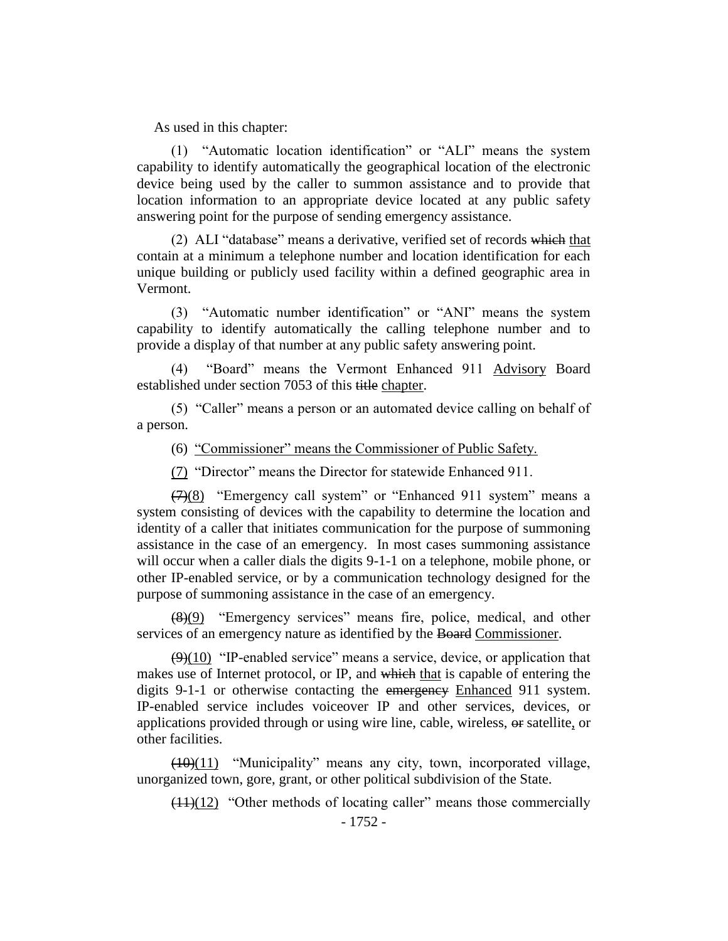As used in this chapter:

(1) "Automatic location identification" or "ALI" means the system capability to identify automatically the geographical location of the electronic device being used by the caller to summon assistance and to provide that location information to an appropriate device located at any public safety answering point for the purpose of sending emergency assistance.

(2) ALI "database" means a derivative, verified set of records which that contain at a minimum a telephone number and location identification for each unique building or publicly used facility within a defined geographic area in Vermont.

(3) "Automatic number identification" or "ANI" means the system capability to identify automatically the calling telephone number and to provide a display of that number at any public safety answering point.

(4) "Board" means the Vermont Enhanced 911 Advisory Board established under section 7053 of this title chapter.

(5) "Caller" means a person or an automated device calling on behalf of a person.

(6) "Commissioner" means the Commissioner of Public Safety.

(7) "Director" means the Director for statewide Enhanced 911.

 $\left(\frac{7}{8}\right)$  "Emergency call system" or "Enhanced 911 system" means a system consisting of devices with the capability to determine the location and identity of a caller that initiates communication for the purpose of summoning assistance in the case of an emergency. In most cases summoning assistance will occur when a caller dials the digits 9-1-1 on a telephone, mobile phone, or other IP-enabled service, or by a communication technology designed for the purpose of summoning assistance in the case of an emergency.

(8)(9) "Emergency services" means fire, police, medical, and other services of an emergency nature as identified by the Board Commissioner.

 $(9)(10)$  "IP-enabled service" means a service, device, or application that makes use of Internet protocol, or IP, and which that is capable of entering the digits 9-1-1 or otherwise contacting the emergency Enhanced 911 system. IP-enabled service includes voiceover IP and other services, devices, or applications provided through or using wire line, cable, wireless, or satellite, or other facilities.

(10)(11) "Municipality" means any city, town, incorporated village, unorganized town, gore, grant, or other political subdivision of the State.

 $(11)(12)$  "Other methods of locating caller" means those commercially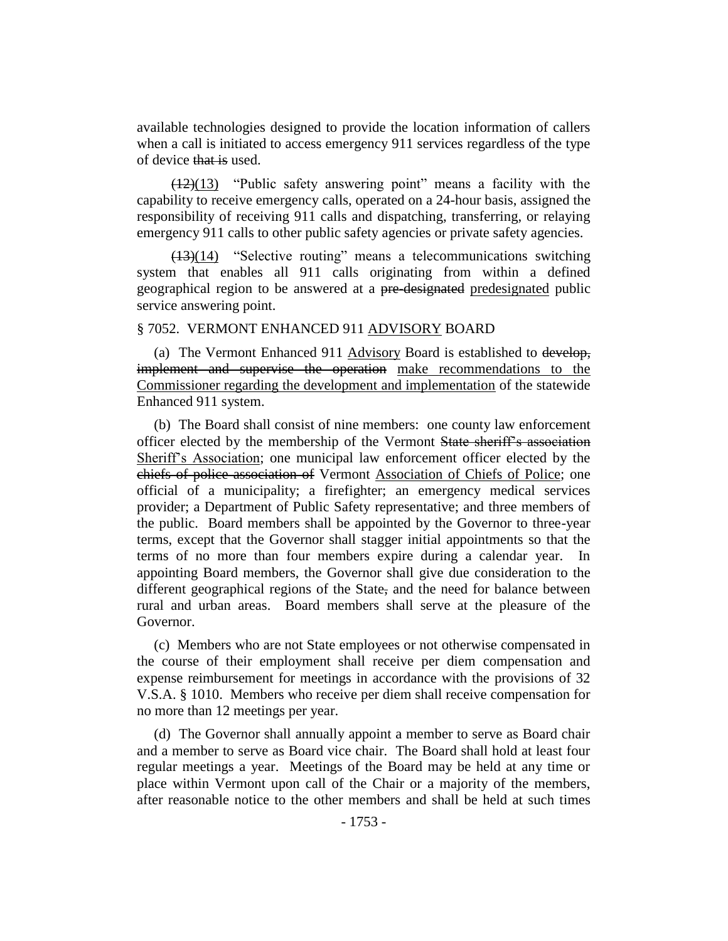available technologies designed to provide the location information of callers when a call is initiated to access emergency 911 services regardless of the type of device that is used.

(12)(13) "Public safety answering point" means a facility with the capability to receive emergency calls, operated on a 24-hour basis, assigned the responsibility of receiving 911 calls and dispatching, transferring, or relaying emergency 911 calls to other public safety agencies or private safety agencies.

(13)(14) "Selective routing" means a telecommunications switching system that enables all 911 calls originating from within a defined geographical region to be answered at a pre-designated predesignated public service answering point.

#### § 7052. VERMONT ENHANCED 911 ADVISORY BOARD

(a) The Vermont Enhanced 911 Advisory Board is established to develop, implement and supervise the operation make recommendations to the Commissioner regarding the development and implementation of the statewide Enhanced 911 system.

(b) The Board shall consist of nine members: one county law enforcement officer elected by the membership of the Vermont State sheriff's association Sheriff's Association; one municipal law enforcement officer elected by the chiefs of police association of Vermont Association of Chiefs of Police; one official of a municipality; a firefighter; an emergency medical services provider; a Department of Public Safety representative; and three members of the public. Board members shall be appointed by the Governor to three-year terms, except that the Governor shall stagger initial appointments so that the terms of no more than four members expire during a calendar year. In appointing Board members, the Governor shall give due consideration to the different geographical regions of the State, and the need for balance between rural and urban areas. Board members shall serve at the pleasure of the Governor.

(c) Members who are not State employees or not otherwise compensated in the course of their employment shall receive per diem compensation and expense reimbursement for meetings in accordance with the provisions of 32 V.S.A. § 1010. Members who receive per diem shall receive compensation for no more than 12 meetings per year.

(d) The Governor shall annually appoint a member to serve as Board chair and a member to serve as Board vice chair. The Board shall hold at least four regular meetings a year. Meetings of the Board may be held at any time or place within Vermont upon call of the Chair or a majority of the members, after reasonable notice to the other members and shall be held at such times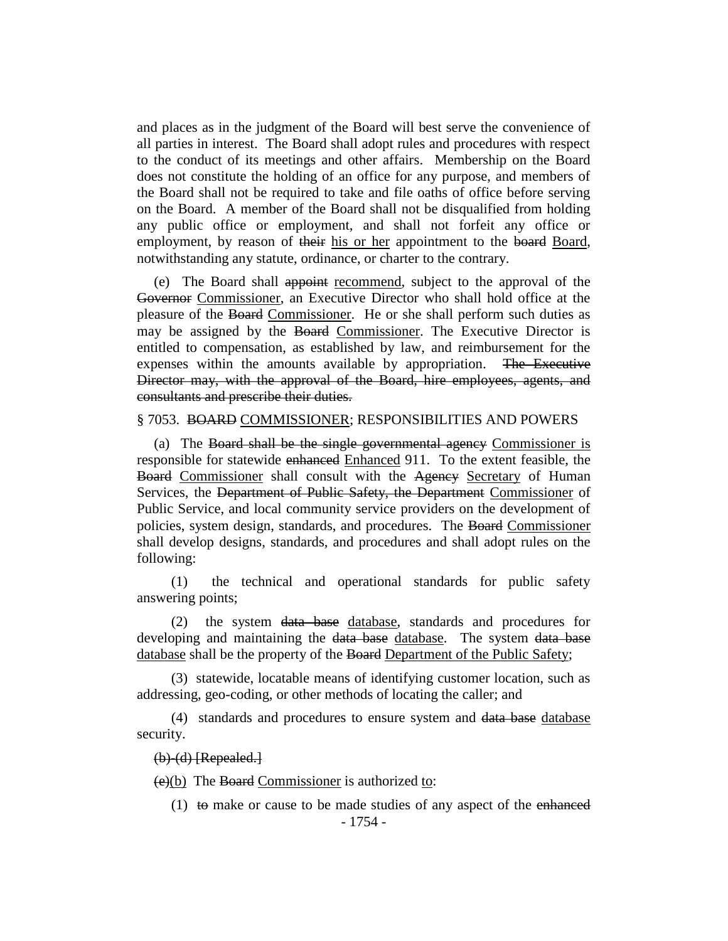and places as in the judgment of the Board will best serve the convenience of all parties in interest. The Board shall adopt rules and procedures with respect to the conduct of its meetings and other affairs. Membership on the Board does not constitute the holding of an office for any purpose, and members of the Board shall not be required to take and file oaths of office before serving on the Board. A member of the Board shall not be disqualified from holding any public office or employment, and shall not forfeit any office or employment, by reason of their his or her appointment to the board Board, notwithstanding any statute, ordinance, or charter to the contrary.

(e) The Board shall appoint recommend, subject to the approval of the Governor Commissioner, an Executive Director who shall hold office at the pleasure of the Board Commissioner. He or she shall perform such duties as may be assigned by the Board Commissioner. The Executive Director is entitled to compensation, as established by law, and reimbursement for the expenses within the amounts available by appropriation. The Executive Director may, with the approval of the Board, hire employees, agents, and consultants and prescribe their duties.

#### § 7053. BOARD COMMISSIONER; RESPONSIBILITIES AND POWERS

(a) The Board shall be the single governmental agency Commissioner is responsible for statewide enhanced Enhanced 911. To the extent feasible, the Board Commissioner shall consult with the Agency Secretary of Human Services, the Department of Public Safety, the Department Commissioner of Public Service, and local community service providers on the development of policies, system design, standards, and procedures. The Board Commissioner shall develop designs, standards, and procedures and shall adopt rules on the following:

(1) the technical and operational standards for public safety answering points;

(2) the system data base database, standards and procedures for developing and maintaining the data base database. The system data base database shall be the property of the Board Department of the Public Safety;

(3) statewide, locatable means of identifying customer location, such as addressing, geo-coding, or other methods of locating the caller; and

(4) standards and procedures to ensure system and data base database security.

### (b)-(d) [Repealed.]

 $(e)(b)$  The Board Commissioner is authorized to:

(1) to make or cause to be made studies of any aspect of the enhanced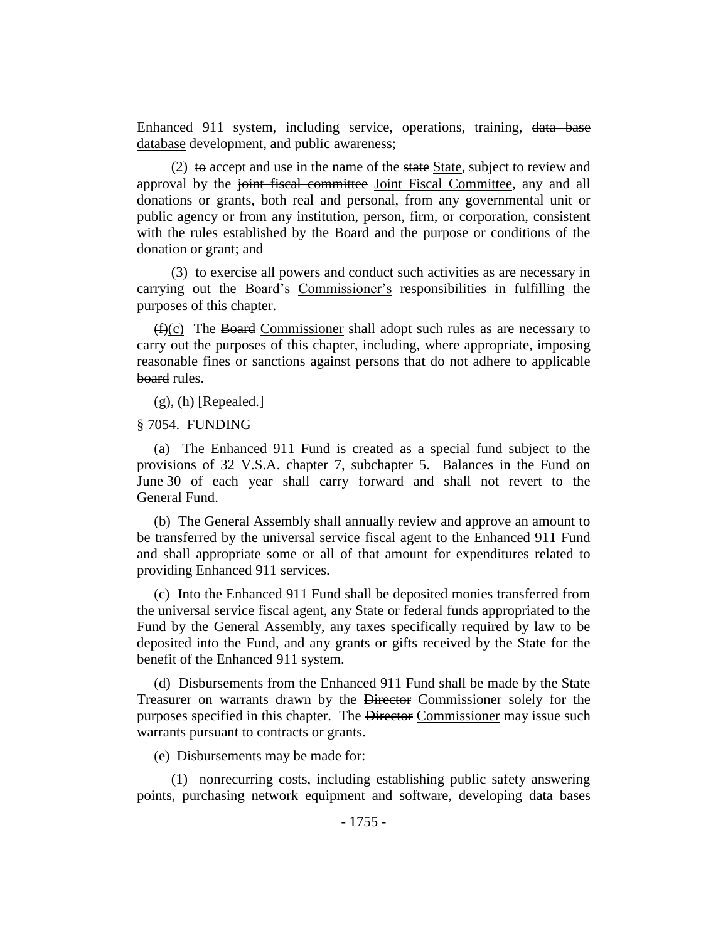Enhanced 911 system, including service, operations, training, data base database development, and public awareness;

(2) to accept and use in the name of the state State, subject to review and approval by the joint fiscal committee Joint Fiscal Committee, any and all donations or grants, both real and personal, from any governmental unit or public agency or from any institution, person, firm, or corporation, consistent with the rules established by the Board and the purpose or conditions of the donation or grant; and

(3) to exercise all powers and conduct such activities as are necessary in carrying out the Board's Commissioner's responsibilities in fulfilling the purposes of this chapter.

 $(f(x))$  The Board Commissioner shall adopt such rules as are necessary to carry out the purposes of this chapter, including, where appropriate, imposing reasonable fines or sanctions against persons that do not adhere to applicable board rules.

 $(g)$ , (h) [Repealed.]

### § 7054. FUNDING

(a) The Enhanced 911 Fund is created as a special fund subject to the provisions of 32 V.S.A. chapter 7, subchapter 5. Balances in the Fund on June 30 of each year shall carry forward and shall not revert to the General Fund.

(b) The General Assembly shall annually review and approve an amount to be transferred by the universal service fiscal agent to the Enhanced 911 Fund and shall appropriate some or all of that amount for expenditures related to providing Enhanced 911 services.

(c) Into the Enhanced 911 Fund shall be deposited monies transferred from the universal service fiscal agent, any State or federal funds appropriated to the Fund by the General Assembly, any taxes specifically required by law to be deposited into the Fund, and any grants or gifts received by the State for the benefit of the Enhanced 911 system.

(d) Disbursements from the Enhanced 911 Fund shall be made by the State Treasurer on warrants drawn by the Director Commissioner solely for the purposes specified in this chapter. The Director Commissioner may issue such warrants pursuant to contracts or grants.

(e) Disbursements may be made for:

(1) nonrecurring costs, including establishing public safety answering points, purchasing network equipment and software, developing data bases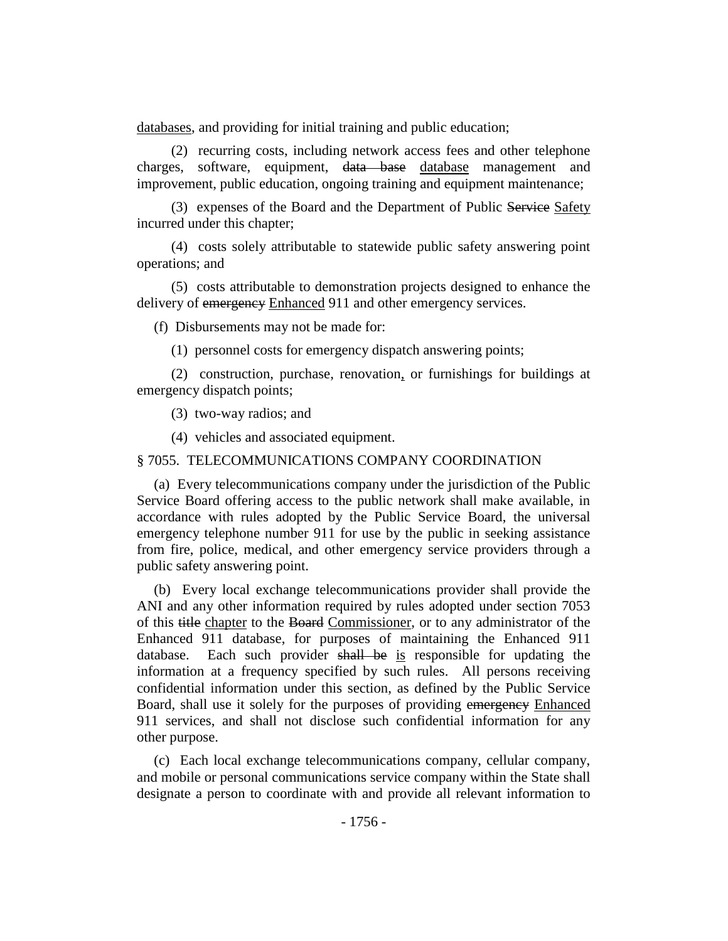databases, and providing for initial training and public education;

(2) recurring costs, including network access fees and other telephone charges, software, equipment, data base database management and improvement, public education, ongoing training and equipment maintenance;

(3) expenses of the Board and the Department of Public Service Safety incurred under this chapter;

(4) costs solely attributable to statewide public safety answering point operations; and

(5) costs attributable to demonstration projects designed to enhance the delivery of emergency Enhanced 911 and other emergency services.

(f) Disbursements may not be made for:

(1) personnel costs for emergency dispatch answering points;

(2) construction, purchase, renovation, or furnishings for buildings at emergency dispatch points;

(3) two-way radios; and

(4) vehicles and associated equipment.

§ 7055. TELECOMMUNICATIONS COMPANY COORDINATION

(a) Every telecommunications company under the jurisdiction of the Public Service Board offering access to the public network shall make available, in accordance with rules adopted by the Public Service Board, the universal emergency telephone number 911 for use by the public in seeking assistance from fire, police, medical, and other emergency service providers through a public safety answering point.

(b) Every local exchange telecommunications provider shall provide the ANI and any other information required by rules adopted under section 7053 of this title chapter to the Board Commissioner, or to any administrator of the Enhanced 911 database, for purposes of maintaining the Enhanced 911 database. Each such provider shall be is responsible for updating the information at a frequency specified by such rules. All persons receiving confidential information under this section, as defined by the Public Service Board, shall use it solely for the purposes of providing emergency Enhanced 911 services, and shall not disclose such confidential information for any other purpose.

(c) Each local exchange telecommunications company, cellular company, and mobile or personal communications service company within the State shall designate a person to coordinate with and provide all relevant information to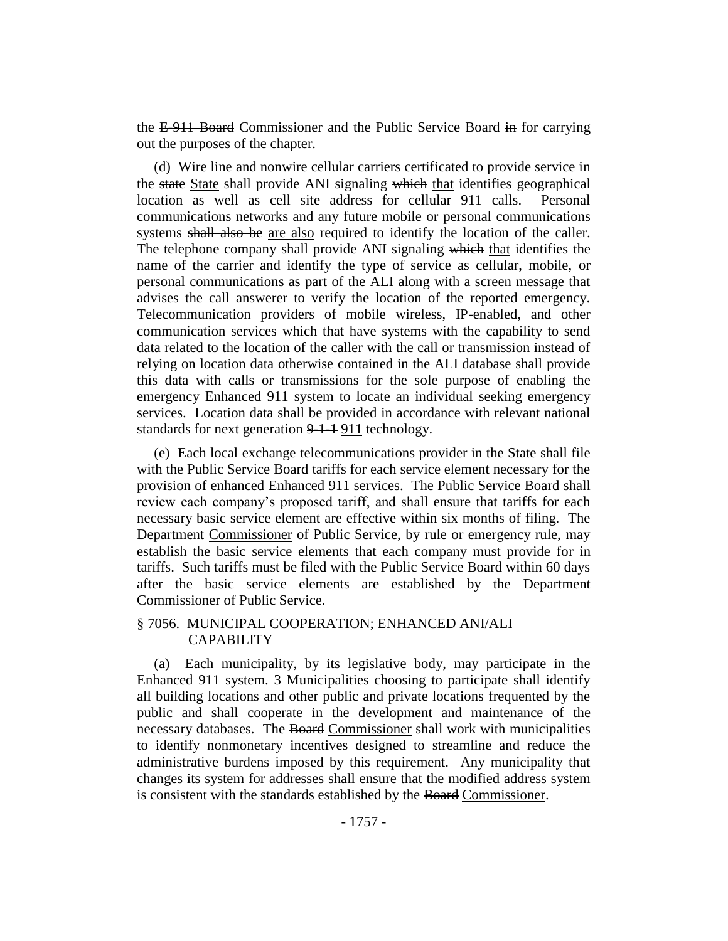the E-911 Board Commissioner and the Public Service Board in for carrying out the purposes of the chapter.

(d) Wire line and nonwire cellular carriers certificated to provide service in the state State shall provide ANI signaling which that identifies geographical location as well as cell site address for cellular 911 calls. Personal communications networks and any future mobile or personal communications systems shall also be are also required to identify the location of the caller. The telephone company shall provide ANI signaling which that identifies the name of the carrier and identify the type of service as cellular, mobile, or personal communications as part of the ALI along with a screen message that advises the call answerer to verify the location of the reported emergency. Telecommunication providers of mobile wireless, IP-enabled, and other communication services which that have systems with the capability to send data related to the location of the caller with the call or transmission instead of relying on location data otherwise contained in the ALI database shall provide this data with calls or transmissions for the sole purpose of enabling the emergency Enhanced 911 system to locate an individual seeking emergency services. Location data shall be provided in accordance with relevant national standards for next generation 9-1-1 911 technology.

(e) Each local exchange telecommunications provider in the State shall file with the Public Service Board tariffs for each service element necessary for the provision of enhanced Enhanced 911 services. The Public Service Board shall review each company's proposed tariff, and shall ensure that tariffs for each necessary basic service element are effective within six months of filing. The Department Commissioner of Public Service, by rule or emergency rule, may establish the basic service elements that each company must provide for in tariffs. Such tariffs must be filed with the Public Service Board within 60 days after the basic service elements are established by the Department Commissioner of Public Service.

# § 7056. MUNICIPAL COOPERATION; ENHANCED ANI/ALI **CAPABILITY**

(a) Each municipality, by its legislative body, may participate in the Enhanced 911 system. 3 Municipalities choosing to participate shall identify all building locations and other public and private locations frequented by the public and shall cooperate in the development and maintenance of the necessary databases. The Board Commissioner shall work with municipalities to identify nonmonetary incentives designed to streamline and reduce the administrative burdens imposed by this requirement. Any municipality that changes its system for addresses shall ensure that the modified address system is consistent with the standards established by the Board Commissioner.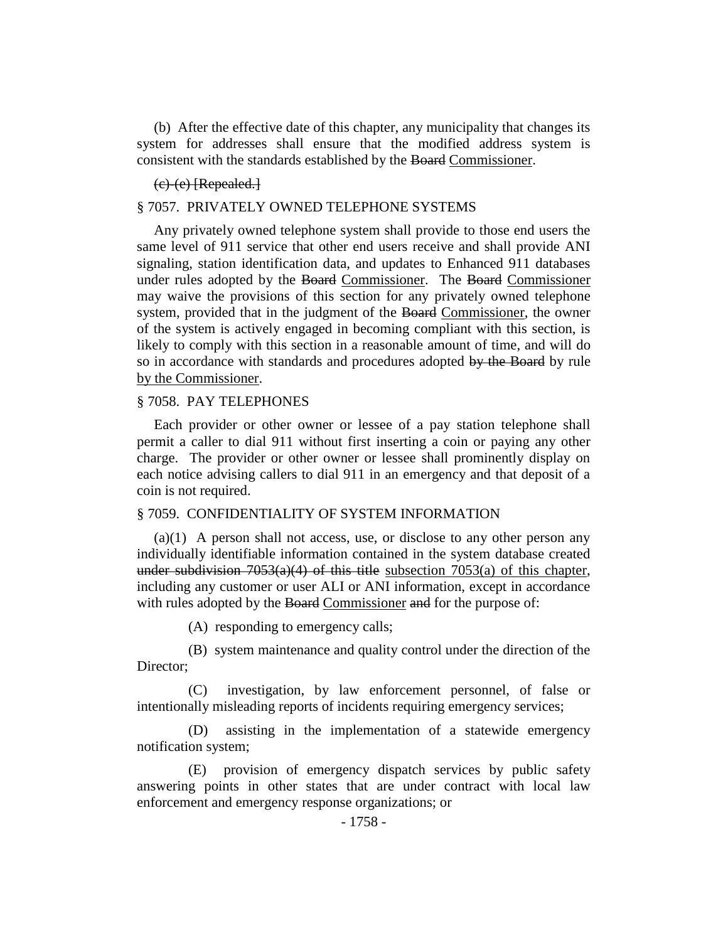(b) After the effective date of this chapter, any municipality that changes its system for addresses shall ensure that the modified address system is consistent with the standards established by the Board Commissioner.

### $(e)$   $(e)$  [Repealed.]

### § 7057. PRIVATELY OWNED TELEPHONE SYSTEMS

Any privately owned telephone system shall provide to those end users the same level of 911 service that other end users receive and shall provide ANI signaling, station identification data, and updates to Enhanced 911 databases under rules adopted by the Board Commissioner. The Board Commissioner may waive the provisions of this section for any privately owned telephone system, provided that in the judgment of the Board Commissioner, the owner of the system is actively engaged in becoming compliant with this section, is likely to comply with this section in a reasonable amount of time, and will do so in accordance with standards and procedures adopted by the Board by rule by the Commissioner.

#### § 7058. PAY TELEPHONES

Each provider or other owner or lessee of a pay station telephone shall permit a caller to dial 911 without first inserting a coin or paying any other charge. The provider or other owner or lessee shall prominently display on each notice advising callers to dial 911 in an emergency and that deposit of a coin is not required.

#### § 7059. CONFIDENTIALITY OF SYSTEM INFORMATION

(a)(1) A person shall not access, use, or disclose to any other person any individually identifiable information contained in the system database created under subdivision  $7053(a)(4)$  of this title subsection  $7053(a)$  of this chapter, including any customer or user ALI or ANI information, except in accordance with rules adopted by the Board Commissioner and for the purpose of:

(A) responding to emergency calls;

(B) system maintenance and quality control under the direction of the Director;

(C) investigation, by law enforcement personnel, of false or intentionally misleading reports of incidents requiring emergency services;

(D) assisting in the implementation of a statewide emergency notification system;

(E) provision of emergency dispatch services by public safety answering points in other states that are under contract with local law enforcement and emergency response organizations; or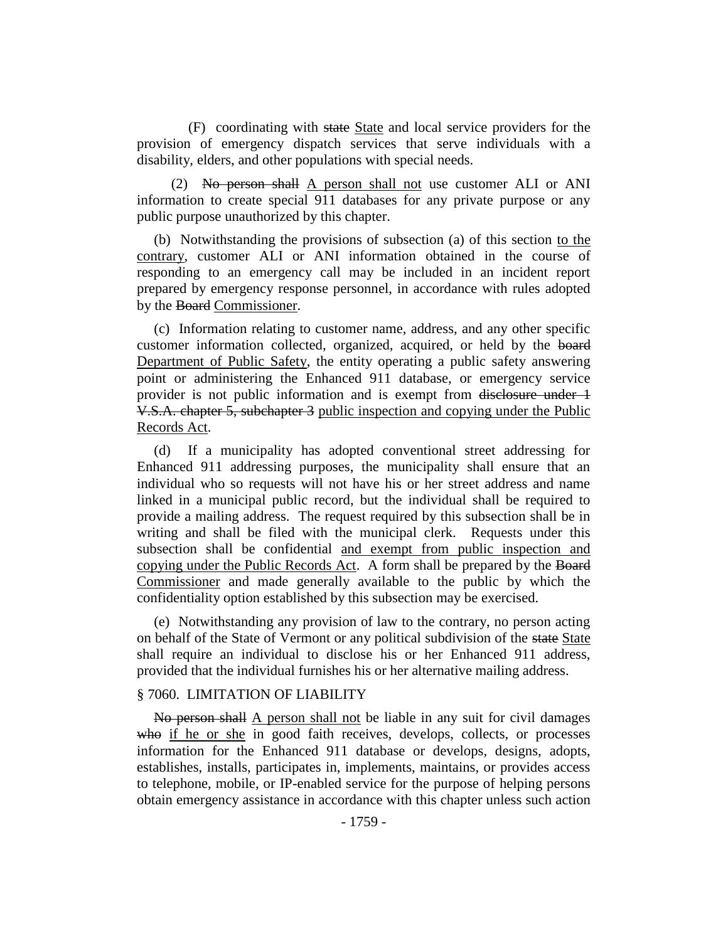(F) coordinating with state State and local service providers for the provision of emergency dispatch services that serve individuals with a disability, elders, and other populations with special needs.

(2) No person shall A person shall not use customer ALI or ANI information to create special 911 databases for any private purpose or any public purpose unauthorized by this chapter.

(b) Notwithstanding the provisions of subsection (a) of this section to the contrary, customer ALI or ANI information obtained in the course of responding to an emergency call may be included in an incident report prepared by emergency response personnel, in accordance with rules adopted by the Board Commissioner.

(c) Information relating to customer name, address, and any other specific customer information collected, organized, acquired, or held by the board Department of Public Safety, the entity operating a public safety answering point or administering the Enhanced 911 database, or emergency service provider is not public information and is exempt from disclosure under 1 V.S.A. chapter 5, subchapter 3 public inspection and copying under the Public Records Act.

(d) If a municipality has adopted conventional street addressing for Enhanced 911 addressing purposes, the municipality shall ensure that an individual who so requests will not have his or her street address and name linked in a municipal public record, but the individual shall be required to provide a mailing address. The request required by this subsection shall be in writing and shall be filed with the municipal clerk. Requests under this subsection shall be confidential and exempt from public inspection and copying under the Public Records Act. A form shall be prepared by the Board Commissioner and made generally available to the public by which the confidentiality option established by this subsection may be exercised.

(e) Notwithstanding any provision of law to the contrary, no person acting on behalf of the State of Vermont or any political subdivision of the state State shall require an individual to disclose his or her Enhanced 911 address, provided that the individual furnishes his or her alternative mailing address.

### § 7060. LIMITATION OF LIABILITY

No person shall A person shall not be liable in any suit for civil damages who if he or she in good faith receives, develops, collects, or processes information for the Enhanced 911 database or develops, designs, adopts, establishes, installs, participates in, implements, maintains, or provides access to telephone, mobile, or IP-enabled service for the purpose of helping persons obtain emergency assistance in accordance with this chapter unless such action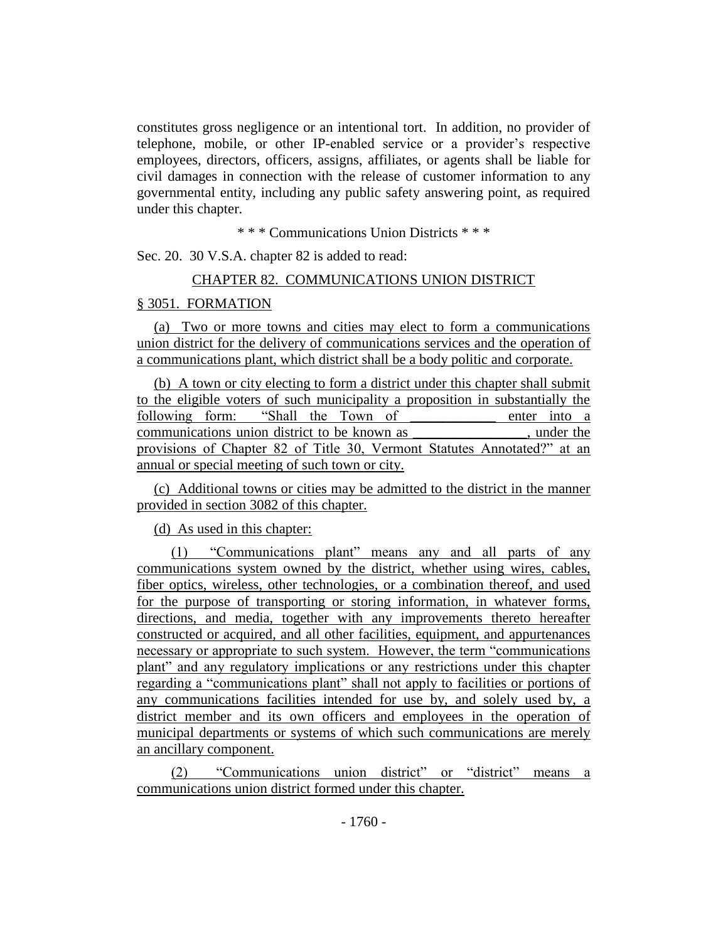constitutes gross negligence or an intentional tort. In addition, no provider of telephone, mobile, or other IP-enabled service or a provider's respective employees, directors, officers, assigns, affiliates, or agents shall be liable for civil damages in connection with the release of customer information to any governmental entity, including any public safety answering point, as required under this chapter.

\* \* \* Communications Union Districts \* \* \*

Sec. 20. 30 V.S.A. chapter 82 is added to read:

### CHAPTER 82. COMMUNICATIONS UNION DISTRICT

# § 3051. FORMATION

(a) Two or more towns and cities may elect to form a communications union district for the delivery of communications services and the operation of a communications plant, which district shall be a body politic and corporate.

(b) A town or city electing to form a district under this chapter shall submit to the eligible voters of such municipality a proposition in substantially the following form: "Shall the Town of enter into a communications union district to be known as example the state of the state of the state of the state of the state of the state of the state of the state of the state of the state of the state of the state of the state of provisions of Chapter 82 of Title 30, Vermont Statutes Annotated?" at an annual or special meeting of such town or city.

(c) Additional towns or cities may be admitted to the district in the manner provided in section 3082 of this chapter.

(d) As used in this chapter:

(1) "Communications plant" means any and all parts of any communications system owned by the district, whether using wires, cables, fiber optics, wireless, other technologies, or a combination thereof, and used for the purpose of transporting or storing information, in whatever forms, directions, and media, together with any improvements thereto hereafter constructed or acquired, and all other facilities, equipment, and appurtenances necessary or appropriate to such system. However, the term "communications plant" and any regulatory implications or any restrictions under this chapter regarding a "communications plant" shall not apply to facilities or portions of any communications facilities intended for use by, and solely used by, a district member and its own officers and employees in the operation of municipal departments or systems of which such communications are merely an ancillary component.

(2) "Communications union district" or "district" means a communications union district formed under this chapter.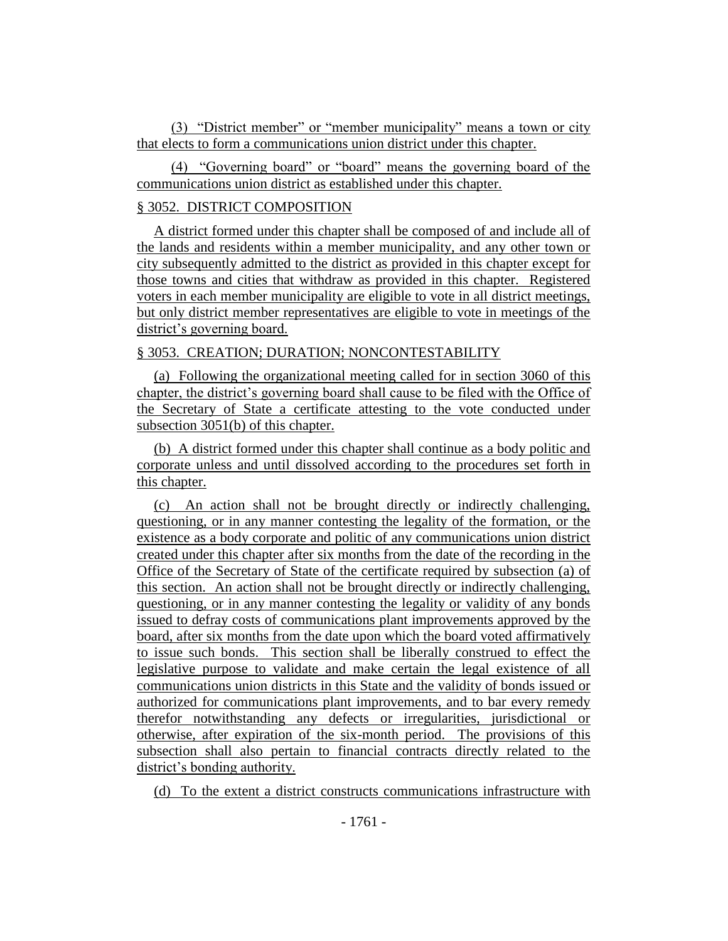(3) "District member" or "member municipality" means a town or city that elects to form a communications union district under this chapter.

(4) "Governing board" or "board" means the governing board of the communications union district as established under this chapter.

# § 3052. DISTRICT COMPOSITION

A district formed under this chapter shall be composed of and include all of the lands and residents within a member municipality, and any other town or city subsequently admitted to the district as provided in this chapter except for those towns and cities that withdraw as provided in this chapter. Registered voters in each member municipality are eligible to vote in all district meetings, but only district member representatives are eligible to vote in meetings of the district's governing board.

# § 3053. CREATION; DURATION; NONCONTESTABILITY

(a) Following the organizational meeting called for in section 3060 of this chapter, the district's governing board shall cause to be filed with the Office of the Secretary of State a certificate attesting to the vote conducted under subsection 3051(b) of this chapter.

(b) A district formed under this chapter shall continue as a body politic and corporate unless and until dissolved according to the procedures set forth in this chapter.

(c) An action shall not be brought directly or indirectly challenging, questioning, or in any manner contesting the legality of the formation, or the existence as a body corporate and politic of any communications union district created under this chapter after six months from the date of the recording in the Office of the Secretary of State of the certificate required by subsection (a) of this section. An action shall not be brought directly or indirectly challenging, questioning, or in any manner contesting the legality or validity of any bonds issued to defray costs of communications plant improvements approved by the board, after six months from the date upon which the board voted affirmatively to issue such bonds. This section shall be liberally construed to effect the legislative purpose to validate and make certain the legal existence of all communications union districts in this State and the validity of bonds issued or authorized for communications plant improvements, and to bar every remedy therefor notwithstanding any defects or irregularities, jurisdictional or otherwise, after expiration of the six-month period. The provisions of this subsection shall also pertain to financial contracts directly related to the district's bonding authority.

(d) To the extent a district constructs communications infrastructure with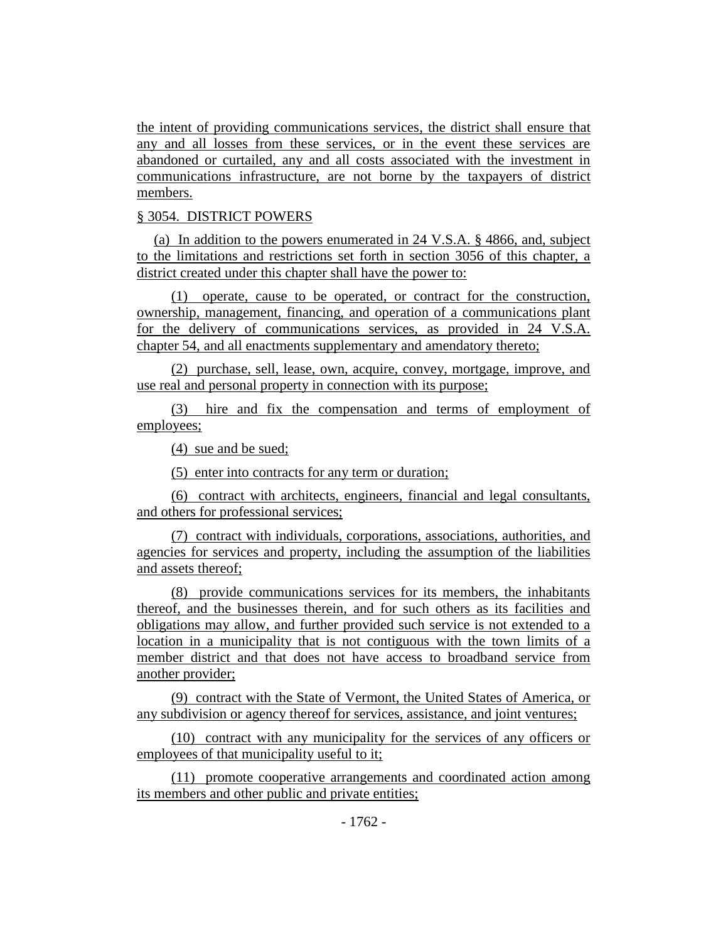the intent of providing communications services, the district shall ensure that any and all losses from these services, or in the event these services are abandoned or curtailed, any and all costs associated with the investment in communications infrastructure, are not borne by the taxpayers of district members.

### § 3054. DISTRICT POWERS

(a) In addition to the powers enumerated in 24 V.S.A. § 4866, and, subject to the limitations and restrictions set forth in section 3056 of this chapter, a district created under this chapter shall have the power to:

(1) operate, cause to be operated, or contract for the construction, ownership, management, financing, and operation of a communications plant for the delivery of communications services, as provided in 24 V.S.A. chapter 54, and all enactments supplementary and amendatory thereto;

(2) purchase, sell, lease, own, acquire, convey, mortgage, improve, and use real and personal property in connection with its purpose;

(3) hire and fix the compensation and terms of employment of employees;

(4) sue and be sued;

(5) enter into contracts for any term or duration;

(6) contract with architects, engineers, financial and legal consultants, and others for professional services;

(7) contract with individuals, corporations, associations, authorities, and agencies for services and property, including the assumption of the liabilities and assets thereof;

(8) provide communications services for its members, the inhabitants thereof, and the businesses therein, and for such others as its facilities and obligations may allow, and further provided such service is not extended to a location in a municipality that is not contiguous with the town limits of a member district and that does not have access to broadband service from another provider;

(9) contract with the State of Vermont, the United States of America, or any subdivision or agency thereof for services, assistance, and joint ventures;

(10) contract with any municipality for the services of any officers or employees of that municipality useful to it;

(11) promote cooperative arrangements and coordinated action among its members and other public and private entities;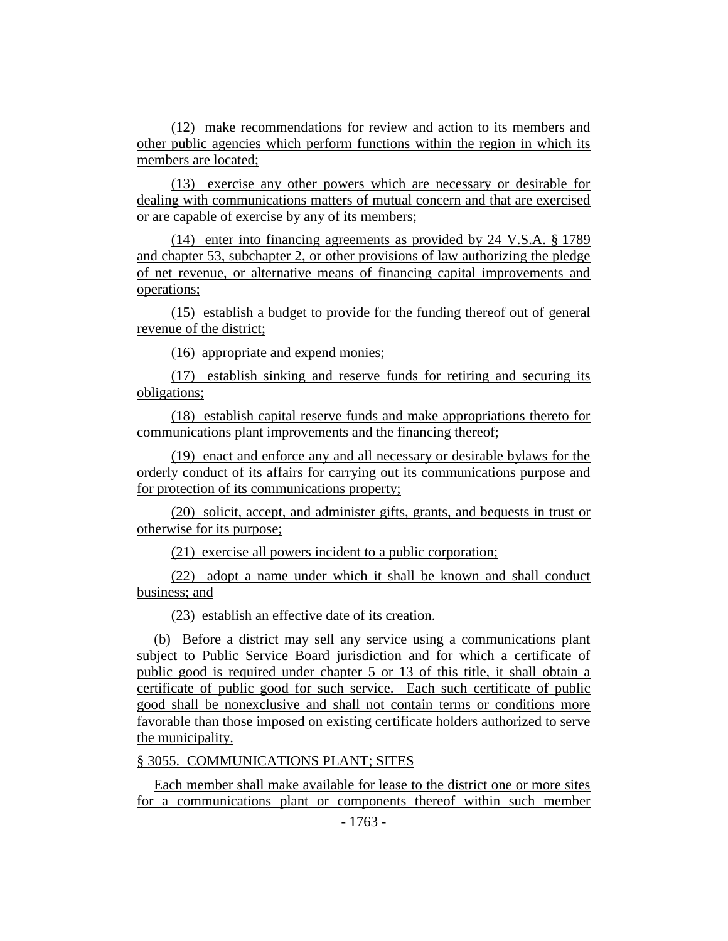(12) make recommendations for review and action to its members and other public agencies which perform functions within the region in which its members are located;

(13) exercise any other powers which are necessary or desirable for dealing with communications matters of mutual concern and that are exercised or are capable of exercise by any of its members;

(14) enter into financing agreements as provided by 24 V.S.A. § 1789 and chapter 53, subchapter 2, or other provisions of law authorizing the pledge of net revenue, or alternative means of financing capital improvements and operations;

(15) establish a budget to provide for the funding thereof out of general revenue of the district;

(16) appropriate and expend monies;

(17) establish sinking and reserve funds for retiring and securing its obligations;

(18) establish capital reserve funds and make appropriations thereto for communications plant improvements and the financing thereof;

(19) enact and enforce any and all necessary or desirable bylaws for the orderly conduct of its affairs for carrying out its communications purpose and for protection of its communications property;

(20) solicit, accept, and administer gifts, grants, and bequests in trust or otherwise for its purpose;

(21) exercise all powers incident to a public corporation;

(22) adopt a name under which it shall be known and shall conduct business; and

(23) establish an effective date of its creation.

(b) Before a district may sell any service using a communications plant subject to Public Service Board jurisdiction and for which a certificate of public good is required under chapter 5 or 13 of this title, it shall obtain a certificate of public good for such service. Each such certificate of public good shall be nonexclusive and shall not contain terms or conditions more favorable than those imposed on existing certificate holders authorized to serve the municipality.

# § 3055. COMMUNICATIONS PLANT; SITES

Each member shall make available for lease to the district one or more sites for a communications plant or components thereof within such member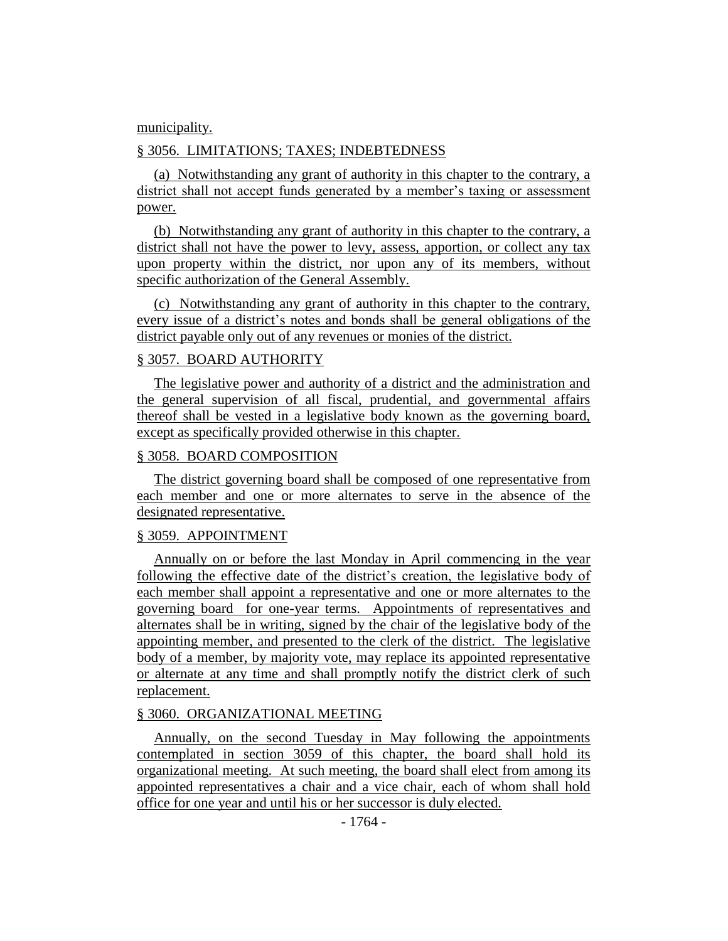#### municipality.

### § 3056. LIMITATIONS; TAXES; INDEBTEDNESS

(a) Notwithstanding any grant of authority in this chapter to the contrary, a district shall not accept funds generated by a member's taxing or assessment power.

(b) Notwithstanding any grant of authority in this chapter to the contrary, a district shall not have the power to levy, assess, apportion, or collect any tax upon property within the district, nor upon any of its members, without specific authorization of the General Assembly.

(c) Notwithstanding any grant of authority in this chapter to the contrary, every issue of a district's notes and bonds shall be general obligations of the district payable only out of any revenues or monies of the district.

### § 3057. BOARD AUTHORITY

The legislative power and authority of a district and the administration and the general supervision of all fiscal, prudential, and governmental affairs thereof shall be vested in a legislative body known as the governing board, except as specifically provided otherwise in this chapter.

#### § 3058. BOARD COMPOSITION

The district governing board shall be composed of one representative from each member and one or more alternates to serve in the absence of the designated representative.

#### § 3059. APPOINTMENT

Annually on or before the last Monday in April commencing in the year following the effective date of the district's creation, the legislative body of each member shall appoint a representative and one or more alternates to the governing board for one-year terms. Appointments of representatives and alternates shall be in writing, signed by the chair of the legislative body of the appointing member, and presented to the clerk of the district. The legislative body of a member, by majority vote, may replace its appointed representative or alternate at any time and shall promptly notify the district clerk of such replacement.

#### § 3060. ORGANIZATIONAL MEETING

Annually, on the second Tuesday in May following the appointments contemplated in section 3059 of this chapter, the board shall hold its organizational meeting. At such meeting, the board shall elect from among its appointed representatives a chair and a vice chair, each of whom shall hold office for one year and until his or her successor is duly elected.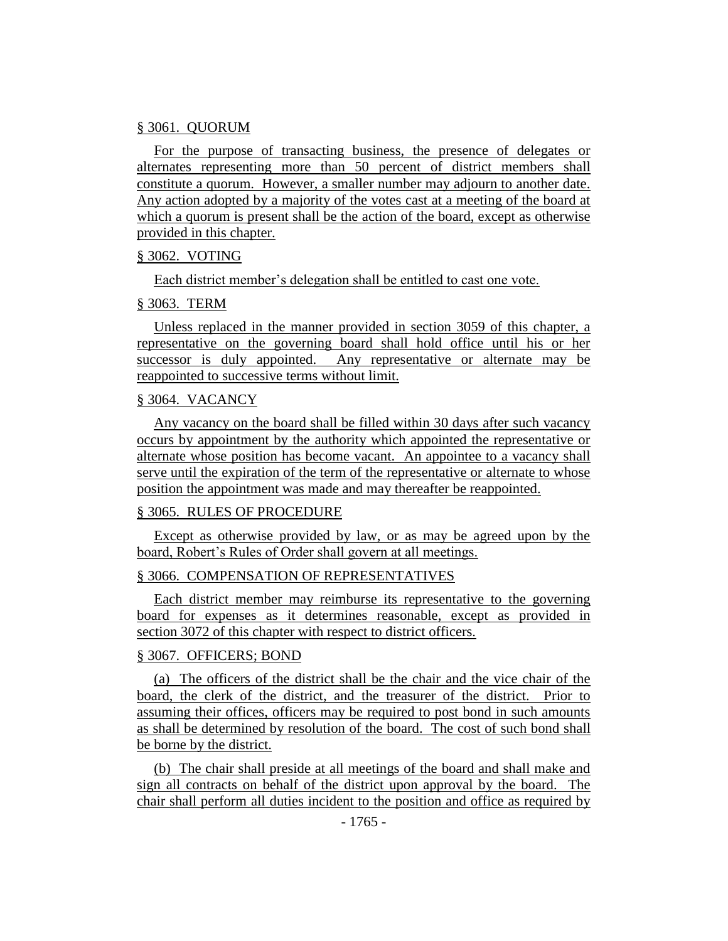#### § 3061. QUORUM

For the purpose of transacting business, the presence of delegates or alternates representing more than 50 percent of district members shall constitute a quorum. However, a smaller number may adjourn to another date. Any action adopted by a majority of the votes cast at a meeting of the board at which a quorum is present shall be the action of the board, except as otherwise provided in this chapter.

# § 3062. VOTING

Each district member's delegation shall be entitled to cast one vote.

### § 3063. TERM

Unless replaced in the manner provided in section 3059 of this chapter, a representative on the governing board shall hold office until his or her successor is duly appointed. Any representative or alternate may be reappointed to successive terms without limit.

# § 3064. VACANCY

Any vacancy on the board shall be filled within 30 days after such vacancy occurs by appointment by the authority which appointed the representative or alternate whose position has become vacant. An appointee to a vacancy shall serve until the expiration of the term of the representative or alternate to whose position the appointment was made and may thereafter be reappointed.

# § 3065. RULES OF PROCEDURE

Except as otherwise provided by law, or as may be agreed upon by the board, Robert's Rules of Order shall govern at all meetings.

# § 3066. COMPENSATION OF REPRESENTATIVES

Each district member may reimburse its representative to the governing board for expenses as it determines reasonable, except as provided in section 3072 of this chapter with respect to district officers.

# § 3067. OFFICERS; BOND

(a) The officers of the district shall be the chair and the vice chair of the board, the clerk of the district, and the treasurer of the district. Prior to assuming their offices, officers may be required to post bond in such amounts as shall be determined by resolution of the board. The cost of such bond shall be borne by the district.

(b) The chair shall preside at all meetings of the board and shall make and sign all contracts on behalf of the district upon approval by the board. The chair shall perform all duties incident to the position and office as required by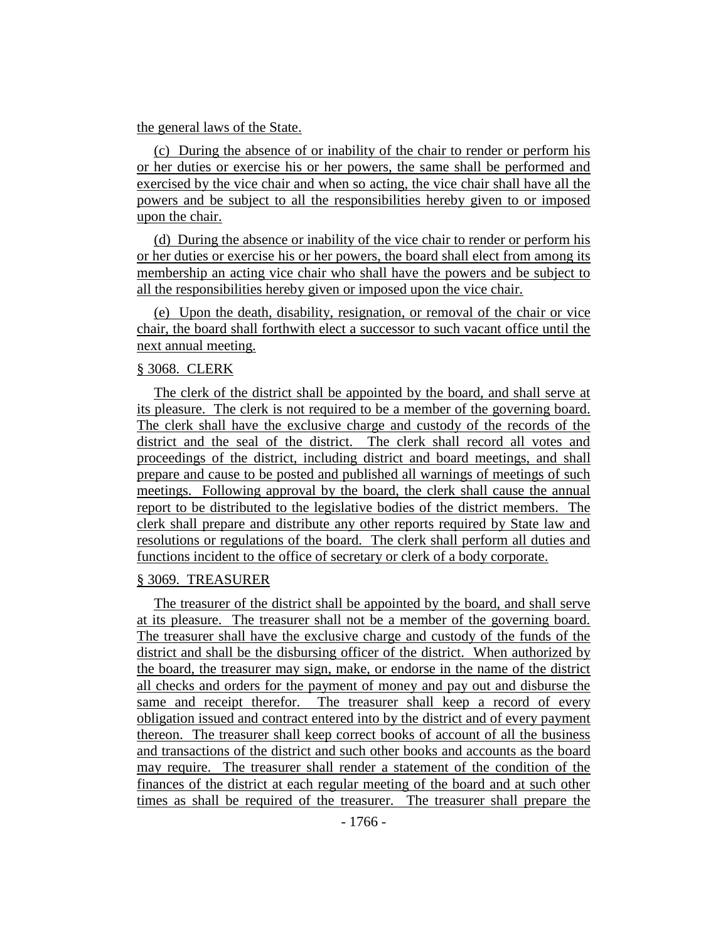#### the general laws of the State.

(c) During the absence of or inability of the chair to render or perform his or her duties or exercise his or her powers, the same shall be performed and exercised by the vice chair and when so acting, the vice chair shall have all the powers and be subject to all the responsibilities hereby given to or imposed upon the chair.

(d) During the absence or inability of the vice chair to render or perform his or her duties or exercise his or her powers, the board shall elect from among its membership an acting vice chair who shall have the powers and be subject to all the responsibilities hereby given or imposed upon the vice chair.

(e) Upon the death, disability, resignation, or removal of the chair or vice chair, the board shall forthwith elect a successor to such vacant office until the next annual meeting.

### § 3068. CLERK

The clerk of the district shall be appointed by the board, and shall serve at its pleasure. The clerk is not required to be a member of the governing board. The clerk shall have the exclusive charge and custody of the records of the district and the seal of the district. The clerk shall record all votes and proceedings of the district, including district and board meetings, and shall prepare and cause to be posted and published all warnings of meetings of such meetings. Following approval by the board, the clerk shall cause the annual report to be distributed to the legislative bodies of the district members. The clerk shall prepare and distribute any other reports required by State law and resolutions or regulations of the board. The clerk shall perform all duties and functions incident to the office of secretary or clerk of a body corporate.

#### § 3069. TREASURER

The treasurer of the district shall be appointed by the board, and shall serve at its pleasure. The treasurer shall not be a member of the governing board. The treasurer shall have the exclusive charge and custody of the funds of the district and shall be the disbursing officer of the district. When authorized by the board, the treasurer may sign, make, or endorse in the name of the district all checks and orders for the payment of money and pay out and disburse the same and receipt therefor. The treasurer shall keep a record of every obligation issued and contract entered into by the district and of every payment thereon. The treasurer shall keep correct books of account of all the business and transactions of the district and such other books and accounts as the board may require. The treasurer shall render a statement of the condition of the finances of the district at each regular meeting of the board and at such other times as shall be required of the treasurer. The treasurer shall prepare the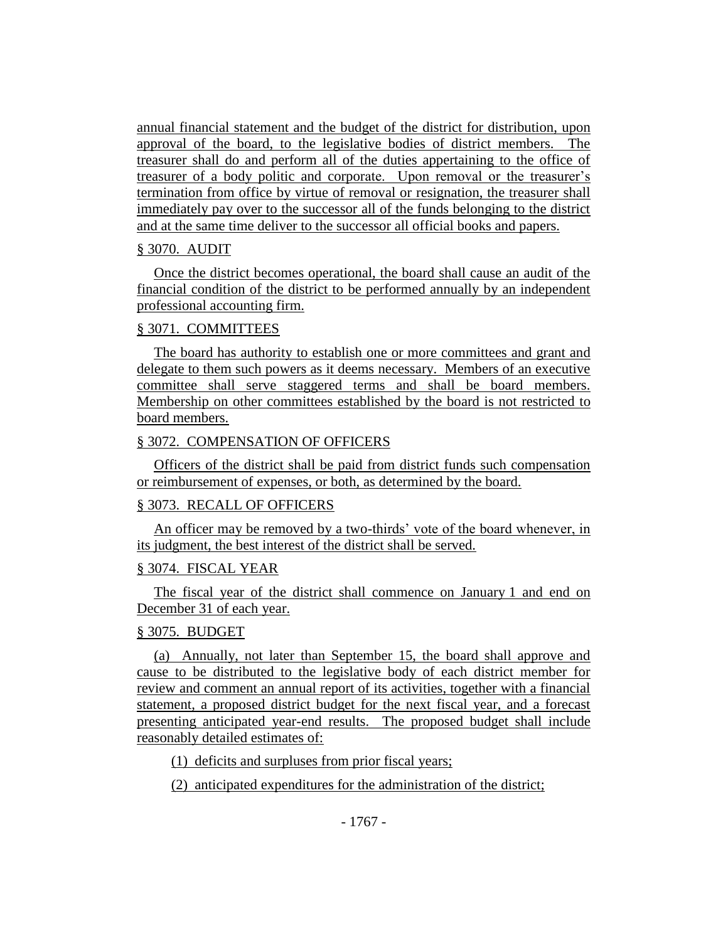annual financial statement and the budget of the district for distribution, upon approval of the board, to the legislative bodies of district members. The treasurer shall do and perform all of the duties appertaining to the office of treasurer of a body politic and corporate. Upon removal or the treasurer's termination from office by virtue of removal or resignation, the treasurer shall immediately pay over to the successor all of the funds belonging to the district and at the same time deliver to the successor all official books and papers.

### § 3070. AUDIT

Once the district becomes operational, the board shall cause an audit of the financial condition of the district to be performed annually by an independent professional accounting firm.

## § 3071. COMMITTEES

The board has authority to establish one or more committees and grant and delegate to them such powers as it deems necessary. Members of an executive committee shall serve staggered terms and shall be board members. Membership on other committees established by the board is not restricted to board members.

## § 3072. COMPENSATION OF OFFICERS

Officers of the district shall be paid from district funds such compensation or reimbursement of expenses, or both, as determined by the board.

## § 3073. RECALL OF OFFICERS

An officer may be removed by a two-thirds' vote of the board whenever, in its judgment, the best interest of the district shall be served.

## § 3074. FISCAL YEAR

The fiscal year of the district shall commence on January 1 and end on December 31 of each year.

## § 3075. BUDGET

(a) Annually, not later than September 15, the board shall approve and cause to be distributed to the legislative body of each district member for review and comment an annual report of its activities, together with a financial statement, a proposed district budget for the next fiscal year, and a forecast presenting anticipated year-end results. The proposed budget shall include reasonably detailed estimates of:

(1) deficits and surpluses from prior fiscal years;

(2) anticipated expenditures for the administration of the district;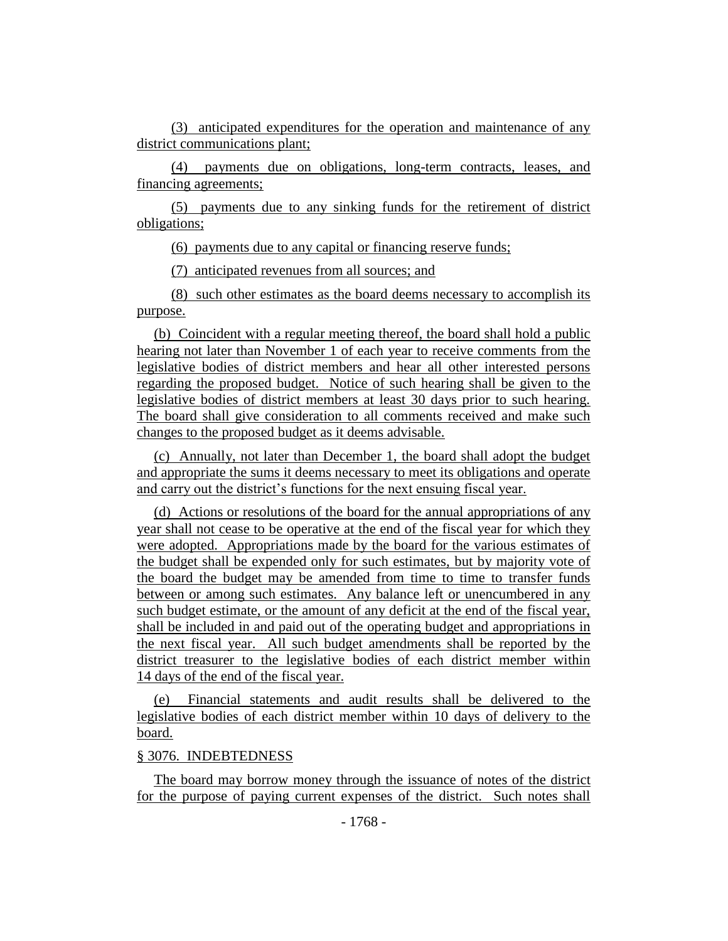(3) anticipated expenditures for the operation and maintenance of any district communications plant;

(4) payments due on obligations, long-term contracts, leases, and financing agreements;

(5) payments due to any sinking funds for the retirement of district obligations;

(6) payments due to any capital or financing reserve funds;

(7) anticipated revenues from all sources; and

(8) such other estimates as the board deems necessary to accomplish its purpose.

(b) Coincident with a regular meeting thereof, the board shall hold a public hearing not later than November 1 of each year to receive comments from the legislative bodies of district members and hear all other interested persons regarding the proposed budget. Notice of such hearing shall be given to the legislative bodies of district members at least 30 days prior to such hearing. The board shall give consideration to all comments received and make such changes to the proposed budget as it deems advisable.

(c) Annually, not later than December 1, the board shall adopt the budget and appropriate the sums it deems necessary to meet its obligations and operate and carry out the district's functions for the next ensuing fiscal year.

(d) Actions or resolutions of the board for the annual appropriations of any year shall not cease to be operative at the end of the fiscal year for which they were adopted. Appropriations made by the board for the various estimates of the budget shall be expended only for such estimates, but by majority vote of the board the budget may be amended from time to time to transfer funds between or among such estimates. Any balance left or unencumbered in any such budget estimate, or the amount of any deficit at the end of the fiscal year, shall be included in and paid out of the operating budget and appropriations in the next fiscal year. All such budget amendments shall be reported by the district treasurer to the legislative bodies of each district member within 14 days of the end of the fiscal year.

(e) Financial statements and audit results shall be delivered to the legislative bodies of each district member within 10 days of delivery to the board.

#### § 3076. INDEBTEDNESS

The board may borrow money through the issuance of notes of the district for the purpose of paying current expenses of the district. Such notes shall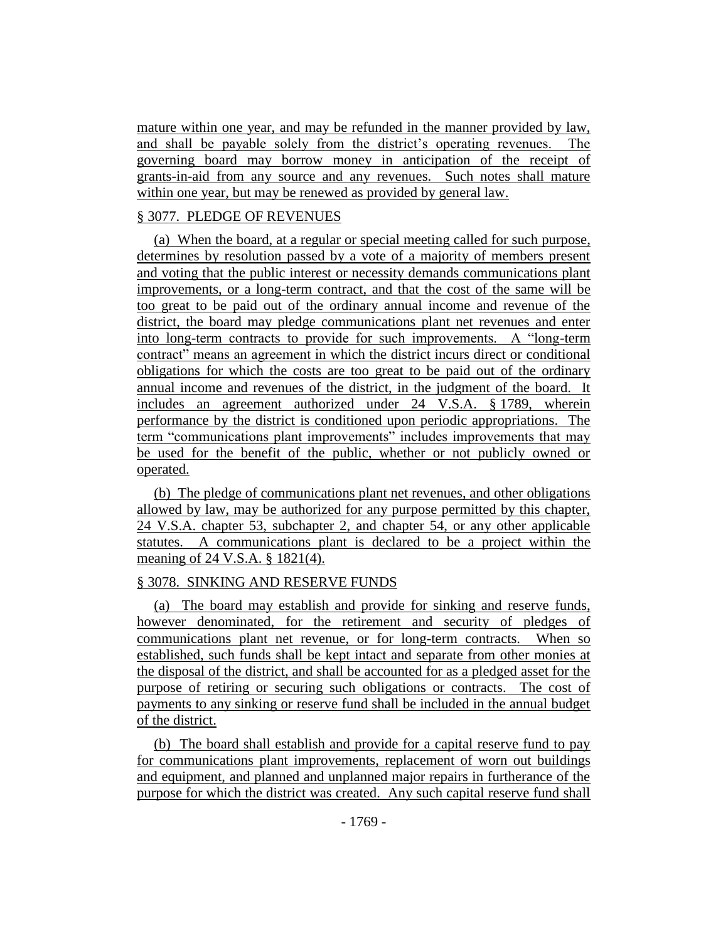mature within one year, and may be refunded in the manner provided by law, and shall be payable solely from the district's operating revenues. The governing board may borrow money in anticipation of the receipt of grants-in-aid from any source and any revenues. Such notes shall mature within one year, but may be renewed as provided by general law.

## § 3077. PLEDGE OF REVENUES

(a) When the board, at a regular or special meeting called for such purpose, determines by resolution passed by a vote of a majority of members present and voting that the public interest or necessity demands communications plant improvements, or a long-term contract, and that the cost of the same will be too great to be paid out of the ordinary annual income and revenue of the district, the board may pledge communications plant net revenues and enter into long-term contracts to provide for such improvements. A "long-term contract" means an agreement in which the district incurs direct or conditional obligations for which the costs are too great to be paid out of the ordinary annual income and revenues of the district, in the judgment of the board. It includes an agreement authorized under 24 V.S.A. § 1789, wherein performance by the district is conditioned upon periodic appropriations. The term "communications plant improvements" includes improvements that may be used for the benefit of the public, whether or not publicly owned or operated.

(b) The pledge of communications plant net revenues, and other obligations allowed by law, may be authorized for any purpose permitted by this chapter, 24 V.S.A. chapter 53, subchapter 2, and chapter 54, or any other applicable statutes. A communications plant is declared to be a project within the meaning of 24 V.S.A. § 1821(4).

## § 3078. SINKING AND RESERVE FUNDS

(a) The board may establish and provide for sinking and reserve funds, however denominated, for the retirement and security of pledges of communications plant net revenue, or for long-term contracts. When so established, such funds shall be kept intact and separate from other monies at the disposal of the district, and shall be accounted for as a pledged asset for the purpose of retiring or securing such obligations or contracts. The cost of payments to any sinking or reserve fund shall be included in the annual budget of the district.

(b) The board shall establish and provide for a capital reserve fund to pay for communications plant improvements, replacement of worn out buildings and equipment, and planned and unplanned major repairs in furtherance of the purpose for which the district was created. Any such capital reserve fund shall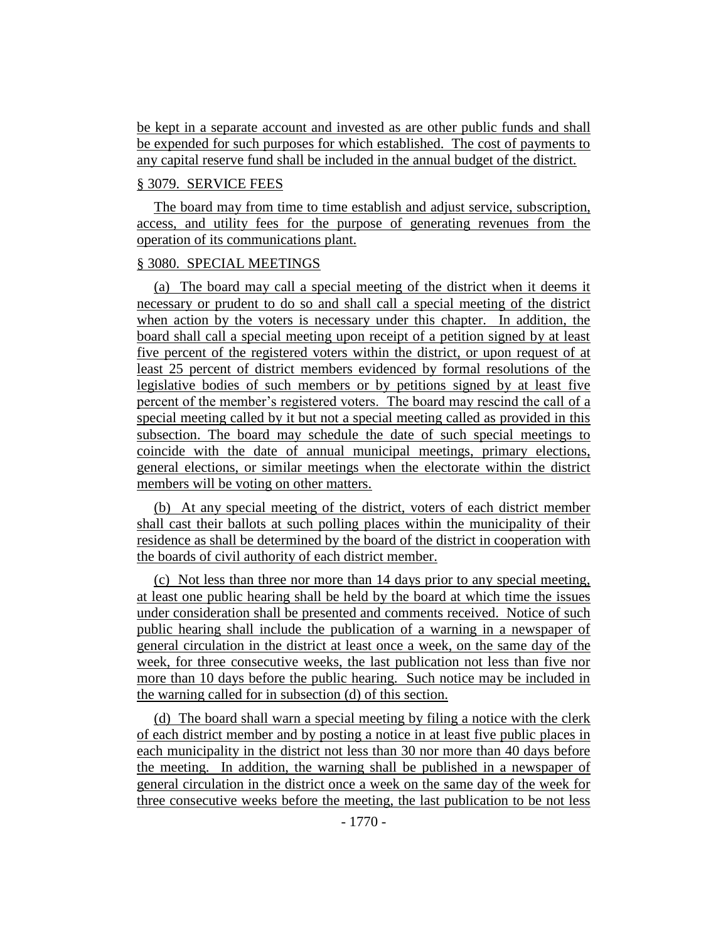be kept in a separate account and invested as are other public funds and shall be expended for such purposes for which established. The cost of payments to any capital reserve fund shall be included in the annual budget of the district.

### § 3079. SERVICE FEES

The board may from time to time establish and adjust service, subscription, access, and utility fees for the purpose of generating revenues from the operation of its communications plant.

### § 3080. SPECIAL MEETINGS

(a) The board may call a special meeting of the district when it deems it necessary or prudent to do so and shall call a special meeting of the district when action by the voters is necessary under this chapter. In addition, the board shall call a special meeting upon receipt of a petition signed by at least five percent of the registered voters within the district, or upon request of at least 25 percent of district members evidenced by formal resolutions of the legislative bodies of such members or by petitions signed by at least five percent of the member's registered voters. The board may rescind the call of a special meeting called by it but not a special meeting called as provided in this subsection. The board may schedule the date of such special meetings to coincide with the date of annual municipal meetings, primary elections, general elections, or similar meetings when the electorate within the district members will be voting on other matters.

(b) At any special meeting of the district, voters of each district member shall cast their ballots at such polling places within the municipality of their residence as shall be determined by the board of the district in cooperation with the boards of civil authority of each district member.

(c) Not less than three nor more than 14 days prior to any special meeting, at least one public hearing shall be held by the board at which time the issues under consideration shall be presented and comments received. Notice of such public hearing shall include the publication of a warning in a newspaper of general circulation in the district at least once a week, on the same day of the week, for three consecutive weeks, the last publication not less than five nor more than 10 days before the public hearing. Such notice may be included in the warning called for in subsection (d) of this section.

(d) The board shall warn a special meeting by filing a notice with the clerk of each district member and by posting a notice in at least five public places in each municipality in the district not less than 30 nor more than 40 days before the meeting. In addition, the warning shall be published in a newspaper of general circulation in the district once a week on the same day of the week for three consecutive weeks before the meeting, the last publication to be not less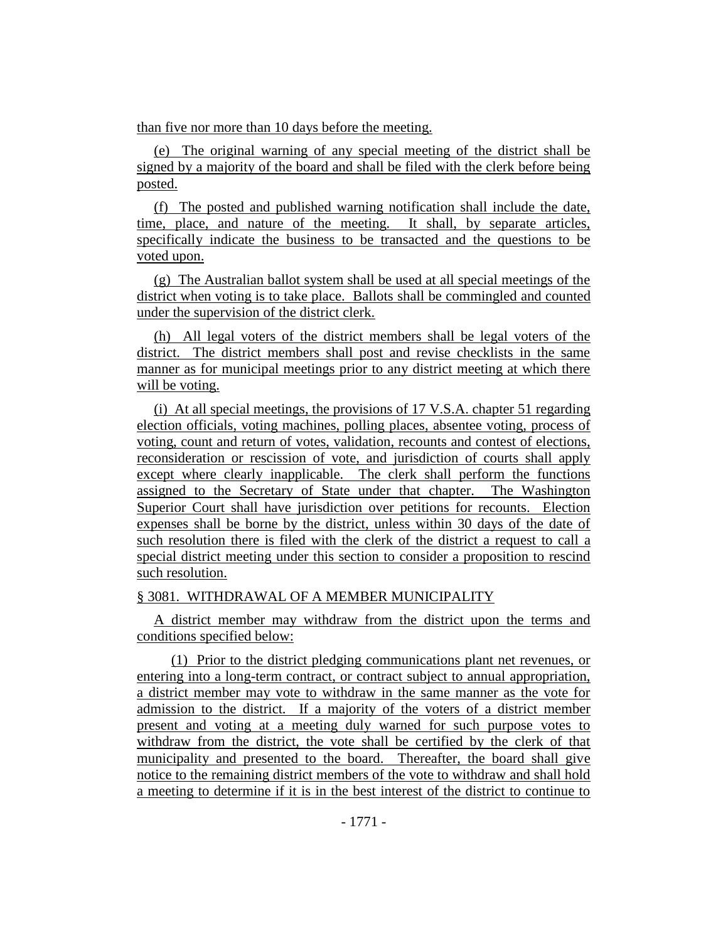than five nor more than 10 days before the meeting.

(e) The original warning of any special meeting of the district shall be signed by a majority of the board and shall be filed with the clerk before being posted.

(f) The posted and published warning notification shall include the date, time, place, and nature of the meeting. It shall, by separate articles, specifically indicate the business to be transacted and the questions to be voted upon.

(g) The Australian ballot system shall be used at all special meetings of the district when voting is to take place. Ballots shall be commingled and counted under the supervision of the district clerk.

(h) All legal voters of the district members shall be legal voters of the district. The district members shall post and revise checklists in the same manner as for municipal meetings prior to any district meeting at which there will be voting.

(i) At all special meetings, the provisions of 17 V.S.A. chapter 51 regarding election officials, voting machines, polling places, absentee voting, process of voting, count and return of votes, validation, recounts and contest of elections, reconsideration or rescission of vote, and jurisdiction of courts shall apply except where clearly inapplicable. The clerk shall perform the functions assigned to the Secretary of State under that chapter. The Washington Superior Court shall have jurisdiction over petitions for recounts. Election expenses shall be borne by the district, unless within 30 days of the date of such resolution there is filed with the clerk of the district a request to call a special district meeting under this section to consider a proposition to rescind such resolution.

§ 3081. WITHDRAWAL OF A MEMBER MUNICIPALITY

A district member may withdraw from the district upon the terms and conditions specified below:

(1) Prior to the district pledging communications plant net revenues, or entering into a long-term contract, or contract subject to annual appropriation, a district member may vote to withdraw in the same manner as the vote for admission to the district. If a majority of the voters of a district member present and voting at a meeting duly warned for such purpose votes to withdraw from the district, the vote shall be certified by the clerk of that municipality and presented to the board. Thereafter, the board shall give notice to the remaining district members of the vote to withdraw and shall hold a meeting to determine if it is in the best interest of the district to continue to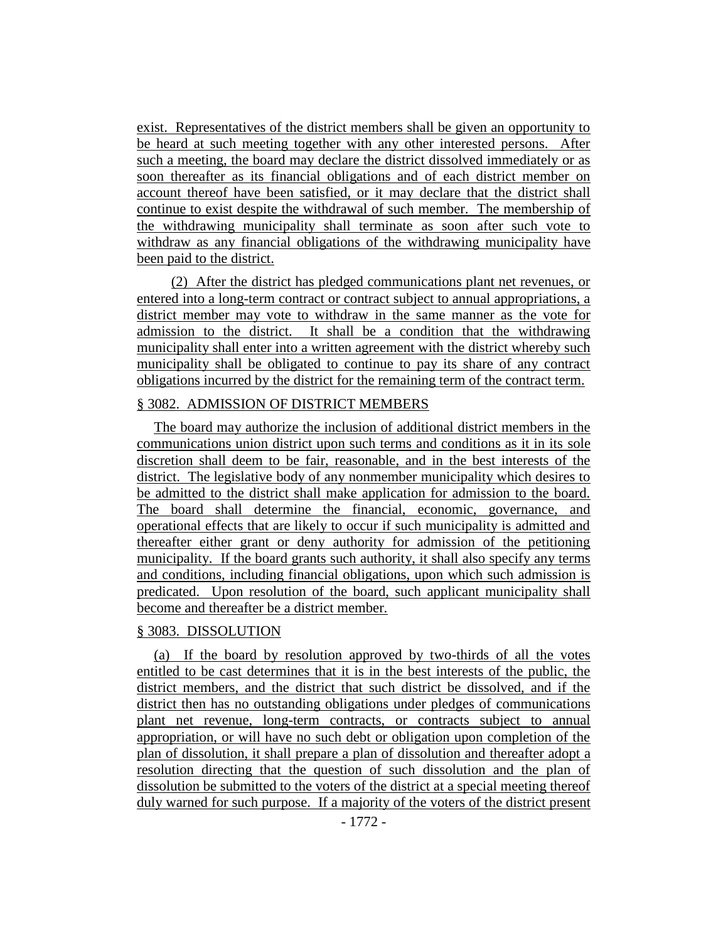exist. Representatives of the district members shall be given an opportunity to be heard at such meeting together with any other interested persons. After such a meeting, the board may declare the district dissolved immediately or as soon thereafter as its financial obligations and of each district member on account thereof have been satisfied, or it may declare that the district shall continue to exist despite the withdrawal of such member. The membership of the withdrawing municipality shall terminate as soon after such vote to withdraw as any financial obligations of the withdrawing municipality have been paid to the district.

(2) After the district has pledged communications plant net revenues, or entered into a long-term contract or contract subject to annual appropriations, a district member may vote to withdraw in the same manner as the vote for admission to the district. It shall be a condition that the withdrawing municipality shall enter into a written agreement with the district whereby such municipality shall be obligated to continue to pay its share of any contract obligations incurred by the district for the remaining term of the contract term.

### § 3082. ADMISSION OF DISTRICT MEMBERS

The board may authorize the inclusion of additional district members in the communications union district upon such terms and conditions as it in its sole discretion shall deem to be fair, reasonable, and in the best interests of the district. The legislative body of any nonmember municipality which desires to be admitted to the district shall make application for admission to the board. The board shall determine the financial, economic, governance, and operational effects that are likely to occur if such municipality is admitted and thereafter either grant or deny authority for admission of the petitioning municipality. If the board grants such authority, it shall also specify any terms and conditions, including financial obligations, upon which such admission is predicated. Upon resolution of the board, such applicant municipality shall become and thereafter be a district member.

#### § 3083. DISSOLUTION

(a) If the board by resolution approved by two-thirds of all the votes entitled to be cast determines that it is in the best interests of the public, the district members, and the district that such district be dissolved, and if the district then has no outstanding obligations under pledges of communications plant net revenue, long-term contracts, or contracts subject to annual appropriation, or will have no such debt or obligation upon completion of the plan of dissolution, it shall prepare a plan of dissolution and thereafter adopt a resolution directing that the question of such dissolution and the plan of dissolution be submitted to the voters of the district at a special meeting thereof duly warned for such purpose. If a majority of the voters of the district present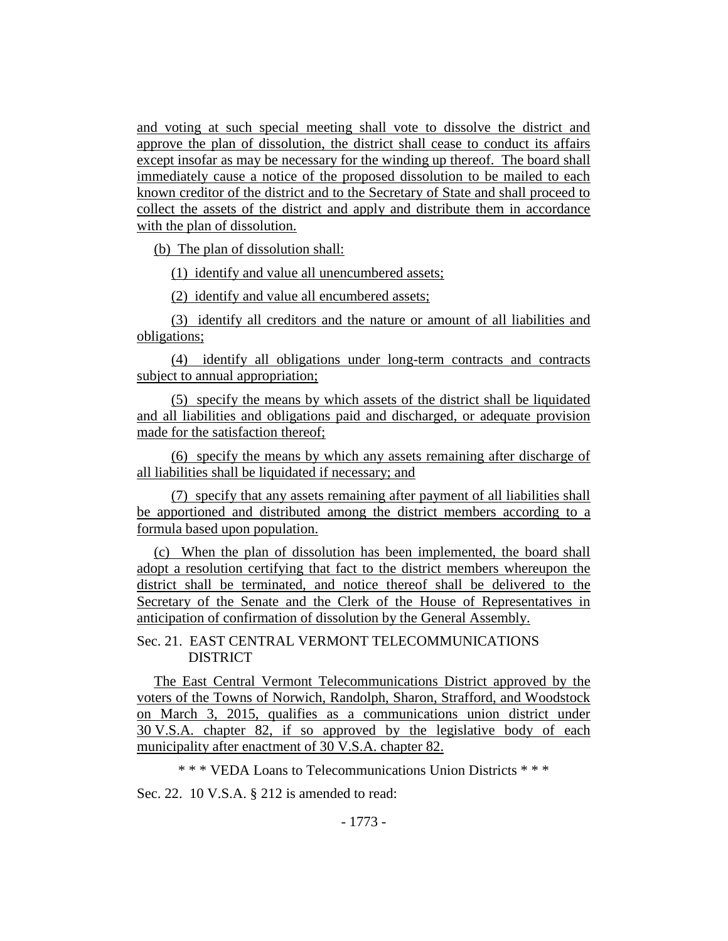and voting at such special meeting shall vote to dissolve the district and approve the plan of dissolution, the district shall cease to conduct its affairs except insofar as may be necessary for the winding up thereof. The board shall immediately cause a notice of the proposed dissolution to be mailed to each known creditor of the district and to the Secretary of State and shall proceed to collect the assets of the district and apply and distribute them in accordance with the plan of dissolution.

(b) The plan of dissolution shall:

(1) identify and value all unencumbered assets;

(2) identify and value all encumbered assets;

(3) identify all creditors and the nature or amount of all liabilities and obligations;

(4) identify all obligations under long-term contracts and contracts subject to annual appropriation;

(5) specify the means by which assets of the district shall be liquidated and all liabilities and obligations paid and discharged, or adequate provision made for the satisfaction thereof;

(6) specify the means by which any assets remaining after discharge of all liabilities shall be liquidated if necessary; and

(7) specify that any assets remaining after payment of all liabilities shall be apportioned and distributed among the district members according to a formula based upon population.

(c) When the plan of dissolution has been implemented, the board shall adopt a resolution certifying that fact to the district members whereupon the district shall be terminated, and notice thereof shall be delivered to the Secretary of the Senate and the Clerk of the House of Representatives in anticipation of confirmation of dissolution by the General Assembly.

Sec. 21. EAST CENTRAL VERMONT TELECOMMUNICATIONS DISTRICT

The East Central Vermont Telecommunications District approved by the voters of the Towns of Norwich, Randolph, Sharon, Strafford, and Woodstock on March 3, 2015, qualifies as a communications union district under 30 V.S.A. chapter 82, if so approved by the legislative body of each municipality after enactment of 30 V.S.A. chapter 82.

\* \* \* VEDA Loans to Telecommunications Union Districts \* \* \*

Sec. 22. 10 V.S.A. § 212 is amended to read: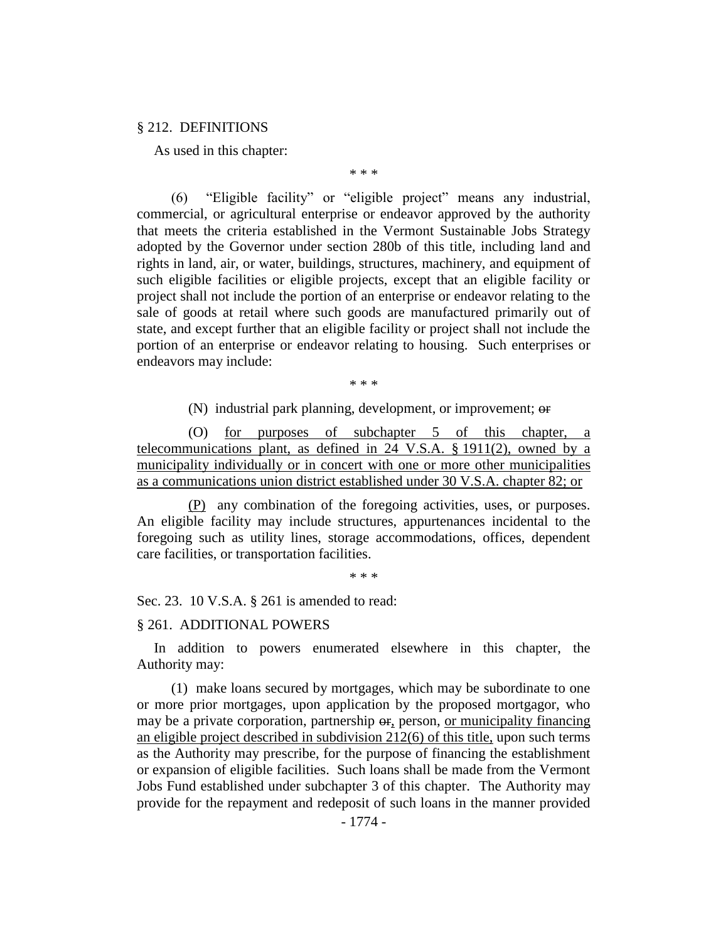### § 212. DEFINITIONS

As used in this chapter:

\* \* \*

(6) "Eligible facility" or "eligible project" means any industrial, commercial, or agricultural enterprise or endeavor approved by the authority that meets the criteria established in the Vermont Sustainable Jobs Strategy adopted by the Governor under section 280b of this title, including land and rights in land, air, or water, buildings, structures, machinery, and equipment of such eligible facilities or eligible projects, except that an eligible facility or project shall not include the portion of an enterprise or endeavor relating to the sale of goods at retail where such goods are manufactured primarily out of state, and except further that an eligible facility or project shall not include the portion of an enterprise or endeavor relating to housing. Such enterprises or endeavors may include:

\* \* \*

(N) industrial park planning, development, or improvement; or

(O) for purposes of subchapter 5 of this chapter, a telecommunications plant, as defined in 24 V.S.A. § 1911(2), owned by a municipality individually or in concert with one or more other municipalities as a communications union district established under 30 V.S.A. chapter 82; or

(P) any combination of the foregoing activities, uses, or purposes. An eligible facility may include structures, appurtenances incidental to the foregoing such as utility lines, storage accommodations, offices, dependent care facilities, or transportation facilities.

\* \* \*

Sec. 23. 10 V.S.A. § 261 is amended to read:

#### § 261. ADDITIONAL POWERS

In addition to powers enumerated elsewhere in this chapter, the Authority may:

(1) make loans secured by mortgages, which may be subordinate to one or more prior mortgages, upon application by the proposed mortgagor, who may be a private corporation, partnership  $\Theta$ , person, or municipality financing an eligible project described in subdivision 212(6) of this title, upon such terms as the Authority may prescribe, for the purpose of financing the establishment or expansion of eligible facilities. Such loans shall be made from the Vermont Jobs Fund established under subchapter 3 of this chapter. The Authority may provide for the repayment and redeposit of such loans in the manner provided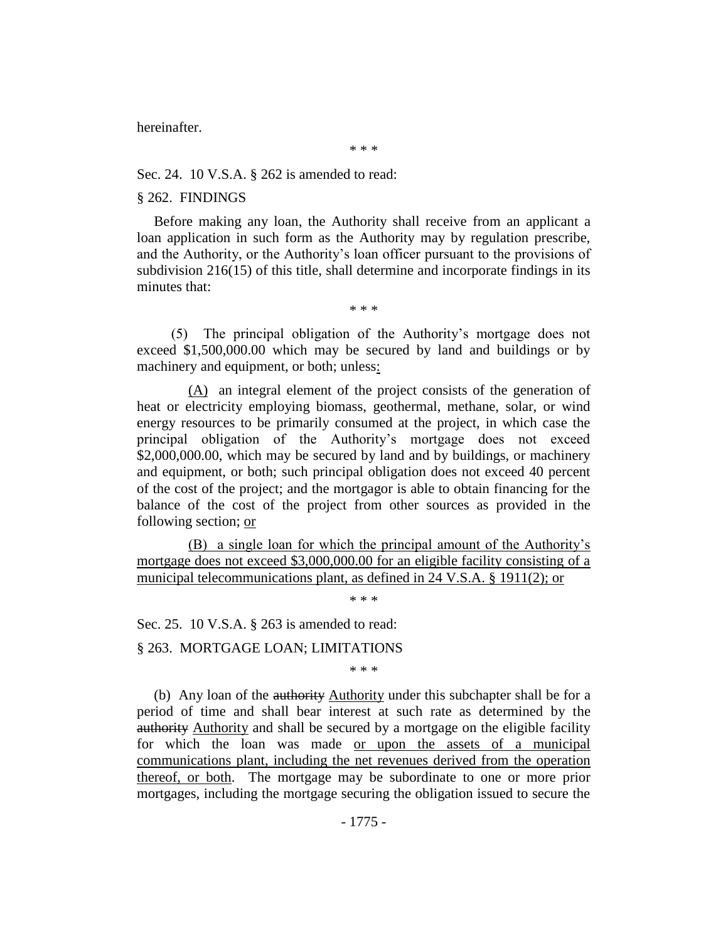hereinafter.

\* \* \*

Sec. 24. 10 V.S.A. § 262 is amended to read:

#### § 262. FINDINGS

Before making any loan, the Authority shall receive from an applicant a loan application in such form as the Authority may by regulation prescribe, and the Authority, or the Authority's loan officer pursuant to the provisions of subdivision 216(15) of this title, shall determine and incorporate findings in its minutes that:

\* \* \*

(5) The principal obligation of the Authority's mortgage does not exceed \$1,500,000.00 which may be secured by land and buildings or by machinery and equipment, or both; unless:

(A) an integral element of the project consists of the generation of heat or electricity employing biomass, geothermal, methane, solar, or wind energy resources to be primarily consumed at the project, in which case the principal obligation of the Authority's mortgage does not exceed \$2,000,000.00, which may be secured by land and by buildings, or machinery and equipment, or both; such principal obligation does not exceed 40 percent of the cost of the project; and the mortgagor is able to obtain financing for the balance of the cost of the project from other sources as provided in the following section; or

(B) a single loan for which the principal amount of the Authority's mortgage does not exceed \$3,000,000.00 for an eligible facility consisting of a municipal telecommunications plant, as defined in 24 V.S.A. § 1911(2); or

\* \* \*

Sec. 25. 10 V.S.A. § 263 is amended to read:

### § 263. MORTGAGE LOAN; LIMITATIONS

\* \* \*

(b) Any loan of the authority Authority under this subchapter shall be for a period of time and shall bear interest at such rate as determined by the authority Authority and shall be secured by a mortgage on the eligible facility for which the loan was made or upon the assets of a municipal communications plant, including the net revenues derived from the operation thereof, or both. The mortgage may be subordinate to one or more prior mortgages, including the mortgage securing the obligation issued to secure the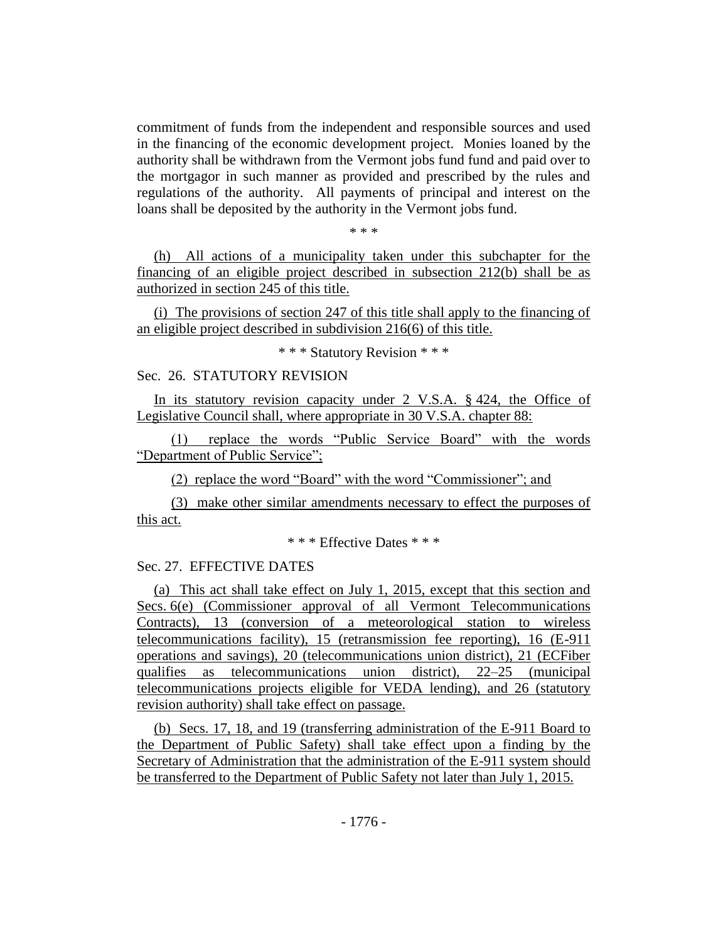commitment of funds from the independent and responsible sources and used in the financing of the economic development project. Monies loaned by the authority shall be withdrawn from the Vermont jobs fund fund and paid over to the mortgagor in such manner as provided and prescribed by the rules and regulations of the authority. All payments of principal and interest on the loans shall be deposited by the authority in the Vermont jobs fund.

\* \* \*

(h) All actions of a municipality taken under this subchapter for the financing of an eligible project described in subsection 212(b) shall be as authorized in section 245 of this title.

(i) The provisions of section 247 of this title shall apply to the financing of an eligible project described in subdivision 216(6) of this title.

\* \* \* Statutory Revision \* \* \*

# Sec. 26. STATUTORY REVISION

In its statutory revision capacity under 2 V.S.A. § 424, the Office of Legislative Council shall, where appropriate in 30 V.S.A. chapter 88:

(1) replace the words "Public Service Board" with the words "Department of Public Service";

(2) replace the word "Board" with the word "Commissioner"; and

(3) make other similar amendments necessary to effect the purposes of this act.

\* \* \* Effective Dates \* \* \*

## Sec. 27. EFFECTIVE DATES

(a) This act shall take effect on July 1, 2015, except that this section and Secs. 6(e) (Commissioner approval of all Vermont Telecommunications Contracts), 13 (conversion of a meteorological station to wireless telecommunications facility), 15 (retransmission fee reporting), 16 (E-911 operations and savings), 20 (telecommunications union district), 21 (ECFiber qualifies as telecommunications union district), 22–25 (municipal telecommunications projects eligible for VEDA lending), and 26 (statutory revision authority) shall take effect on passage.

(b) Secs. 17, 18, and 19 (transferring administration of the E-911 Board to the Department of Public Safety) shall take effect upon a finding by the Secretary of Administration that the administration of the E-911 system should be transferred to the Department of Public Safety not later than July 1, 2015.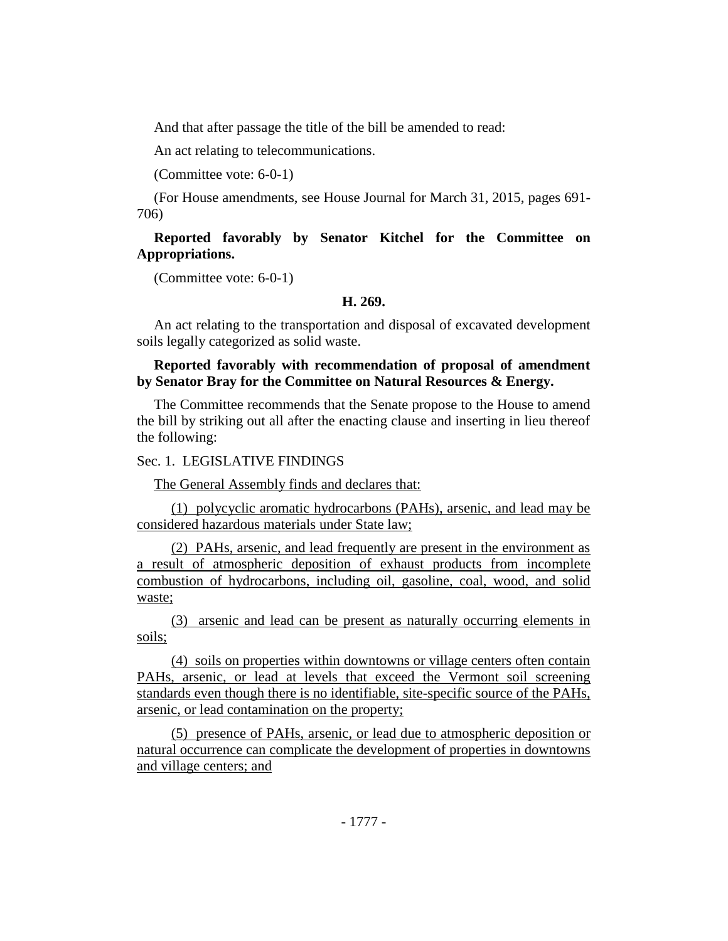And that after passage the title of the bill be amended to read:

An act relating to telecommunications.

(Committee vote: 6-0-1)

(For House amendments, see House Journal for March 31, 2015, pages 691- 706)

# **Reported favorably by Senator Kitchel for the Committee on Appropriations.**

(Committee vote: 6-0-1)

### **H. 269.**

An act relating to the transportation and disposal of excavated development soils legally categorized as solid waste.

### **Reported favorably with recommendation of proposal of amendment by Senator Bray for the Committee on Natural Resources & Energy.**

The Committee recommends that the Senate propose to the House to amend the bill by striking out all after the enacting clause and inserting in lieu thereof the following:

# Sec. 1. LEGISLATIVE FINDINGS

The General Assembly finds and declares that:

(1) polycyclic aromatic hydrocarbons (PAHs), arsenic, and lead may be considered hazardous materials under State law;

(2) PAHs, arsenic, and lead frequently are present in the environment as a result of atmospheric deposition of exhaust products from incomplete combustion of hydrocarbons, including oil, gasoline, coal, wood, and solid waste;

(3) arsenic and lead can be present as naturally occurring elements in soils;

(4) soils on properties within downtowns or village centers often contain PAHs, arsenic, or lead at levels that exceed the Vermont soil screening standards even though there is no identifiable, site-specific source of the PAHs, arsenic, or lead contamination on the property;

(5) presence of PAHs, arsenic, or lead due to atmospheric deposition or natural occurrence can complicate the development of properties in downtowns and village centers; and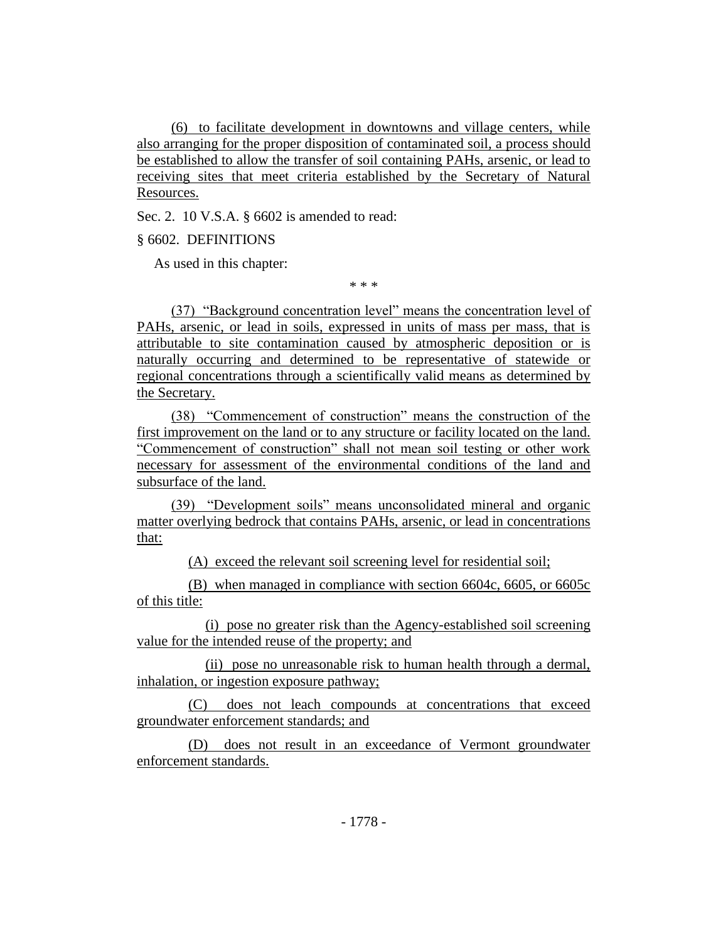(6) to facilitate development in downtowns and village centers, while also arranging for the proper disposition of contaminated soil, a process should be established to allow the transfer of soil containing PAHs, arsenic, or lead to receiving sites that meet criteria established by the Secretary of Natural Resources.

Sec. 2. 10 V.S.A. § 6602 is amended to read:

§ 6602. DEFINITIONS

As used in this chapter:

\* \* \*

(37) "Background concentration level" means the concentration level of PAHs, arsenic, or lead in soils, expressed in units of mass per mass, that is attributable to site contamination caused by atmospheric deposition or is naturally occurring and determined to be representative of statewide or regional concentrations through a scientifically valid means as determined by the Secretary.

(38) "Commencement of construction" means the construction of the first improvement on the land or to any structure or facility located on the land. "Commencement of construction" shall not mean soil testing or other work necessary for assessment of the environmental conditions of the land and subsurface of the land.

(39) "Development soils" means unconsolidated mineral and organic matter overlying bedrock that contains PAHs, arsenic, or lead in concentrations that:

(A) exceed the relevant soil screening level for residential soil;

(B) when managed in compliance with section 6604c, 6605, or 6605c of this title:

(i) pose no greater risk than the Agency-established soil screening value for the intended reuse of the property; and

(ii) pose no unreasonable risk to human health through a dermal, inhalation, or ingestion exposure pathway;

(C) does not leach compounds at concentrations that exceed groundwater enforcement standards; and

(D) does not result in an exceedance of Vermont groundwater enforcement standards.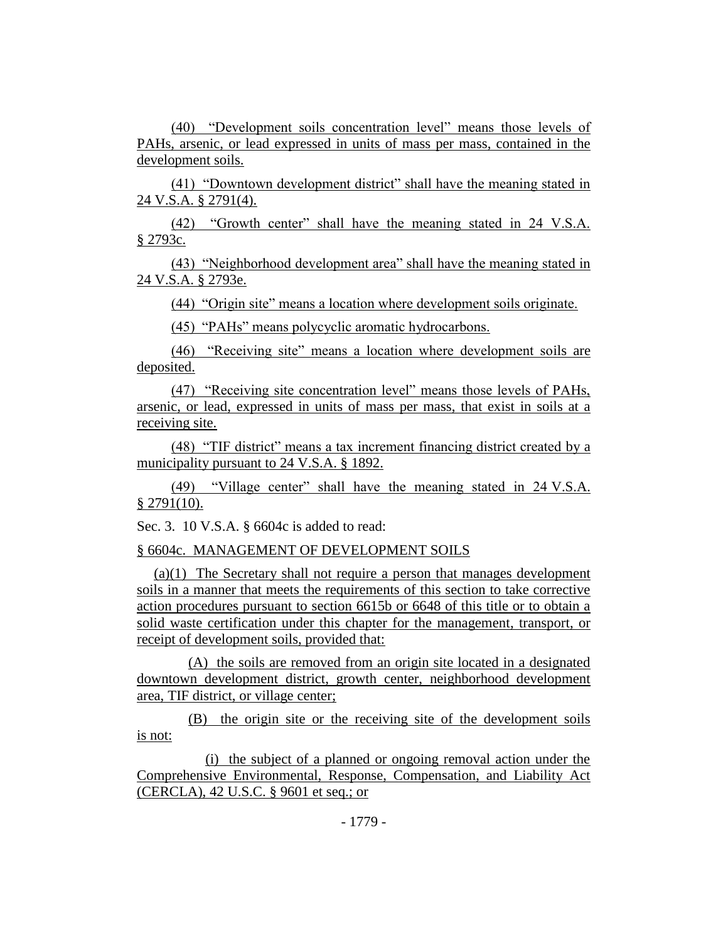(40) "Development soils concentration level" means those levels of PAHs, arsenic, or lead expressed in units of mass per mass, contained in the development soils.

(41) "Downtown development district" shall have the meaning stated in 24 V.S.A. § 2791(4).

(42) "Growth center" shall have the meaning stated in 24 V.S.A. § 2793c.

(43) "Neighborhood development area" shall have the meaning stated in 24 V.S.A. § 2793e.

(44) "Origin site" means a location where development soils originate.

(45) "PAHs" means polycyclic aromatic hydrocarbons.

(46) "Receiving site" means a location where development soils are deposited.

(47) "Receiving site concentration level" means those levels of PAHs, arsenic, or lead, expressed in units of mass per mass, that exist in soils at a receiving site.

(48) "TIF district" means a tax increment financing district created by a municipality pursuant to 24 V.S.A. § 1892.

(49) "Village center" shall have the meaning stated in 24 V.S.A.  $§$  2791(10).

Sec. 3. 10 V.S.A. § 6604c is added to read:

§ 6604c. MANAGEMENT OF DEVELOPMENT SOILS

(a)(1) The Secretary shall not require a person that manages development soils in a manner that meets the requirements of this section to take corrective action procedures pursuant to section 6615b or 6648 of this title or to obtain a solid waste certification under this chapter for the management, transport, or receipt of development soils, provided that:

(A) the soils are removed from an origin site located in a designated downtown development district, growth center, neighborhood development area, TIF district, or village center;

(B) the origin site or the receiving site of the development soils is not:

(i) the subject of a planned or ongoing removal action under the Comprehensive Environmental, Response, Compensation, and Liability Act (CERCLA), 42 U.S.C. § 9601 et seq.; or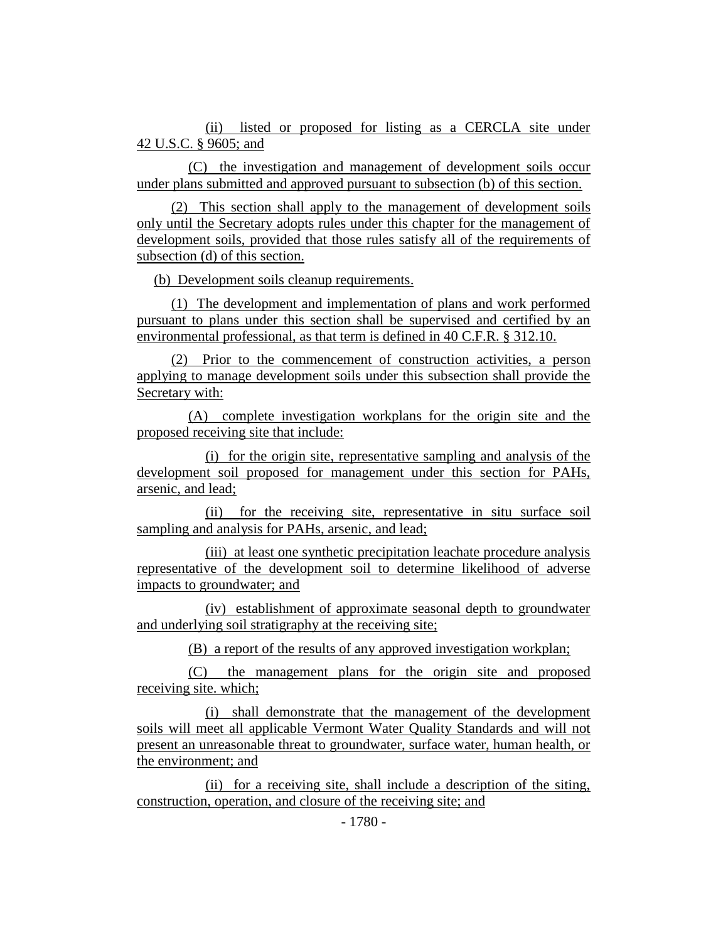(ii) listed or proposed for listing as a CERCLA site under 42 U.S.C. § 9605; and

(C) the investigation and management of development soils occur under plans submitted and approved pursuant to subsection (b) of this section.

(2) This section shall apply to the management of development soils only until the Secretary adopts rules under this chapter for the management of development soils, provided that those rules satisfy all of the requirements of subsection (d) of this section.

(b) Development soils cleanup requirements.

(1) The development and implementation of plans and work performed pursuant to plans under this section shall be supervised and certified by an environmental professional, as that term is defined in 40 C.F.R. § 312.10.

(2) Prior to the commencement of construction activities, a person applying to manage development soils under this subsection shall provide the Secretary with:

(A) complete investigation workplans for the origin site and the proposed receiving site that include:

(i) for the origin site, representative sampling and analysis of the development soil proposed for management under this section for PAHs, arsenic, and lead;

(ii) for the receiving site, representative in situ surface soil sampling and analysis for PAHs, arsenic, and lead;

(iii) at least one synthetic precipitation leachate procedure analysis representative of the development soil to determine likelihood of adverse impacts to groundwater; and

(iv) establishment of approximate seasonal depth to groundwater and underlying soil stratigraphy at the receiving site;

(B) a report of the results of any approved investigation workplan;

(C) the management plans for the origin site and proposed receiving site. which;

(i) shall demonstrate that the management of the development soils will meet all applicable Vermont Water Quality Standards and will not present an unreasonable threat to groundwater, surface water, human health, or the environment; and

(ii) for a receiving site, shall include a description of the siting, construction, operation, and closure of the receiving site; and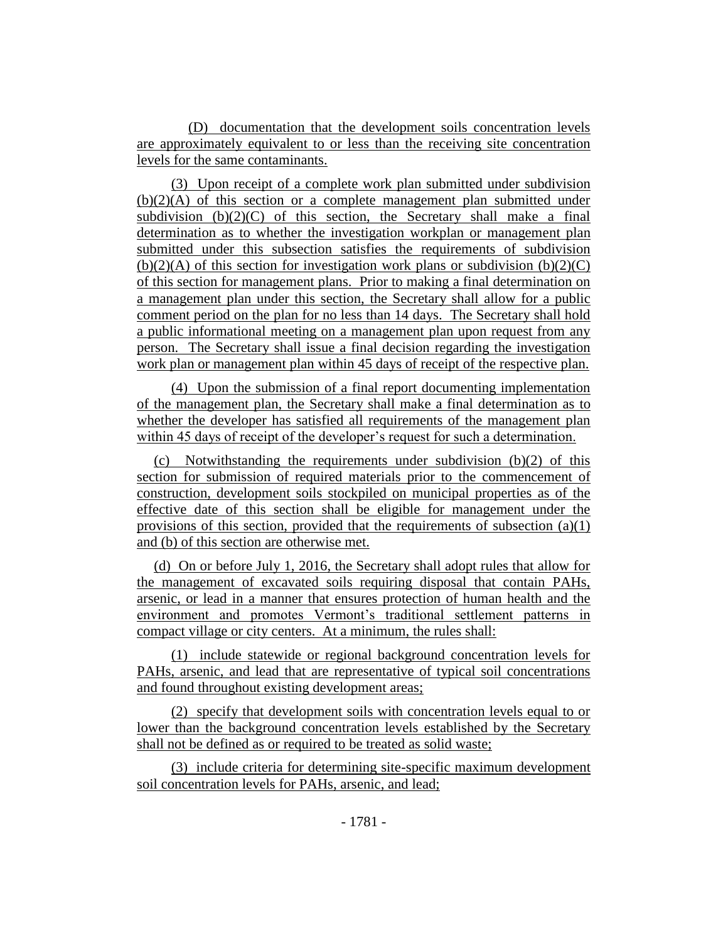(D) documentation that the development soils concentration levels are approximately equivalent to or less than the receiving site concentration levels for the same contaminants.

(3) Upon receipt of a complete work plan submitted under subdivision  $(b)(2)(A)$  of this section or a complete management plan submitted under subdivision  $(b)(2)(C)$  of this section, the Secretary shall make a final determination as to whether the investigation workplan or management plan submitted under this subsection satisfies the requirements of subdivision  $(b)(2)(A)$  of this section for investigation work plans or subdivision  $(b)(2)(C)$ of this section for management plans. Prior to making a final determination on a management plan under this section, the Secretary shall allow for a public comment period on the plan for no less than 14 days. The Secretary shall hold a public informational meeting on a management plan upon request from any person. The Secretary shall issue a final decision regarding the investigation work plan or management plan within 45 days of receipt of the respective plan.

(4) Upon the submission of a final report documenting implementation of the management plan, the Secretary shall make a final determination as to whether the developer has satisfied all requirements of the management plan within 45 days of receipt of the developer's request for such a determination.

(c) Notwithstanding the requirements under subdivision (b)(2) of this section for submission of required materials prior to the commencement of construction, development soils stockpiled on municipal properties as of the effective date of this section shall be eligible for management under the provisions of this section, provided that the requirements of subsection  $(a)(1)$ and (b) of this section are otherwise met.

(d) On or before July 1, 2016, the Secretary shall adopt rules that allow for the management of excavated soils requiring disposal that contain PAHs, arsenic, or lead in a manner that ensures protection of human health and the environment and promotes Vermont's traditional settlement patterns in compact village or city centers. At a minimum, the rules shall:

(1) include statewide or regional background concentration levels for PAHs, arsenic, and lead that are representative of typical soil concentrations and found throughout existing development areas;

(2) specify that development soils with concentration levels equal to or lower than the background concentration levels established by the Secretary shall not be defined as or required to be treated as solid waste;

(3) include criteria for determining site-specific maximum development soil concentration levels for PAHs, arsenic, and lead;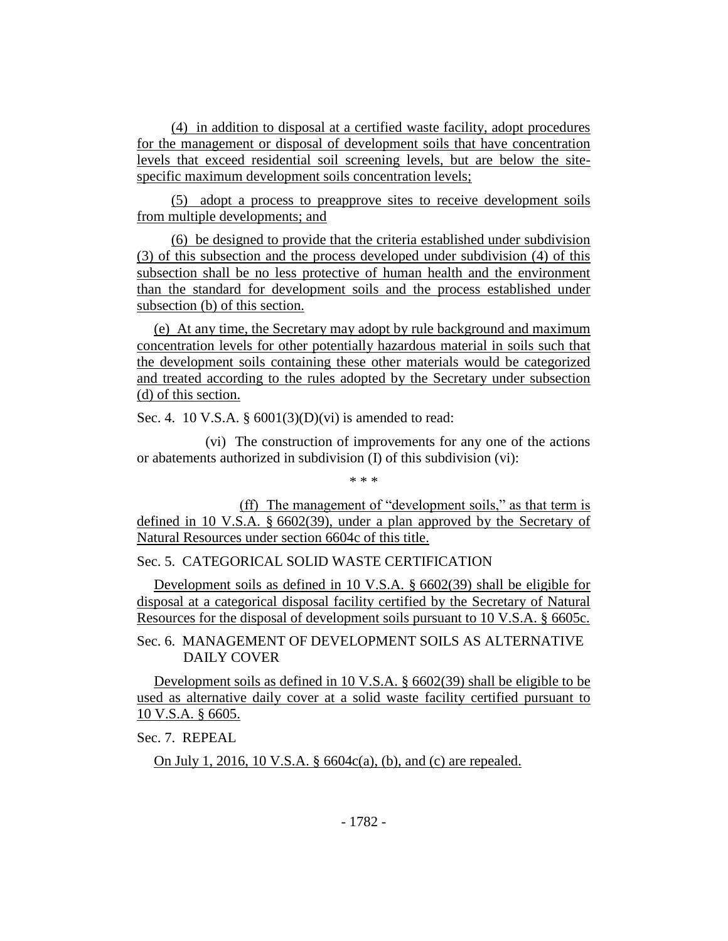(4) in addition to disposal at a certified waste facility, adopt procedures for the management or disposal of development soils that have concentration levels that exceed residential soil screening levels, but are below the sitespecific maximum development soils concentration levels;

(5) adopt a process to preapprove sites to receive development soils from multiple developments; and

(6) be designed to provide that the criteria established under subdivision (3) of this subsection and the process developed under subdivision (4) of this subsection shall be no less protective of human health and the environment than the standard for development soils and the process established under subsection (b) of this section.

(e) At any time, the Secretary may adopt by rule background and maximum concentration levels for other potentially hazardous material in soils such that the development soils containing these other materials would be categorized and treated according to the rules adopted by the Secretary under subsection (d) of this section.

Sec. 4. 10 V.S.A. § 6001(3)(D)(vi) is amended to read:

(vi) The construction of improvements for any one of the actions or abatements authorized in subdivision (I) of this subdivision (vi):

\* \* \*

(ff) The management of "development soils," as that term is defined in 10 V.S.A. § 6602(39), under a plan approved by the Secretary of Natural Resources under section 6604c of this title.

Sec. 5. CATEGORICAL SOLID WASTE CERTIFICATION

Development soils as defined in 10 V.S.A. § 6602(39) shall be eligible for disposal at a categorical disposal facility certified by the Secretary of Natural Resources for the disposal of development soils pursuant to 10 V.S.A. § 6605c.

Sec. 6. MANAGEMENT OF DEVELOPMENT SOILS AS ALTERNATIVE DAILY COVER

Development soils as defined in 10 V.S.A. § 6602(39) shall be eligible to be used as alternative daily cover at a solid waste facility certified pursuant to 10 V.S.A. § 6605.

Sec. 7. REPEAL

On July 1, 2016, 10 V.S.A. § 6604c(a), (b), and (c) are repealed.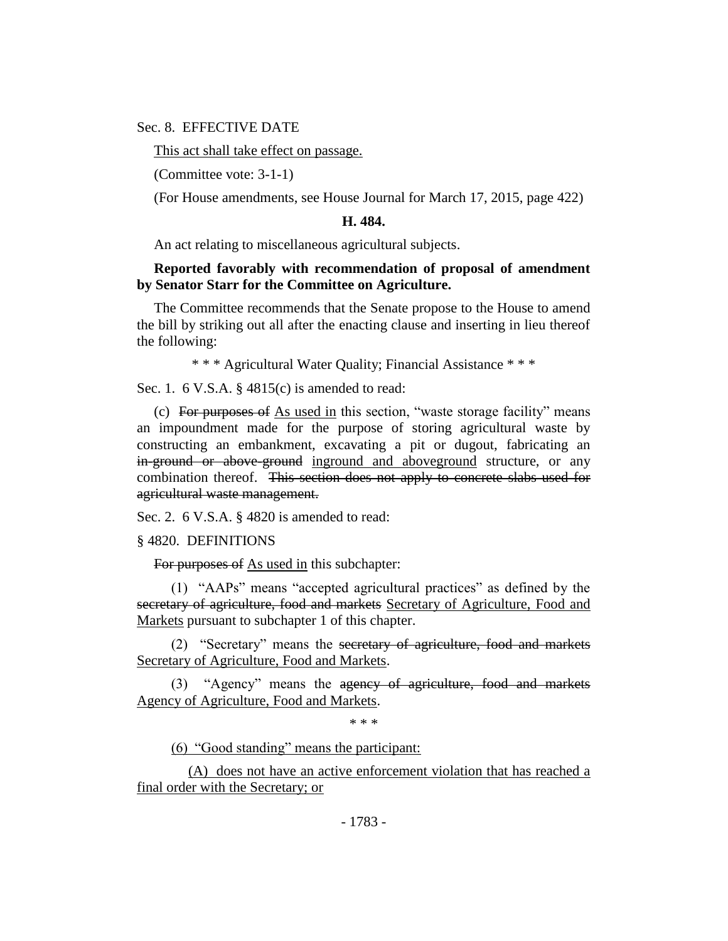### Sec. 8. EFFECTIVE DATE

This act shall take effect on passage.

(Committee vote: 3-1-1)

(For House amendments, see House Journal for March 17, 2015, page 422)

#### **H. 484.**

An act relating to miscellaneous agricultural subjects.

### **Reported favorably with recommendation of proposal of amendment by Senator Starr for the Committee on Agriculture.**

The Committee recommends that the Senate propose to the House to amend the bill by striking out all after the enacting clause and inserting in lieu thereof the following:

\* \* \* Agricultural Water Quality; Financial Assistance \* \* \*

Sec. 1. 6 V.S.A. § 4815(c) is amended to read:

(c) For purposes of As used in this section, "waste storage facility" means an impoundment made for the purpose of storing agricultural waste by constructing an embankment, excavating a pit or dugout, fabricating an in-ground or above-ground inground and aboveground structure, or any combination thereof. This section does not apply to concrete slabs used for agricultural waste management.

Sec. 2. 6 V.S.A. § 4820 is amended to read:

§ 4820. DEFINITIONS

For purposes of As used in this subchapter:

(1) "AAPs" means "accepted agricultural practices" as defined by the secretary of agriculture, food and markets Secretary of Agriculture, Food and Markets pursuant to subchapter 1 of this chapter.

(2) "Secretary" means the secretary of agriculture, food and markets Secretary of Agriculture, Food and Markets.

(3) "Agency" means the agency of agriculture, food and markets Agency of Agriculture, Food and Markets.

\* \* \*

(6) "Good standing" means the participant:

(A) does not have an active enforcement violation that has reached a final order with the Secretary; or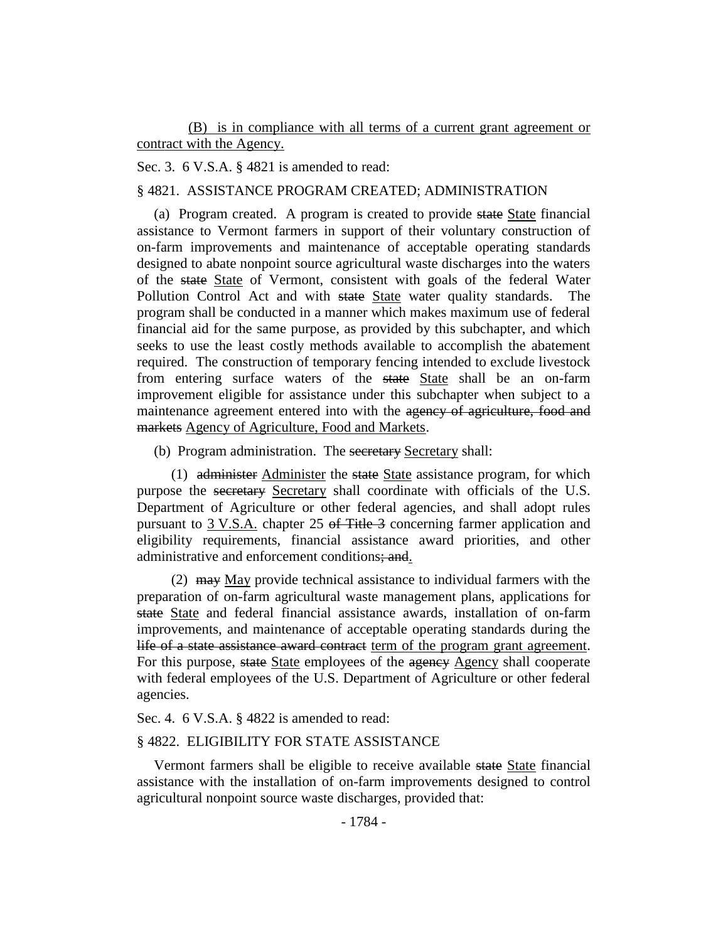(B) is in compliance with all terms of a current grant agreement or contract with the Agency.

Sec. 3. 6 V.S.A. § 4821 is amended to read:

§ 4821. ASSISTANCE PROGRAM CREATED; ADMINISTRATION

(a) Program created. A program is created to provide state State financial assistance to Vermont farmers in support of their voluntary construction of on-farm improvements and maintenance of acceptable operating standards designed to abate nonpoint source agricultural waste discharges into the waters of the state State of Vermont, consistent with goals of the federal Water Pollution Control Act and with state State water quality standards. The program shall be conducted in a manner which makes maximum use of federal financial aid for the same purpose, as provided by this subchapter, and which seeks to use the least costly methods available to accomplish the abatement required. The construction of temporary fencing intended to exclude livestock from entering surface waters of the state State shall be an on-farm improvement eligible for assistance under this subchapter when subject to a maintenance agreement entered into with the agency of agriculture, food and markets Agency of Agriculture, Food and Markets.

(b) Program administration. The secretary Secretary shall:

(1) administer Administer the state State assistance program, for which purpose the secretary Secretary shall coordinate with officials of the U.S. Department of Agriculture or other federal agencies, and shall adopt rules pursuant to 3 V.S.A. chapter 25 of Title 3 concerning farmer application and eligibility requirements, financial assistance award priorities, and other administrative and enforcement conditions; and.

(2)  $\frac{1}{2}$  may May provide technical assistance to individual farmers with the preparation of on-farm agricultural waste management plans, applications for state State and federal financial assistance awards, installation of on-farm improvements, and maintenance of acceptable operating standards during the life of a state assistance award contract term of the program grant agreement. For this purpose, state State employees of the agency Agency shall cooperate with federal employees of the U.S. Department of Agriculture or other federal agencies.

Sec. 4. 6 V.S.A. § 4822 is amended to read:

### § 4822. ELIGIBILITY FOR STATE ASSISTANCE

Vermont farmers shall be eligible to receive available state State financial assistance with the installation of on-farm improvements designed to control agricultural nonpoint source waste discharges, provided that: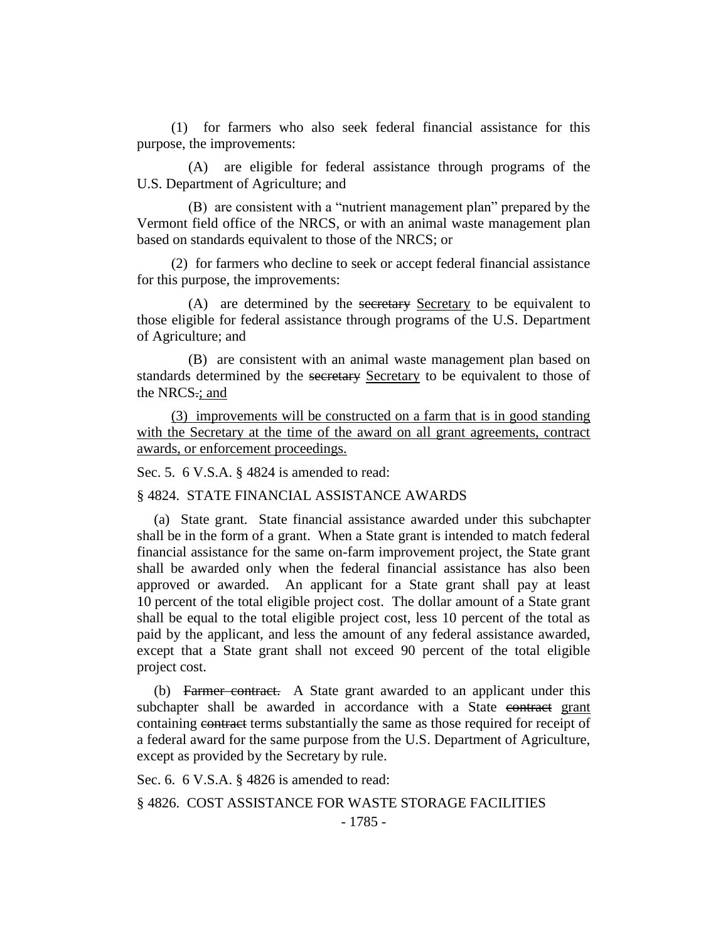(1) for farmers who also seek federal financial assistance for this purpose, the improvements:

(A) are eligible for federal assistance through programs of the U.S. Department of Agriculture; and

(B) are consistent with a "nutrient management plan" prepared by the Vermont field office of the NRCS, or with an animal waste management plan based on standards equivalent to those of the NRCS; or

(2) for farmers who decline to seek or accept federal financial assistance for this purpose, the improvements:

(A) are determined by the secretary Secretary to be equivalent to those eligible for federal assistance through programs of the U.S. Department of Agriculture; and

(B) are consistent with an animal waste management plan based on standards determined by the secretary Secretary to be equivalent to those of the NRCS.; and

(3) improvements will be constructed on a farm that is in good standing with the Secretary at the time of the award on all grant agreements, contract awards, or enforcement proceedings.

Sec. 5. 6 V.S.A. § 4824 is amended to read:

§ 4824. STATE FINANCIAL ASSISTANCE AWARDS

(a) State grant. State financial assistance awarded under this subchapter shall be in the form of a grant. When a State grant is intended to match federal financial assistance for the same on-farm improvement project, the State grant shall be awarded only when the federal financial assistance has also been approved or awarded. An applicant for a State grant shall pay at least 10 percent of the total eligible project cost. The dollar amount of a State grant shall be equal to the total eligible project cost, less 10 percent of the total as paid by the applicant, and less the amount of any federal assistance awarded, except that a State grant shall not exceed 90 percent of the total eligible project cost.

(b) Farmer contract. A State grant awarded to an applicant under this subchapter shall be awarded in accordance with a State contract grant containing contract terms substantially the same as those required for receipt of a federal award for the same purpose from the U.S. Department of Agriculture, except as provided by the Secretary by rule.

Sec. 6. 6 V.S.A. § 4826 is amended to read:

§ 4826. COST ASSISTANCE FOR WASTE STORAGE FACILITIES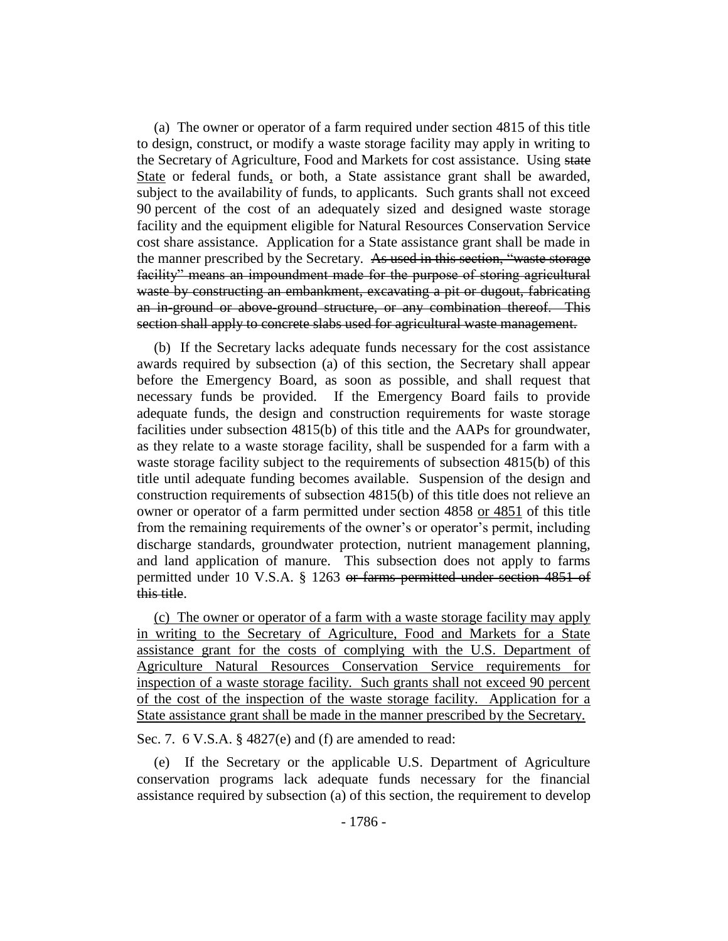(a) The owner or operator of a farm required under section 4815 of this title to design, construct, or modify a waste storage facility may apply in writing to the Secretary of Agriculture, Food and Markets for cost assistance. Using state State or federal funds, or both, a State assistance grant shall be awarded, subject to the availability of funds, to applicants. Such grants shall not exceed 90 percent of the cost of an adequately sized and designed waste storage facility and the equipment eligible for Natural Resources Conservation Service cost share assistance. Application for a State assistance grant shall be made in the manner prescribed by the Secretary. As used in this section, "waste storage facility" means an impoundment made for the purpose of storing agricultural waste by constructing an embankment, excavating a pit or dugout, fabricating an in-ground or above-ground structure, or any combination thereof. This section shall apply to concrete slabs used for agricultural waste management.

(b) If the Secretary lacks adequate funds necessary for the cost assistance awards required by subsection (a) of this section, the Secretary shall appear before the Emergency Board, as soon as possible, and shall request that necessary funds be provided. If the Emergency Board fails to provide adequate funds, the design and construction requirements for waste storage facilities under subsection 4815(b) of this title and the AAPs for groundwater, as they relate to a waste storage facility, shall be suspended for a farm with a waste storage facility subject to the requirements of subsection 4815(b) of this title until adequate funding becomes available. Suspension of the design and construction requirements of subsection 4815(b) of this title does not relieve an owner or operator of a farm permitted under section 4858 or 4851 of this title from the remaining requirements of the owner's or operator's permit, including discharge standards, groundwater protection, nutrient management planning, and land application of manure. This subsection does not apply to farms permitted under 10 V.S.A. § 1263 or farms permitted under section 4851 of this title.

(c) The owner or operator of a farm with a waste storage facility may apply in writing to the Secretary of Agriculture, Food and Markets for a State assistance grant for the costs of complying with the U.S. Department of Agriculture Natural Resources Conservation Service requirements for inspection of a waste storage facility. Such grants shall not exceed 90 percent of the cost of the inspection of the waste storage facility. Application for a State assistance grant shall be made in the manner prescribed by the Secretary.

Sec. 7. 6 V.S.A. § 4827(e) and (f) are amended to read:

(e) If the Secretary or the applicable U.S. Department of Agriculture conservation programs lack adequate funds necessary for the financial assistance required by subsection (a) of this section, the requirement to develop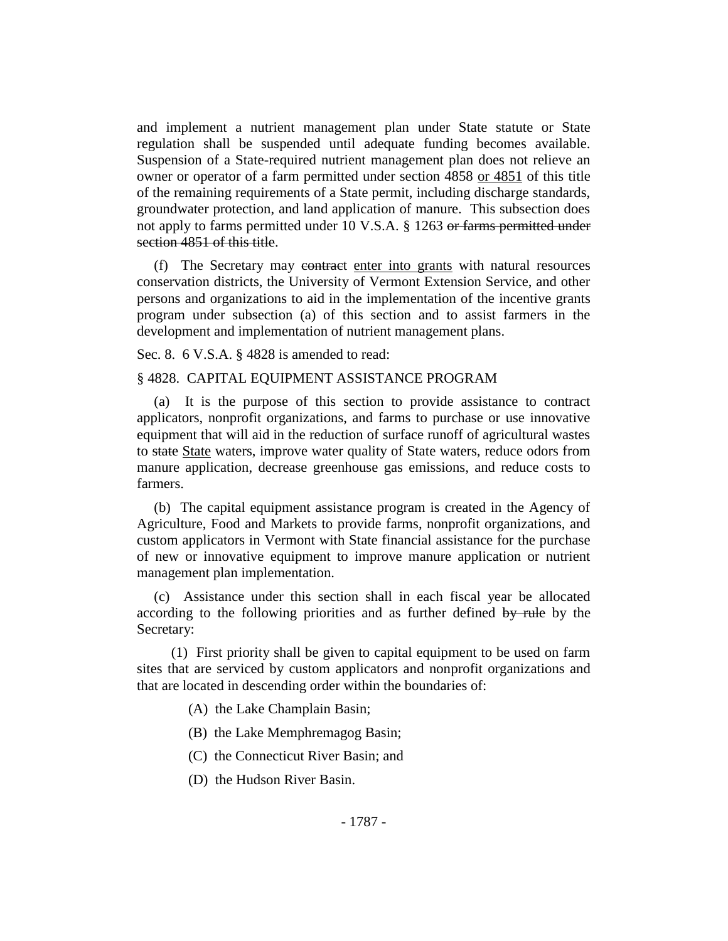and implement a nutrient management plan under State statute or State regulation shall be suspended until adequate funding becomes available. Suspension of a State-required nutrient management plan does not relieve an owner or operator of a farm permitted under section 4858 or 4851 of this title of the remaining requirements of a State permit, including discharge standards, groundwater protection, and land application of manure. This subsection does not apply to farms permitted under 10 V.S.A. § 1263 or farms permitted under section 4851 of this title.

(f) The Secretary may contract enter into grants with natural resources conservation districts, the University of Vermont Extension Service, and other persons and organizations to aid in the implementation of the incentive grants program under subsection (a) of this section and to assist farmers in the development and implementation of nutrient management plans.

Sec. 8. 6 V.S.A. § 4828 is amended to read:

### § 4828. CAPITAL EQUIPMENT ASSISTANCE PROGRAM

(a) It is the purpose of this section to provide assistance to contract applicators, nonprofit organizations, and farms to purchase or use innovative equipment that will aid in the reduction of surface runoff of agricultural wastes to state State waters, improve water quality of State waters, reduce odors from manure application, decrease greenhouse gas emissions, and reduce costs to farmers.

(b) The capital equipment assistance program is created in the Agency of Agriculture, Food and Markets to provide farms, nonprofit organizations, and custom applicators in Vermont with State financial assistance for the purchase of new or innovative equipment to improve manure application or nutrient management plan implementation.

(c) Assistance under this section shall in each fiscal year be allocated according to the following priorities and as further defined by rule by the Secretary:

(1) First priority shall be given to capital equipment to be used on farm sites that are serviced by custom applicators and nonprofit organizations and that are located in descending order within the boundaries of:

(A) the Lake Champlain Basin;

- (B) the Lake Memphremagog Basin;
- (C) the Connecticut River Basin; and
- (D) the Hudson River Basin.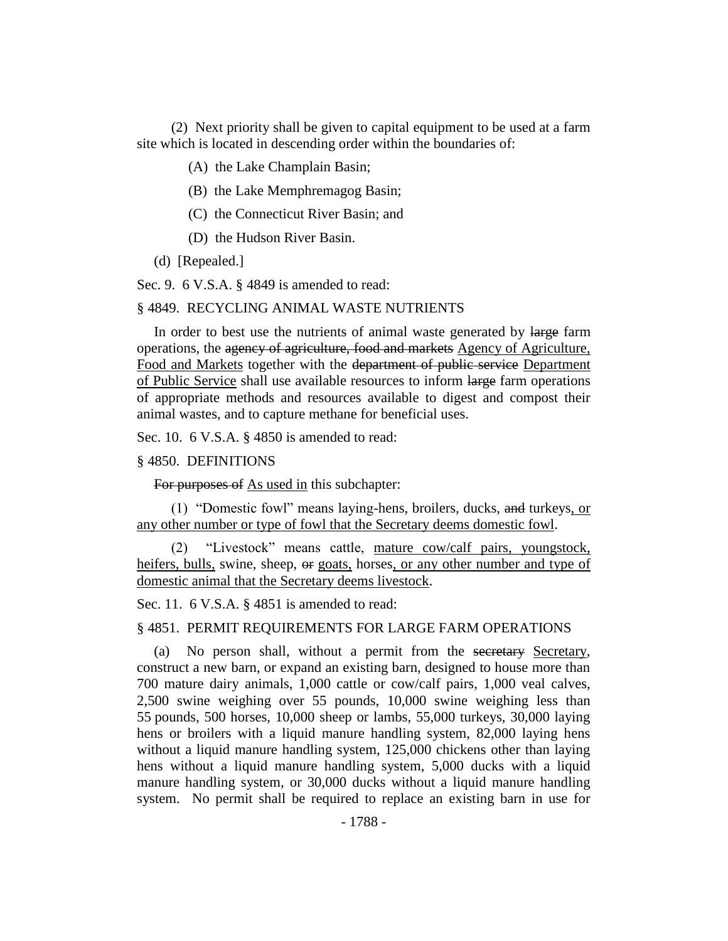(2) Next priority shall be given to capital equipment to be used at a farm site which is located in descending order within the boundaries of:

- (A) the Lake Champlain Basin;
- (B) the Lake Memphremagog Basin;
- (C) the Connecticut River Basin; and
- (D) the Hudson River Basin.
- (d) [Repealed.]

Sec. 9. 6 V.S.A. § 4849 is amended to read:

#### § 4849. RECYCLING ANIMAL WASTE NUTRIENTS

In order to best use the nutrients of animal waste generated by large farm operations, the agency of agriculture, food and markets Agency of Agriculture, Food and Markets together with the department of public service Department of Public Service shall use available resources to inform large farm operations of appropriate methods and resources available to digest and compost their animal wastes, and to capture methane for beneficial uses.

Sec. 10. 6 V.S.A. § 4850 is amended to read:

#### § 4850. DEFINITIONS

For purposes of As used in this subchapter:

(1) "Domestic fowl" means laying-hens, broilers, ducks, and turkeys, or any other number or type of fowl that the Secretary deems domestic fowl.

(2) "Livestock" means cattle, mature cow/calf pairs, youngstock, heifers, bulls, swine, sheep,  $\Theta$  goats, horses, or any other number and type of domestic animal that the Secretary deems livestock.

Sec. 11. 6 V.S.A. § 4851 is amended to read:

#### § 4851. PERMIT REQUIREMENTS FOR LARGE FARM OPERATIONS

(a) No person shall, without a permit from the secretary Secretary, construct a new barn, or expand an existing barn, designed to house more than 700 mature dairy animals, 1,000 cattle or cow/calf pairs, 1,000 veal calves, 2,500 swine weighing over 55 pounds, 10,000 swine weighing less than 55 pounds, 500 horses, 10,000 sheep or lambs, 55,000 turkeys, 30,000 laying hens or broilers with a liquid manure handling system, 82,000 laying hens without a liquid manure handling system, 125,000 chickens other than laying hens without a liquid manure handling system, 5,000 ducks with a liquid manure handling system, or 30,000 ducks without a liquid manure handling system. No permit shall be required to replace an existing barn in use for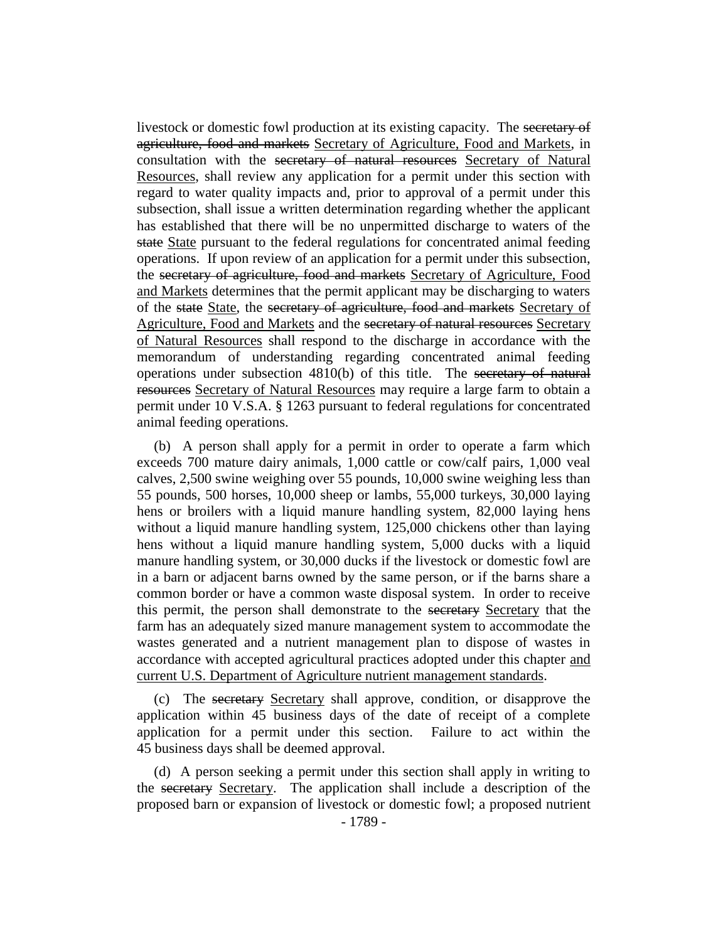livestock or domestic fowl production at its existing capacity. The secretary of agriculture, food and markets Secretary of Agriculture, Food and Markets, in consultation with the secretary of natural resources Secretary of Natural Resources, shall review any application for a permit under this section with regard to water quality impacts and, prior to approval of a permit under this subsection, shall issue a written determination regarding whether the applicant has established that there will be no unpermitted discharge to waters of the state State pursuant to the federal regulations for concentrated animal feeding operations. If upon review of an application for a permit under this subsection, the secretary of agriculture, food and markets Secretary of Agriculture, Food and Markets determines that the permit applicant may be discharging to waters of the state State, the secretary of agriculture, food and markets Secretary of Agriculture, Food and Markets and the secretary of natural resources Secretary of Natural Resources shall respond to the discharge in accordance with the memorandum of understanding regarding concentrated animal feeding operations under subsection 4810(b) of this title. The secretary of natural resources Secretary of Natural Resources may require a large farm to obtain a permit under 10 V.S.A. § 1263 pursuant to federal regulations for concentrated animal feeding operations.

(b) A person shall apply for a permit in order to operate a farm which exceeds 700 mature dairy animals, 1,000 cattle or cow/calf pairs, 1,000 veal calves, 2,500 swine weighing over 55 pounds, 10,000 swine weighing less than 55 pounds, 500 horses, 10,000 sheep or lambs, 55,000 turkeys, 30,000 laying hens or broilers with a liquid manure handling system, 82,000 laying hens without a liquid manure handling system, 125,000 chickens other than laying hens without a liquid manure handling system, 5,000 ducks with a liquid manure handling system, or 30,000 ducks if the livestock or domestic fowl are in a barn or adjacent barns owned by the same person, or if the barns share a common border or have a common waste disposal system. In order to receive this permit, the person shall demonstrate to the secretary Secretary that the farm has an adequately sized manure management system to accommodate the wastes generated and a nutrient management plan to dispose of wastes in accordance with accepted agricultural practices adopted under this chapter and current U.S. Department of Agriculture nutrient management standards.

(c) The secretary Secretary shall approve, condition, or disapprove the application within 45 business days of the date of receipt of a complete application for a permit under this section. Failure to act within the 45 business days shall be deemed approval.

(d) A person seeking a permit under this section shall apply in writing to the secretary Secretary. The application shall include a description of the proposed barn or expansion of livestock or domestic fowl; a proposed nutrient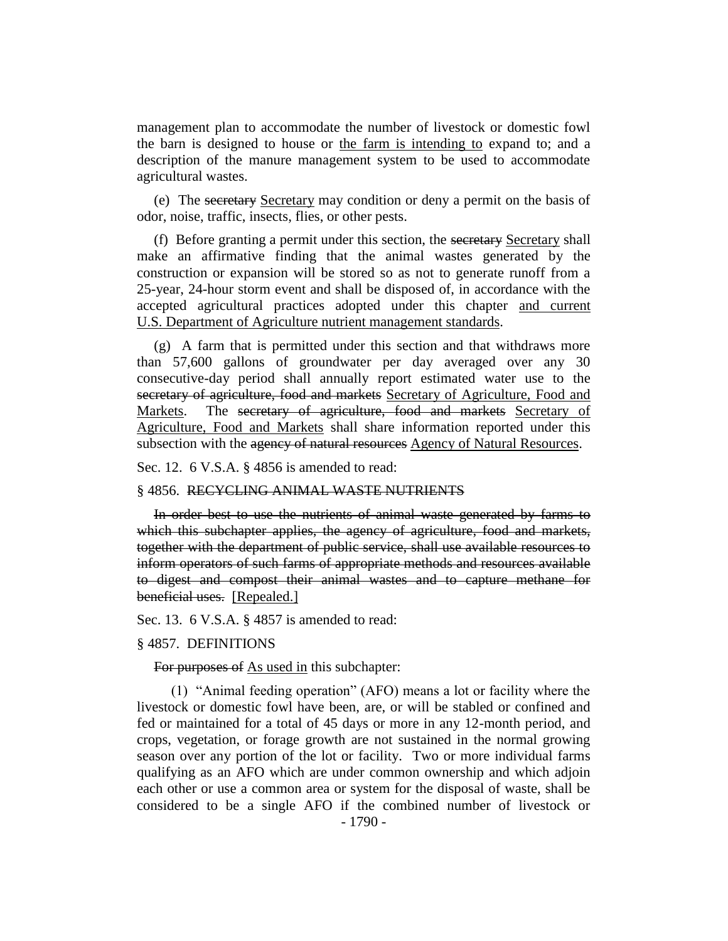management plan to accommodate the number of livestock or domestic fowl the barn is designed to house or the farm is intending to expand to; and a description of the manure management system to be used to accommodate agricultural wastes.

(e) The secretary Secretary may condition or deny a permit on the basis of odor, noise, traffic, insects, flies, or other pests.

(f) Before granting a permit under this section, the secretary Secretary shall make an affirmative finding that the animal wastes generated by the construction or expansion will be stored so as not to generate runoff from a 25-year, 24-hour storm event and shall be disposed of, in accordance with the accepted agricultural practices adopted under this chapter and current U.S. Department of Agriculture nutrient management standards.

(g) A farm that is permitted under this section and that withdraws more than 57,600 gallons of groundwater per day averaged over any 30 consecutive-day period shall annually report estimated water use to the secretary of agriculture, food and markets Secretary of Agriculture, Food and Markets. The secretary of agriculture, food and markets Secretary of Agriculture, Food and Markets shall share information reported under this subsection with the agency of natural resources Agency of Natural Resources.

Sec. 12. 6 V.S.A. § 4856 is amended to read:

#### § 4856. RECYCLING ANIMAL WASTE NUTRIENTS

In order best to use the nutrients of animal waste generated by farms to which this subchapter applies, the agency of agriculture, food and markets, together with the department of public service, shall use available resources to inform operators of such farms of appropriate methods and resources available to digest and compost their animal wastes and to capture methane for beneficial uses. [Repealed.]

Sec. 13. 6 V.S.A. § 4857 is amended to read:

#### § 4857. DEFINITIONS

#### For purposes of As used in this subchapter:

(1) "Animal feeding operation" (AFO) means a lot or facility where the livestock or domestic fowl have been, are, or will be stabled or confined and fed or maintained for a total of 45 days or more in any 12-month period, and crops, vegetation, or forage growth are not sustained in the normal growing season over any portion of the lot or facility. Two or more individual farms qualifying as an AFO which are under common ownership and which adjoin each other or use a common area or system for the disposal of waste, shall be considered to be a single AFO if the combined number of livestock or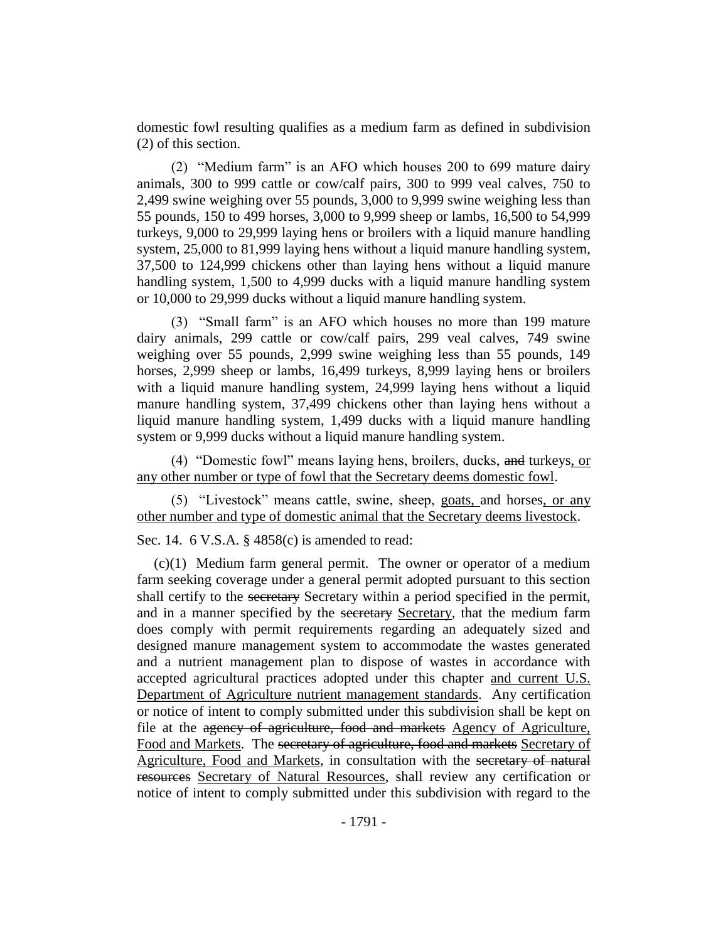domestic fowl resulting qualifies as a medium farm as defined in subdivision (2) of this section.

(2) "Medium farm" is an AFO which houses 200 to 699 mature dairy animals, 300 to 999 cattle or cow/calf pairs, 300 to 999 veal calves, 750 to 2,499 swine weighing over 55 pounds, 3,000 to 9,999 swine weighing less than 55 pounds, 150 to 499 horses, 3,000 to 9,999 sheep or lambs, 16,500 to 54,999 turkeys, 9,000 to 29,999 laying hens or broilers with a liquid manure handling system, 25,000 to 81,999 laying hens without a liquid manure handling system, 37,500 to 124,999 chickens other than laying hens without a liquid manure handling system, 1,500 to 4,999 ducks with a liquid manure handling system or 10,000 to 29,999 ducks without a liquid manure handling system.

(3) "Small farm" is an AFO which houses no more than 199 mature dairy animals, 299 cattle or cow/calf pairs, 299 veal calves, 749 swine weighing over 55 pounds, 2,999 swine weighing less than 55 pounds, 149 horses, 2,999 sheep or lambs, 16,499 turkeys, 8,999 laying hens or broilers with a liquid manure handling system, 24,999 laying hens without a liquid manure handling system, 37,499 chickens other than laying hens without a liquid manure handling system, 1,499 ducks with a liquid manure handling system or 9,999 ducks without a liquid manure handling system.

(4) "Domestic fowl" means laying hens, broilers, ducks, and turkeys, or any other number or type of fowl that the Secretary deems domestic fowl.

(5) "Livestock" means cattle, swine, sheep, goats, and horses, or any other number and type of domestic animal that the Secretary deems livestock.

Sec. 14. 6 V.S.A. § 4858(c) is amended to read:

(c)(1) Medium farm general permit. The owner or operator of a medium farm seeking coverage under a general permit adopted pursuant to this section shall certify to the secretary Secretary within a period specified in the permit, and in a manner specified by the secretary Secretary, that the medium farm does comply with permit requirements regarding an adequately sized and designed manure management system to accommodate the wastes generated and a nutrient management plan to dispose of wastes in accordance with accepted agricultural practices adopted under this chapter and current U.S. Department of Agriculture nutrient management standards. Any certification or notice of intent to comply submitted under this subdivision shall be kept on file at the agency of agriculture, food and markets Agency of Agriculture, Food and Markets. The secretary of agriculture, food and markets Secretary of Agriculture, Food and Markets, in consultation with the secretary of natural resources Secretary of Natural Resources, shall review any certification or notice of intent to comply submitted under this subdivision with regard to the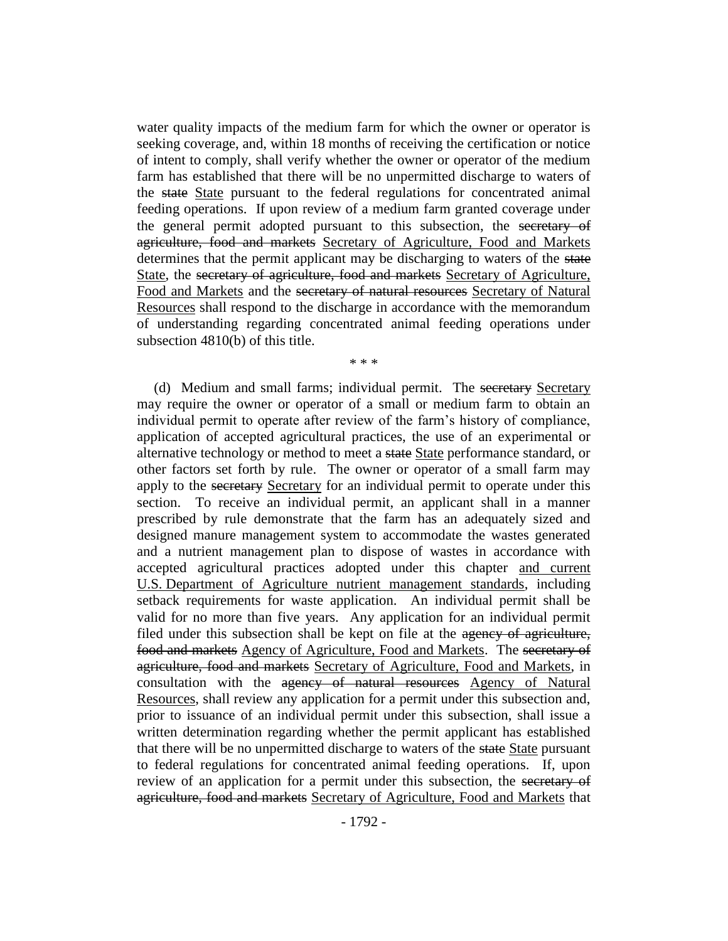water quality impacts of the medium farm for which the owner or operator is seeking coverage, and, within 18 months of receiving the certification or notice of intent to comply, shall verify whether the owner or operator of the medium farm has established that there will be no unpermitted discharge to waters of the state State pursuant to the federal regulations for concentrated animal feeding operations. If upon review of a medium farm granted coverage under the general permit adopted pursuant to this subsection, the secretary of agriculture, food and markets Secretary of Agriculture, Food and Markets determines that the permit applicant may be discharging to waters of the state State, the secretary of agriculture, food and markets Secretary of Agriculture, Food and Markets and the secretary of natural resources Secretary of Natural Resources shall respond to the discharge in accordance with the memorandum of understanding regarding concentrated animal feeding operations under subsection 4810(b) of this title.

\* \* \*

(d) Medium and small farms; individual permit. The secretary Secretary may require the owner or operator of a small or medium farm to obtain an individual permit to operate after review of the farm's history of compliance, application of accepted agricultural practices, the use of an experimental or alternative technology or method to meet a state State performance standard, or other factors set forth by rule. The owner or operator of a small farm may apply to the secretary Secretary for an individual permit to operate under this section. To receive an individual permit, an applicant shall in a manner prescribed by rule demonstrate that the farm has an adequately sized and designed manure management system to accommodate the wastes generated and a nutrient management plan to dispose of wastes in accordance with accepted agricultural practices adopted under this chapter and current U.S. Department of Agriculture nutrient management standards, including setback requirements for waste application. An individual permit shall be valid for no more than five years. Any application for an individual permit filed under this subsection shall be kept on file at the agency of agriculture, food and markets Agency of Agriculture, Food and Markets. The secretary of agriculture, food and markets Secretary of Agriculture, Food and Markets, in consultation with the agency of natural resources Agency of Natural Resources, shall review any application for a permit under this subsection and, prior to issuance of an individual permit under this subsection, shall issue a written determination regarding whether the permit applicant has established that there will be no unpermitted discharge to waters of the state State pursuant to federal regulations for concentrated animal feeding operations. If, upon review of an application for a permit under this subsection, the secretary of agriculture, food and markets Secretary of Agriculture, Food and Markets that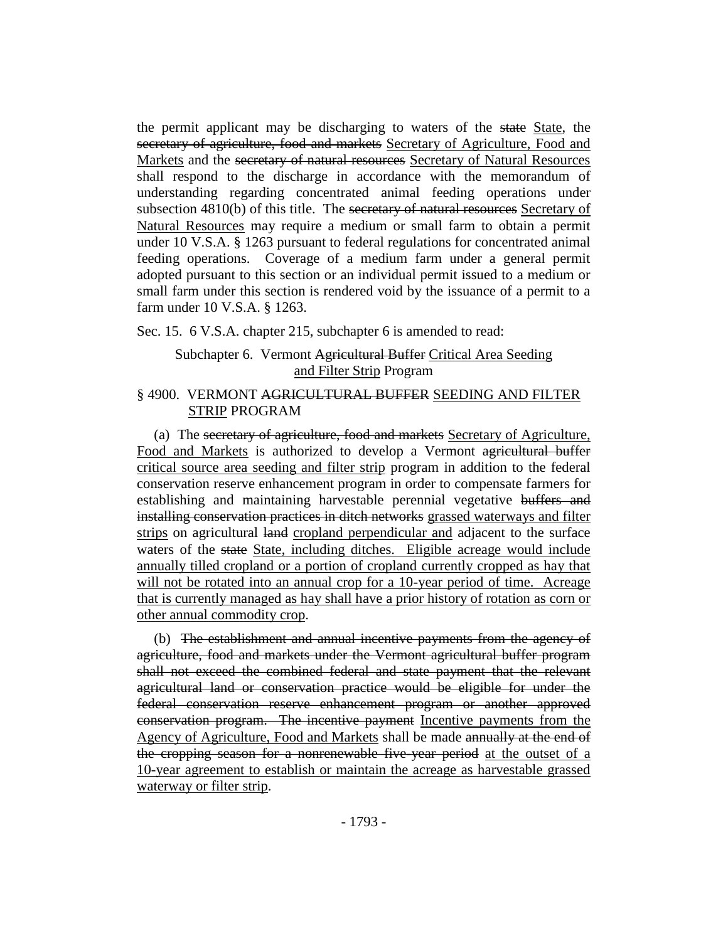the permit applicant may be discharging to waters of the state State, the secretary of agriculture, food and markets Secretary of Agriculture, Food and Markets and the secretary of natural resources Secretary of Natural Resources shall respond to the discharge in accordance with the memorandum of understanding regarding concentrated animal feeding operations under subsection 4810(b) of this title. The secretary of natural resources Secretary of Natural Resources may require a medium or small farm to obtain a permit under 10 V.S.A. § 1263 pursuant to federal regulations for concentrated animal feeding operations. Coverage of a medium farm under a general permit adopted pursuant to this section or an individual permit issued to a medium or small farm under this section is rendered void by the issuance of a permit to a farm under 10 V.S.A. § 1263.

Sec. 15. 6 V.S.A. chapter 215, subchapter 6 is amended to read:

# Subchapter 6. Vermont Agricultural Buffer Critical Area Seeding and Filter Strip Program

# § 4900. VERMONT AGRICULTURAL BUFFER SEEDING AND FILTER STRIP PROGRAM

(a) The secretary of agriculture, food and markets Secretary of Agriculture, Food and Markets is authorized to develop a Vermont agricultural buffer critical source area seeding and filter strip program in addition to the federal conservation reserve enhancement program in order to compensate farmers for establishing and maintaining harvestable perennial vegetative buffers and installing conservation practices in ditch networks grassed waterways and filter strips on agricultural land cropland perpendicular and adjacent to the surface waters of the state State, including ditches. Eligible acreage would include annually tilled cropland or a portion of cropland currently cropped as hay that will not be rotated into an annual crop for a 10-year period of time. Acreage that is currently managed as hay shall have a prior history of rotation as corn or other annual commodity crop.

(b) The establishment and annual incentive payments from the agency of agriculture, food and markets under the Vermont agricultural buffer program shall not exceed the combined federal and state payment that the relevant agricultural land or conservation practice would be eligible for under the federal conservation reserve enhancement program or another approved conservation program. The incentive payment Incentive payments from the Agency of Agriculture, Food and Markets shall be made annually at the end of the cropping season for a nonrenewable five year period at the outset of a 10-year agreement to establish or maintain the acreage as harvestable grassed waterway or filter strip.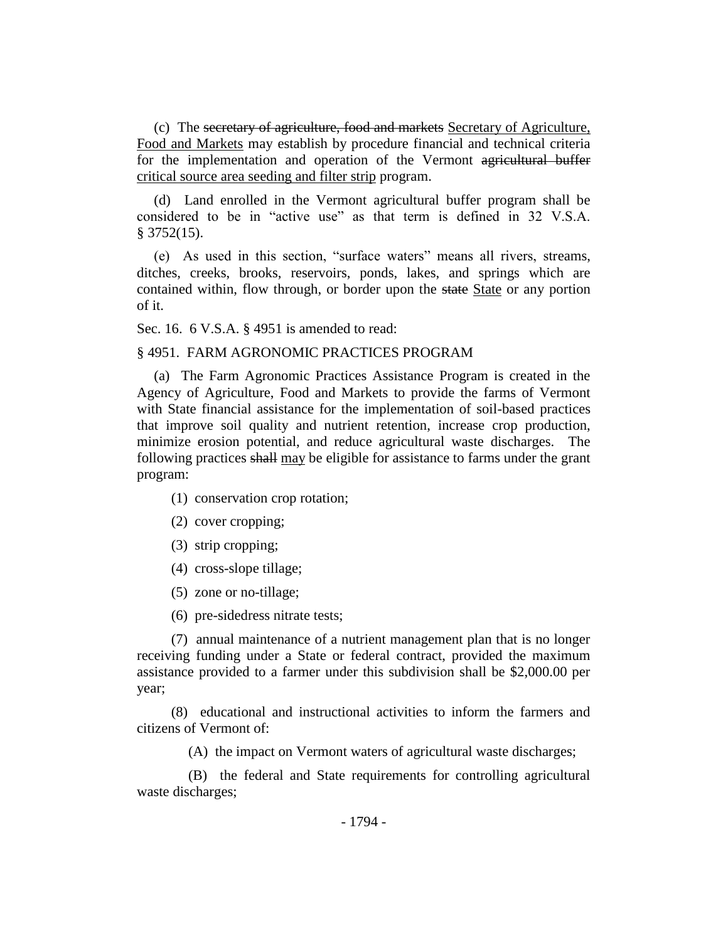(c) The secretary of agriculture, food and markets Secretary of Agriculture, Food and Markets may establish by procedure financial and technical criteria for the implementation and operation of the Vermont agricultural buffer critical source area seeding and filter strip program.

(d) Land enrolled in the Vermont agricultural buffer program shall be considered to be in "active use" as that term is defined in 32 V.S.A. § 3752(15).

(e) As used in this section, "surface waters" means all rivers, streams, ditches, creeks, brooks, reservoirs, ponds, lakes, and springs which are contained within, flow through, or border upon the state State or any portion of it.

Sec. 16. 6 V.S.A. § 4951 is amended to read:

### § 4951. FARM AGRONOMIC PRACTICES PROGRAM

(a) The Farm Agronomic Practices Assistance Program is created in the Agency of Agriculture, Food and Markets to provide the farms of Vermont with State financial assistance for the implementation of soil-based practices that improve soil quality and nutrient retention, increase crop production, minimize erosion potential, and reduce agricultural waste discharges. The following practices shall may be eligible for assistance to farms under the grant program:

- (1) conservation crop rotation;
- (2) cover cropping;
- (3) strip cropping;
- (4) cross-slope tillage;
- (5) zone or no-tillage;
- (6) pre-sidedress nitrate tests;

(7) annual maintenance of a nutrient management plan that is no longer receiving funding under a State or federal contract, provided the maximum assistance provided to a farmer under this subdivision shall be \$2,000.00 per year;

(8) educational and instructional activities to inform the farmers and citizens of Vermont of:

(A) the impact on Vermont waters of agricultural waste discharges;

(B) the federal and State requirements for controlling agricultural waste discharges;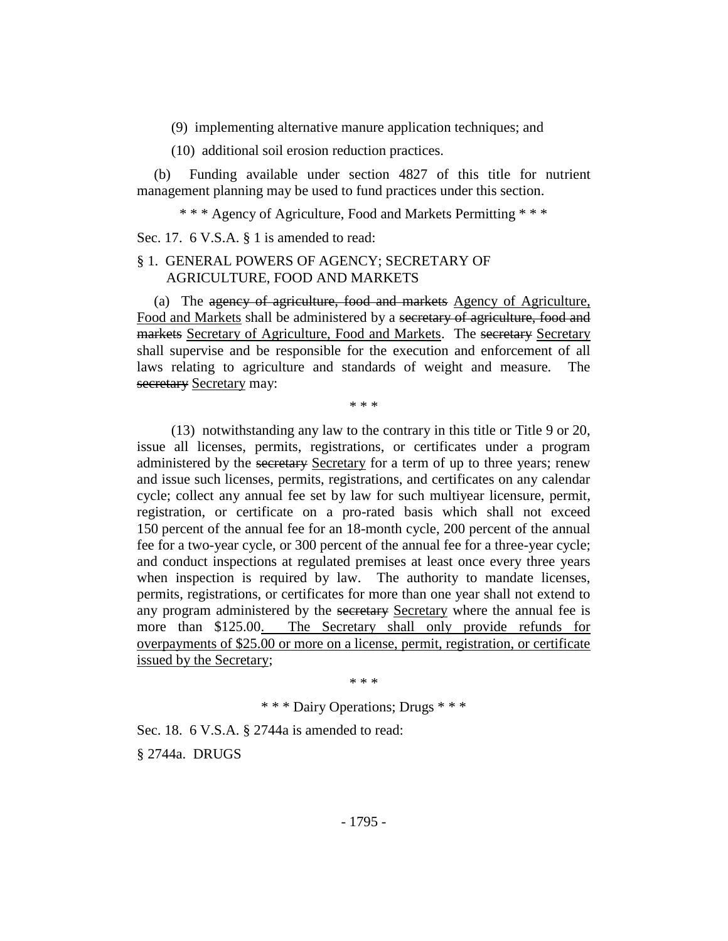(9) implementing alternative manure application techniques; and

(10) additional soil erosion reduction practices.

(b) Funding available under section 4827 of this title for nutrient management planning may be used to fund practices under this section.

\* \* \* Agency of Agriculture, Food and Markets Permitting \* \* \*

Sec. 17. 6 V.S.A. § 1 is amended to read:

### § 1. GENERAL POWERS OF AGENCY; SECRETARY OF AGRICULTURE, FOOD AND MARKETS

(a) The agency of agriculture, food and markets Agency of Agriculture, Food and Markets shall be administered by a secretary of agriculture, food and markets Secretary of Agriculture, Food and Markets. The secretary Secretary shall supervise and be responsible for the execution and enforcement of all laws relating to agriculture and standards of weight and measure. The secretary Secretary may:

\* \* \*

(13) notwithstanding any law to the contrary in this title or Title 9 or 20, issue all licenses, permits, registrations, or certificates under a program administered by the secretary Secretary for a term of up to three years; renew and issue such licenses, permits, registrations, and certificates on any calendar cycle; collect any annual fee set by law for such multiyear licensure, permit, registration, or certificate on a pro-rated basis which shall not exceed 150 percent of the annual fee for an 18-month cycle, 200 percent of the annual fee for a two-year cycle, or 300 percent of the annual fee for a three-year cycle; and conduct inspections at regulated premises at least once every three years when inspection is required by law. The authority to mandate licenses, permits, registrations, or certificates for more than one year shall not extend to any program administered by the secretary Secretary where the annual fee is more than \$125.00. The Secretary shall only provide refunds for overpayments of \$25.00 or more on a license, permit, registration, or certificate issued by the Secretary;

\* \* \*

\* \* \* Dairy Operations; Drugs \* \* \*

Sec. 18. 6 V.S.A. § 2744a is amended to read:

§ 2744a. DRUGS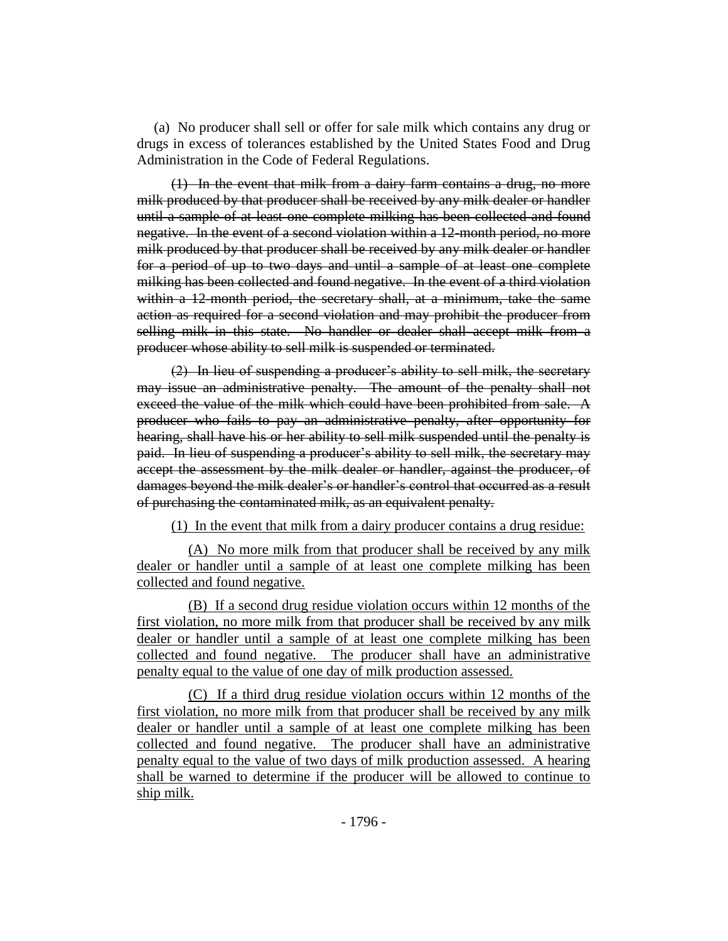(a) No producer shall sell or offer for sale milk which contains any drug or drugs in excess of tolerances established by the United States Food and Drug Administration in the Code of Federal Regulations.

(1) In the event that milk from a dairy farm contains a drug, no more milk produced by that producer shall be received by any milk dealer or handler until a sample of at least one complete milking has been collected and found negative. In the event of a second violation within a 12-month period, no more milk produced by that producer shall be received by any milk dealer or handler for a period of up to two days and until a sample of at least one complete milking has been collected and found negative. In the event of a third violation within a 12-month period, the secretary shall, at a minimum, take the same action as required for a second violation and may prohibit the producer from selling milk in this state. No handler or dealer shall accept milk from a producer whose ability to sell milk is suspended or terminated.

(2) In lieu of suspending a producer's ability to sell milk, the secretary may issue an administrative penalty. The amount of the penalty shall not exceed the value of the milk which could have been prohibited from sale. A producer who fails to pay an administrative penalty, after opportunity for hearing, shall have his or her ability to sell milk suspended until the penalty is paid. In lieu of suspending a producer's ability to sell milk, the secretary may accept the assessment by the milk dealer or handler, against the producer, of damages beyond the milk dealer's or handler's control that occurred as a result of purchasing the contaminated milk, as an equivalent penalty.

(1) In the event that milk from a dairy producer contains a drug residue:

(A) No more milk from that producer shall be received by any milk dealer or handler until a sample of at least one complete milking has been collected and found negative.

(B) If a second drug residue violation occurs within 12 months of the first violation, no more milk from that producer shall be received by any milk dealer or handler until a sample of at least one complete milking has been collected and found negative. The producer shall have an administrative penalty equal to the value of one day of milk production assessed.

(C) If a third drug residue violation occurs within 12 months of the first violation, no more milk from that producer shall be received by any milk dealer or handler until a sample of at least one complete milking has been collected and found negative. The producer shall have an administrative penalty equal to the value of two days of milk production assessed. A hearing shall be warned to determine if the producer will be allowed to continue to ship milk.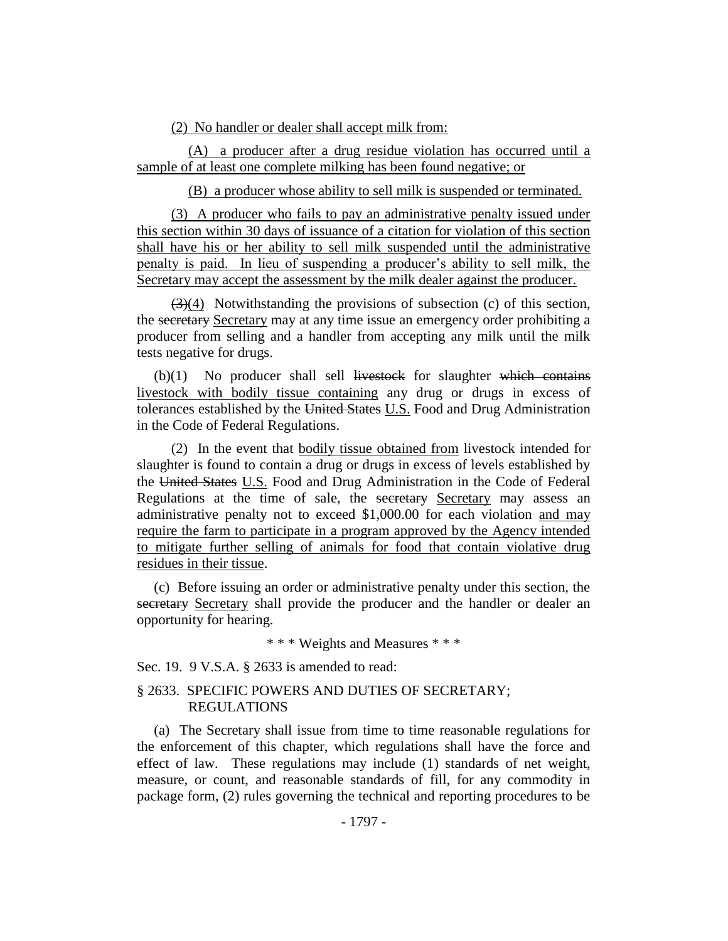(2) No handler or dealer shall accept milk from:

(A) a producer after a drug residue violation has occurred until a sample of at least one complete milking has been found negative; or

(B) a producer whose ability to sell milk is suspended or terminated.

(3) A producer who fails to pay an administrative penalty issued under this section within 30 days of issuance of a citation for violation of this section shall have his or her ability to sell milk suspended until the administrative penalty is paid. In lieu of suspending a producer's ability to sell milk, the Secretary may accept the assessment by the milk dealer against the producer.

 $(3)(4)$  Notwithstanding the provisions of subsection (c) of this section, the secretary Secretary may at any time issue an emergency order prohibiting a producer from selling and a handler from accepting any milk until the milk tests negative for drugs.

 $(b)(1)$  No producer shall sell livestock for slaughter which contains livestock with bodily tissue containing any drug or drugs in excess of tolerances established by the United States U.S. Food and Drug Administration in the Code of Federal Regulations.

(2) In the event that bodily tissue obtained from livestock intended for slaughter is found to contain a drug or drugs in excess of levels established by the United States U.S. Food and Drug Administration in the Code of Federal Regulations at the time of sale, the secretary Secretary may assess an administrative penalty not to exceed \$1,000.00 for each violation and may require the farm to participate in a program approved by the Agency intended to mitigate further selling of animals for food that contain violative drug residues in their tissue.

(c) Before issuing an order or administrative penalty under this section, the secretary Secretary shall provide the producer and the handler or dealer an opportunity for hearing.

\* \* \* Weights and Measures \* \* \*

Sec. 19. 9 V.S.A. § 2633 is amended to read:

### § 2633. SPECIFIC POWERS AND DUTIES OF SECRETARY; REGULATIONS

(a) The Secretary shall issue from time to time reasonable regulations for the enforcement of this chapter, which regulations shall have the force and effect of law. These regulations may include (1) standards of net weight, measure, or count, and reasonable standards of fill, for any commodity in package form, (2) rules governing the technical and reporting procedures to be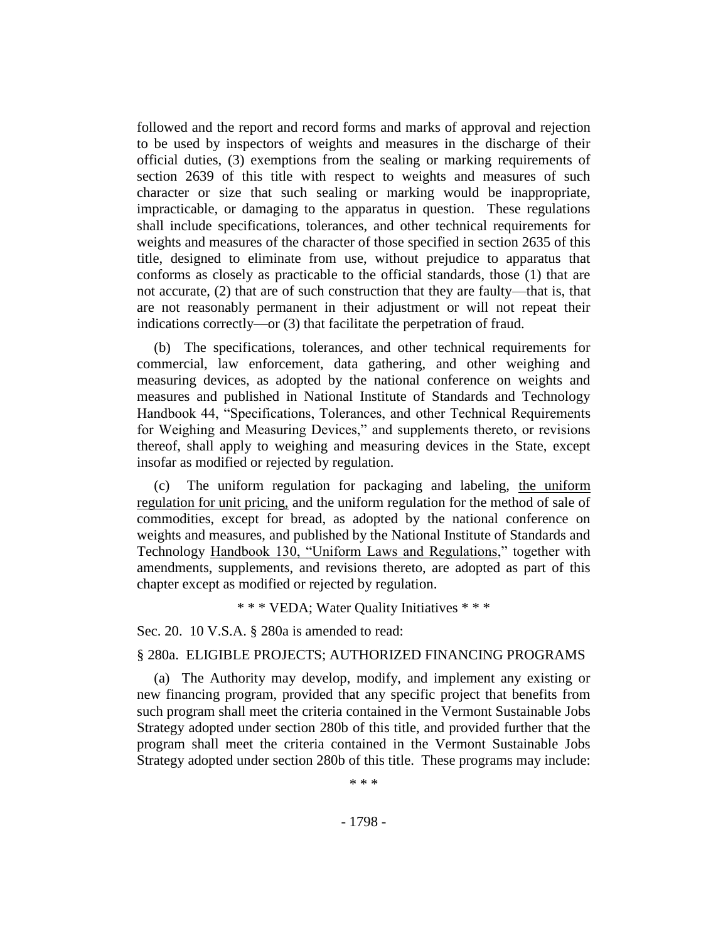followed and the report and record forms and marks of approval and rejection to be used by inspectors of weights and measures in the discharge of their official duties, (3) exemptions from the sealing or marking requirements of section 2639 of this title with respect to weights and measures of such character or size that such sealing or marking would be inappropriate, impracticable, or damaging to the apparatus in question. These regulations shall include specifications, tolerances, and other technical requirements for weights and measures of the character of those specified in section 2635 of this title, designed to eliminate from use, without prejudice to apparatus that conforms as closely as practicable to the official standards, those (1) that are not accurate, (2) that are of such construction that they are faulty—that is, that are not reasonably permanent in their adjustment or will not repeat their indications correctly—or (3) that facilitate the perpetration of fraud.

(b) The specifications, tolerances, and other technical requirements for commercial, law enforcement, data gathering, and other weighing and measuring devices, as adopted by the national conference on weights and measures and published in National Institute of Standards and Technology Handbook 44, "Specifications, Tolerances, and other Technical Requirements for Weighing and Measuring Devices," and supplements thereto, or revisions thereof, shall apply to weighing and measuring devices in the State, except insofar as modified or rejected by regulation.

(c) The uniform regulation for packaging and labeling, the uniform regulation for unit pricing, and the uniform regulation for the method of sale of commodities, except for bread, as adopted by the national conference on weights and measures, and published by the National Institute of Standards and Technology Handbook 130, "Uniform Laws and Regulations," together with amendments, supplements, and revisions thereto, are adopted as part of this chapter except as modified or rejected by regulation.

\* \* \* VEDA; Water Quality Initiatives \* \* \*

Sec. 20. 10 V.S.A. § 280a is amended to read:

### § 280a. ELIGIBLE PROJECTS; AUTHORIZED FINANCING PROGRAMS

(a) The Authority may develop, modify, and implement any existing or new financing program, provided that any specific project that benefits from such program shall meet the criteria contained in the Vermont Sustainable Jobs Strategy adopted under section 280b of this title, and provided further that the program shall meet the criteria contained in the Vermont Sustainable Jobs Strategy adopted under section 280b of this title. These programs may include:

\* \* \*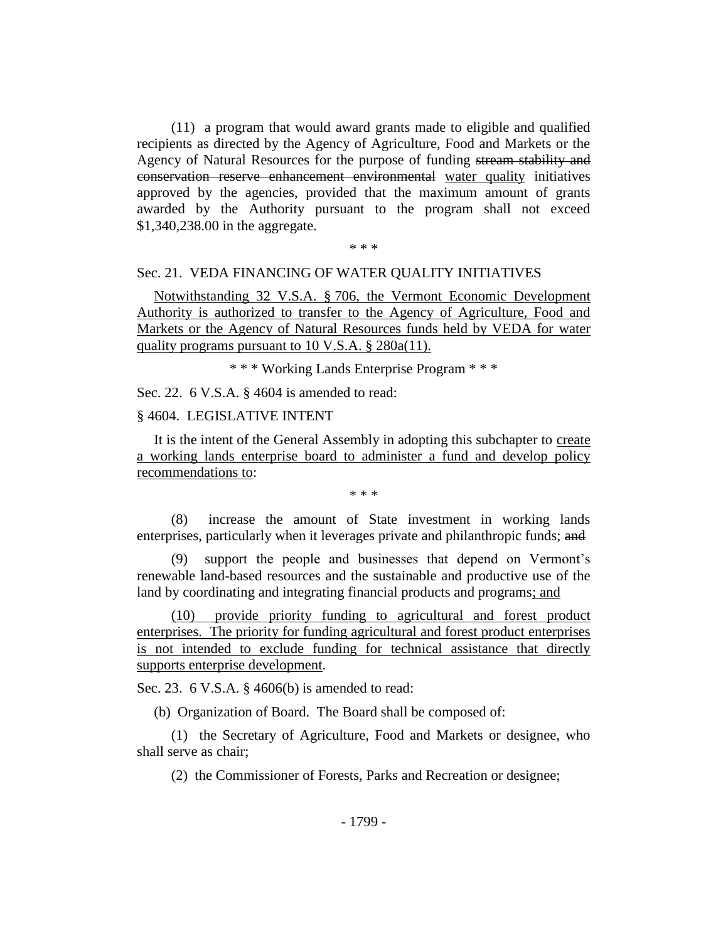(11) a program that would award grants made to eligible and qualified recipients as directed by the Agency of Agriculture, Food and Markets or the Agency of Natural Resources for the purpose of funding stream stability and conservation reserve enhancement environmental water quality initiatives approved by the agencies, provided that the maximum amount of grants awarded by the Authority pursuant to the program shall not exceed \$1,340,238.00 in the aggregate.

\* \* \*

### Sec. 21. VEDA FINANCING OF WATER QUALITY INITIATIVES

Notwithstanding 32 V.S.A. § 706, the Vermont Economic Development Authority is authorized to transfer to the Agency of Agriculture, Food and Markets or the Agency of Natural Resources funds held by VEDA for water quality programs pursuant to 10 V.S.A. § 280a(11).

\* \* \* Working Lands Enterprise Program \* \* \*

Sec. 22. 6 V.S.A. § 4604 is amended to read:

### § 4604. LEGISLATIVE INTENT

It is the intent of the General Assembly in adopting this subchapter to create a working lands enterprise board to administer a fund and develop policy recommendations to:

\* \* \*

(8) increase the amount of State investment in working lands enterprises, particularly when it leverages private and philanthropic funds; and

(9) support the people and businesses that depend on Vermont's renewable land-based resources and the sustainable and productive use of the land by coordinating and integrating financial products and programs; and

(10) provide priority funding to agricultural and forest product enterprises. The priority for funding agricultural and forest product enterprises is not intended to exclude funding for technical assistance that directly supports enterprise development.

Sec. 23. 6 V.S.A. § 4606(b) is amended to read:

(b) Organization of Board. The Board shall be composed of:

(1) the Secretary of Agriculture, Food and Markets or designee, who shall serve as chair;

(2) the Commissioner of Forests, Parks and Recreation or designee;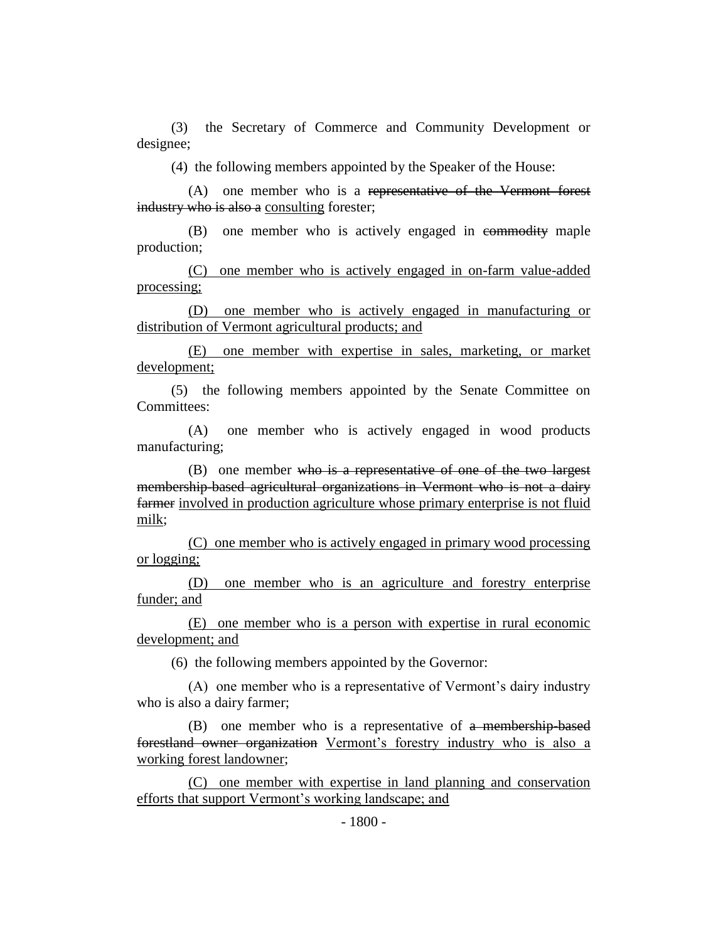(3) the Secretary of Commerce and Community Development or designee;

(4) the following members appointed by the Speaker of the House:

(A) one member who is a representative of the Vermont forest industry who is also a consulting forester;

(B) one member who is actively engaged in commodity maple production;

(C) one member who is actively engaged in on-farm value-added processing;

(D) one member who is actively engaged in manufacturing or distribution of Vermont agricultural products; and

(E) one member with expertise in sales, marketing, or market development;

(5) the following members appointed by the Senate Committee on Committees:

(A) one member who is actively engaged in wood products manufacturing;

(B) one member who is a representative of one of the two largest membership-based agricultural organizations in Vermont who is not a dairy farmer involved in production agriculture whose primary enterprise is not fluid milk;

(C) one member who is actively engaged in primary wood processing or logging;

(D) one member who is an agriculture and forestry enterprise funder; and

(E) one member who is a person with expertise in rural economic development; and

(6) the following members appointed by the Governor:

(A) one member who is a representative of Vermont's dairy industry who is also a dairy farmer;

(B) one member who is a representative of a membership-based forestland owner organization Vermont's forestry industry who is also a working forest landowner;

(C) one member with expertise in land planning and conservation efforts that support Vermont's working landscape; and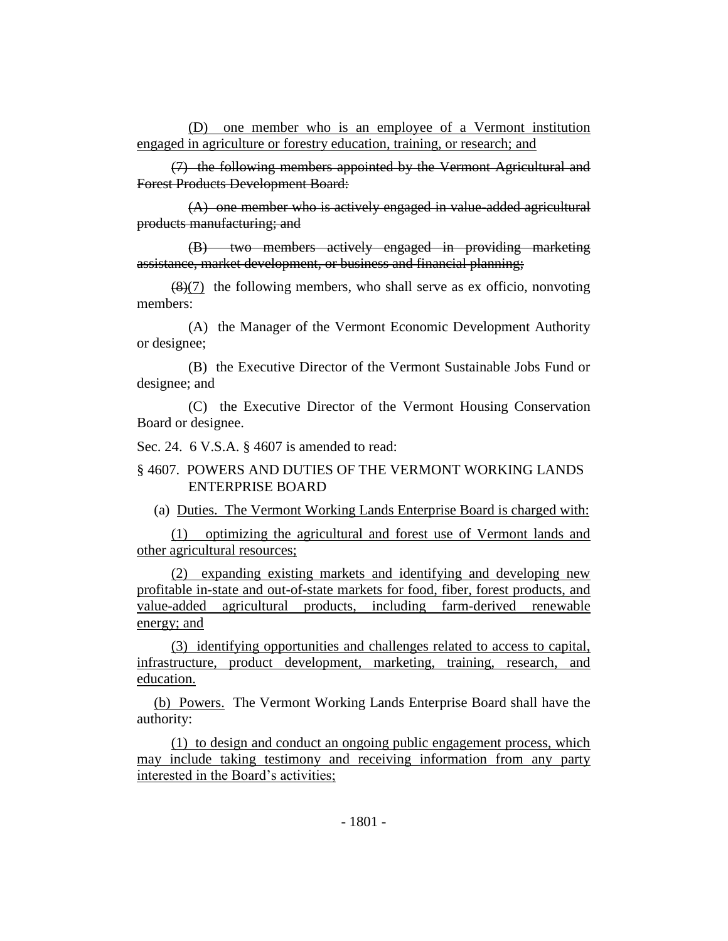(D) one member who is an employee of a Vermont institution engaged in agriculture or forestry education, training, or research; and

(7) the following members appointed by the Vermont Agricultural and Forest Products Development Board:

(A) one member who is actively engaged in value-added agricultural products manufacturing; and

(B) two members actively engaged in providing marketing assistance, market development, or business and financial planning;

 $(8)(7)$  the following members, who shall serve as ex officio, nonvoting members:

(A) the Manager of the Vermont Economic Development Authority or designee;

(B) the Executive Director of the Vermont Sustainable Jobs Fund or designee; and

(C) the Executive Director of the Vermont Housing Conservation Board or designee.

Sec. 24. 6 V.S.A. § 4607 is amended to read:

§ 4607. POWERS AND DUTIES OF THE VERMONT WORKING LANDS ENTERPRISE BOARD

(a) Duties. The Vermont Working Lands Enterprise Board is charged with:

(1) optimizing the agricultural and forest use of Vermont lands and other agricultural resources;

(2) expanding existing markets and identifying and developing new profitable in-state and out-of-state markets for food, fiber, forest products, and value-added agricultural products, including farm-derived renewable energy; and

(3) identifying opportunities and challenges related to access to capital, infrastructure, product development, marketing, training, research, and education.

(b) Powers. The Vermont Working Lands Enterprise Board shall have the authority:

(1) to design and conduct an ongoing public engagement process, which may include taking testimony and receiving information from any party interested in the Board's activities;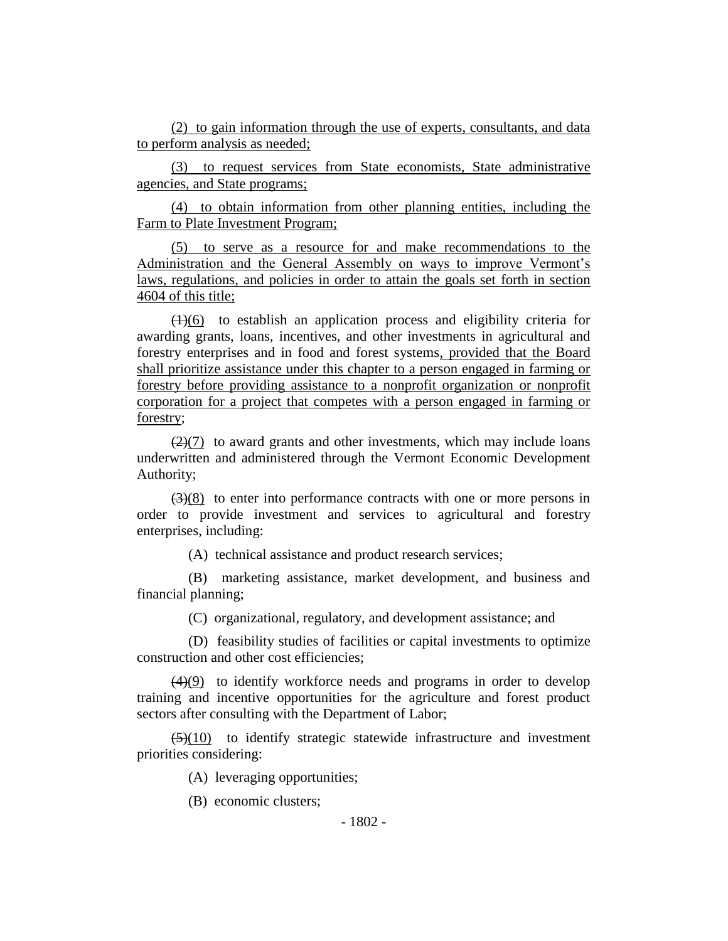(2) to gain information through the use of experts, consultants, and data to perform analysis as needed;

(3) to request services from State economists, State administrative agencies, and State programs;

(4) to obtain information from other planning entities, including the Farm to Plate Investment Program;

(5) to serve as a resource for and make recommendations to the Administration and the General Assembly on ways to improve Vermont's laws, regulations, and policies in order to attain the goals set forth in section 4604 of this title;

 $(1)(6)$  to establish an application process and eligibility criteria for awarding grants, loans, incentives, and other investments in agricultural and forestry enterprises and in food and forest systems, provided that the Board shall prioritize assistance under this chapter to a person engaged in farming or forestry before providing assistance to a nonprofit organization or nonprofit corporation for a project that competes with a person engaged in farming or forestry;

 $(2)(7)$  to award grants and other investments, which may include loans underwritten and administered through the Vermont Economic Development Authority;

 $(3)(8)$  to enter into performance contracts with one or more persons in order to provide investment and services to agricultural and forestry enterprises, including:

(A) technical assistance and product research services;

(B) marketing assistance, market development, and business and financial planning;

(C) organizational, regulatory, and development assistance; and

(D) feasibility studies of facilities or capital investments to optimize construction and other cost efficiencies;

(4)(9) to identify workforce needs and programs in order to develop training and incentive opportunities for the agriculture and forest product sectors after consulting with the Department of Labor;

 $\left(\frac{5}{10}\right)$  to identify strategic statewide infrastructure and investment priorities considering:

(A) leveraging opportunities;

(B) economic clusters;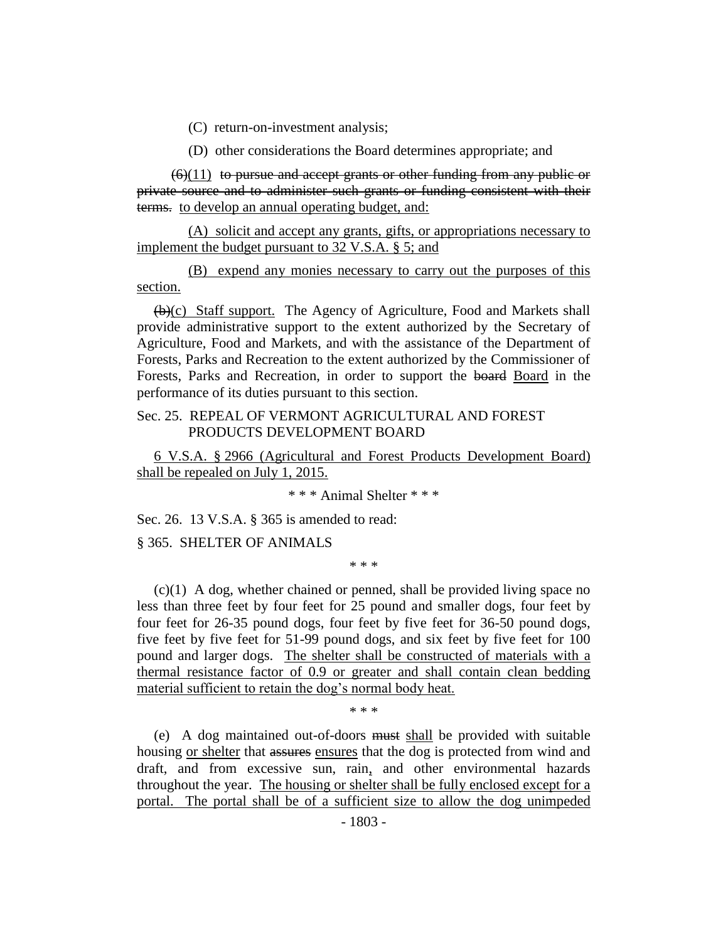(C) return-on-investment analysis;

(D) other considerations the Board determines appropriate; and

 $(6)(11)$  to pursue and accept grants or other funding from any public or private source and to administer such grants or funding consistent with their terms. to develop an annual operating budget, and:

(A) solicit and accept any grants, gifts, or appropriations necessary to implement the budget pursuant to 32 V.S.A. § 5; and

(B) expend any monies necessary to carry out the purposes of this section.

(b)(c) Staff support. The Agency of Agriculture, Food and Markets shall provide administrative support to the extent authorized by the Secretary of Agriculture, Food and Markets, and with the assistance of the Department of Forests, Parks and Recreation to the extent authorized by the Commissioner of Forests, Parks and Recreation, in order to support the board Board in the performance of its duties pursuant to this section.

### Sec. 25. REPEAL OF VERMONT AGRICULTURAL AND FOREST PRODUCTS DEVELOPMENT BOARD

6 V.S.A. § 2966 (Agricultural and Forest Products Development Board) shall be repealed on July 1, 2015.

\* \* \* Animal Shelter \* \* \*

Sec. 26. 13 V.S.A. § 365 is amended to read:

§ 365. SHELTER OF ANIMALS

\* \* \*

 $(c)(1)$  A dog, whether chained or penned, shall be provided living space no less than three feet by four feet for 25 pound and smaller dogs, four feet by four feet for 26-35 pound dogs, four feet by five feet for 36-50 pound dogs, five feet by five feet for 51-99 pound dogs, and six feet by five feet for 100 pound and larger dogs. The shelter shall be constructed of materials with a thermal resistance factor of 0.9 or greater and shall contain clean bedding material sufficient to retain the dog's normal body heat.

\* \* \*

(e) A dog maintained out-of-doors must shall be provided with suitable housing or shelter that assures ensures that the dog is protected from wind and draft, and from excessive sun, rain, and other environmental hazards throughout the year. The housing or shelter shall be fully enclosed except for a portal. The portal shall be of a sufficient size to allow the dog unimpeded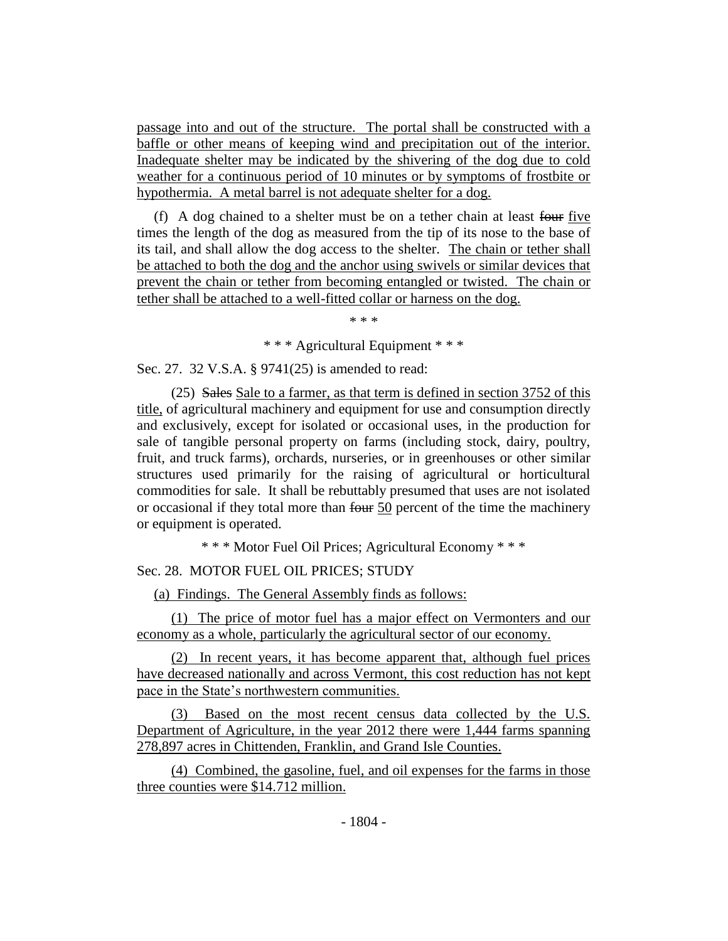passage into and out of the structure. The portal shall be constructed with a baffle or other means of keeping wind and precipitation out of the interior. Inadequate shelter may be indicated by the shivering of the dog due to cold weather for a continuous period of 10 minutes or by symptoms of frostbite or hypothermia. A metal barrel is not adequate shelter for a dog.

(f) A dog chained to a shelter must be on a tether chain at least four five times the length of the dog as measured from the tip of its nose to the base of its tail, and shall allow the dog access to the shelter. The chain or tether shall be attached to both the dog and the anchor using swivels or similar devices that prevent the chain or tether from becoming entangled or twisted. The chain or tether shall be attached to a well-fitted collar or harness on the dog.

\* \* \*

\* \* \* Agricultural Equipment \* \* \*

Sec. 27. 32 V.S.A. § 9741(25) is amended to read:

(25) Sales Sale to a farmer, as that term is defined in section 3752 of this title, of agricultural machinery and equipment for use and consumption directly and exclusively, except for isolated or occasional uses, in the production for sale of tangible personal property on farms (including stock, dairy, poultry, fruit, and truck farms), orchards, nurseries, or in greenhouses or other similar structures used primarily for the raising of agricultural or horticultural commodities for sale. It shall be rebuttably presumed that uses are not isolated or occasional if they total more than four 50 percent of the time the machinery or equipment is operated.

\* \* \* Motor Fuel Oil Prices; Agricultural Economy \* \* \*

Sec. 28. MOTOR FUEL OIL PRICES; STUDY

(a) Findings. The General Assembly finds as follows:

(1) The price of motor fuel has a major effect on Vermonters and our economy as a whole, particularly the agricultural sector of our economy.

(2) In recent years, it has become apparent that, although fuel prices have decreased nationally and across Vermont, this cost reduction has not kept pace in the State's northwestern communities.

(3) Based on the most recent census data collected by the U.S. Department of Agriculture, in the year 2012 there were 1,444 farms spanning 278,897 acres in Chittenden, Franklin, and Grand Isle Counties.

(4) Combined, the gasoline, fuel, and oil expenses for the farms in those three counties were \$14.712 million.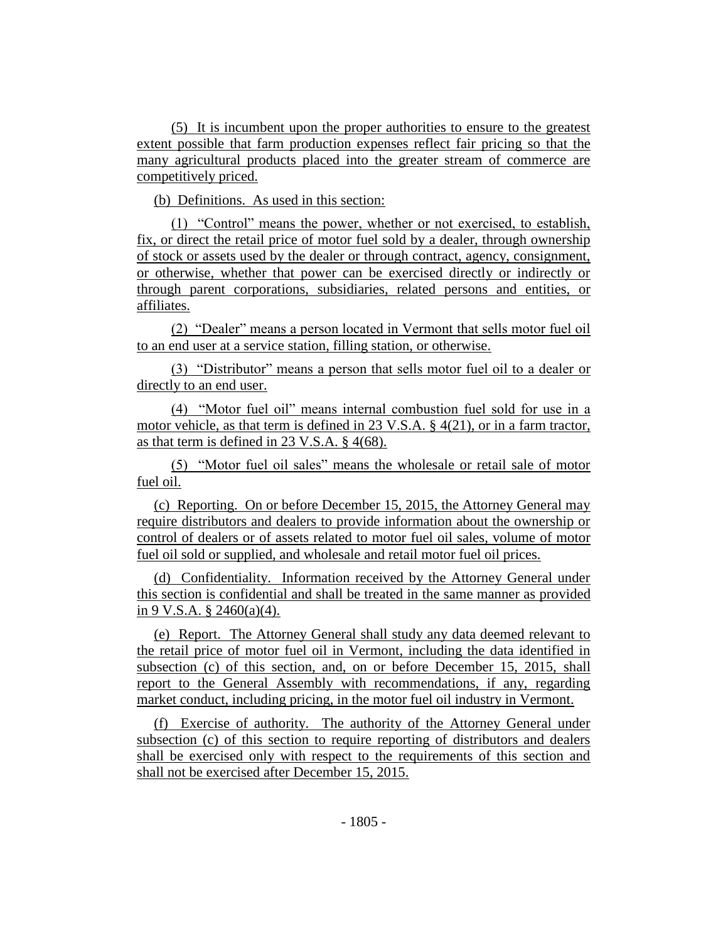(5) It is incumbent upon the proper authorities to ensure to the greatest extent possible that farm production expenses reflect fair pricing so that the many agricultural products placed into the greater stream of commerce are competitively priced.

(b) Definitions. As used in this section:

(1) "Control" means the power, whether or not exercised, to establish, fix, or direct the retail price of motor fuel sold by a dealer, through ownership of stock or assets used by the dealer or through contract, agency, consignment, or otherwise, whether that power can be exercised directly or indirectly or through parent corporations, subsidiaries, related persons and entities, or affiliates.

(2) "Dealer" means a person located in Vermont that sells motor fuel oil to an end user at a service station, filling station, or otherwise.

(3) "Distributor" means a person that sells motor fuel oil to a dealer or directly to an end user.

(4) "Motor fuel oil" means internal combustion fuel sold for use in a motor vehicle, as that term is defined in 23 V.S.A. § 4(21), or in a farm tractor, as that term is defined in 23 V.S.A. § 4(68).

(5) "Motor fuel oil sales" means the wholesale or retail sale of motor fuel oil.

(c) Reporting. On or before December 15, 2015, the Attorney General may require distributors and dealers to provide information about the ownership or control of dealers or of assets related to motor fuel oil sales, volume of motor fuel oil sold or supplied, and wholesale and retail motor fuel oil prices.

(d) Confidentiality. Information received by the Attorney General under this section is confidential and shall be treated in the same manner as provided in 9 V.S.A.  $\S$  2460(a)(4).

(e) Report. The Attorney General shall study any data deemed relevant to the retail price of motor fuel oil in Vermont, including the data identified in subsection (c) of this section, and, on or before December 15, 2015, shall report to the General Assembly with recommendations, if any, regarding market conduct, including pricing, in the motor fuel oil industry in Vermont.

(f) Exercise of authority. The authority of the Attorney General under subsection (c) of this section to require reporting of distributors and dealers shall be exercised only with respect to the requirements of this section and shall not be exercised after December 15, 2015.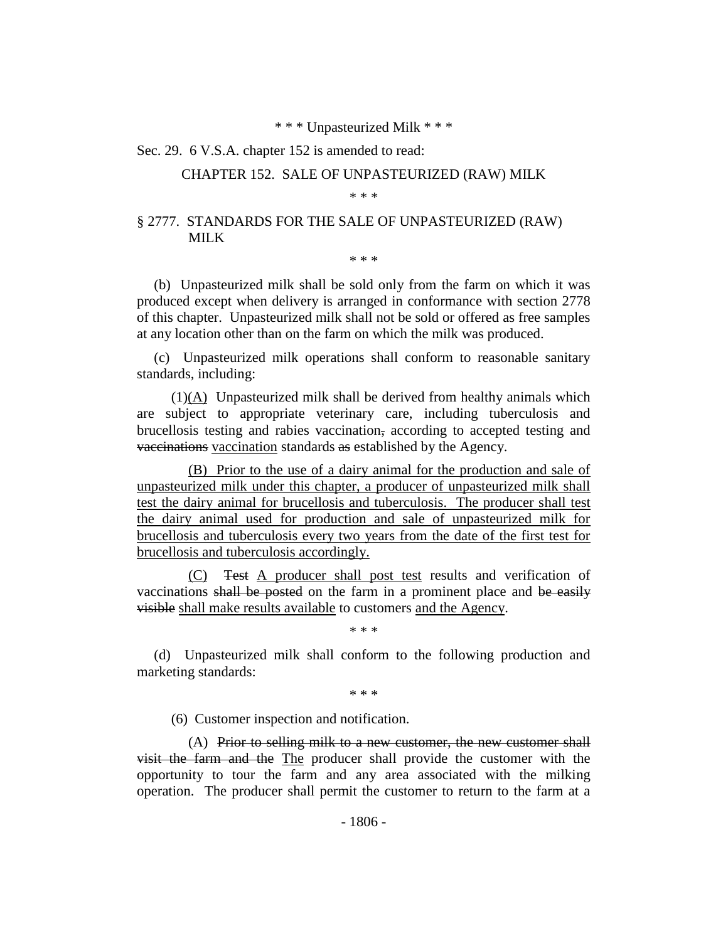#### \* \* \* Unpasteurized Milk \* \* \*

#### Sec. 29. 6 V.S.A. chapter 152 is amended to read:

#### CHAPTER 152. SALE OF UNPASTEURIZED (RAW) MILK

\* \* \*

## § 2777. STANDARDS FOR THE SALE OF UNPASTEURIZED (RAW) MILK

\* \* \*

(b) Unpasteurized milk shall be sold only from the farm on which it was produced except when delivery is arranged in conformance with section 2778 of this chapter. Unpasteurized milk shall not be sold or offered as free samples at any location other than on the farm on which the milk was produced.

(c) Unpasteurized milk operations shall conform to reasonable sanitary standards, including:

(1)(A) Unpasteurized milk shall be derived from healthy animals which are subject to appropriate veterinary care, including tuberculosis and brucellosis testing and rabies vaccination, according to accepted testing and vaccinations vaccination standards as established by the Agency.

(B) Prior to the use of a dairy animal for the production and sale of unpasteurized milk under this chapter, a producer of unpasteurized milk shall test the dairy animal for brucellosis and tuberculosis. The producer shall test the dairy animal used for production and sale of unpasteurized milk for brucellosis and tuberculosis every two years from the date of the first test for brucellosis and tuberculosis accordingly.

(C) Test A producer shall post test results and verification of vaccinations shall be posted on the farm in a prominent place and be easily visible shall make results available to customers and the Agency.

\* \* \*

(d) Unpasteurized milk shall conform to the following production and marketing standards:

\* \* \*

(6) Customer inspection and notification.

(A) Prior to selling milk to a new customer, the new customer shall visit the farm and the The producer shall provide the customer with the opportunity to tour the farm and any area associated with the milking operation. The producer shall permit the customer to return to the farm at a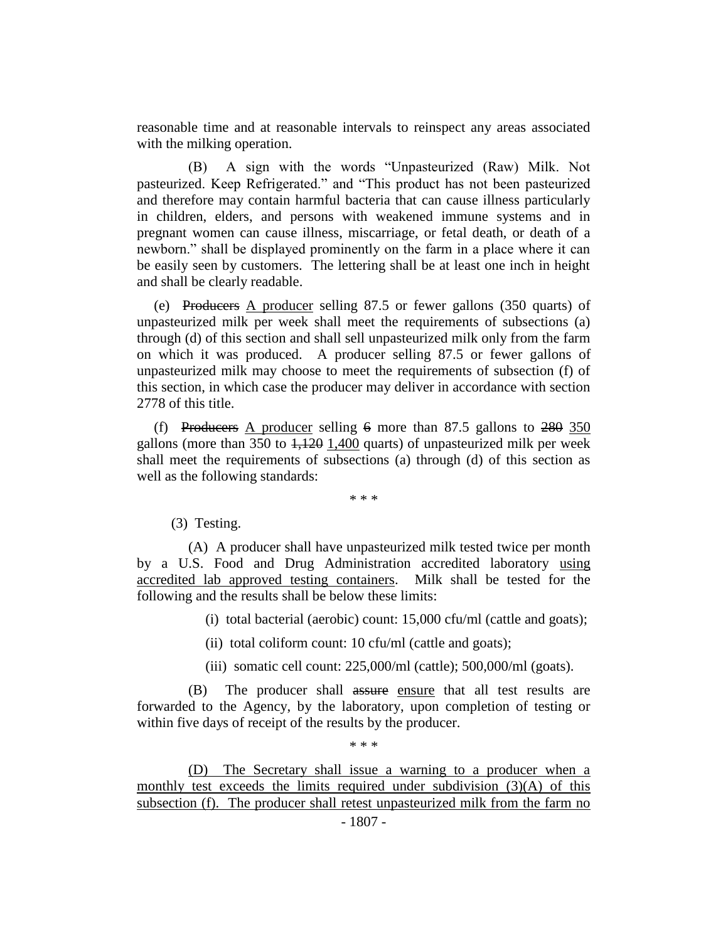reasonable time and at reasonable intervals to reinspect any areas associated with the milking operation.

(B) A sign with the words "Unpasteurized (Raw) Milk. Not pasteurized. Keep Refrigerated." and "This product has not been pasteurized and therefore may contain harmful bacteria that can cause illness particularly in children, elders, and persons with weakened immune systems and in pregnant women can cause illness, miscarriage, or fetal death, or death of a newborn." shall be displayed prominently on the farm in a place where it can be easily seen by customers. The lettering shall be at least one inch in height and shall be clearly readable.

(e) Producers A producer selling 87.5 or fewer gallons (350 quarts) of unpasteurized milk per week shall meet the requirements of subsections (a) through (d) of this section and shall sell unpasteurized milk only from the farm on which it was produced. A producer selling 87.5 or fewer gallons of unpasteurized milk may choose to meet the requirements of subsection (f) of this section, in which case the producer may deliver in accordance with section 2778 of this title.

(f) Producers A producer selling  $6 \text{ more than } 87.5 \text{ gallons to } 280,350$ gallons (more than  $350$  to  $1,120$  1,400 quarts) of unpasteurized milk per week shall meet the requirements of subsections (a) through (d) of this section as well as the following standards:

\* \* \*

(3) Testing.

(A) A producer shall have unpasteurized milk tested twice per month by a U.S. Food and Drug Administration accredited laboratory using accredited lab approved testing containers. Milk shall be tested for the following and the results shall be below these limits:

(i) total bacterial (aerobic) count: 15,000 cfu/ml (cattle and goats);

(ii) total coliform count: 10 cfu/ml (cattle and goats);

(iii) somatic cell count: 225,000/ml (cattle); 500,000/ml (goats).

(B) The producer shall assure ensure that all test results are forwarded to the Agency, by the laboratory, upon completion of testing or within five days of receipt of the results by the producer.

\* \* \*

(D) The Secretary shall issue a warning to a producer when a monthly test exceeds the limits required under subdivision  $(3)(A)$  of this subsection (f). The producer shall retest unpasteurized milk from the farm no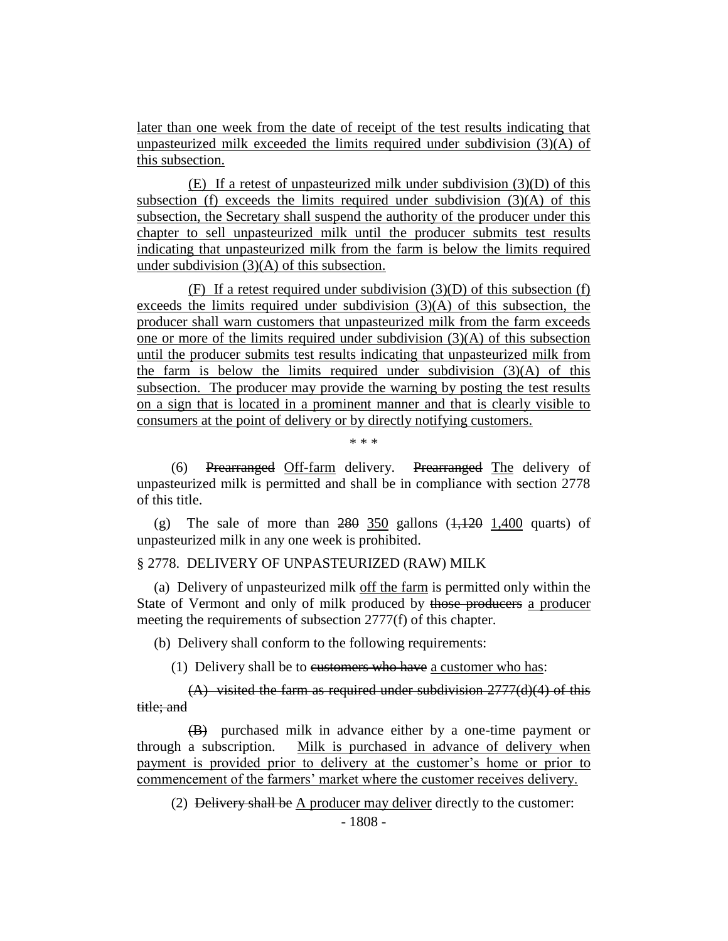later than one week from the date of receipt of the test results indicating that unpasteurized milk exceeded the limits required under subdivision (3)(A) of this subsection.

(E) If a retest of unpasteurized milk under subdivision (3)(D) of this subsection (f) exceeds the limits required under subdivision  $(3)(A)$  of this subsection, the Secretary shall suspend the authority of the producer under this chapter to sell unpasteurized milk until the producer submits test results indicating that unpasteurized milk from the farm is below the limits required under subdivision (3)(A) of this subsection.

(F) If a retest required under subdivision  $(3)(D)$  of this subsection (f) exceeds the limits required under subdivision  $(3)(A)$  of this subsection, the producer shall warn customers that unpasteurized milk from the farm exceeds one or more of the limits required under subdivision (3)(A) of this subsection until the producer submits test results indicating that unpasteurized milk from the farm is below the limits required under subdivision  $(3)(A)$  of this subsection. The producer may provide the warning by posting the test results on a sign that is located in a prominent manner and that is clearly visible to consumers at the point of delivery or by directly notifying customers.

\* \* \*

(6) Prearranged Off-farm delivery. Prearranged The delivery of unpasteurized milk is permitted and shall be in compliance with section 2778 of this title.

(g) The sale of more than  $280$  350 gallons  $(1,120)$  1,400 quarts) of unpasteurized milk in any one week is prohibited.

# § 2778. DELIVERY OF UNPASTEURIZED (RAW) MILK

(a) Delivery of unpasteurized milk off the farm is permitted only within the State of Vermont and only of milk produced by those producers a producer meeting the requirements of subsection 2777(f) of this chapter.

(b) Delivery shall conform to the following requirements:

(1) Delivery shall be to eustomers who have a customer who has:

 $(A)$  visited the farm as required under subdivision  $2777(d)(4)$  of this title; and

(B) purchased milk in advance either by a one-time payment or through a subscription. Milk is purchased in advance of delivery when payment is provided prior to delivery at the customer's home or prior to commencement of the farmers' market where the customer receives delivery.

(2) Delivery shall be A producer may deliver directly to the customer: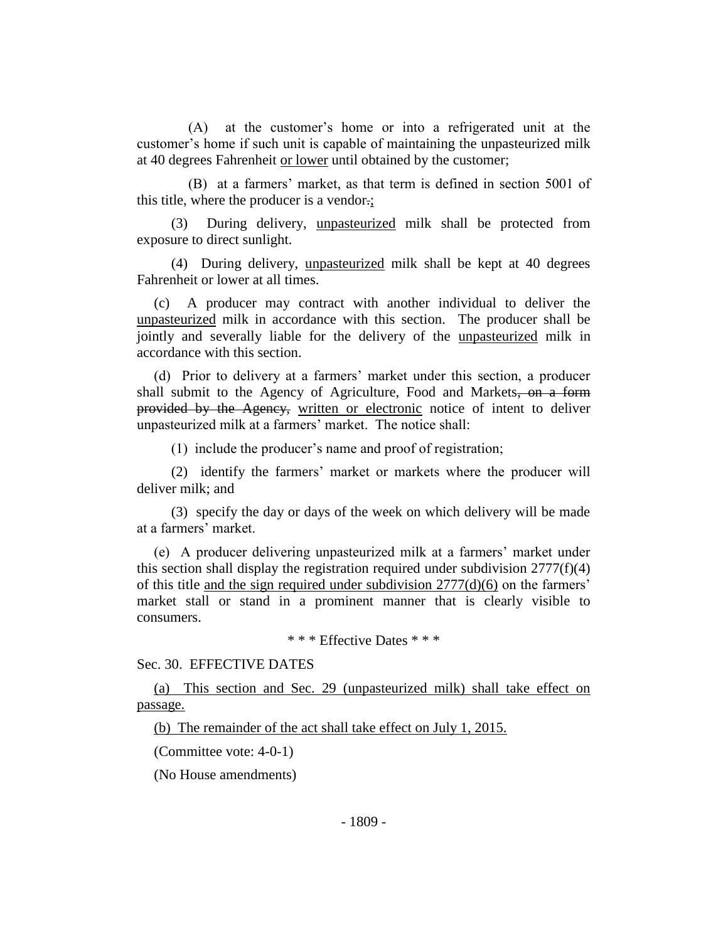(A) at the customer's home or into a refrigerated unit at the customer's home if such unit is capable of maintaining the unpasteurized milk at 40 degrees Fahrenheit or lower until obtained by the customer;

(B) at a farmers' market, as that term is defined in section 5001 of this title, where the producer is a vendor.;

(3) During delivery, unpasteurized milk shall be protected from exposure to direct sunlight.

(4) During delivery, unpasteurized milk shall be kept at 40 degrees Fahrenheit or lower at all times.

(c) A producer may contract with another individual to deliver the unpasteurized milk in accordance with this section. The producer shall be jointly and severally liable for the delivery of the unpasteurized milk in accordance with this section.

(d) Prior to delivery at a farmers' market under this section, a producer shall submit to the Agency of Agriculture, Food and Markets, on a form provided by the Agency, written or electronic notice of intent to deliver unpasteurized milk at a farmers' market. The notice shall:

(1) include the producer's name and proof of registration;

(2) identify the farmers' market or markets where the producer will deliver milk; and

(3) specify the day or days of the week on which delivery will be made at a farmers' market.

(e) A producer delivering unpasteurized milk at a farmers' market under this section shall display the registration required under subdivision  $2777(f)(4)$ of this title and the sign required under subdivision 2777(d)(6) on the farmers' market stall or stand in a prominent manner that is clearly visible to consumers.

\* \* \* Effective Dates \* \* \*

Sec. 30. EFFECTIVE DATES

(a) This section and Sec. 29 (unpasteurized milk) shall take effect on passage.

(b) The remainder of the act shall take effect on July 1, 2015.

(Committee vote: 4-0-1)

(No House amendments)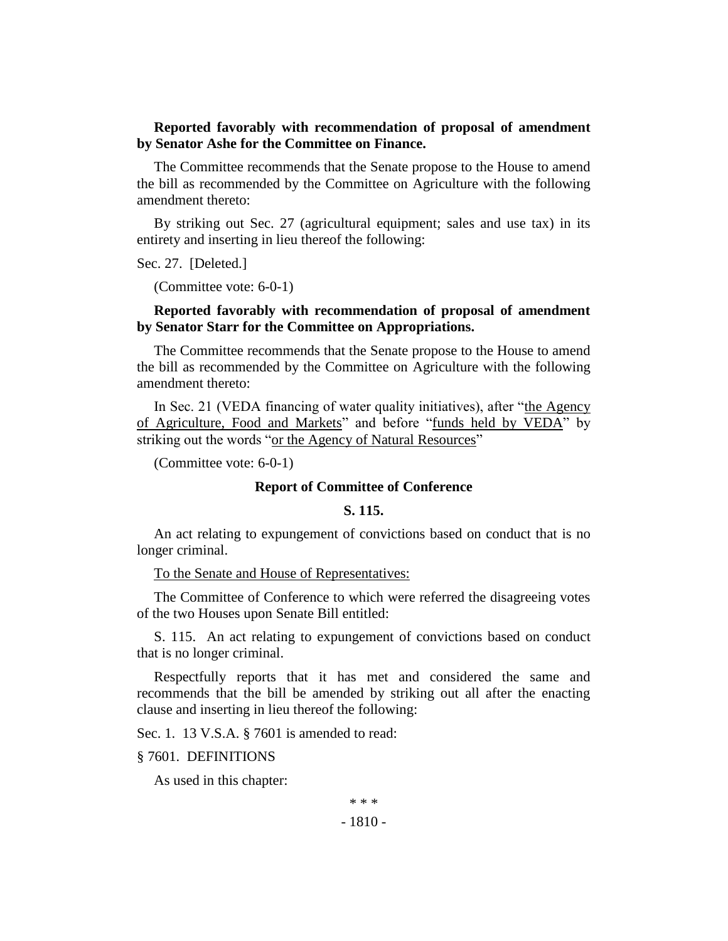## **Reported favorably with recommendation of proposal of amendment by Senator Ashe for the Committee on Finance.**

The Committee recommends that the Senate propose to the House to amend the bill as recommended by the Committee on Agriculture with the following amendment thereto:

By striking out Sec. 27 (agricultural equipment; sales and use tax) in its entirety and inserting in lieu thereof the following:

Sec. 27. [Deleted.]

(Committee vote: 6-0-1)

### **Reported favorably with recommendation of proposal of amendment by Senator Starr for the Committee on Appropriations.**

The Committee recommends that the Senate propose to the House to amend the bill as recommended by the Committee on Agriculture with the following amendment thereto:

In Sec. 21 (VEDA financing of water quality initiatives), after "the Agency of Agriculture, Food and Markets" and before "funds held by VEDA" by striking out the words "or the Agency of Natural Resources"

(Committee vote: 6-0-1)

### **Report of Committee of Conference**

#### **S. 115.**

An act relating to expungement of convictions based on conduct that is no longer criminal.

To the Senate and House of Representatives:

The Committee of Conference to which were referred the disagreeing votes of the two Houses upon Senate Bill entitled:

S. 115. An act relating to expungement of convictions based on conduct that is no longer criminal.

Respectfully reports that it has met and considered the same and recommends that the bill be amended by striking out all after the enacting clause and inserting in lieu thereof the following:

Sec. 1. 13 V.S.A. § 7601 is amended to read:

§ 7601. DEFINITIONS

As used in this chapter:

\* \* \*

- 1810 -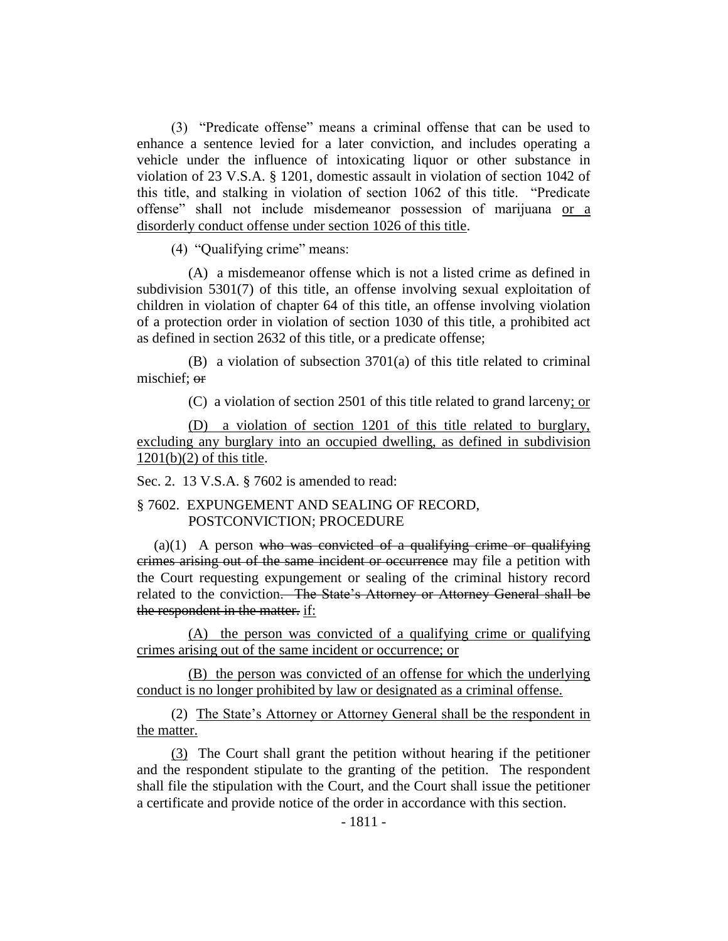(3) "Predicate offense" means a criminal offense that can be used to enhance a sentence levied for a later conviction, and includes operating a vehicle under the influence of intoxicating liquor or other substance in violation of 23 V.S.A. § 1201, domestic assault in violation of section 1042 of this title, and stalking in violation of section 1062 of this title. "Predicate offense" shall not include misdemeanor possession of marijuana or a disorderly conduct offense under section 1026 of this title.

(4) "Qualifying crime" means:

(A) a misdemeanor offense which is not a listed crime as defined in subdivision 5301(7) of this title, an offense involving sexual exploitation of children in violation of chapter 64 of this title, an offense involving violation of a protection order in violation of section 1030 of this title, a prohibited act as defined in section 2632 of this title, or a predicate offense;

(B) a violation of subsection 3701(a) of this title related to criminal mischief; or

(C) a violation of section 2501 of this title related to grand larceny; or

(D) a violation of section 1201 of this title related to burglary, excluding any burglary into an occupied dwelling, as defined in subdivision 1201(b)(2) of this title.

Sec. 2. 13 V.S.A. § 7602 is amended to read:

### § 7602. EXPUNGEMENT AND SEALING OF RECORD, POSTCONVICTION; PROCEDURE

 $(a)(1)$  A person who was convicted of a qualifying crime or qualifying crimes arising out of the same incident or occurrence may file a petition with the Court requesting expungement or sealing of the criminal history record related to the conviction. The State's Attorney or Attorney General shall be the respondent in the matter. if:

(A) the person was convicted of a qualifying crime or qualifying crimes arising out of the same incident or occurrence; or

(B) the person was convicted of an offense for which the underlying conduct is no longer prohibited by law or designated as a criminal offense.

(2) The State's Attorney or Attorney General shall be the respondent in the matter.

(3) The Court shall grant the petition without hearing if the petitioner and the respondent stipulate to the granting of the petition. The respondent shall file the stipulation with the Court, and the Court shall issue the petitioner a certificate and provide notice of the order in accordance with this section.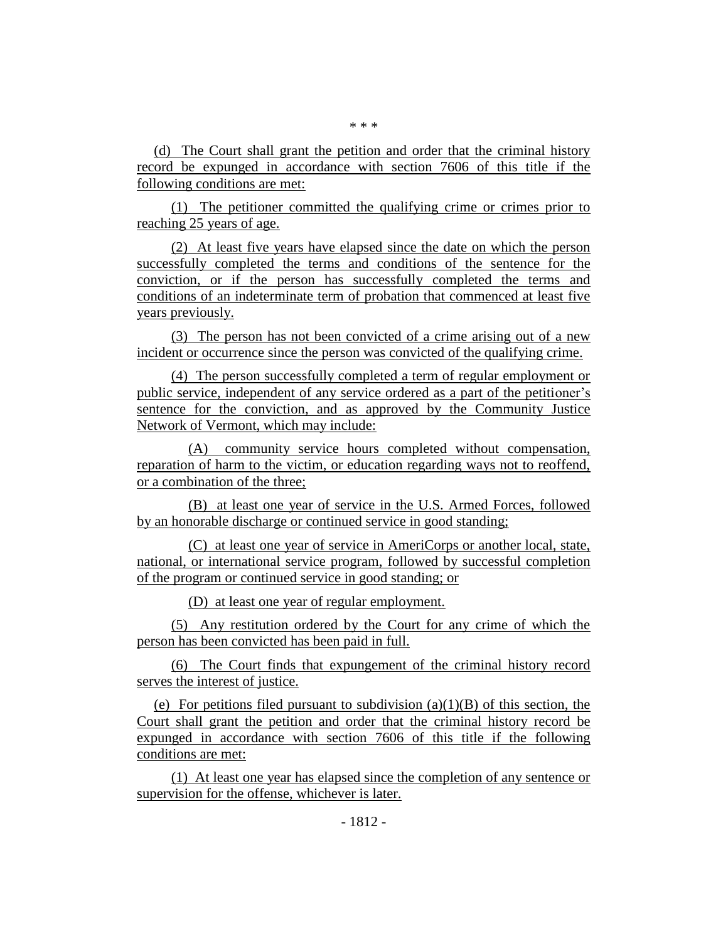(d) The Court shall grant the petition and order that the criminal history record be expunged in accordance with section 7606 of this title if the following conditions are met:

(1) The petitioner committed the qualifying crime or crimes prior to reaching 25 years of age.

(2) At least five years have elapsed since the date on which the person successfully completed the terms and conditions of the sentence for the conviction, or if the person has successfully completed the terms and conditions of an indeterminate term of probation that commenced at least five years previously.

(3) The person has not been convicted of a crime arising out of a new incident or occurrence since the person was convicted of the qualifying crime.

(4) The person successfully completed a term of regular employment or public service, independent of any service ordered as a part of the petitioner's sentence for the conviction, and as approved by the Community Justice Network of Vermont, which may include:

(A) community service hours completed without compensation, reparation of harm to the victim, or education regarding ways not to reoffend, or a combination of the three;

(B) at least one year of service in the U.S. Armed Forces, followed by an honorable discharge or continued service in good standing;

(C) at least one year of service in AmeriCorps or another local, state, national, or international service program, followed by successful completion of the program or continued service in good standing; or

(D) at least one year of regular employment.

(5) Any restitution ordered by the Court for any crime of which the person has been convicted has been paid in full.

(6) The Court finds that expungement of the criminal history record serves the interest of justice.

(e) For petitions filed pursuant to subdivision  $(a)(1)(B)$  of this section, the Court shall grant the petition and order that the criminal history record be expunged in accordance with section 7606 of this title if the following conditions are met:

(1) At least one year has elapsed since the completion of any sentence or supervision for the offense, whichever is later.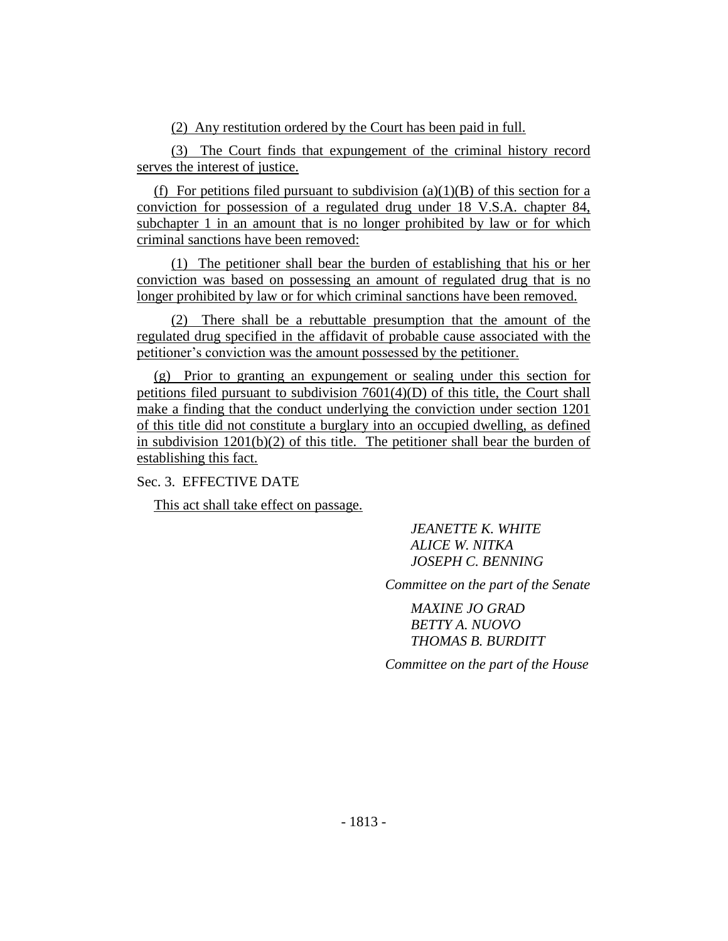(2) Any restitution ordered by the Court has been paid in full.

(3) The Court finds that expungement of the criminal history record serves the interest of justice.

(f) For petitions filed pursuant to subdivision  $(a)(1)(B)$  of this section for a conviction for possession of a regulated drug under 18 V.S.A. chapter 84, subchapter 1 in an amount that is no longer prohibited by law or for which criminal sanctions have been removed:

(1) The petitioner shall bear the burden of establishing that his or her conviction was based on possessing an amount of regulated drug that is no longer prohibited by law or for which criminal sanctions have been removed.

(2) There shall be a rebuttable presumption that the amount of the regulated drug specified in the affidavit of probable cause associated with the petitioner's conviction was the amount possessed by the petitioner.

(g) Prior to granting an expungement or sealing under this section for petitions filed pursuant to subdivision 7601(4)(D) of this title, the Court shall make a finding that the conduct underlying the conviction under section 1201 of this title did not constitute a burglary into an occupied dwelling, as defined in subdivision 1201(b)(2) of this title. The petitioner shall bear the burden of establishing this fact.

Sec. 3. EFFECTIVE DATE

This act shall take effect on passage.

*JEANETTE K. WHITE ALICE W. NITKA JOSEPH C. BENNING*

*Committee on the part of the Senate*

*MAXINE JO GRAD BETTY A. NUOVO THOMAS B. BURDITT*

*Committee on the part of the House*